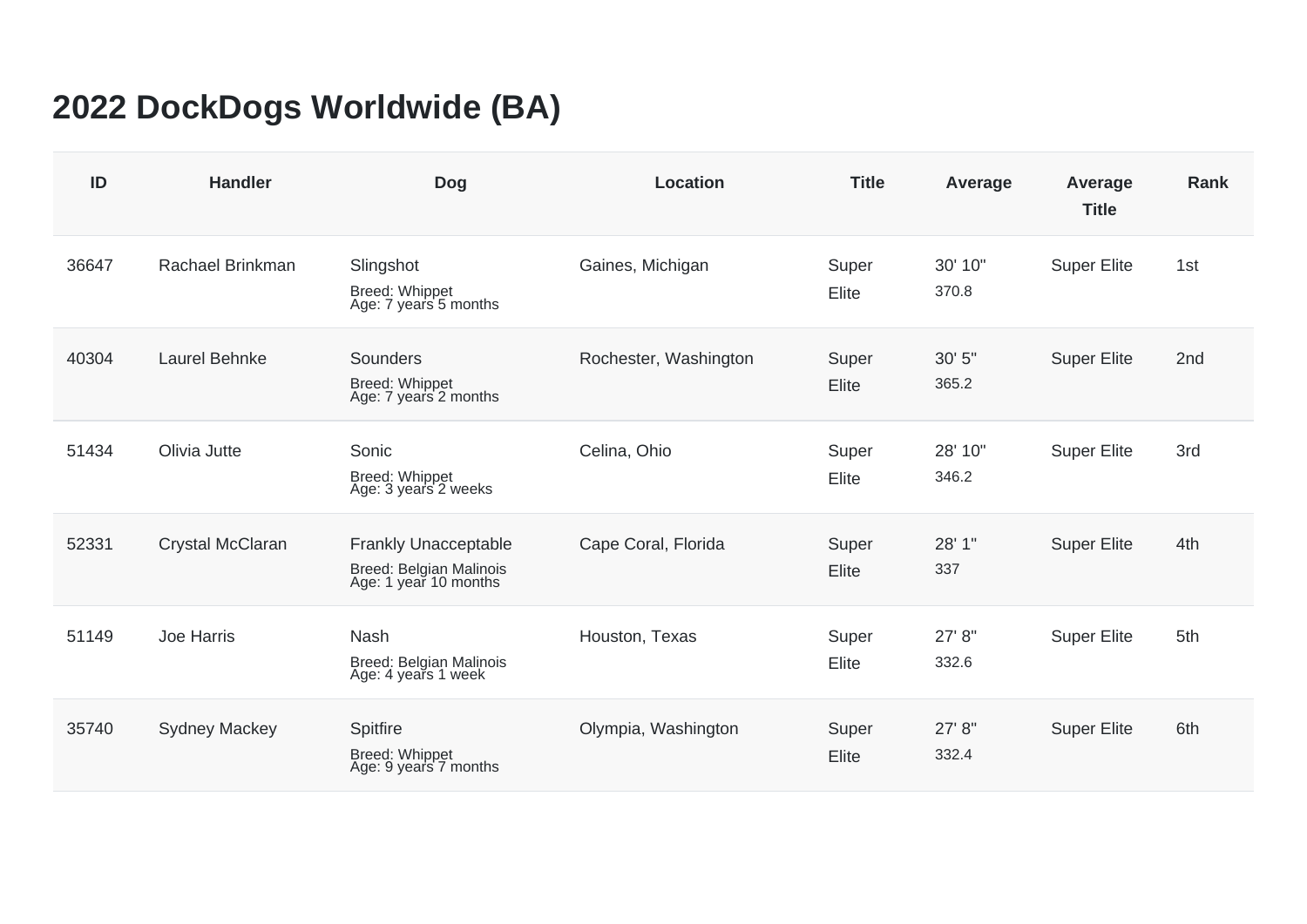## **2022 DockDogs Worldwide (BA)**

| ID    | <b>Handler</b>       | <b>Dog</b>                                                                      | <b>Location</b>       | <b>Title</b>   | Average          | Average<br><b>Title</b> | <b>Rank</b>     |
|-------|----------------------|---------------------------------------------------------------------------------|-----------------------|----------------|------------------|-------------------------|-----------------|
| 36647 | Rachael Brinkman     | Slingshot<br>Breed: Whippet<br>Age: 7 years 5 months                            | Gaines, Michigan      | Super<br>Elite | 30' 10"<br>370.8 | <b>Super Elite</b>      | 1st             |
| 40304 | Laurel Behnke        | <b>Sounders</b><br><b>Breed: Whippet</b><br>Age: 7 years 2 months               | Rochester, Washington | Super<br>Elite | 30' 5"<br>365.2  | <b>Super Elite</b>      | 2 <sub>nd</sub> |
| 51434 | Olivia Jutte         | Sonic<br>Breed: Whippet<br>Age: 3 years 2 weeks                                 | Celina, Ohio          | Super<br>Elite | 28' 10"<br>346.2 | <b>Super Elite</b>      | 3rd             |
| 52331 | Crystal McClaran     | <b>Frankly Unacceptable</b><br>Breed: Belgian Malinois<br>Age: 1 year 10 months | Cape Coral, Florida   | Super<br>Elite | 28' 1"<br>337    | <b>Super Elite</b>      | 4th             |
| 51149 | <b>Joe Harris</b>    | <b>Nash</b><br>Breed: Belgian Malinois<br>Age: 4 years 1 week                   | Houston, Texas        | Super<br>Elite | 27' 8"<br>332.6  | <b>Super Elite</b>      | 5th             |
| 35740 | <b>Sydney Mackey</b> | Spitfire<br>Breed: Whippet<br>Age: 9 years 7 months                             | Olympia, Washington   | Super<br>Elite | 27' 8"<br>332.4  | <b>Super Elite</b>      | 6th             |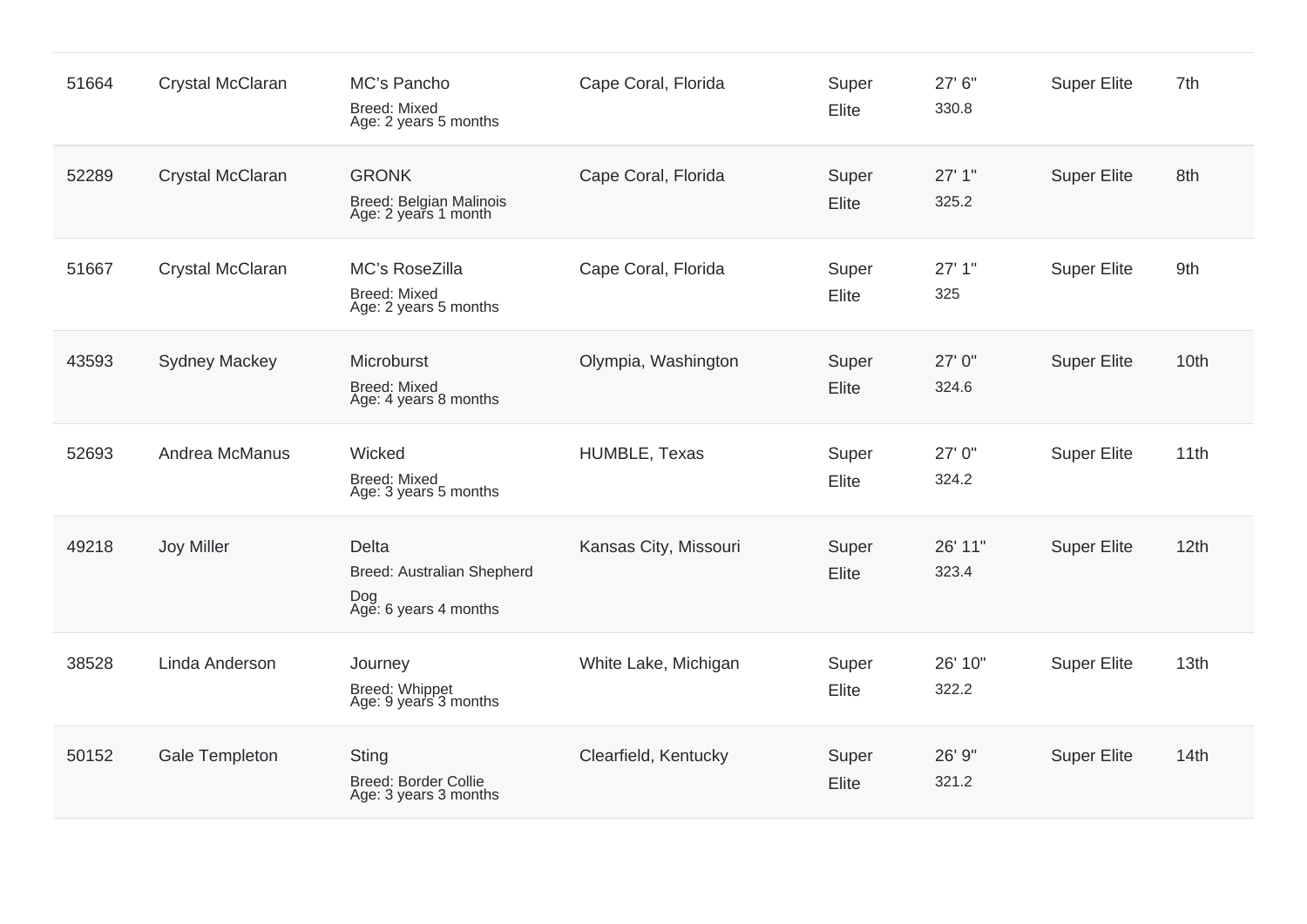| 51664 | Crystal McClaran      | MC's Pancho<br><b>Breed: Mixed</b><br>Age: 2 years 5 months         | Cape Coral, Florida   | Super<br>Elite | 27' 6"<br>330.8  | <b>Super Elite</b> | 7th  |
|-------|-----------------------|---------------------------------------------------------------------|-----------------------|----------------|------------------|--------------------|------|
| 52289 | Crystal McClaran      | <b>GRONK</b><br>Breed: Belgian Malinois<br>Age: 2 years 1 month     | Cape Coral, Florida   | Super<br>Elite | 27'1"<br>325.2   | <b>Super Elite</b> | 8th  |
| 51667 | Crystal McClaran      | MC's RoseZilla<br><b>Breed: Mixed</b><br>Age: 2 years 5 months      | Cape Coral, Florida   | Super<br>Elite | 27'1"<br>325     | <b>Super Elite</b> | 9th  |
| 43593 | <b>Sydney Mackey</b>  | Microburst<br><b>Breed: Mixed</b><br>Age: 4 years 8 months          | Olympia, Washington   | Super<br>Elite | 27' 0"<br>324.6  | <b>Super Elite</b> | 10th |
| 52693 | Andrea McManus        | Wicked<br><b>Breed: Mixed</b><br>Age: 3 years 5 months              | HUMBLE, Texas         | Super<br>Elite | 27' 0"<br>324.2  | <b>Super Elite</b> | 11th |
| 49218 | Joy Miller            | Delta<br>Breed: Australian Shepherd<br>Dog<br>Age: 6 years 4 months | Kansas City, Missouri | Super<br>Elite | 26' 11"<br>323.4 | <b>Super Elite</b> | 12th |
| 38528 | Linda Anderson        | Journey<br>Breed: Whippet<br>Age: 9 years 3 months                  | White Lake, Michigan  | Super<br>Elite | 26' 10"<br>322.2 | <b>Super Elite</b> | 13th |
| 50152 | <b>Gale Templeton</b> | Sting<br>Breed: Border Collie<br>Age: 3 years 3 months              | Clearfield, Kentucky  | Super<br>Elite | 26' 9"<br>321.2  | <b>Super Elite</b> | 14th |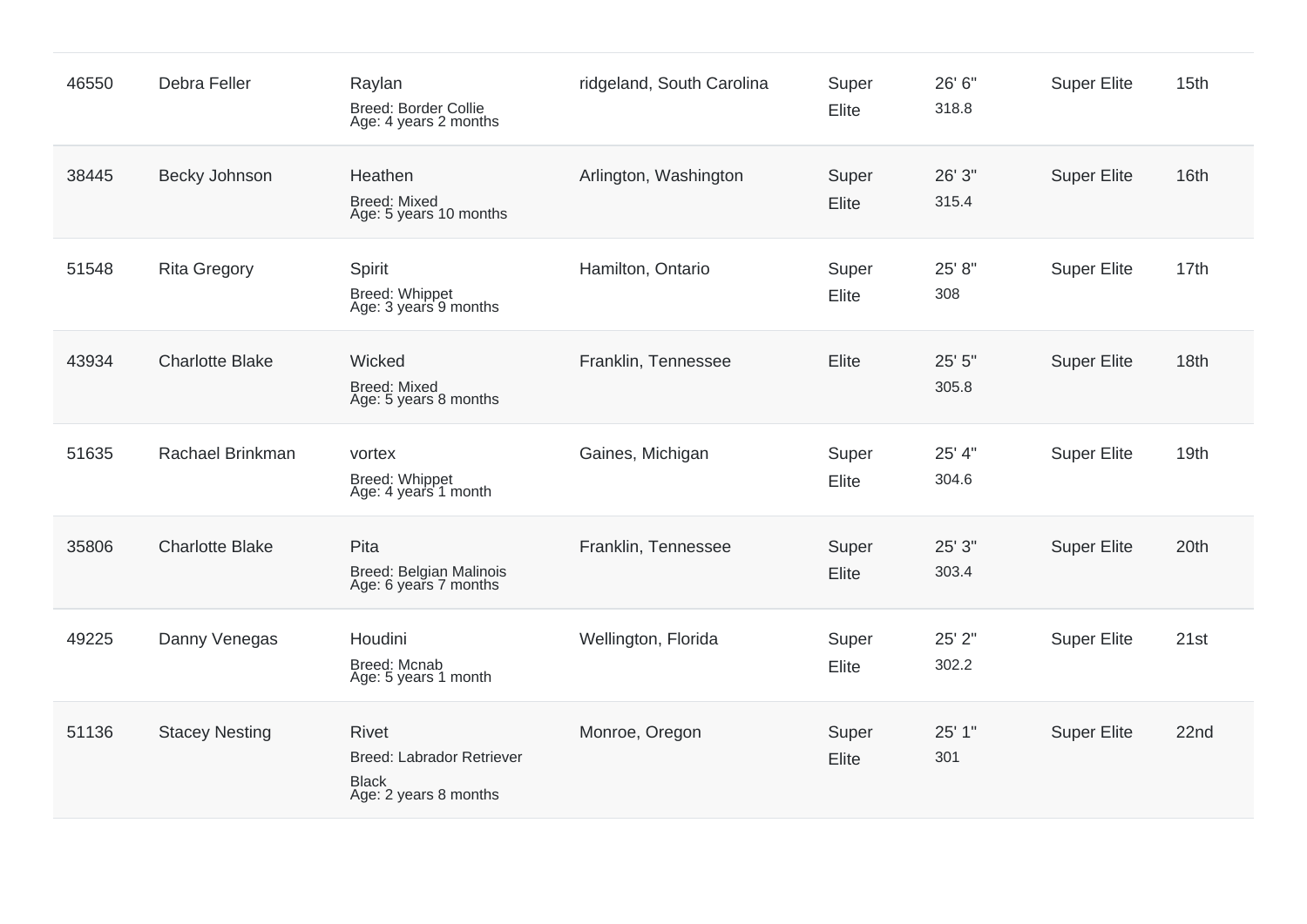| 46550 | Debra Feller           | Raylan<br>Breed: Border Collie<br>Age: 4 years 2 months                            | ridgeland, South Carolina | Super<br>Elite | 26' 6"<br>318.8 | <b>Super Elite</b> | 15th |
|-------|------------------------|------------------------------------------------------------------------------------|---------------------------|----------------|-----------------|--------------------|------|
| 38445 | Becky Johnson          | Heathen<br><b>Breed: Mixed</b><br>Age: 5 years 10 months                           | Arlington, Washington     | Super<br>Elite | 26' 3"<br>315.4 | <b>Super Elite</b> | 16th |
| 51548 | <b>Rita Gregory</b>    | Spirit<br>Breed: Whippet<br>Age: 3 years 9 months                                  | Hamilton, Ontario         | Super<br>Elite | 25' 8"<br>308   | <b>Super Elite</b> | 17th |
| 43934 | <b>Charlotte Blake</b> | Wicked<br><b>Breed: Mixed</b><br>Age: 5 years 8 months                             | Franklin, Tennessee       | Elite          | 25' 5"<br>305.8 | <b>Super Elite</b> | 18th |
| 51635 | Rachael Brinkman       | vortex<br>Breed: Whippet<br>Age: 4 years 1 month                                   | Gaines, Michigan          | Super<br>Elite | 25' 4"<br>304.6 | <b>Super Elite</b> | 19th |
| 35806 | <b>Charlotte Blake</b> | Pita<br>Breed: Belgian Malinois<br>Age: 6 years 7 months                           | Franklin, Tennessee       | Super<br>Elite | 25' 3"<br>303.4 | <b>Super Elite</b> | 20th |
| 49225 | Danny Venegas          | Houdini<br><b>Breed: Mcnab</b><br>Age: 5 years 1 month                             | Wellington, Florida       | Super<br>Elite | 25' 2"<br>302.2 | <b>Super Elite</b> | 21st |
| 51136 | <b>Stacey Nesting</b>  | <b>Rivet</b><br>Breed: Labrador Retriever<br><b>Black</b><br>Age: 2 years 8 months | Monroe, Oregon            | Super<br>Elite | 25' 1"<br>301   | <b>Super Elite</b> | 22nd |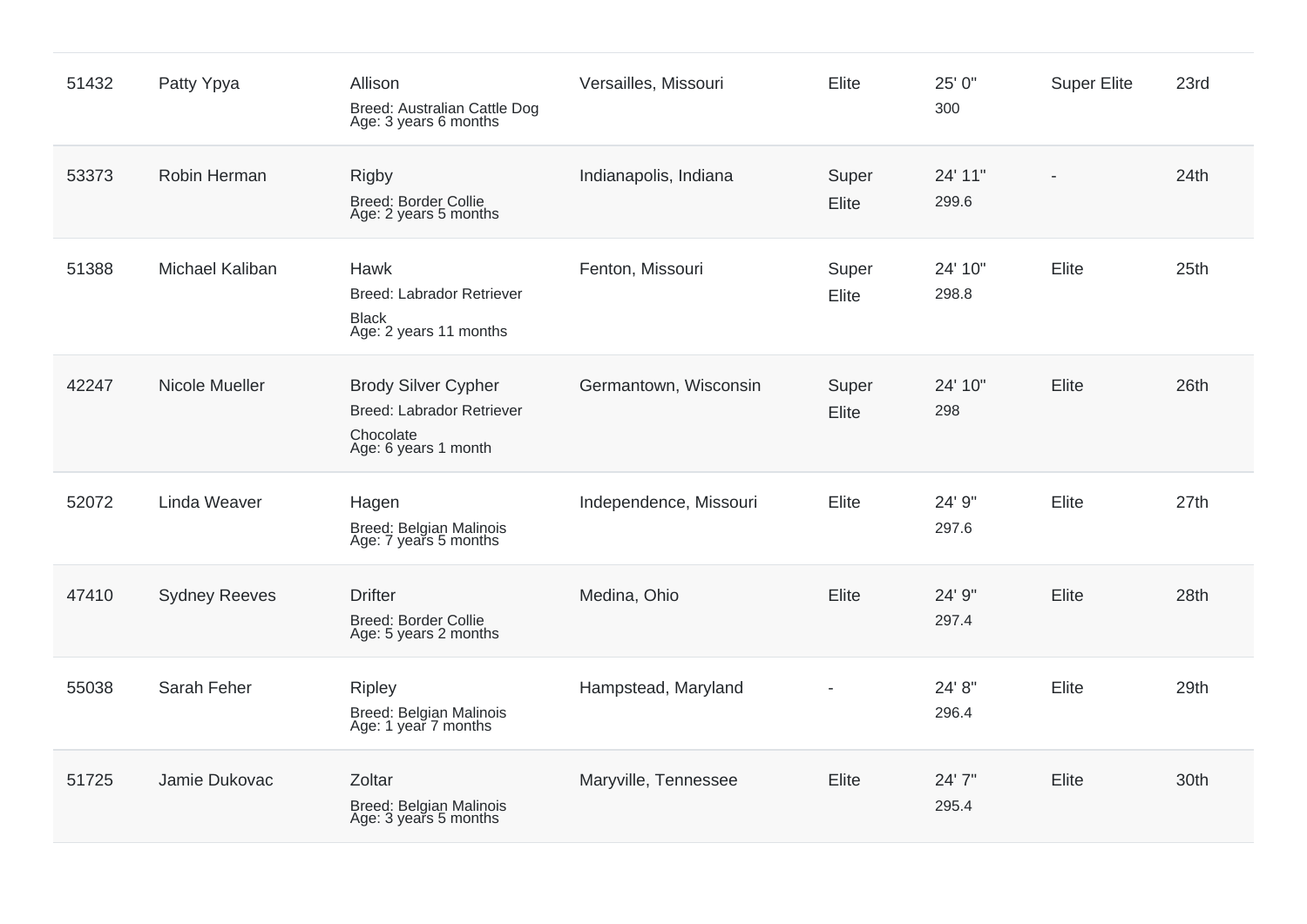| 51432 | Patty Ypya             | Allison<br>Breed: Australian Cattle Dog<br>Age: 3 years 6 months                                    | Versailles, Missouri   | Elite          | 25' 0"<br>300    | <b>Super Elite</b> | 23rd             |
|-------|------------------------|-----------------------------------------------------------------------------------------------------|------------------------|----------------|------------------|--------------------|------------------|
| 53373 | Robin Herman           | <b>Rigby</b><br><b>Breed: Border Collie</b><br>Age: 2 years 5 months                                | Indianapolis, Indiana  | Super<br>Elite | 24' 11"<br>299.6 |                    | 24th             |
| 51388 | <b>Michael Kaliban</b> | Hawk<br>Breed: Labrador Retriever<br><b>Black</b><br>Age: 2 years 11 months                         | Fenton, Missouri       | Super<br>Elite | 24' 10"<br>298.8 | Elite              | 25 <sub>th</sub> |
| 42247 | Nicole Mueller         | <b>Brody Silver Cypher</b><br><b>Breed: Labrador Retriever</b><br>Chocolate<br>Age: 6 years 1 month | Germantown, Wisconsin  | Super<br>Elite | 24' 10"<br>298   | Elite              | 26th             |
| 52072 | Linda Weaver           | Hagen<br>Breed: Belgian Malinois<br>Age: 7 years 5 months                                           | Independence, Missouri | Elite          | 24' 9"<br>297.6  | Elite              | 27th             |
| 47410 | <b>Sydney Reeves</b>   | <b>Drifter</b><br><b>Breed: Border Collie</b><br>Age: 5 years 2 months                              | Medina, Ohio           | Elite          | 24' 9"<br>297.4  | Elite              | 28th             |
| 55038 | Sarah Feher            | <b>Ripley</b><br>Breed: Belgian Malinois<br>Age: 1 year 7 months                                    | Hampstead, Maryland    |                | 24' 8"<br>296.4  | Elite              | 29th             |
| 51725 | Jamie Dukovac          | Zoltar<br>Breed: Belgian Malinois<br>Age: 3 years 5 months                                          | Maryville, Tennessee   | Elite          | 24' 7"<br>295.4  | Elite              | 30th             |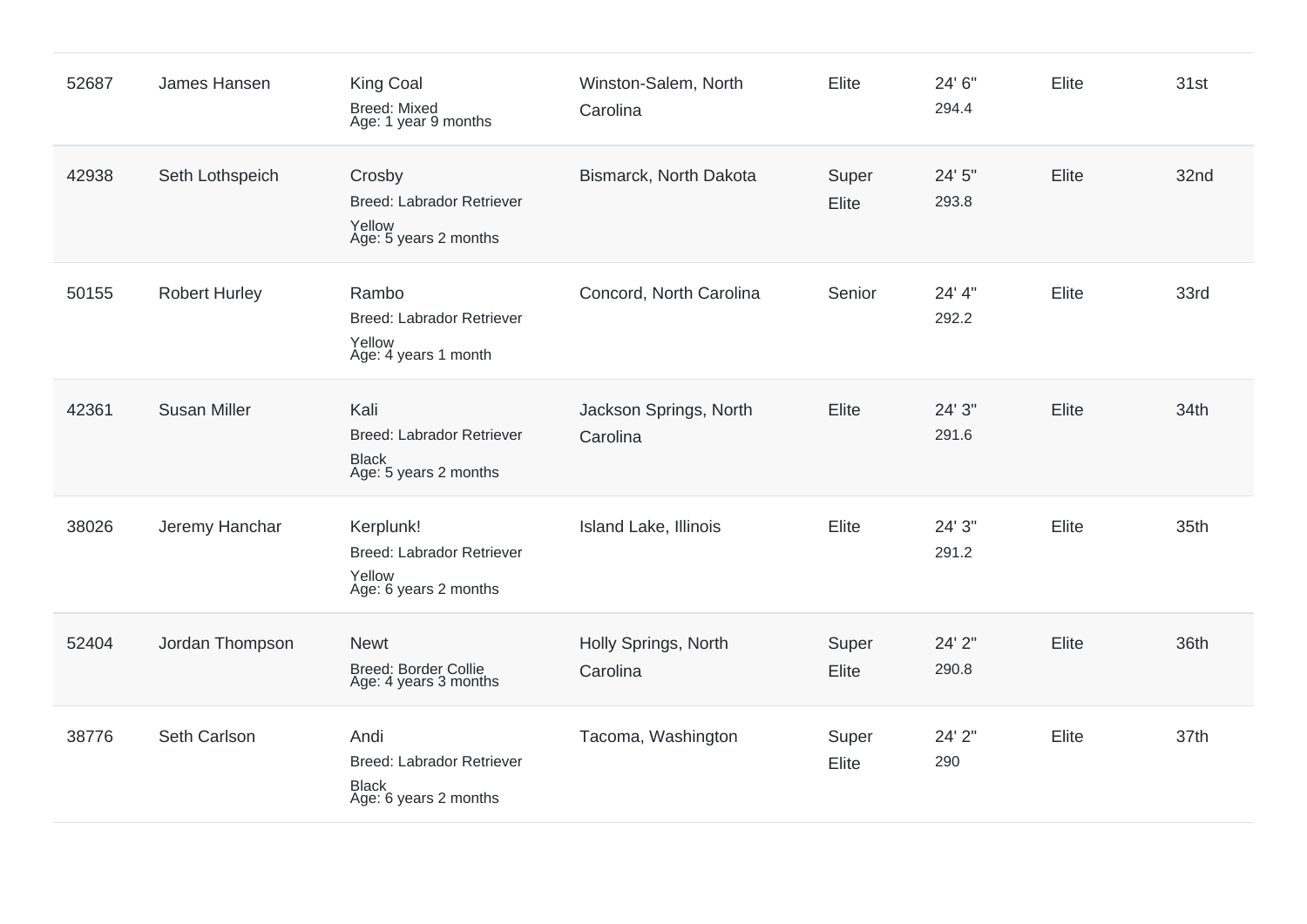| 52687 | James Hansen         | <b>King Coal</b><br><b>Breed: Mixed</b><br>Age: 1 year 9 months                   | Winston-Salem, North<br>Carolina   | Elite          | 24' 6"<br>294.4 | Elite | 31st |
|-------|----------------------|-----------------------------------------------------------------------------------|------------------------------------|----------------|-----------------|-------|------|
| 42938 | Seth Lothspeich      | Crosby<br><b>Breed: Labrador Retriever</b><br>Yellow<br>Age: 5 years 2 months     | Bismarck, North Dakota             | Super<br>Elite | 24' 5"<br>293.8 | Elite | 32nd |
| 50155 | <b>Robert Hurley</b> | Rambo<br>Breed: Labrador Retriever<br>Yellow<br>Age: 4 years 1 month              | Concord, North Carolina            | Senior         | 24' 4"<br>292.2 | Elite | 33rd |
| 42361 | <b>Susan Miller</b>  | Kali<br><b>Breed: Labrador Retriever</b><br><b>Black</b><br>Age: 5 years 2 months | Jackson Springs, North<br>Carolina | Elite          | 24' 3"<br>291.6 | Elite | 34th |
| 38026 | Jeremy Hanchar       | Kerplunk!<br><b>Breed: Labrador Retriever</b><br>Yellow<br>Age: 6 years 2 months  | Island Lake, Illinois              | Elite          | 24' 3"<br>291.2 | Elite | 35th |
| 52404 | Jordan Thompson      | <b>Newt</b><br><b>Breed: Border Collie</b><br>Age: 4 years 3 months               | Holly Springs, North<br>Carolina   | Super<br>Elite | 24' 2"<br>290.8 | Elite | 36th |
| 38776 | Seth Carlson         | Andi<br><b>Breed: Labrador Retriever</b><br><b>Black</b><br>Age: 6 years 2 months | Tacoma, Washington                 | Super<br>Elite | 24' 2"<br>290   | Elite | 37th |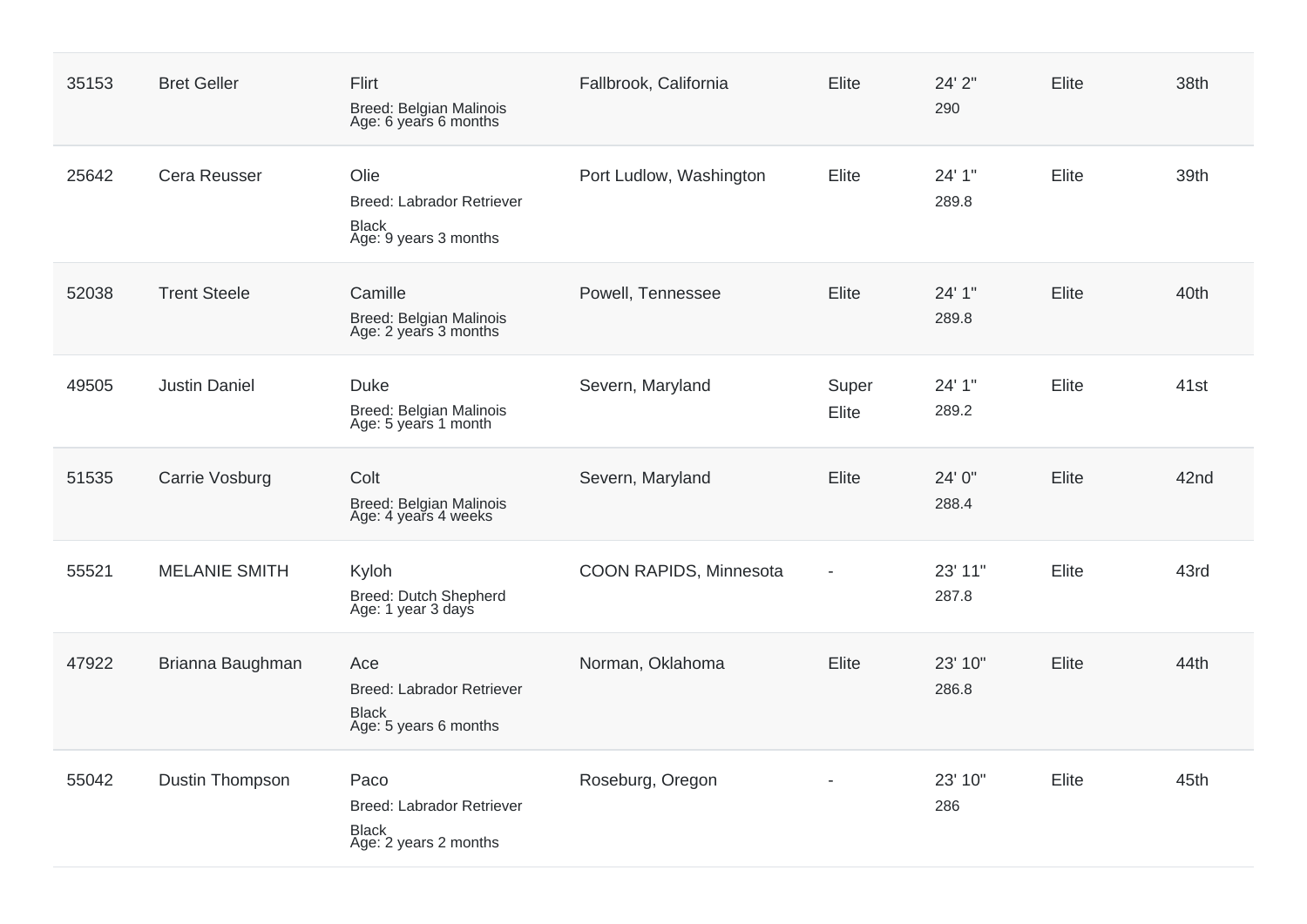| 35153 | <b>Bret Geller</b>     | Flirt<br>Breed: Belgian Malinois<br>Age: 6 years 6 months                         | Fallbrook, California   | Elite          | 24' 2"<br>290    | Elite | 38th |
|-------|------------------------|-----------------------------------------------------------------------------------|-------------------------|----------------|------------------|-------|------|
| 25642 | Cera Reusser           | Olie<br><b>Breed: Labrador Retriever</b><br><b>Black</b><br>Age: 9 years 3 months | Port Ludlow, Washington | Elite          | 24' 1"<br>289.8  | Elite | 39th |
| 52038 | <b>Trent Steele</b>    | Camille<br>Breed: Belgian Malinois<br>Age: 2 years 3 months                       | Powell, Tennessee       | Elite          | 24' 1"<br>289.8  | Elite | 40th |
| 49505 | <b>Justin Daniel</b>   | <b>Duke</b><br>Breed: Belgian Malinois<br>Age: 5 years 1 month                    | Severn, Maryland        | Super<br>Elite | 24' 1"<br>289.2  | Elite | 41st |
| 51535 | Carrie Vosburg         | Colt<br>Breed: Belgian Malinois<br>Age: 4 years 4 weeks                           | Severn, Maryland        | Elite          | 24' 0"<br>288.4  | Elite | 42nd |
| 55521 | <b>MELANIE SMITH</b>   | Kyloh<br>Breed: Dutch Shepherd<br>Age: 1 year 3 days                              | COON RAPIDS, Minnesota  |                | 23' 11"<br>287.8 | Elite | 43rd |
| 47922 | Brianna Baughman       | Ace<br><b>Breed: Labrador Retriever</b><br><b>Black</b><br>Age: 5 years 6 months  | Norman, Oklahoma        | Elite          | 23' 10"<br>286.8 | Elite | 44th |
| 55042 | <b>Dustin Thompson</b> | Paco<br><b>Breed: Labrador Retriever</b><br>Black<br>Age: 2 years 2 months        | Roseburg, Oregon        |                | 23' 10"<br>286   | Elite | 45th |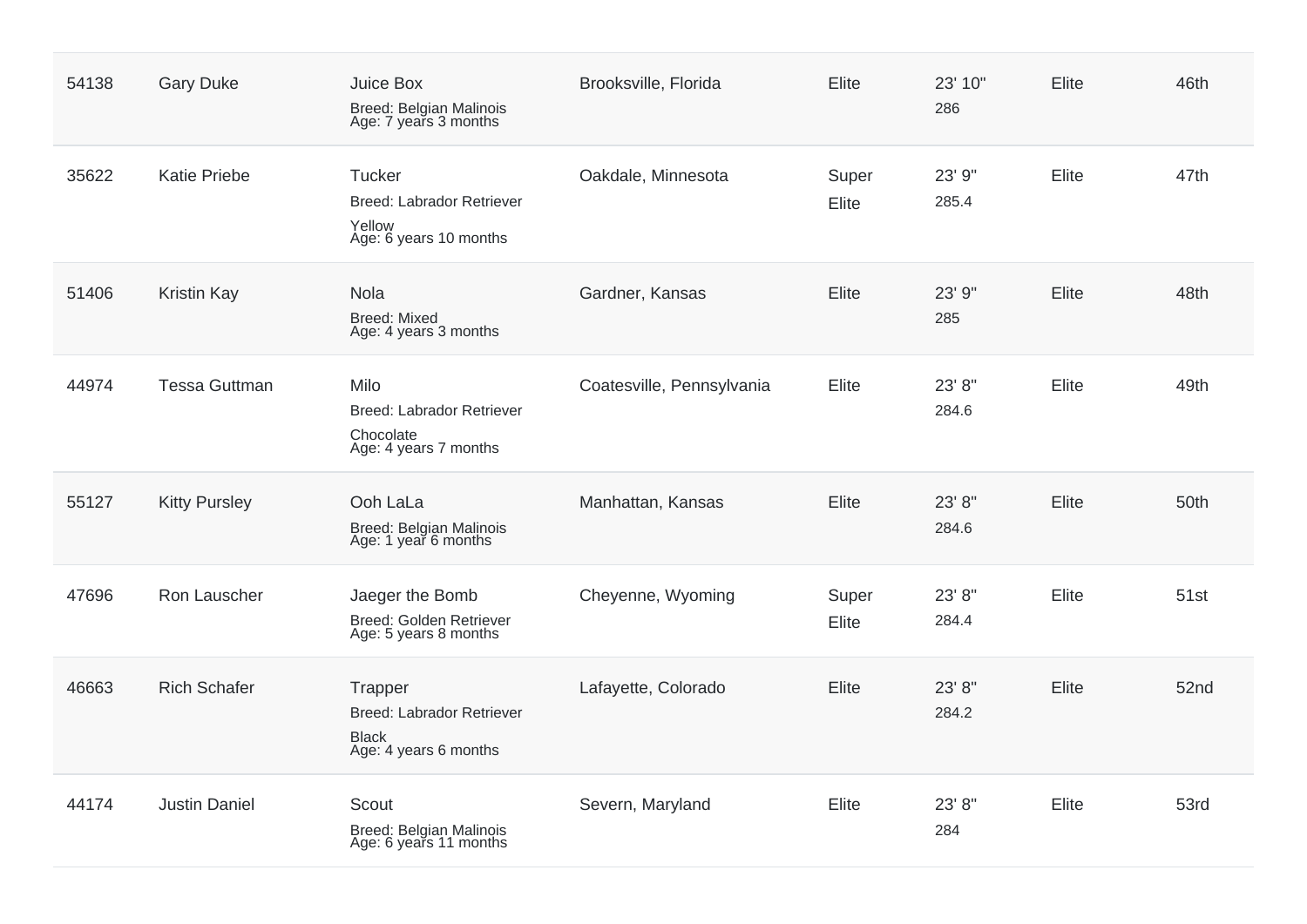| 54138 | <b>Gary Duke</b>     | Juice Box<br>Breed: Belgian Malinois<br>Age: 7 years 3 months                        | Brooksville, Florida      | Elite          | 23' 10"<br>286  | Elite | 46th             |
|-------|----------------------|--------------------------------------------------------------------------------------|---------------------------|----------------|-----------------|-------|------------------|
| 35622 | <b>Katie Priebe</b>  | Tucker<br><b>Breed: Labrador Retriever</b><br>Yellow<br>Age: 6 years 10 months       | Oakdale, Minnesota        | Super<br>Elite | 23' 9"<br>285.4 | Elite | 47th             |
| 51406 | <b>Kristin Kay</b>   | Nola<br><b>Breed: Mixed</b><br>Age: 4 years 3 months                                 | Gardner, Kansas           | Elite          | 23' 9"<br>285   | Elite | 48th             |
| 44974 | <b>Tessa Guttman</b> | Milo<br>Breed: Labrador Retriever<br>Chocolate<br>Age: 4 years 7 months              | Coatesville, Pennsylvania | Elite          | 23' 8"<br>284.6 | Elite | 49th             |
| 55127 | <b>Kitty Pursley</b> | Ooh LaLa<br>Breed: Belgian Malinois<br>Age: 1 year 6 months                          | Manhattan, Kansas         | <b>Elite</b>   | 23' 8"<br>284.6 | Elite | 50th             |
| 47696 | Ron Lauscher         | Jaeger the Bomb<br><b>Breed: Golden Retriever</b><br>Age: 5 years 8 months           | Cheyenne, Wyoming         | Super<br>Elite | 23' 8"<br>284.4 | Elite | 51 <sub>st</sub> |
| 46663 | <b>Rich Schafer</b>  | Trapper<br><b>Breed: Labrador Retriever</b><br><b>Black</b><br>Age: 4 years 6 months | Lafayette, Colorado       | Elite          | 23' 8"<br>284.2 | Elite | 52nd             |
| 44174 | <b>Justin Daniel</b> | Scout<br>Breed: Belgian Malinois<br>Age: 6 years 11 months                           | Severn, Maryland          | Elite          | 23' 8"<br>284   | Elite | 53rd             |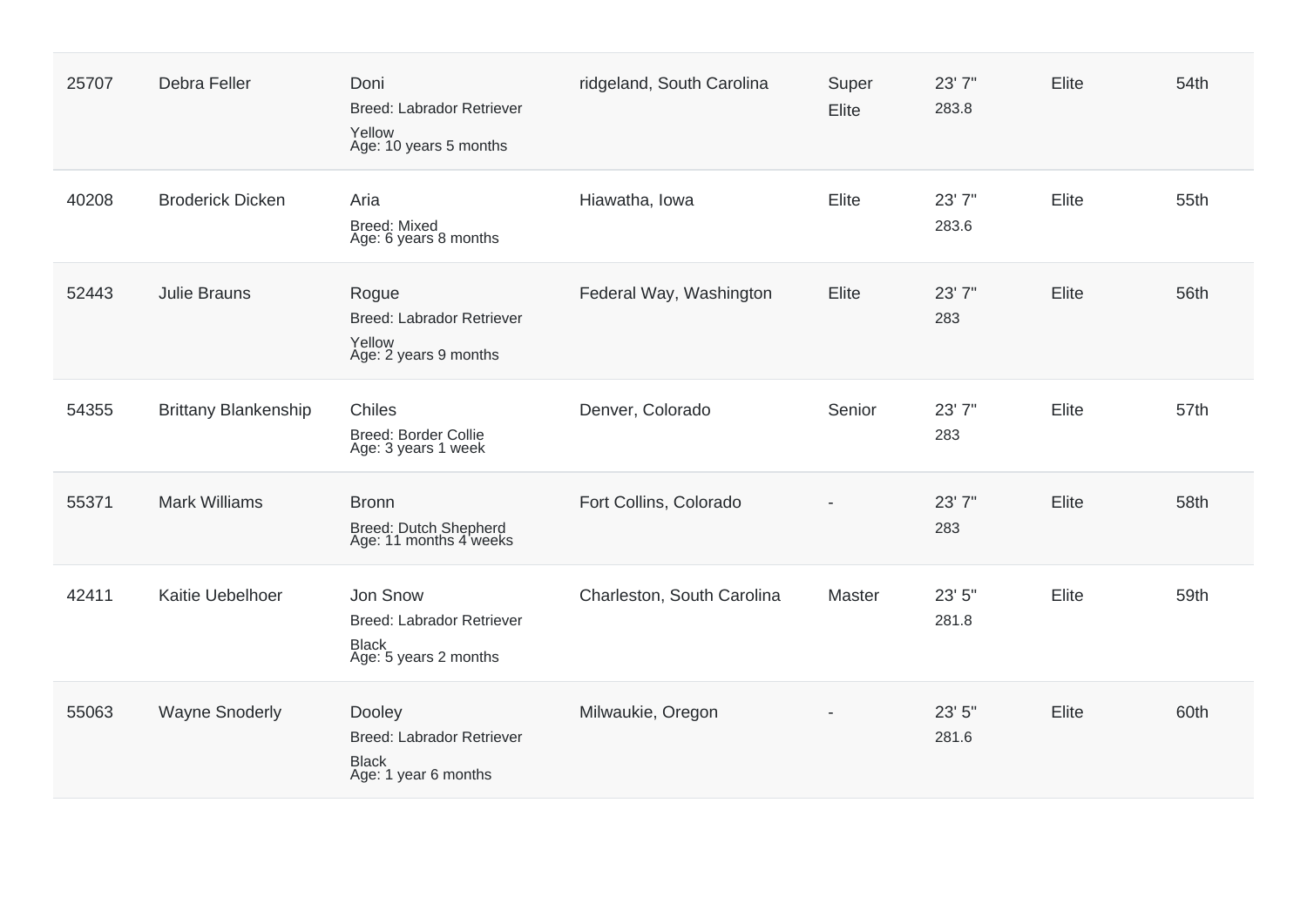| 25707 | Debra Feller                | Doni<br><b>Breed: Labrador Retriever</b><br>Yellow<br>Age: 10 years 5 months          | ridgeland, South Carolina  | Super<br>Elite | 23' 7"<br>283.8 | Elite | 54th |
|-------|-----------------------------|---------------------------------------------------------------------------------------|----------------------------|----------------|-----------------|-------|------|
| 40208 | <b>Broderick Dicken</b>     | Aria<br><b>Breed: Mixed</b><br>Age: 6 years 8 months                                  | Hiawatha, Iowa             | Elite          | 23' 7"<br>283.6 | Elite | 55th |
| 52443 | <b>Julie Brauns</b>         | Rogue<br><b>Breed: Labrador Retriever</b><br>Yellow<br>Age: 2 years 9 months          | Federal Way, Washington    | Elite          | 23'7"<br>283    | Elite | 56th |
| 54355 | <b>Brittany Blankenship</b> | <b>Chiles</b><br><b>Breed: Border Collie</b><br>Age: 3 years 1 week                   | Denver, Colorado           | Senior         | 23'7"<br>283    | Elite | 57th |
| 55371 | <b>Mark Williams</b>        | <b>Bronn</b><br>Breed: Dutch Shepherd<br>Age: 11 months 4 weeks                       | Fort Collins, Colorado     |                | 23'7"<br>283    | Elite | 58th |
| 42411 | Kaitie Uebelhoer            | Jon Snow<br><b>Breed: Labrador Retriever</b><br><b>Black</b><br>Age: 5 years 2 months | Charleston, South Carolina | Master         | 23' 5"<br>281.8 | Elite | 59th |
| 55063 | <b>Wayne Snoderly</b>       | Dooley<br>Breed: Labrador Retriever<br><b>Black</b><br>Age: 1 year 6 months           | Milwaukie, Oregon          |                | 23' 5"<br>281.6 | Elite | 60th |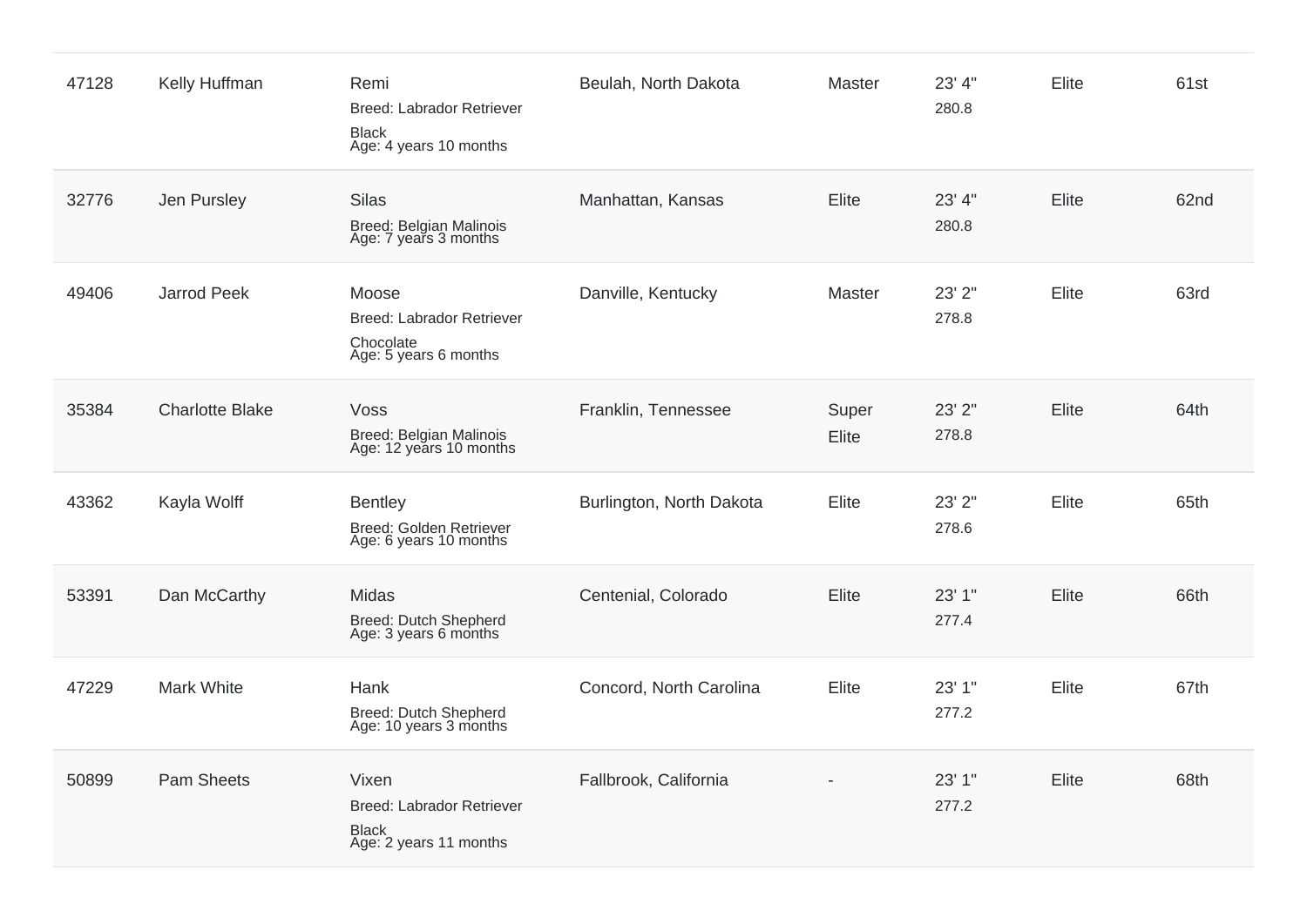| 47128 | Kelly Huffman          | Remi<br><b>Breed: Labrador Retriever</b><br><b>Black</b><br>Age: 4 years 10 months  | Beulah, North Dakota     | Master         | 23' 4"<br>280.8 | Elite        | 61st |
|-------|------------------------|-------------------------------------------------------------------------------------|--------------------------|----------------|-----------------|--------------|------|
| 32776 | Jen Pursley            | <b>Silas</b><br><b>Breed: Belgian Malinois</b><br>Age: 7 years 3 months             | Manhattan, Kansas        | Elite          | 23' 4"<br>280.8 | Elite        | 62nd |
| 49406 | Jarrod Peek            | Moose<br><b>Breed: Labrador Retriever</b><br>Chocolate<br>Age: 5 years 6 months     | Danville, Kentucky       | Master         | 23' 2"<br>278.8 | Elite        | 63rd |
| 35384 | <b>Charlotte Blake</b> | Voss<br>Breed: Belgian Malinois<br>Age: 12 years 10 months                          | Franklin, Tennessee      | Super<br>Elite | 23' 2"<br>278.8 | <b>Elite</b> | 64th |
| 43362 | Kayla Wolff            | <b>Bentley</b><br>Breed: Golden Retriever<br>Age: 6 years 10 months                 | Burlington, North Dakota | Elite          | 23' 2"<br>278.6 | Elite        | 65th |
| 53391 | Dan McCarthy           | Midas<br>Breed: Dutch Shepherd<br>Age: 3 years 6 months                             | Centenial, Colorado      | Elite          | 23' 1"<br>277.4 | <b>Elite</b> | 66th |
| 47229 | <b>Mark White</b>      | Hank<br>Breed: Dutch Shepherd<br>Age: 10 years 3 months                             | Concord, North Carolina  | Elite          | 23' 1"<br>277.2 | Elite        | 67th |
| 50899 | <b>Pam Sheets</b>      | Vixen<br><b>Breed: Labrador Retriever</b><br><b>Black</b><br>Age: 2 years 11 months | Fallbrook, California    |                | 23' 1"<br>277.2 | Elite        | 68th |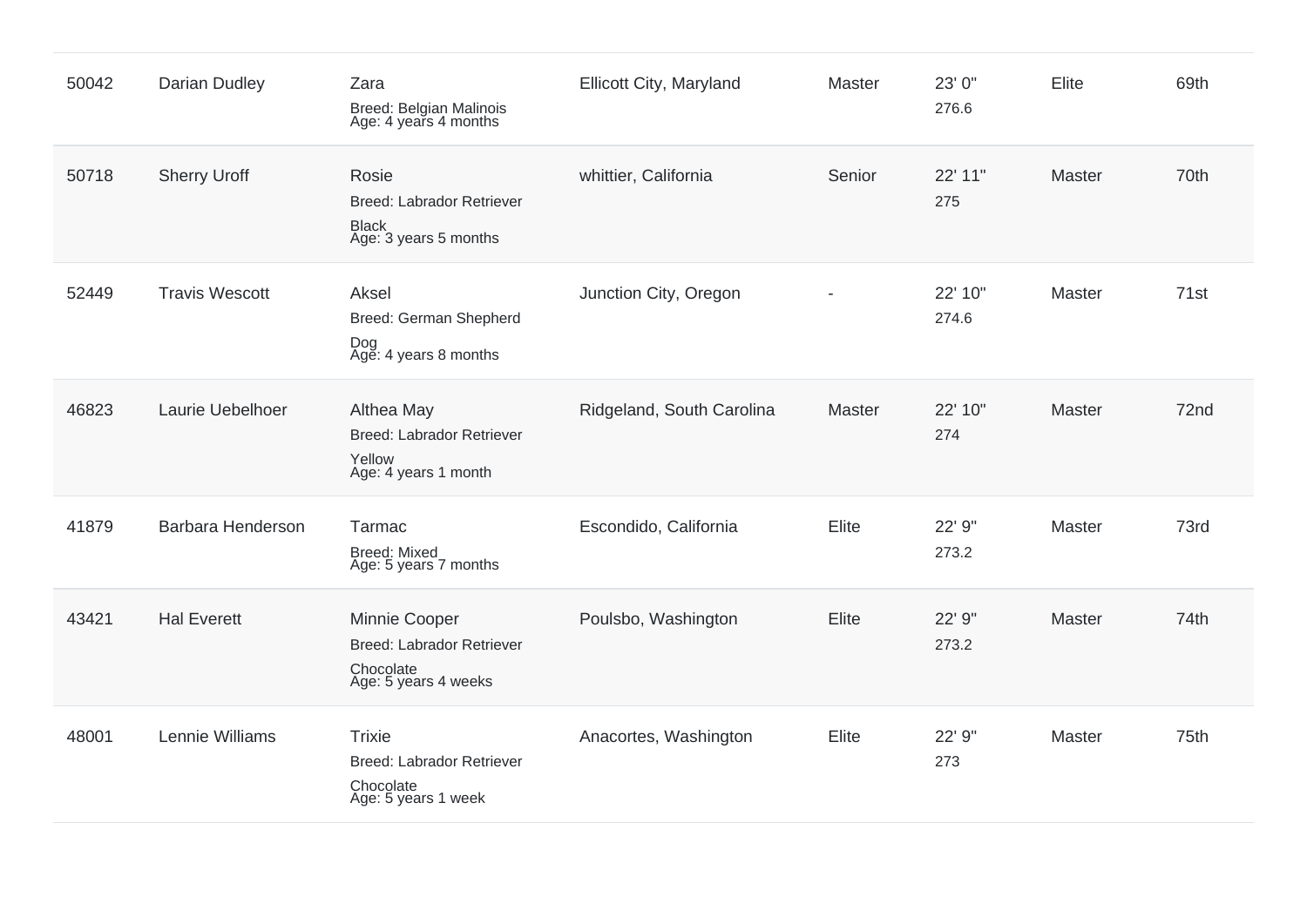| 50042 | <b>Darian Dudley</b>  | Zara<br>Breed: Belgian Malinois<br>Age: 4 years 4 months                               | Ellicott City, Maryland   | Master | 23' 0"<br>276.6  | Elite  | 69th |
|-------|-----------------------|----------------------------------------------------------------------------------------|---------------------------|--------|------------------|--------|------|
| 50718 | <b>Sherry Uroff</b>   | Rosie<br><b>Breed: Labrador Retriever</b><br><b>Black</b><br>Age: 3 years 5 months     | whittier, California      | Senior | 22' 11"<br>275   | Master | 70th |
| 52449 | <b>Travis Wescott</b> | Aksel<br>Breed: German Shepherd<br>Dog<br>Age: 4 years 8 months                        | Junction City, Oregon     |        | 22' 10"<br>274.6 | Master | 71st |
| 46823 | Laurie Uebelhoer      | Althea May<br><b>Breed: Labrador Retriever</b><br>Yellow<br>Age: 4 years 1 month       | Ridgeland, South Carolina | Master | 22' 10"<br>274   | Master | 72nd |
| 41879 | Barbara Henderson     | Tarmac<br><b>Breed: Mixed</b><br>Age: 5 years 7 months                                 | Escondido, California     | Elite  | 22' 9"<br>273.2  | Master | 73rd |
| 43421 | <b>Hal Everett</b>    | Minnie Cooper<br><b>Breed: Labrador Retriever</b><br>Chocolate<br>Age: 5 years 4 weeks | Poulsbo, Washington       | Elite  | 22' 9"<br>273.2  | Master | 74th |
| 48001 | Lennie Williams       | <b>Trixie</b><br><b>Breed: Labrador Retriever</b><br>Chocolate<br>Age: 5 years 1 week  | Anacortes, Washington     | Elite  | 22' 9"<br>273    | Master | 75th |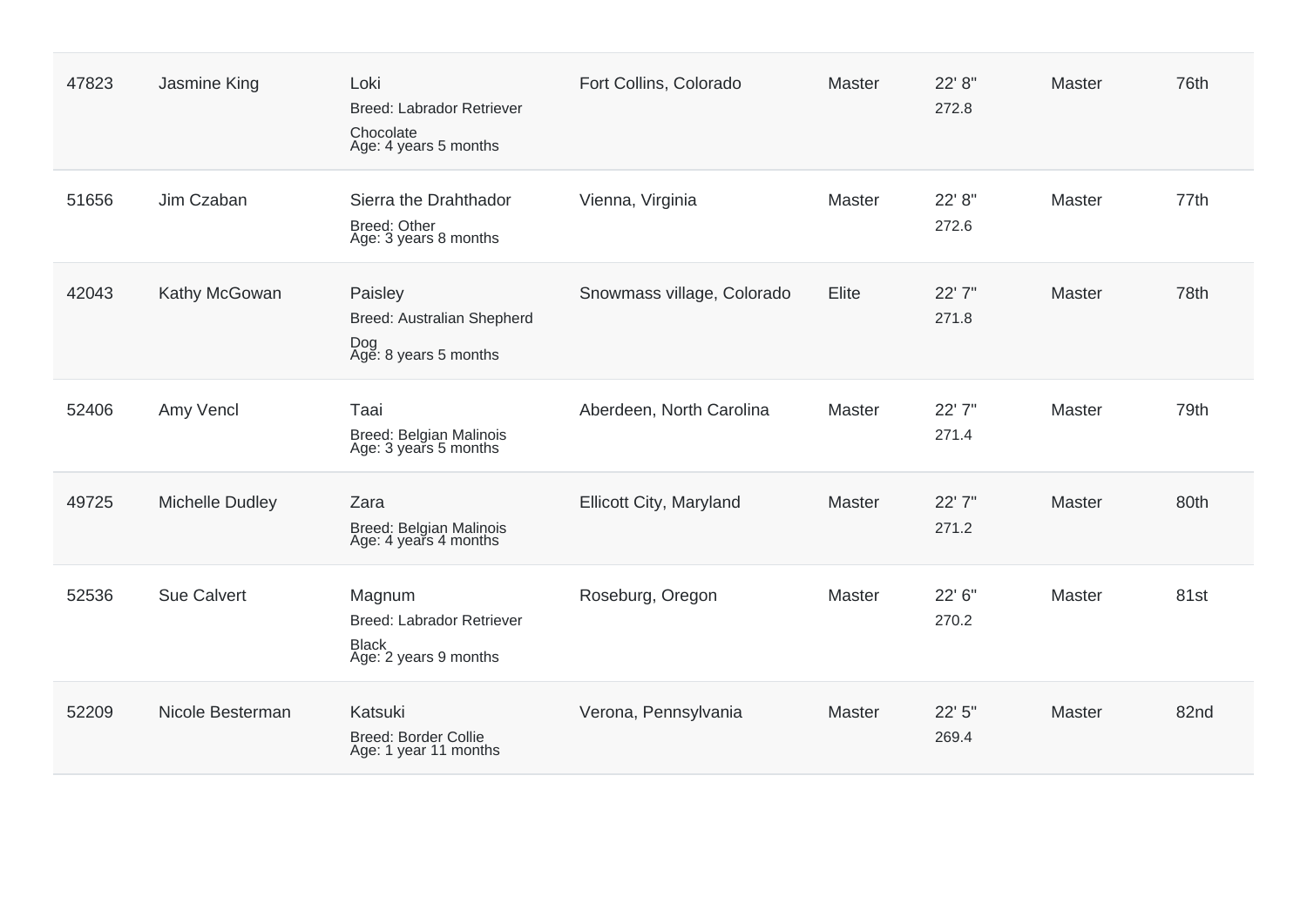| 47823 | Jasmine King       | Loki<br><b>Breed: Labrador Retriever</b><br>Chocolate<br>Age: 4 years 5 months      | Fort Collins, Colorado     | <b>Master</b> | 22' 8"<br>272.8 | <b>Master</b> | 76th |
|-------|--------------------|-------------------------------------------------------------------------------------|----------------------------|---------------|-----------------|---------------|------|
| 51656 | Jim Czaban         | Sierra the Drahthador<br><b>Breed: Other</b><br>Age: 3 years 8 months               | Vienna, Virginia           | Master        | 22' 8"<br>272.6 | Master        | 77th |
| 42043 | Kathy McGowan      | Paisley<br>Breed: Australian Shepherd<br>Dog<br>Age: 8 years 5 months               | Snowmass village, Colorado | Elite         | 22' 7"<br>271.8 | Master        | 78th |
| 52406 | Amy Vencl          | Taai<br>Breed: Belgian Malinois<br>Age: 3 years 5 months                            | Aberdeen, North Carolina   | Master        | 22' 7"<br>271.4 | Master        | 79th |
| 49725 | Michelle Dudley    | Zara<br>Breed: Belgian Malinois<br>Age: 4 years 4 months                            | Ellicott City, Maryland    | Master        | 22' 7"<br>271.2 | <b>Master</b> | 80th |
| 52536 | <b>Sue Calvert</b> | Magnum<br><b>Breed: Labrador Retriever</b><br><b>Black</b><br>Age: 2 years 9 months | Roseburg, Oregon           | Master        | 22' 6"<br>270.2 | Master        | 81st |
| 52209 | Nicole Besterman   | Katsuki<br><b>Breed: Border Collie</b><br>Age: 1 year 11 months                     | Verona, Pennsylvania       | Master        | 22' 5"<br>269.4 | Master        | 82nd |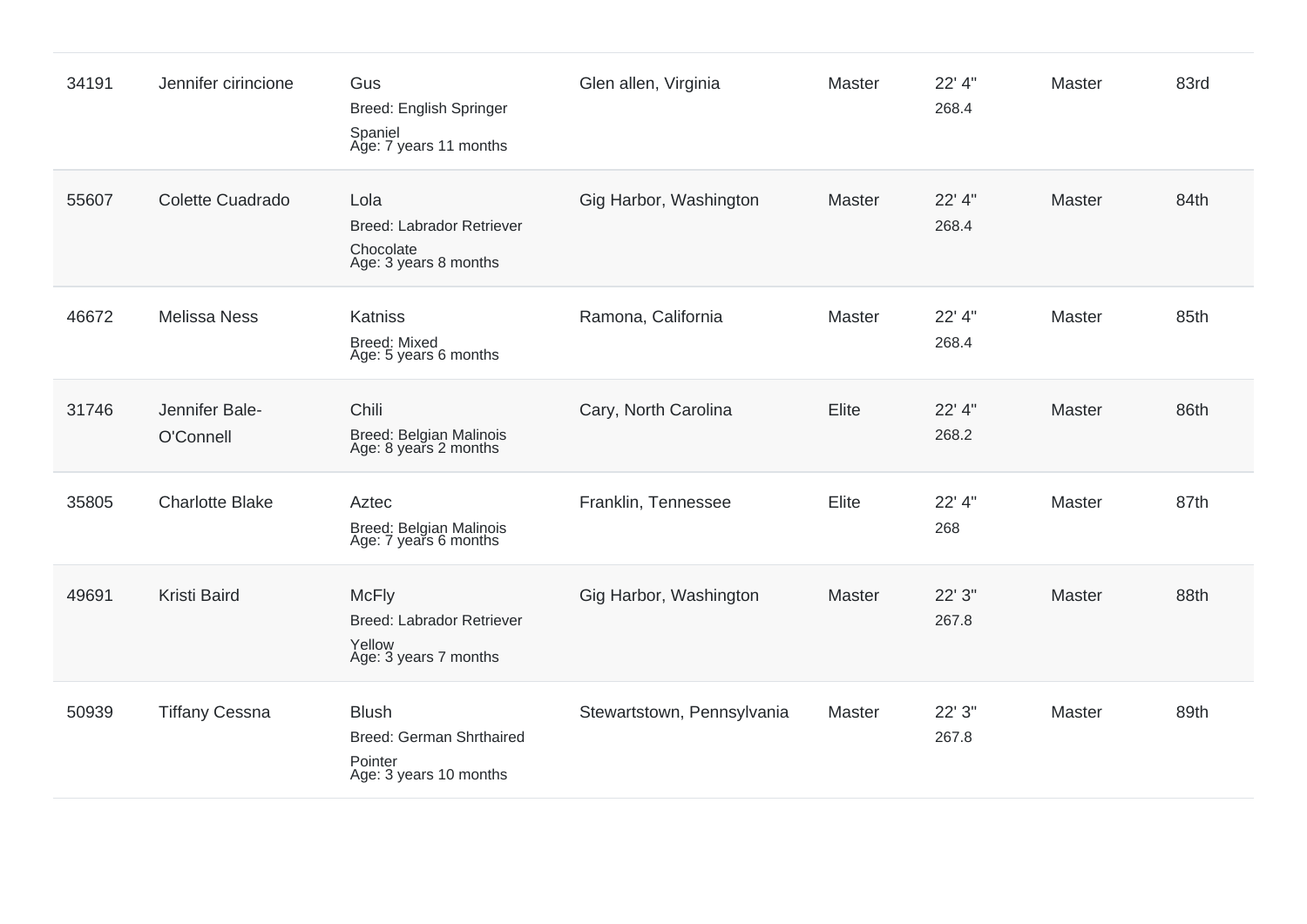| 34191 | Jennifer cirincione         | Gus<br><b>Breed: English Springer</b><br>Spaniel<br>Age: 7 years 11 months           | Glen allen, Virginia       | Master        | 22' 4"<br>268.4 | Master        | 83rd |
|-------|-----------------------------|--------------------------------------------------------------------------------------|----------------------------|---------------|-----------------|---------------|------|
| 55607 | Colette Cuadrado            | Lola<br><b>Breed: Labrador Retriever</b><br>Chocolate<br>Age: 3 years 8 months       | Gig Harbor, Washington     | Master        | 22' 4"<br>268.4 | Master        | 84th |
| 46672 | <b>Melissa Ness</b>         | Katniss<br><b>Breed: Mixed</b><br>Age: 5 years 6 months                              | Ramona, California         | <b>Master</b> | 22' 4"<br>268.4 | <b>Master</b> | 85th |
| 31746 | Jennifer Bale-<br>O'Connell | Chili<br>Breed: Belgian Malinois<br>Age: 8 years 2 months                            | Cary, North Carolina       | Elite         | 22' 4"<br>268.2 | Master        | 86th |
| 35805 | <b>Charlotte Blake</b>      | Aztec<br>Breed: Belgian Malinois<br>Age: 7 years 6 months                            | Franklin, Tennessee        | Elite         | 22' 4"<br>268   | Master        | 87th |
| 49691 | <b>Kristi Baird</b>         | <b>McFly</b><br><b>Breed: Labrador Retriever</b><br>Yellow<br>Age: 3 years 7 months  | Gig Harbor, Washington     | <b>Master</b> | 22' 3"<br>267.8 | Master        | 88th |
| 50939 | <b>Tiffany Cessna</b>       | <b>Blush</b><br><b>Breed: German Shrthaired</b><br>Pointer<br>Age: 3 years 10 months | Stewartstown, Pennsylvania | <b>Master</b> | 22' 3"<br>267.8 | Master        | 89th |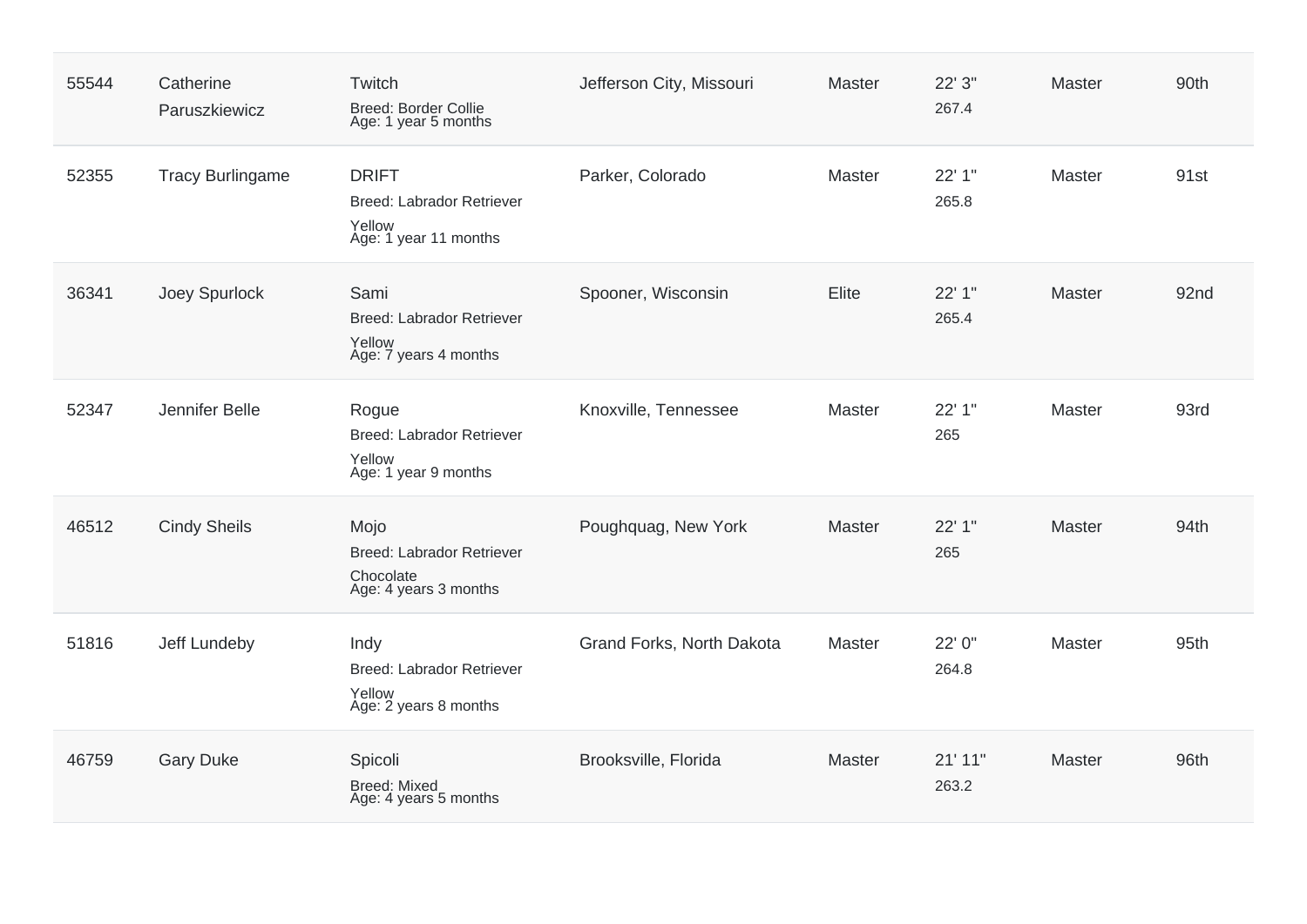| 55544 | Catherine<br>Paruszkiewicz | Twitch<br><b>Breed: Border Collie</b><br>Age: 1 year 5 months                       | Jefferson City, Missouri  | Master | 22' 3"<br>267.4  | Master | 90th |
|-------|----------------------------|-------------------------------------------------------------------------------------|---------------------------|--------|------------------|--------|------|
| 52355 | <b>Tracy Burlingame</b>    | <b>DRIFT</b><br><b>Breed: Labrador Retriever</b><br>Yellow<br>Age: 1 year 11 months | Parker, Colorado          | Master | 22' 1"<br>265.8  | Master | 91st |
| 36341 | Joey Spurlock              | Sami<br><b>Breed: Labrador Retriever</b><br>Yellow<br>Age: 7 years 4 months         | Spooner, Wisconsin        | Elite  | 22' 1"<br>265.4  | Master | 92nd |
| 52347 | Jennifer Belle             | Rogue<br><b>Breed: Labrador Retriever</b><br>Yellow<br>Age: 1 year 9 months         | Knoxville, Tennessee      | Master | 22' 1"<br>265    | Master | 93rd |
| 46512 | <b>Cindy Sheils</b>        | Mojo<br><b>Breed: Labrador Retriever</b><br>Chocolate<br>Age: 4 years 3 months      | Poughquag, New York       | Master | 22' 1"<br>265    | Master | 94th |
| 51816 | Jeff Lundeby               | Indy<br><b>Breed: Labrador Retriever</b><br>Yellow<br>Age: 2 years 8 months         | Grand Forks, North Dakota | Master | 22' 0"<br>264.8  | Master | 95th |
| 46759 | <b>Gary Duke</b>           | Spicoli<br><b>Breed: Mixed</b><br>Age: 4 years 5 months                             | Brooksville, Florida      | Master | 21' 11"<br>263.2 | Master | 96th |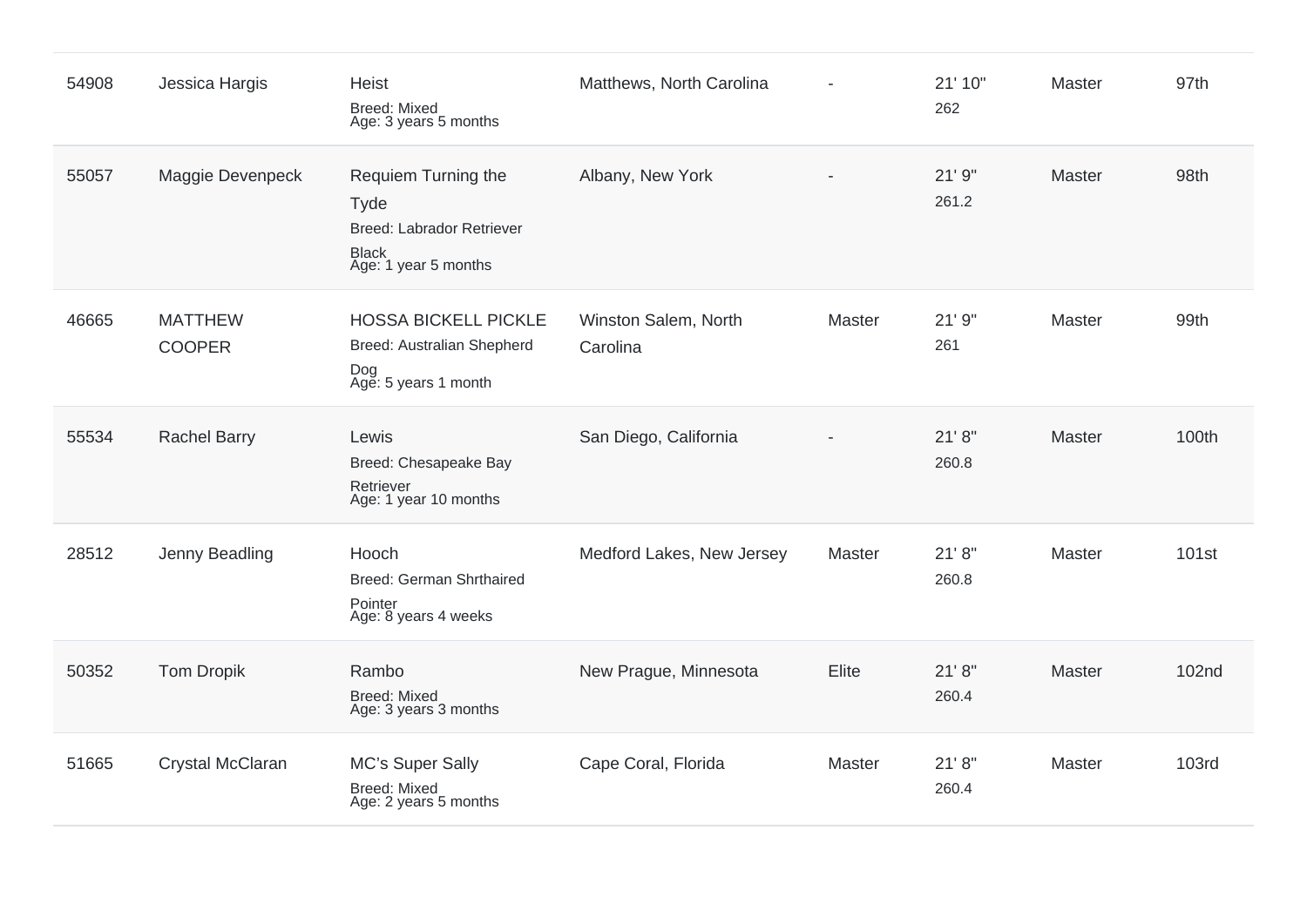| 54908 | Jessica Hargis                  | <b>Heist</b><br><b>Breed: Mixed</b><br>Age: 3 years 5 months                                            | Matthews, North Carolina         |        | 21' 10"<br>262   | Master | 97th              |
|-------|---------------------------------|---------------------------------------------------------------------------------------------------------|----------------------------------|--------|------------------|--------|-------------------|
| 55057 | Maggie Devenpeck                | Requiem Turning the<br><b>Tyde</b><br>Breed: Labrador Retriever<br><b>Black</b><br>Age: 1 year 5 months | Albany, New York                 |        | 21'9''<br>261.2  | Master | 98th              |
| 46665 | <b>MATTHEW</b><br><b>COOPER</b> | <b>HOSSA BICKELL PICKLE</b><br>Breed: Australian Shepherd<br>Dog<br>Age: 5 years 1 month                | Winston Salem, North<br>Carolina | Master | 21'9''<br>261    | Master | 99th              |
| 55534 | <b>Rachel Barry</b>             | Lewis<br>Breed: Chesapeake Bay<br>Retriever<br>Age: 1 year 10 months                                    | San Diego, California            |        | 21' 8''<br>260.8 | Master | 100th             |
| 28512 | Jenny Beadling                  | Hooch<br><b>Breed: German Shrthaired</b><br>Pointer<br>Age: 8 years 4 weeks                             | Medford Lakes, New Jersey        | Master | 21' 8''<br>260.8 | Master | 101 <sub>st</sub> |
| 50352 | <b>Tom Dropik</b>               | Rambo<br><b>Breed: Mixed</b><br>Age: 3 years 3 months                                                   | New Prague, Minnesota            | Elite  | 21' 8''<br>260.4 | Master | <b>102nd</b>      |
| 51665 | Crystal McClaran                | MC's Super Sally<br><b>Breed: Mixed</b><br>Age: 2 years 5 months                                        | Cape Coral, Florida              | Master | 21' 8''<br>260.4 | Master | <b>103rd</b>      |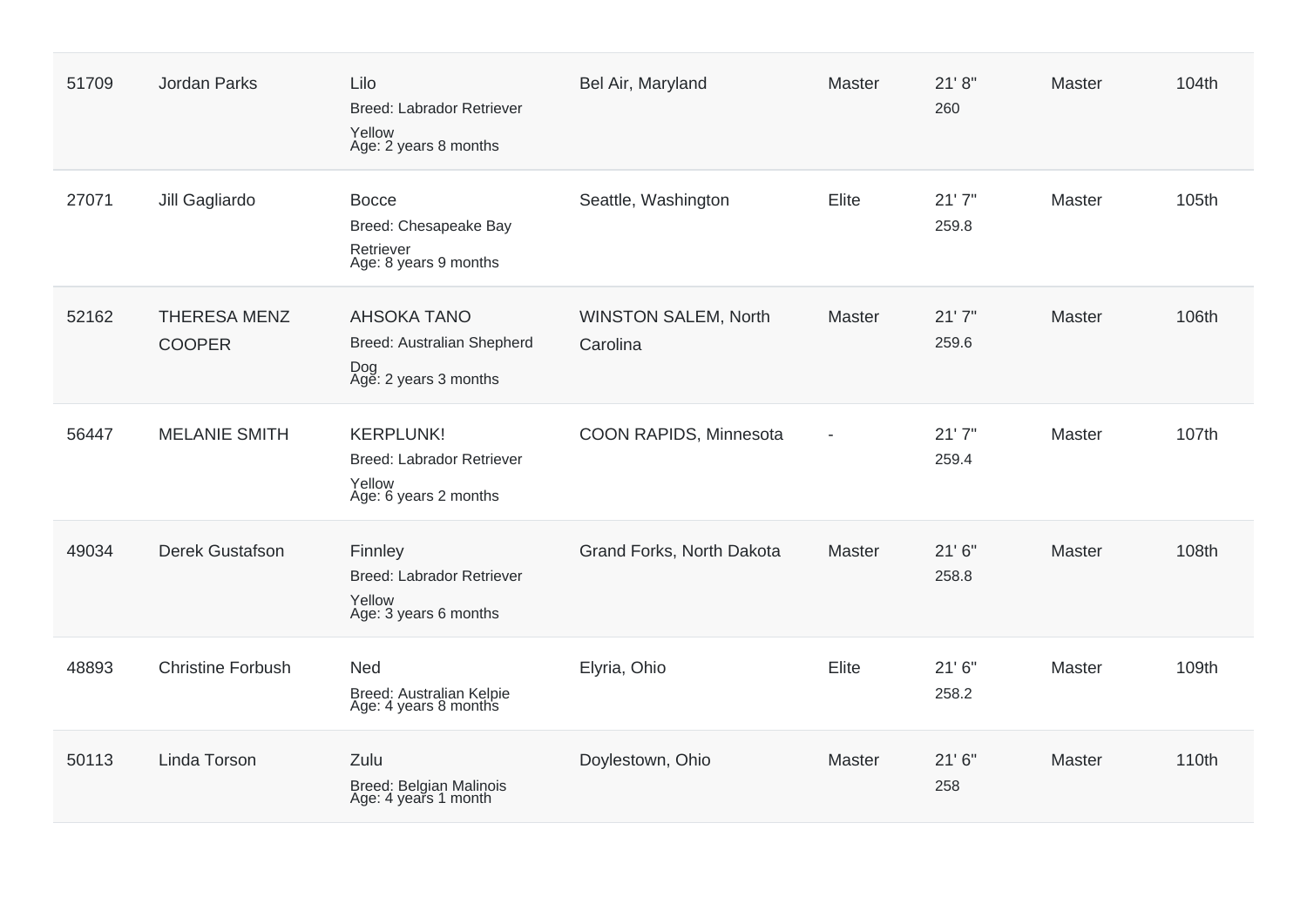| 51709 | Jordan Parks                         | Lilo<br>Breed: Labrador Retriever<br>Yellow<br>Age: 2 years 8 months             | Bel Air, Maryland                       | Master         | 21' 8''<br>260  | Master        | 104th |
|-------|--------------------------------------|----------------------------------------------------------------------------------|-----------------------------------------|----------------|-----------------|---------------|-------|
| 27071 | Jill Gagliardo                       | <b>Bocce</b><br>Breed: Chesapeake Bay<br>Retriever<br>Age: 8 years 9 months      | Seattle, Washington                     | Elite          | 21'7''<br>259.8 | <b>Master</b> | 105th |
| 52162 | <b>THERESA MENZ</b><br><b>COOPER</b> | <b>AHSOKA TANO</b><br>Breed: Australian Shepherd<br>Dog<br>Age: 2 years 3 months | <b>WINSTON SALEM, North</b><br>Carolina | Master         | 21'7''<br>259.6 | Master        | 106th |
| 56447 | <b>MELANIE SMITH</b>                 | <b>KERPLUNK!</b><br>Breed: Labrador Retriever<br>Yellow<br>Age: 6 years 2 months | COON RAPIDS, Minnesota                  | $\blacksquare$ | 21'7''<br>259.4 | <b>Master</b> | 107th |
| 49034 | Derek Gustafson                      | Finnley<br>Breed: Labrador Retriever<br>Yellow<br>Age: 3 years 6 months          | Grand Forks, North Dakota               | Master         | 21'6''<br>258.8 | Master        | 108th |
| 48893 | <b>Christine Forbush</b>             | <b>Ned</b><br>Breed: Australian Kelpie<br>Age: 4 years 8 months                  | Elyria, Ohio                            | Elite          | 21'6''<br>258.2 | <b>Master</b> | 109th |
| 50113 | Linda Torson                         | Zulu<br>Breed: Belgian Malinois<br>Age: 4 years 1 month                          | Doylestown, Ohio                        | Master         | 21'6''<br>258   | Master        | 110th |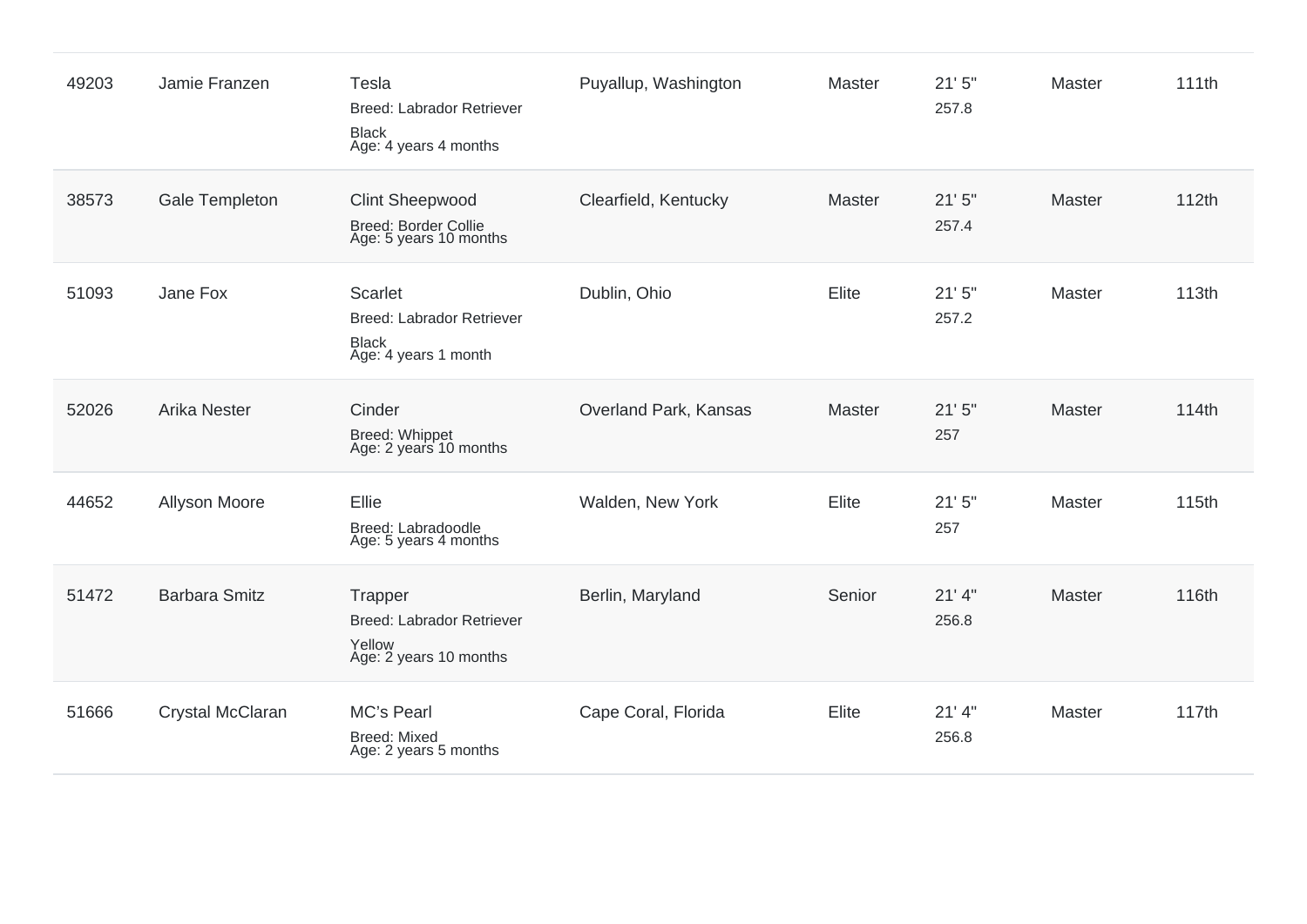| 49203 | Jamie Franzen        | Tesla<br><b>Breed: Labrador Retriever</b><br><b>Black</b><br>Age: 4 years 4 months         | Puyallup, Washington  | Master        | 21'5''<br>257.8   | Master        | 111th |
|-------|----------------------|--------------------------------------------------------------------------------------------|-----------------------|---------------|-------------------|---------------|-------|
| 38573 | Gale Templeton       | <b>Clint Sheepwood</b><br>Breed: Border Collie<br>Age: 5 years 10 months                   | Clearfield, Kentucky  | Master        | 21'5''<br>257.4   | Master        | 112th |
| 51093 | Jane Fox             | <b>Scarlet</b><br><b>Breed: Labrador Retriever</b><br><b>Black</b><br>Age: 4 years 1 month | Dublin, Ohio          | Elite         | 21'5''<br>257.2   | Master        | 113th |
| 52026 | <b>Arika Nester</b>  | Cinder<br>Breed: Whippet<br>Age: 2 years 10 months                                         | Overland Park, Kansas | <b>Master</b> | 21'5''<br>257     | <b>Master</b> | 114th |
| 44652 | Allyson Moore        | Ellie<br>Breed: Labradoodle<br>Age: 5 years 4 months                                       | Walden, New York      | Elite         | 21'5''<br>257     | Master        | 115th |
| 51472 | <b>Barbara Smitz</b> | Trapper<br><b>Breed: Labrador Retriever</b><br>Yellow<br>Age: 2 years 10 months            | Berlin, Maryland      | Senior        | $21'$ 4"<br>256.8 | Master        | 116th |
| 51666 | Crystal McClaran     | MC's Pearl<br><b>Breed: Mixed</b><br>Age: 2 years 5 months                                 | Cape Coral, Florida   | Elite         | $21'$ 4"<br>256.8 | Master        | 117th |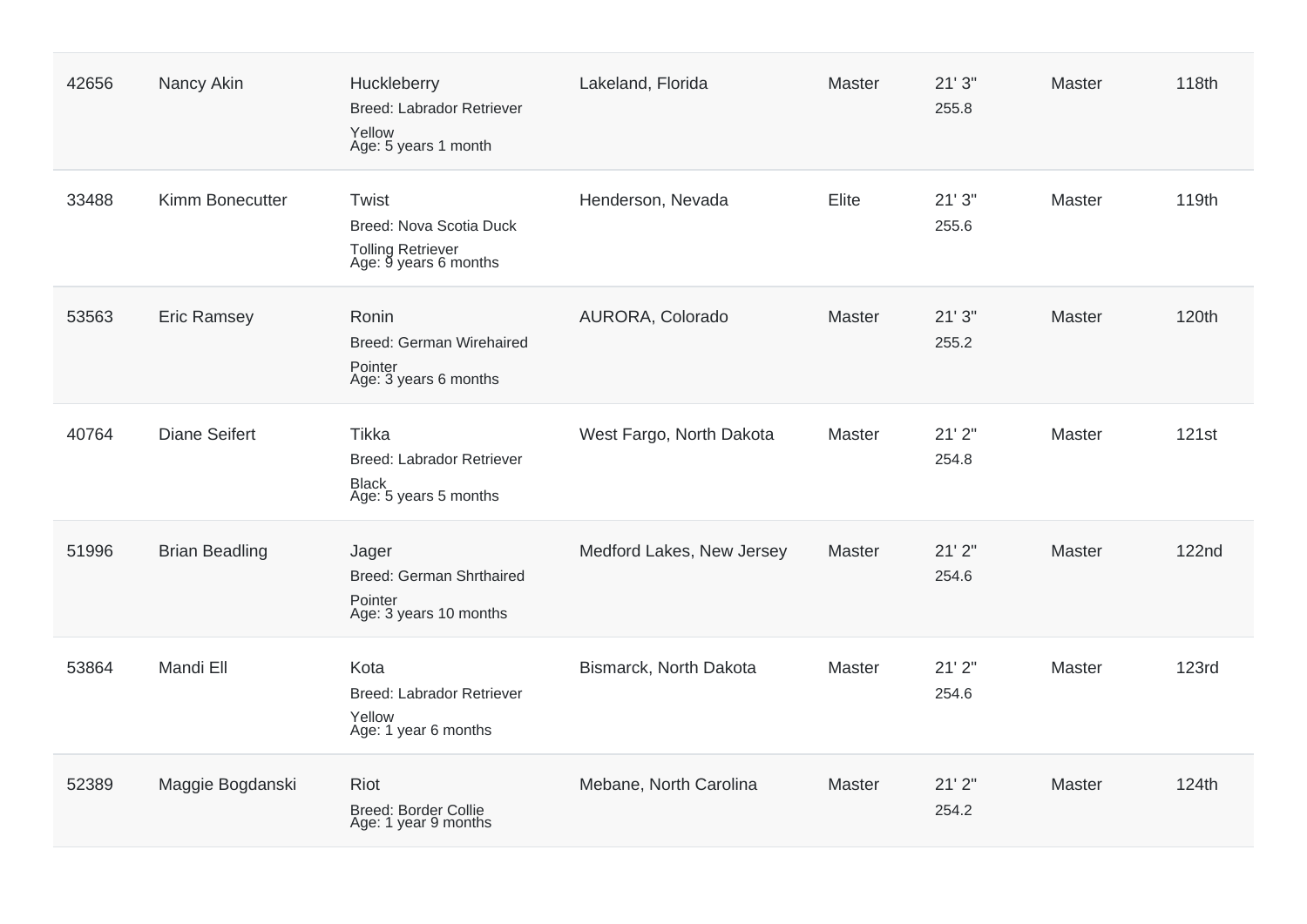| 42656 | Nancy Akin            | Huckleberry<br><b>Breed: Labrador Retriever</b><br>Yellow<br>Age: 5 years 1 month | Lakeland, Florida         | <b>Master</b> | 21'3''<br>255.8 | <b>Master</b> | 118th        |
|-------|-----------------------|-----------------------------------------------------------------------------------|---------------------------|---------------|-----------------|---------------|--------------|
| 33488 | Kimm Bonecutter       | Twist<br>Breed: Nova Scotia Duck<br>Tolling Retriever<br>Age: 9 years 6 months    | Henderson, Nevada         | Elite         | 21'3''<br>255.6 | Master        | 119th        |
| 53563 | <b>Eric Ramsey</b>    | Ronin<br><b>Breed: German Wirehaired</b><br>Pointer<br>Age: 3 years 6 months      | AURORA, Colorado          | Master        | 21'3''<br>255.2 | Master        | 120th        |
| 40764 | <b>Diane Seifert</b>  | Tikka<br>Breed: Labrador Retriever<br><b>Black</b><br>Age: 5 years 5 months       | West Fargo, North Dakota  | <b>Master</b> | 21'2"<br>254.8  | Master        | 121st        |
| 51996 | <b>Brian Beadling</b> | Jager<br>Breed: German Shrthaired<br>Pointer<br>Age: 3 years 10 months            | Medford Lakes, New Jersey | Master        | 21'2"<br>254.6  | <b>Master</b> | <b>122nd</b> |
| 53864 | Mandi Ell             | Kota<br>Breed: Labrador Retriever<br>Yellow<br>Age: 1 year 6 months               | Bismarck, North Dakota    | Master        | 21'2"<br>254.6  | Master        | <b>123rd</b> |
| 52389 | Maggie Bogdanski      | <b>Riot</b><br><b>Breed: Border Collie</b><br>Age: 1 year 9 months                | Mebane, North Carolina    | Master        | 21'2"<br>254.2  | Master        | 124th        |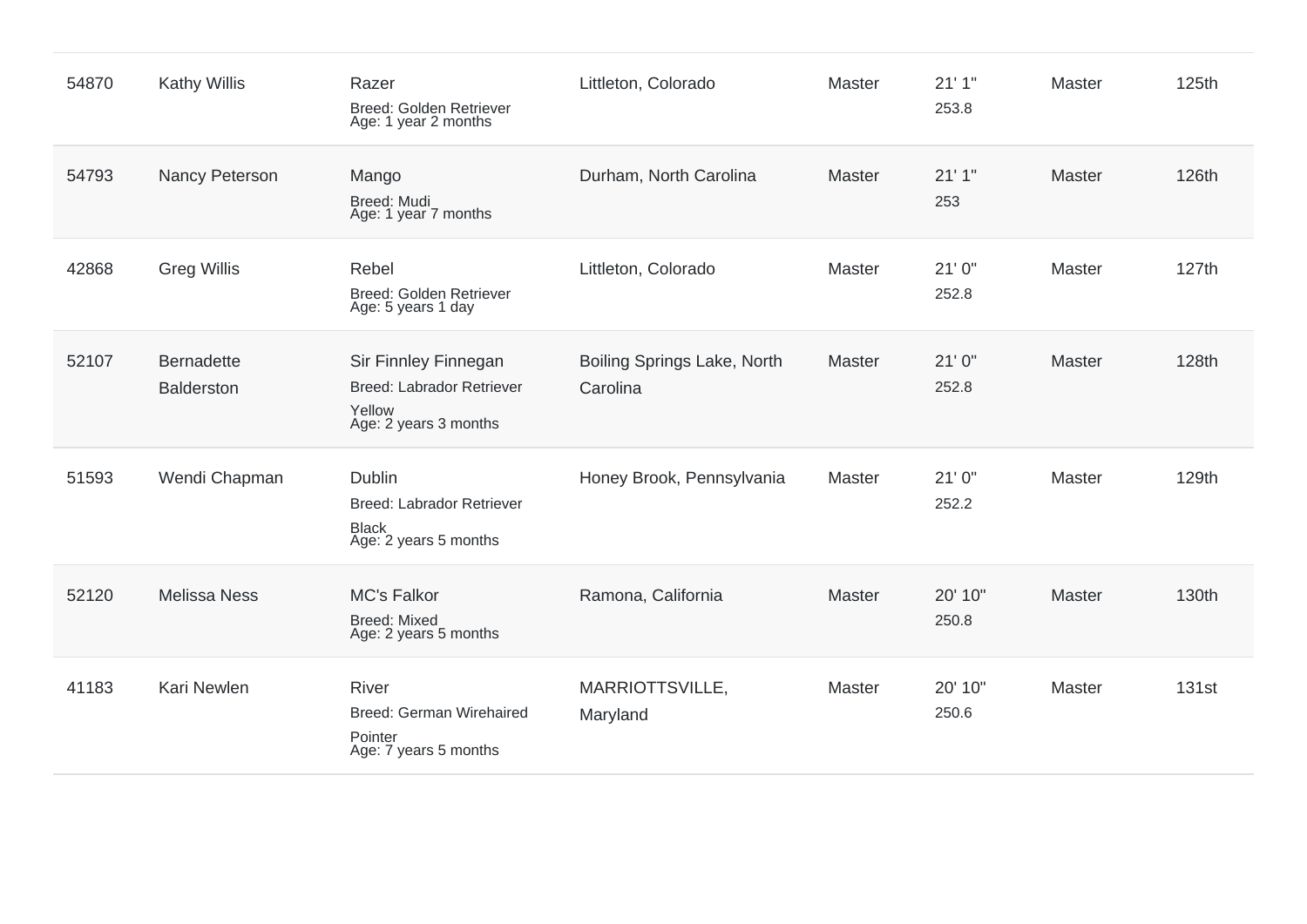| 54870 | <b>Kathy Willis</b>             | Razer<br>Breed: Golden Retriever<br>Age: 1 year 2 months                             | Littleton, Colorado                     | Master | 21'1''<br>253.8  | Master | 125th |
|-------|---------------------------------|--------------------------------------------------------------------------------------|-----------------------------------------|--------|------------------|--------|-------|
| 54793 | Nancy Peterson                  | Mango<br>Breed: Mudi<br>Age: 1 year 7 months                                         | Durham, North Carolina                  | Master | 21'1''<br>253    | Master | 126th |
| 42868 | <b>Greg Willis</b>              | Rebel<br>Breed: Golden Retriever<br>Age: 5 years 1 day                               | Littleton, Colorado                     | Master | 21'0''<br>252.8  | Master | 127th |
| 52107 | <b>Bernadette</b><br>Balderston | Sir Finnley Finnegan<br>Breed: Labrador Retriever<br>Yellow<br>Age: 2 years 3 months | Boiling Springs Lake, North<br>Carolina | Master | 21'0''<br>252.8  | Master | 128th |
| 51593 | Wendi Chapman                   | Dublin<br><b>Breed: Labrador Retriever</b><br><b>Black</b><br>Age: 2 years 5 months  | Honey Brook, Pennsylvania               | Master | 21'0''<br>252.2  | Master | 129th |
| 52120 | <b>Melissa Ness</b>             | <b>MC's Falkor</b><br><b>Breed: Mixed</b><br>Age: 2 years 5 months                   | Ramona, California                      | Master | 20' 10"<br>250.8 | Master | 130th |
| 41183 | Kari Newlen                     | <b>River</b><br><b>Breed: German Wirehaired</b><br>Pointer<br>Age: 7 years 5 months  | MARRIOTTSVILLE,<br>Maryland             | Master | 20' 10"<br>250.6 | Master | 131st |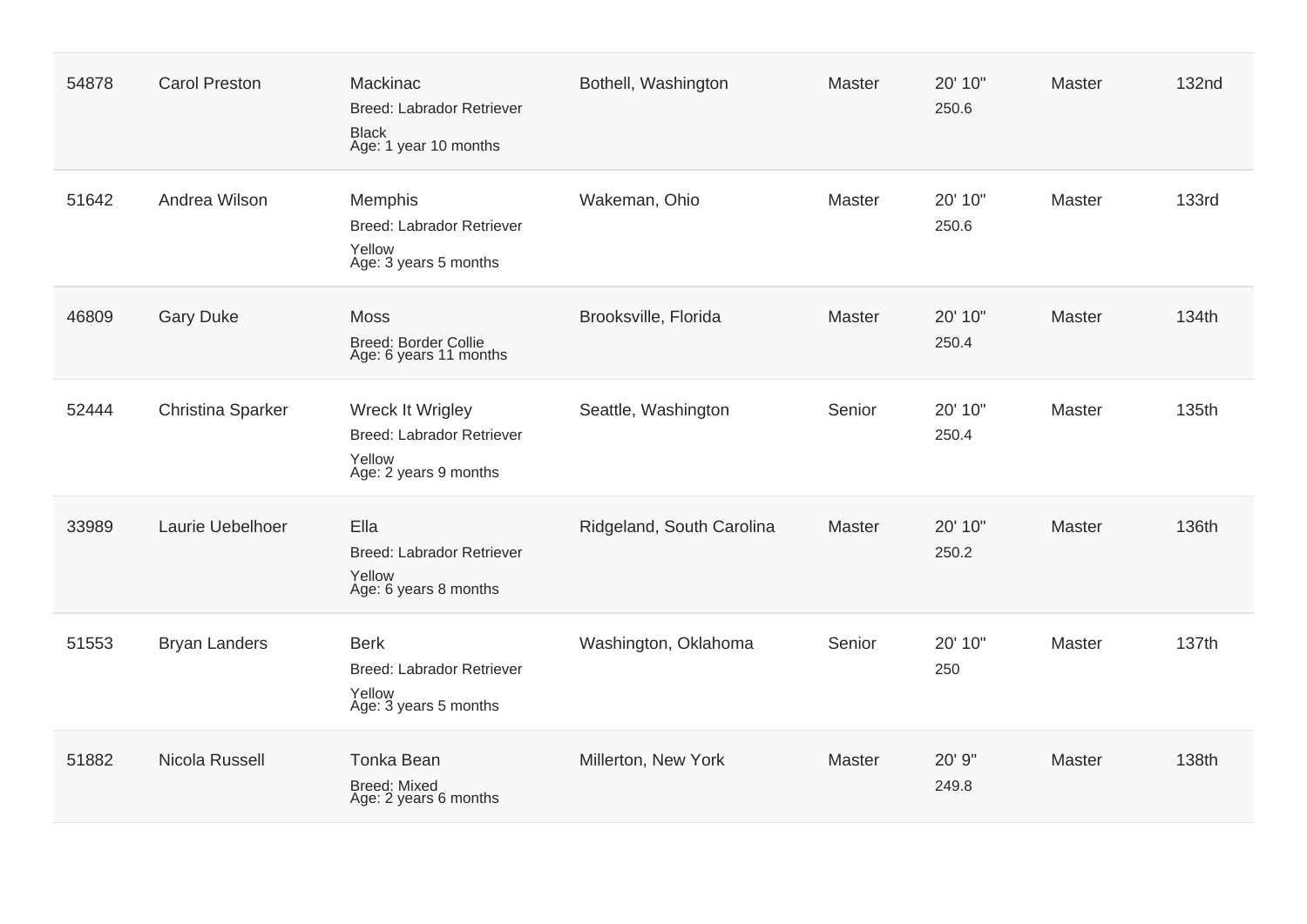| 54878 | <b>Carol Preston</b> | Mackinac<br>Breed: Labrador Retriever<br><b>Black</b><br>Age: 1 year 10 months     | Bothell, Washington       | Master        | 20' 10"<br>250.6 | Master        | <b>132nd</b> |
|-------|----------------------|------------------------------------------------------------------------------------|---------------------------|---------------|------------------|---------------|--------------|
| 51642 | Andrea Wilson        | Memphis<br><b>Breed: Labrador Retriever</b><br>Yellow<br>Age: 3 years 5 months     | Wakeman, Ohio             | <b>Master</b> | 20' 10"<br>250.6 | <b>Master</b> | <b>133rd</b> |
| 46809 | <b>Gary Duke</b>     | <b>Moss</b><br><b>Breed: Border Collie</b><br>Age: 6 years 11 months               | Brooksville, Florida      | Master        | 20' 10"<br>250.4 | Master        | 134th        |
| 52444 | Christina Sparker    | Wreck It Wrigley<br>Breed: Labrador Retriever<br>Yellow<br>Age: 2 years 9 months   | Seattle, Washington       | Senior        | 20' 10"<br>250.4 | Master        | 135th        |
| 33989 | Laurie Uebelhoer     | Ella<br><b>Breed: Labrador Retriever</b><br>Yellow<br>Age: 6 years 8 months        | Ridgeland, South Carolina | Master        | 20' 10"<br>250.2 | Master        | 136th        |
| 51553 | <b>Bryan Landers</b> | <b>Berk</b><br><b>Breed: Labrador Retriever</b><br>Yellow<br>Age: 3 years 5 months | Washington, Oklahoma      | Senior        | 20' 10"<br>250   | Master        | 137th        |
| 51882 | Nicola Russell       | <b>Tonka Bean</b><br>Breed: Mixed<br>Age: 2 years 6 months                         | Millerton, New York       | <b>Master</b> | 20' 9"<br>249.8  | <b>Master</b> | 138th        |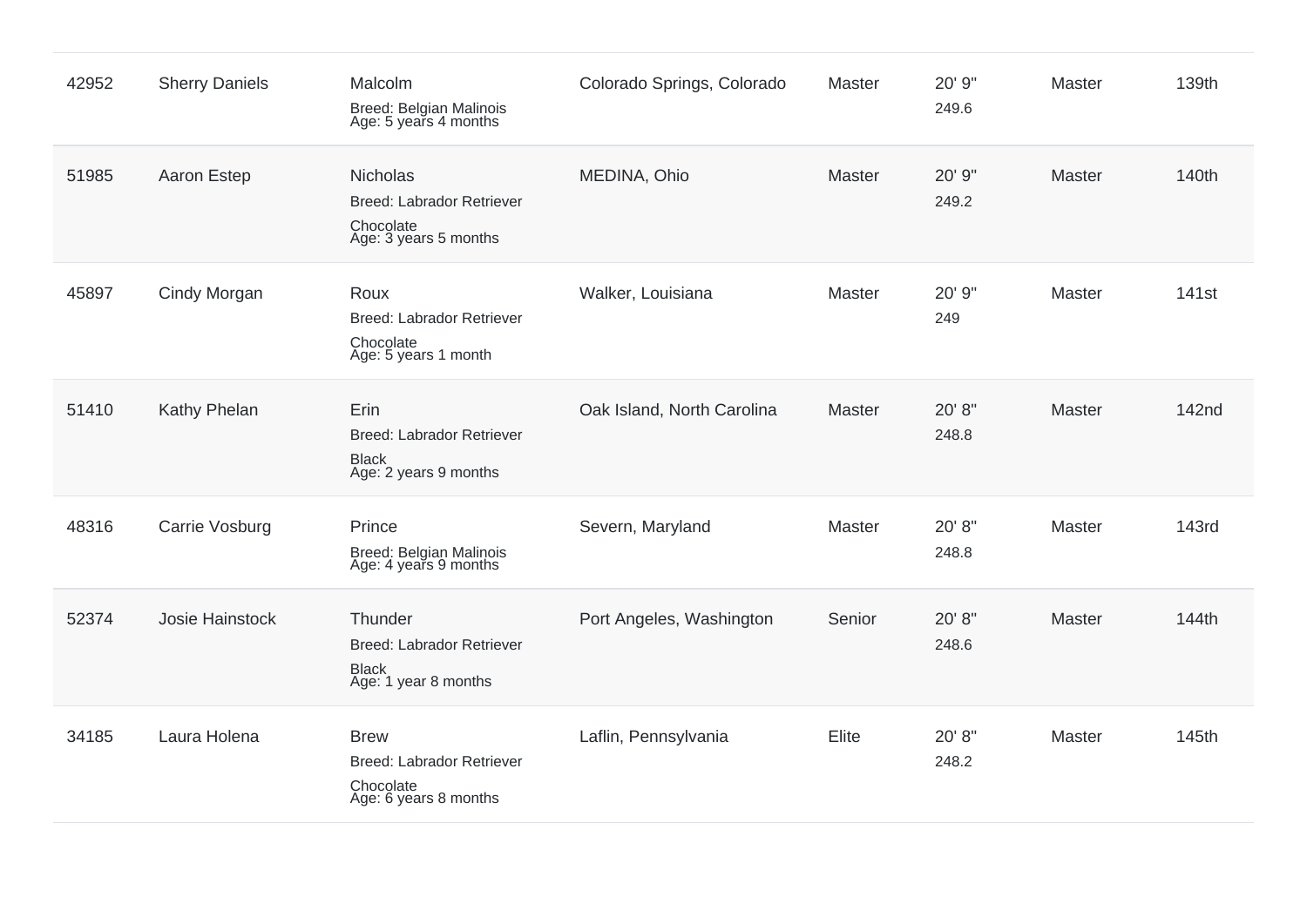| 42952 | <b>Sherry Daniels</b> | Malcolm<br>Breed: Belgian Malinois<br>Age: 5 years 4 months                           | Colorado Springs, Colorado | Master | 20' 9"<br>249.6 | Master | 139th             |
|-------|-----------------------|---------------------------------------------------------------------------------------|----------------------------|--------|-----------------|--------|-------------------|
| 51985 | Aaron Estep           | Nicholas<br><b>Breed: Labrador Retriever</b><br>Chocolate<br>Age: 3 years 5 months    | MEDINA, Ohio               | Master | 20' 9"<br>249.2 | Master | 140th             |
| 45897 | Cindy Morgan          | Roux<br><b>Breed: Labrador Retriever</b><br>Chocolate<br>Age: 5 years 1 month         | Walker, Louisiana          | Master | 20' 9"<br>249   | Master | 141 <sub>st</sub> |
| 51410 | Kathy Phelan          | Erin<br><b>Breed: Labrador Retriever</b><br><b>Black</b><br>Age: 2 years 9 months     | Oak Island, North Carolina | Master | 20' 8"<br>248.8 | Master | 142nd             |
| 48316 | Carrie Vosburg        | Prince<br>Breed: Belgian Malinois<br>Age: 4 years 9 months                            | Severn, Maryland           | Master | 20' 8"<br>248.8 | Master | 143rd             |
| 52374 | Josie Hainstock       | Thunder<br><b>Breed: Labrador Retriever</b><br><b>Black</b><br>Age: 1 year 8 months   | Port Angeles, Washington   | Senior | 20' 8"<br>248.6 | Master | 144th             |
| 34185 | Laura Holena          | <b>Brew</b><br><b>Breed: Labrador Retriever</b><br>Chocolate<br>Age: 6 years 8 months | Laflin, Pennsylvania       | Elite  | 20' 8"<br>248.2 | Master | 145th             |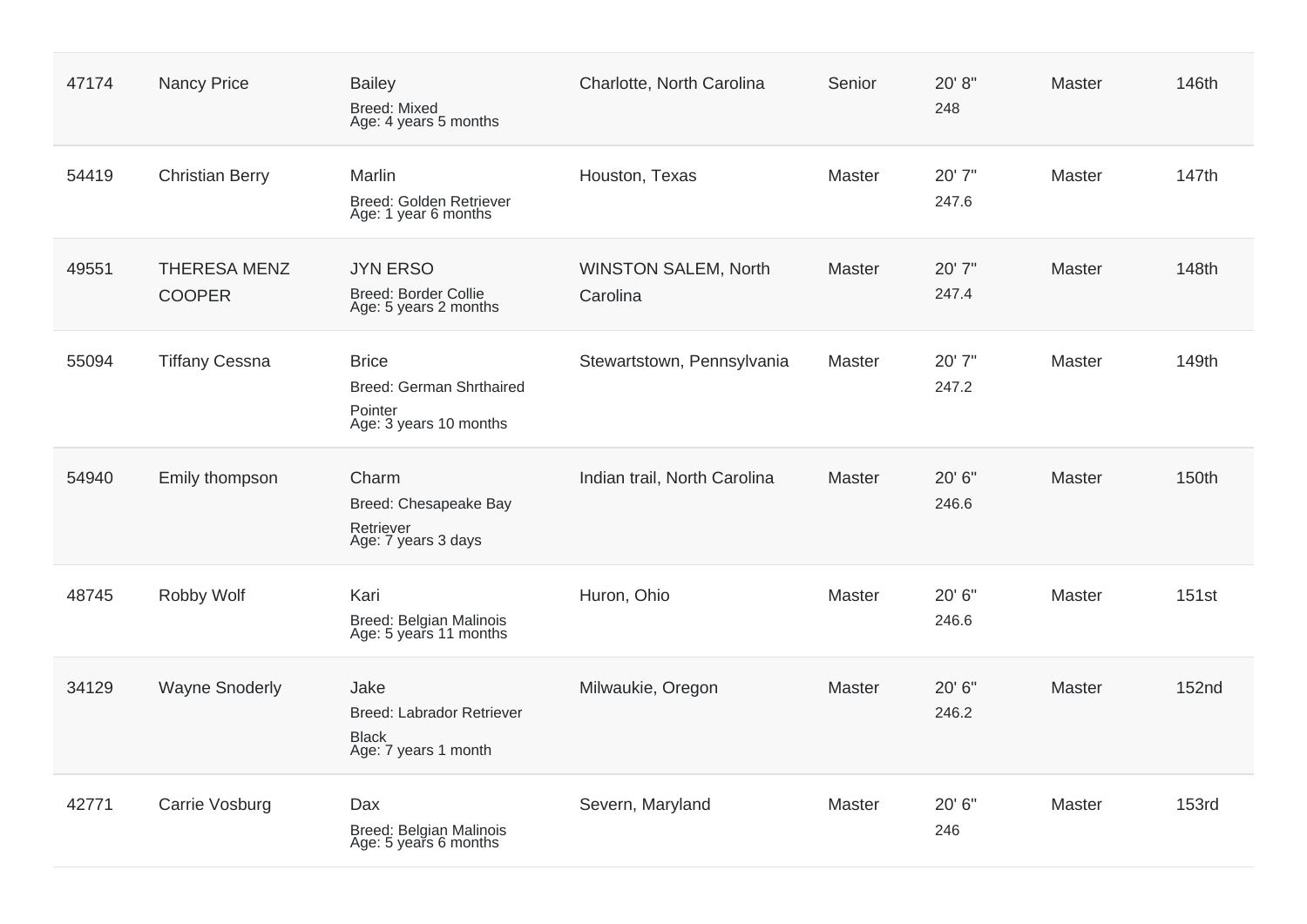| 47174 | <b>Nancy Price</b>                   | <b>Bailey</b><br>Breed: Mixed<br>Age: 4 years 5 months                        | Charlotte, North Carolina               | Senior | 20' 8"<br>248   | Master        | 146th        |
|-------|--------------------------------------|-------------------------------------------------------------------------------|-----------------------------------------|--------|-----------------|---------------|--------------|
| 54419 | <b>Christian Berry</b>               | Marlin<br>Breed: Golden Retriever<br>Age: 1 year 6 months                     | Houston, Texas                          | Master | 20' 7"<br>247.6 | Master        | 147th        |
| 49551 | <b>THERESA MENZ</b><br><b>COOPER</b> | <b>JYN ERSO</b><br>Breed: Border Collie<br>Age: 5 years 2 months              | <b>WINSTON SALEM, North</b><br>Carolina | Master | 20' 7"<br>247.4 | Master        | 148th        |
| 55094 | <b>Tiffany Cessna</b>                | <b>Brice</b><br>Breed: German Shrthaired<br>Pointer<br>Age: 3 years 10 months | Stewartstown, Pennsylvania              | Master | 20'7"<br>247.2  | Master        | 149th        |
| 54940 | Emily thompson                       | Charm<br>Breed: Chesapeake Bay<br>Retriever<br>Age: 7 years 3 days            | Indian trail, North Carolina            | Master | 20' 6"<br>246.6 | Master        | 150th        |
| 48745 | Robby Wolf                           | Kari<br>Breed: Belgian Malinois<br>Age: 5 years 11 months                     | Huron, Ohio                             | Master | 20' 6"<br>246.6 | <b>Master</b> | 151st        |
| 34129 | <b>Wayne Snoderly</b>                | Jake<br>Breed: Labrador Retriever<br><b>Black</b><br>Age: 7 years 1 month     | Milwaukie, Oregon                       | Master | 20' 6"<br>246.2 | Master        | 152nd        |
| 42771 | Carrie Vosburg                       | Dax<br>Breed: Belgian Malinois<br>Age: 5 years 6 months                       | Severn, Maryland                        | Master | 20' 6"<br>246   | <b>Master</b> | <b>153rd</b> |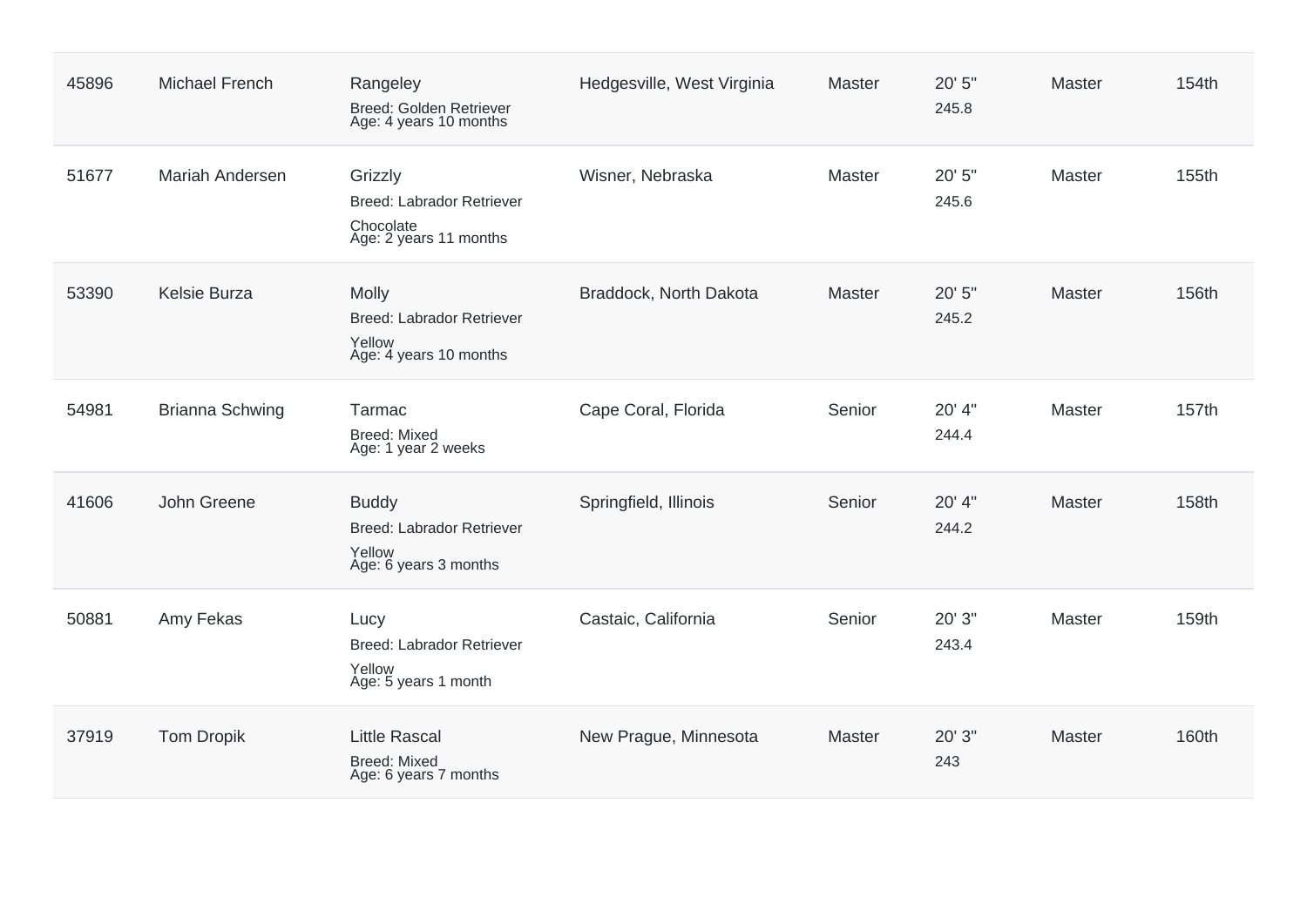| 45896 | <b>Michael French</b>  | Rangeley<br>Breed: Golden Retriever<br>Age: 4 years 10 months                       | Hedgesville, West Virginia | Master | 20' 5"<br>245.8 | Master        | 154th |
|-------|------------------------|-------------------------------------------------------------------------------------|----------------------------|--------|-----------------|---------------|-------|
| 51677 | <b>Mariah Andersen</b> | Grizzly<br><b>Breed: Labrador Retriever</b><br>Chocolate<br>Age: 2 years 11 months  | Wisner, Nebraska           | Master | 20' 5"<br>245.6 | <b>Master</b> | 155th |
| 53390 | Kelsie Burza           | Molly<br><b>Breed: Labrador Retriever</b><br>Yellow<br>Age: 4 years 10 months       | Braddock, North Dakota     | Master | 20' 5"<br>245.2 | Master        | 156th |
| 54981 | <b>Brianna Schwing</b> | <b>Tarmac</b><br><b>Breed: Mixed</b><br>Age: 1 year 2 weeks                         | Cape Coral, Florida        | Senior | 20' 4"<br>244.4 | Master        | 157th |
| 41606 | John Greene            | <b>Buddy</b><br><b>Breed: Labrador Retriever</b><br>Yellow<br>Age: 6 years 3 months | Springfield, Illinois      | Senior | 20' 4"<br>244.2 | Master        | 158th |
| 50881 | Amy Fekas              | Lucy<br><b>Breed: Labrador Retriever</b><br>Yellow<br>Age: 5 years 1 month          | Castaic, California        | Senior | 20' 3"<br>243.4 | <b>Master</b> | 159th |
| 37919 | <b>Tom Dropik</b>      | <b>Little Rascal</b><br><b>Breed: Mixed</b><br>Age: 6 years 7 months                | New Prague, Minnesota      | Master | 20' 3"<br>243   | Master        | 160th |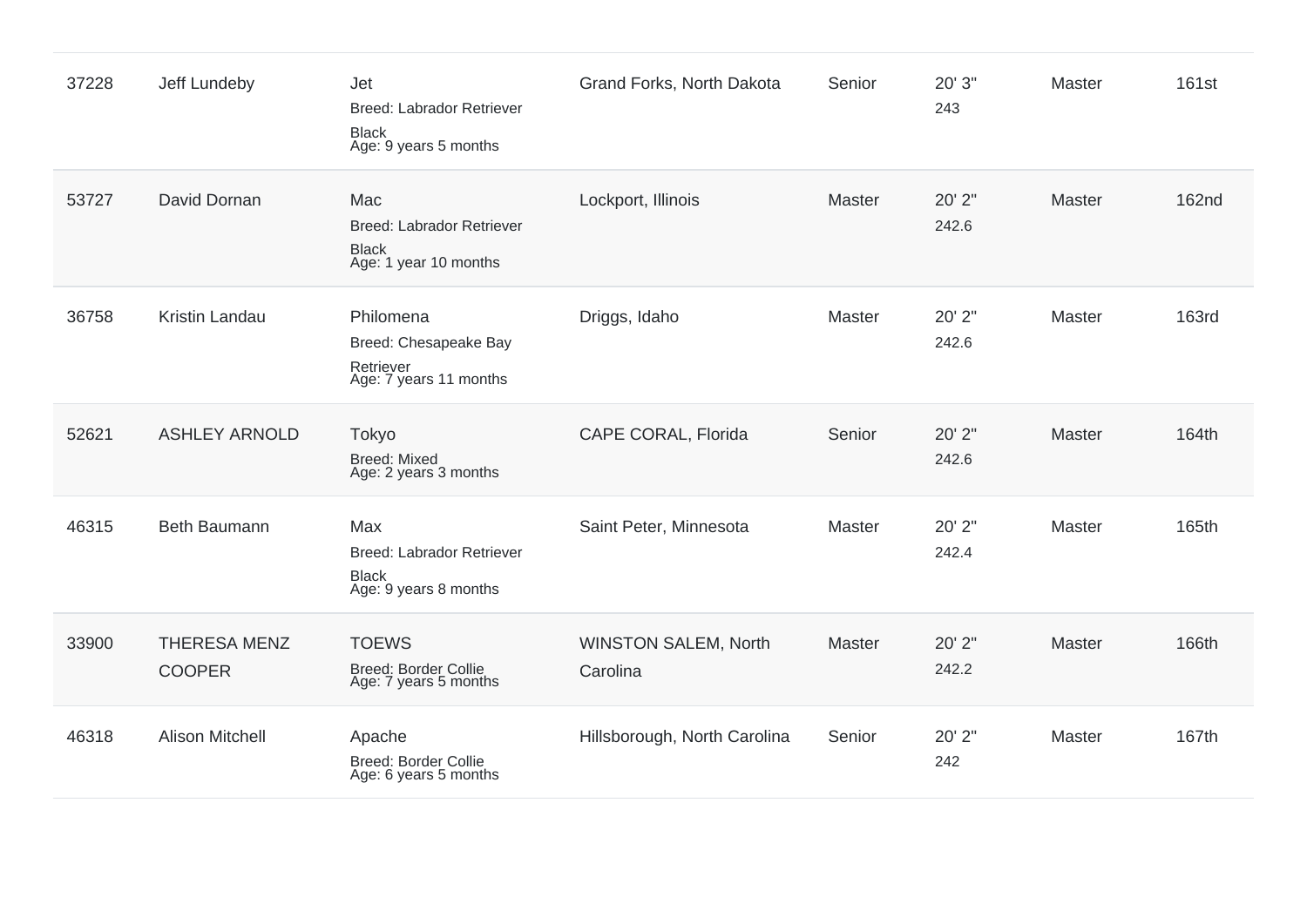| 37228 | Jeff Lundeby                         | Jet<br><b>Breed: Labrador Retriever</b><br><b>Black</b><br>Age: 9 years 5 months | Grand Forks, North Dakota               | Senior        | 20' 3"<br>243   | Master        | <b>161st</b> |
|-------|--------------------------------------|----------------------------------------------------------------------------------|-----------------------------------------|---------------|-----------------|---------------|--------------|
| 53727 | David Dornan                         | Mac<br><b>Breed: Labrador Retriever</b><br><b>Black</b><br>Age: 1 year 10 months | Lockport, Illinois                      | <b>Master</b> | 20' 2"<br>242.6 | Master        | <b>162nd</b> |
| 36758 | Kristin Landau                       | Philomena<br>Breed: Chesapeake Bay<br>Retriever<br>Age: 7 years 11 months        | Driggs, Idaho                           | Master        | 20' 2"<br>242.6 | Master        | <b>163rd</b> |
| 52621 | <b>ASHLEY ARNOLD</b>                 | Tokyo<br><b>Breed: Mixed</b><br>Age: 2 years 3 months                            | CAPE CORAL, Florida                     | Senior        | 20' 2"<br>242.6 | <b>Master</b> | 164th        |
| 46315 | Beth Baumann                         | Max<br>Breed: Labrador Retriever<br><b>Black</b><br>Age: 9 years 8 months        | Saint Peter, Minnesota                  | Master        | 20' 2"<br>242.4 | Master        | 165th        |
| 33900 | <b>THERESA MENZ</b><br><b>COOPER</b> | <b>TOEWS</b><br><b>Breed: Border Collie</b><br>Age: 7 years 5 months             | <b>WINSTON SALEM, North</b><br>Carolina | <b>Master</b> | 20' 2"<br>242.2 | <b>Master</b> | 166th        |
| 46318 | <b>Alison Mitchell</b>               | Apache<br>Breed: Border Collie<br>Age: 6 years 5 months                          | Hillsborough, North Carolina            | Senior        | 20' 2"<br>242   | Master        | 167th        |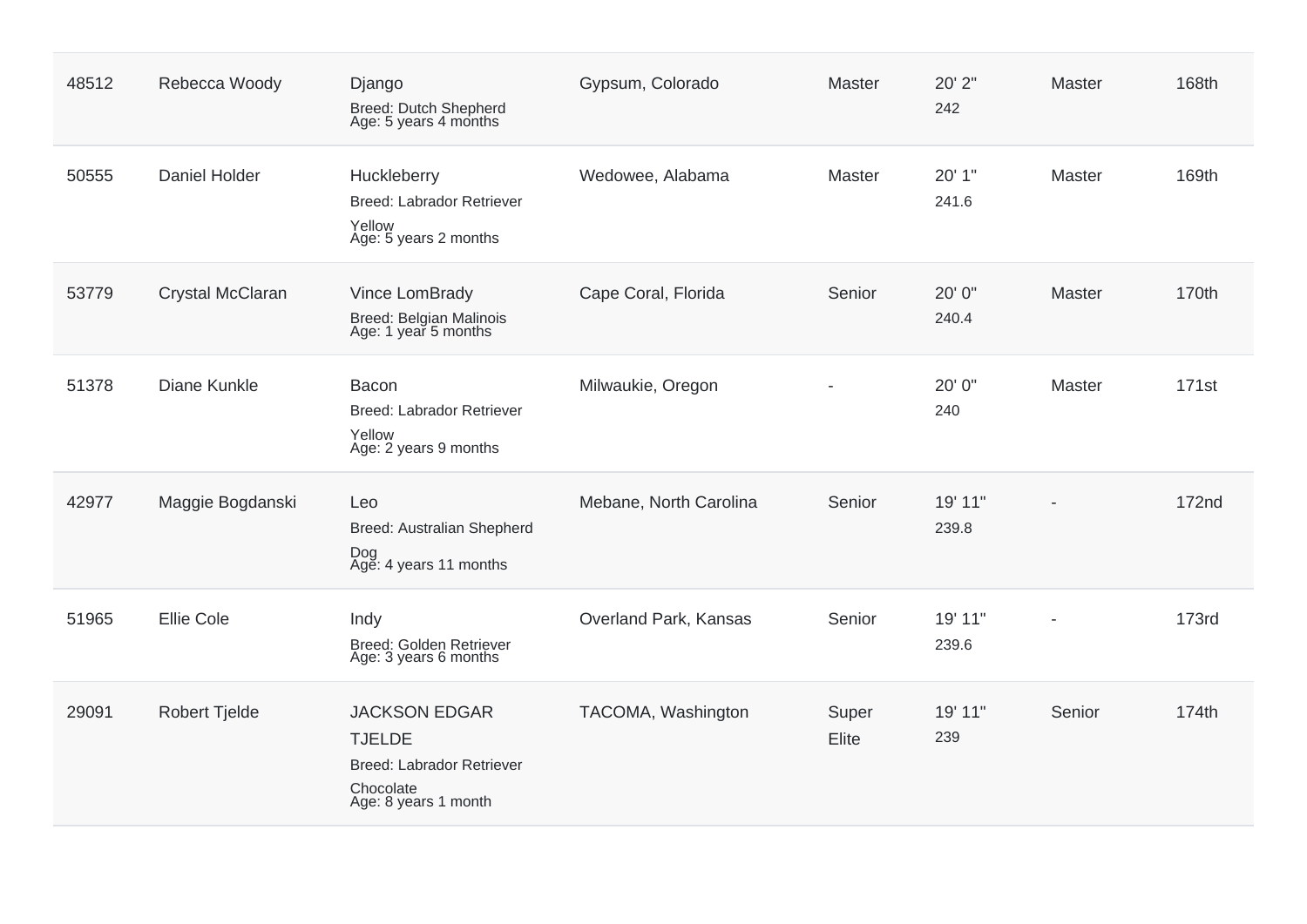| 48512 | Rebecca Woody        | Django<br>Breed: Dutch Shepherd<br>Age: 5 years 4 months                                                | Gypsum, Colorado       | Master         | 20' 2"<br>242    | Master                   | 168th        |
|-------|----------------------|---------------------------------------------------------------------------------------------------------|------------------------|----------------|------------------|--------------------------|--------------|
| 50555 | <b>Daniel Holder</b> | Huckleberry<br><b>Breed: Labrador Retriever</b><br>Yellow<br>Age: 5 years 2 months                      | Wedowee, Alabama       | Master         | 20' 1"<br>241.6  | Master                   | 169th        |
| 53779 | Crystal McClaran     | Vince LomBrady<br>Breed: Belgian Malinois<br>Age: 1 year 5 months                                       | Cape Coral, Florida    | Senior         | 20' 0"<br>240.4  | <b>Master</b>            | 170th        |
| 51378 | Diane Kunkle         | Bacon<br><b>Breed: Labrador Retriever</b><br>Yellow<br>Age: 2 years 9 months                            | Milwaukie, Oregon      |                | 20' 0"<br>240    | <b>Master</b>            | <b>171st</b> |
| 42977 | Maggie Bogdanski     | Leo<br>Breed: Australian Shepherd<br>Dog<br>Age: 4 years 11 months                                      | Mebane, North Carolina | Senior         | 19' 11"<br>239.8 |                          | <b>172nd</b> |
| 51965 | <b>Ellie Cole</b>    | Indy<br>Breed: Golden Retriever<br>Age: 3 years 6 months                                                | Overland Park, Kansas  | Senior         | 19' 11"<br>239.6 | $\overline{\phantom{a}}$ | <b>173rd</b> |
| 29091 | <b>Robert Tjelde</b> | <b>JACKSON EDGAR</b><br><b>TJELDE</b><br>Breed: Labrador Retriever<br>Chocolate<br>Age: 8 years 1 month | TACOMA, Washington     | Super<br>Elite | 19' 11"<br>239   | Senior                   | 174th        |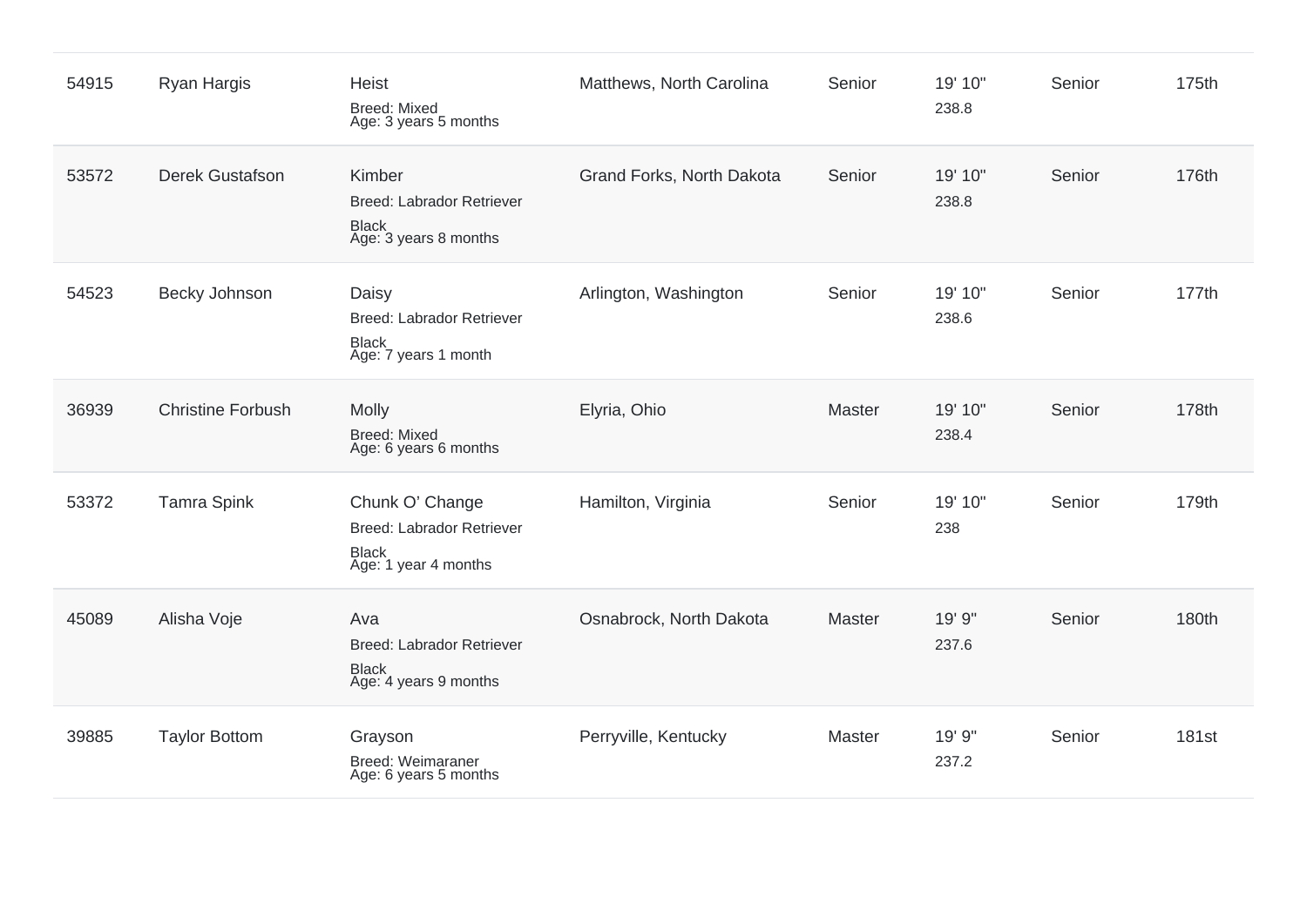| 54915 | Ryan Hargis              | <b>Heist</b><br><b>Breed: Mixed</b><br>Age: 3 years 5 months                                | Matthews, North Carolina  | Senior | 19' 10"<br>238.8 | Senior | 175th        |
|-------|--------------------------|---------------------------------------------------------------------------------------------|---------------------------|--------|------------------|--------|--------------|
| 53572 | <b>Derek Gustafson</b>   | Kimber<br>Breed: Labrador Retriever<br><b>Black</b><br>Age: 3 years 8 months                | Grand Forks, North Dakota | Senior | 19' 10"<br>238.8 | Senior | 176th        |
| 54523 | Becky Johnson            | Daisy<br><b>Breed: Labrador Retriever</b><br><b>Black</b><br>Age: 7 years 1 month           | Arlington, Washington     | Senior | 19' 10"<br>238.6 | Senior | 177th        |
| 36939 | <b>Christine Forbush</b> | Molly<br><b>Breed: Mixed</b><br>Age: 6 years 6 months                                       | Elyria, Ohio              | Master | 19' 10"<br>238.4 | Senior | 178th        |
| 53372 | <b>Tamra Spink</b>       | Chunk O' Change<br><b>Breed: Labrador Retriever</b><br><b>Black</b><br>Age: 1 year 4 months | Hamilton, Virginia        | Senior | 19' 10"<br>238   | Senior | 179th        |
| 45089 | Alisha Voje              | Ava<br><b>Breed: Labrador Retriever</b><br><b>Black</b><br>Age: 4 years 9 months            | Osnabrock, North Dakota   | Master | 19' 9"<br>237.6  | Senior | 180th        |
| 39885 | <b>Taylor Bottom</b>     | Grayson<br>Breed: Weimaraner<br>Age: 6 years 5 months                                       | Perryville, Kentucky      | Master | 19' 9"<br>237.2  | Senior | <b>181st</b> |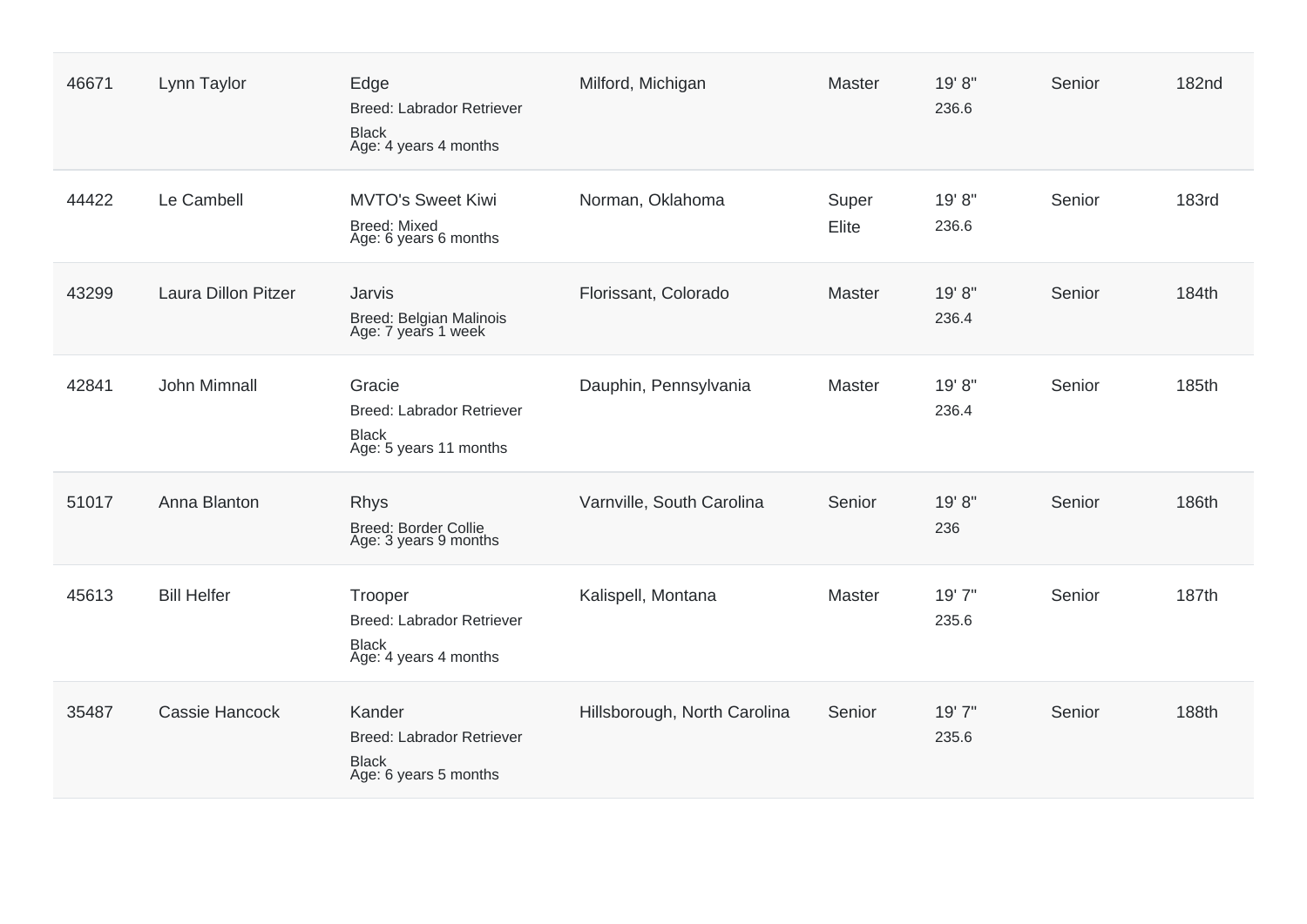| 46671 | Lynn Taylor                | Edge<br><b>Breed: Labrador Retriever</b><br><b>Black</b><br>Age: 4 years 4 months    | Milford, Michigan            | <b>Master</b>  | 19' 8"<br>236.6 | Senior | <b>182nd</b> |
|-------|----------------------------|--------------------------------------------------------------------------------------|------------------------------|----------------|-----------------|--------|--------------|
| 44422 | Le Cambell                 | <b>MVTO's Sweet Kiwi</b><br><b>Breed: Mixed</b><br>Age: 6 years 6 months             | Norman, Oklahoma             | Super<br>Elite | 19' 8"<br>236.6 | Senior | <b>183rd</b> |
| 43299 | <b>Laura Dillon Pitzer</b> | Jarvis<br>Breed: Belgian Malinois<br>Age: 7 years 1 week                             | Florissant, Colorado         | Master         | 19'8"<br>236.4  | Senior | 184th        |
| 42841 | John Mimnall               | Gracie<br>Breed: Labrador Retriever<br><b>Black</b><br>Age: 5 years 11 months        | Dauphin, Pennsylvania        | Master         | 19'8"<br>236.4  | Senior | 185th        |
| 51017 | Anna Blanton               | <b>Rhys</b><br>Breed: Border Collie<br>Age: 3 years 9 months                         | Varnville, South Carolina    | Senior         | 19'8"<br>236    | Senior | 186th        |
| 45613 | <b>Bill Helfer</b>         | Trooper<br><b>Breed: Labrador Retriever</b><br><b>Black</b><br>Age: 4 years 4 months | Kalispell, Montana           | Master         | 19'7"<br>235.6  | Senior | 187th        |
| 35487 | Cassie Hancock             | Kander<br>Breed: Labrador Retriever<br><b>Black</b><br>Age: 6 years 5 months         | Hillsborough, North Carolina | Senior         | 19'7"<br>235.6  | Senior | 188th        |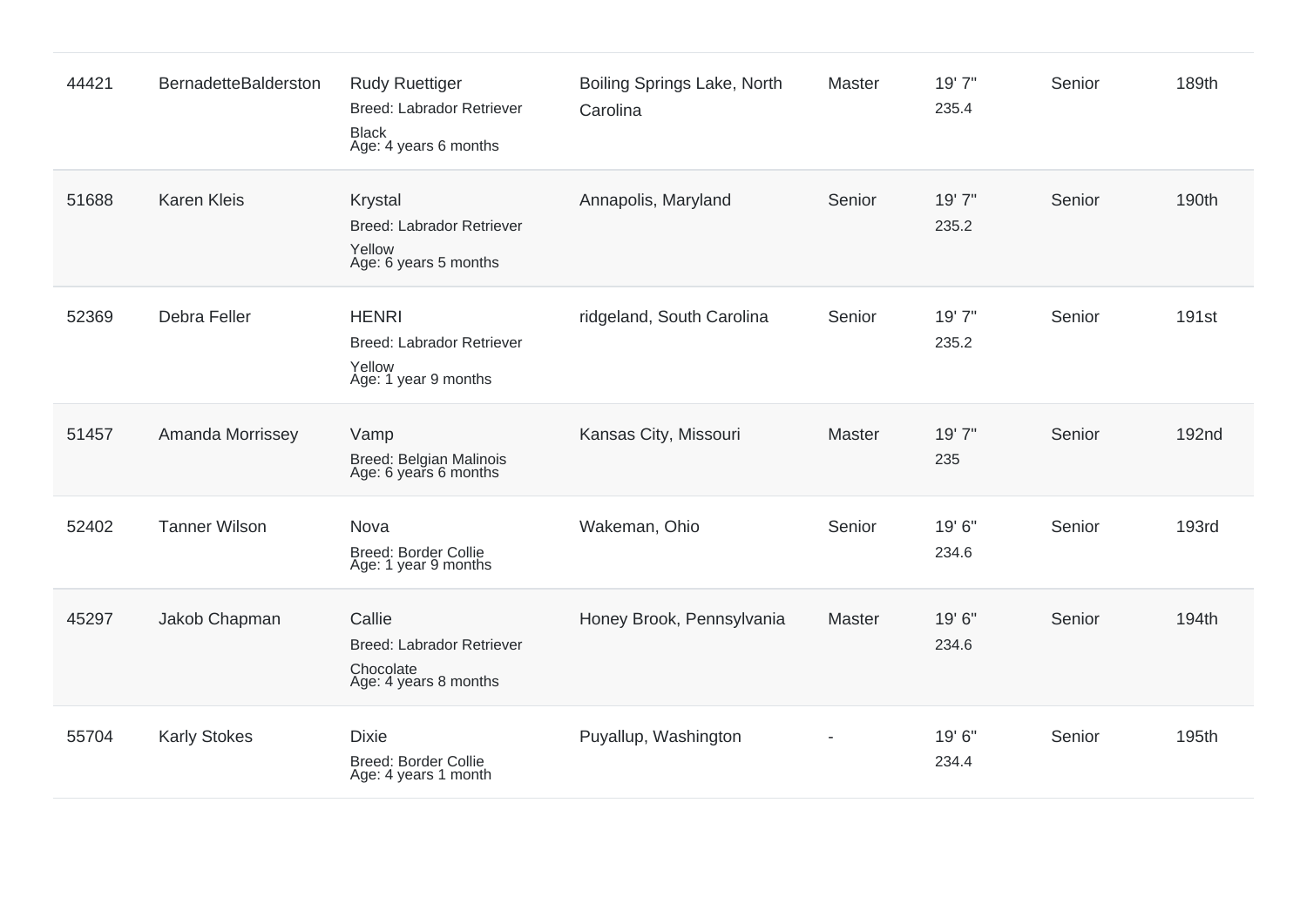| 44421 | BernadetteBalderston | <b>Rudy Ruettiger</b><br><b>Breed: Labrador Retriever</b><br><b>Black</b><br>Age: 4 years 6 months | Boiling Springs Lake, North<br>Carolina | Master | 19' 7"<br>235.4 | Senior | 189th             |
|-------|----------------------|----------------------------------------------------------------------------------------------------|-----------------------------------------|--------|-----------------|--------|-------------------|
| 51688 | <b>Karen Kleis</b>   | Krystal<br>Breed: Labrador Retriever<br>Yellow<br>Age: 6 years 5 months                            | Annapolis, Maryland                     | Senior | 19' 7"<br>235.2 | Senior | 190th             |
| 52369 | Debra Feller         | <b>HENRI</b><br>Breed: Labrador Retriever<br>Yellow<br>Age: 1 year 9 months                        | ridgeland, South Carolina               | Senior | 19' 7"<br>235.2 | Senior | 191 <sub>st</sub> |
| 51457 | Amanda Morrissey     | Vamp<br>Breed: Belgian Malinois<br>Age: 6 years 6 months                                           | Kansas City, Missouri                   | Master | 19' 7"<br>235   | Senior | 192 <sub>nd</sub> |
| 52402 | <b>Tanner Wilson</b> | Nova<br><b>Breed: Border Collie</b><br>Age: 1 year 9 months                                        | Wakeman, Ohio                           | Senior | 19' 6"<br>234.6 | Senior | <b>193rd</b>      |
| 45297 | Jakob Chapman        | Callie<br>Breed: Labrador Retriever<br>Chocolate<br>Age: 4 years 8 months                          | Honey Brook, Pennsylvania               | Master | 19' 6"<br>234.6 | Senior | 194th             |
| 55704 | <b>Karly Stokes</b>  | <b>Dixie</b><br>Breed: Border Collie<br>Age: 4 years 1 month                                       | Puyallup, Washington                    |        | 19' 6"<br>234.4 | Senior | 195th             |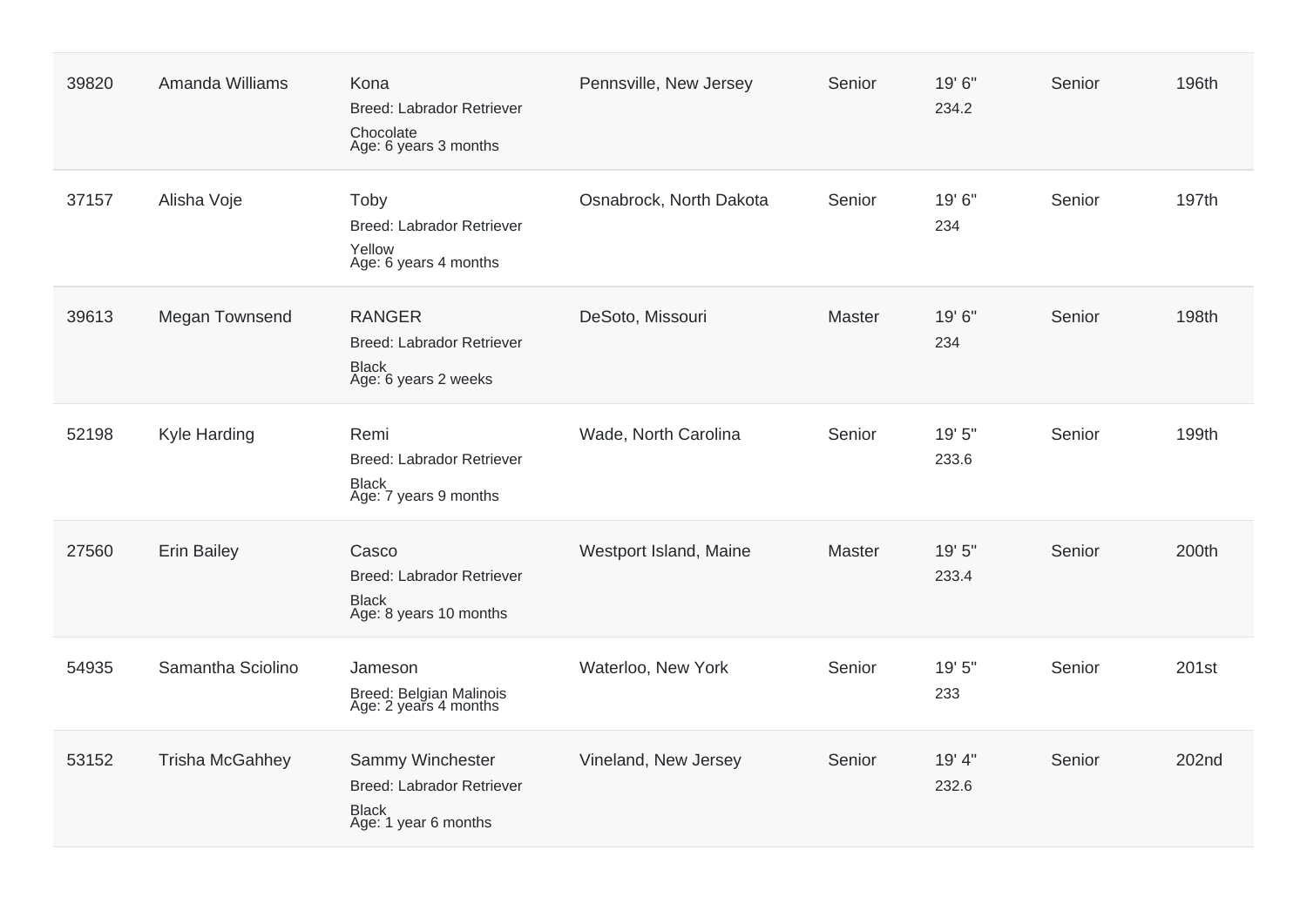| 39820 | Amanda Williams        | Kona<br>Breed: Labrador Retriever<br>Chocolate<br>Age: 6 years 3 months               | Pennsville, New Jersey  | Senior        | 19' 6"<br>234.2 | Senior | 196th |
|-------|------------------------|---------------------------------------------------------------------------------------|-------------------------|---------------|-----------------|--------|-------|
| 37157 | Alisha Voje            | Toby<br>Breed: Labrador Retriever<br>Yellow<br>Age: 6 years 4 months                  | Osnabrock, North Dakota | Senior        | 19' 6"<br>234   | Senior | 197th |
| 39613 | Megan Townsend         | <b>RANGER</b><br>Breed: Labrador Retriever<br><b>Black</b><br>Age: 6 years 2 weeks    | DeSoto, Missouri        | Master        | 19'6"<br>234    | Senior | 198th |
| 52198 | Kyle Harding           | Remi<br>Breed: Labrador Retriever<br><b>Black</b><br>Age: 7 years 9 months            | Wade, North Carolina    | Senior        | 19' 5"<br>233.6 | Senior | 199th |
| 27560 | <b>Erin Bailey</b>     | Casco<br>Breed: Labrador Retriever<br><b>Black</b><br>Age: 8 years 10 months          | Westport Island, Maine  | <b>Master</b> | 19' 5"<br>233.4 | Senior | 200th |
| 54935 | Samantha Sciolino      | Jameson<br>Breed: Belgian Malinois<br>Age: 2 years 4 months                           | Waterloo, New York      | Senior        | 19' 5"<br>233   | Senior | 201st |
| 53152 | <b>Trisha McGahhey</b> | Sammy Winchester<br>Breed: Labrador Retriever<br><b>Black</b><br>Age: 1 year 6 months | Vineland, New Jersey    | Senior        | 19' 4"<br>232.6 | Senior | 202nd |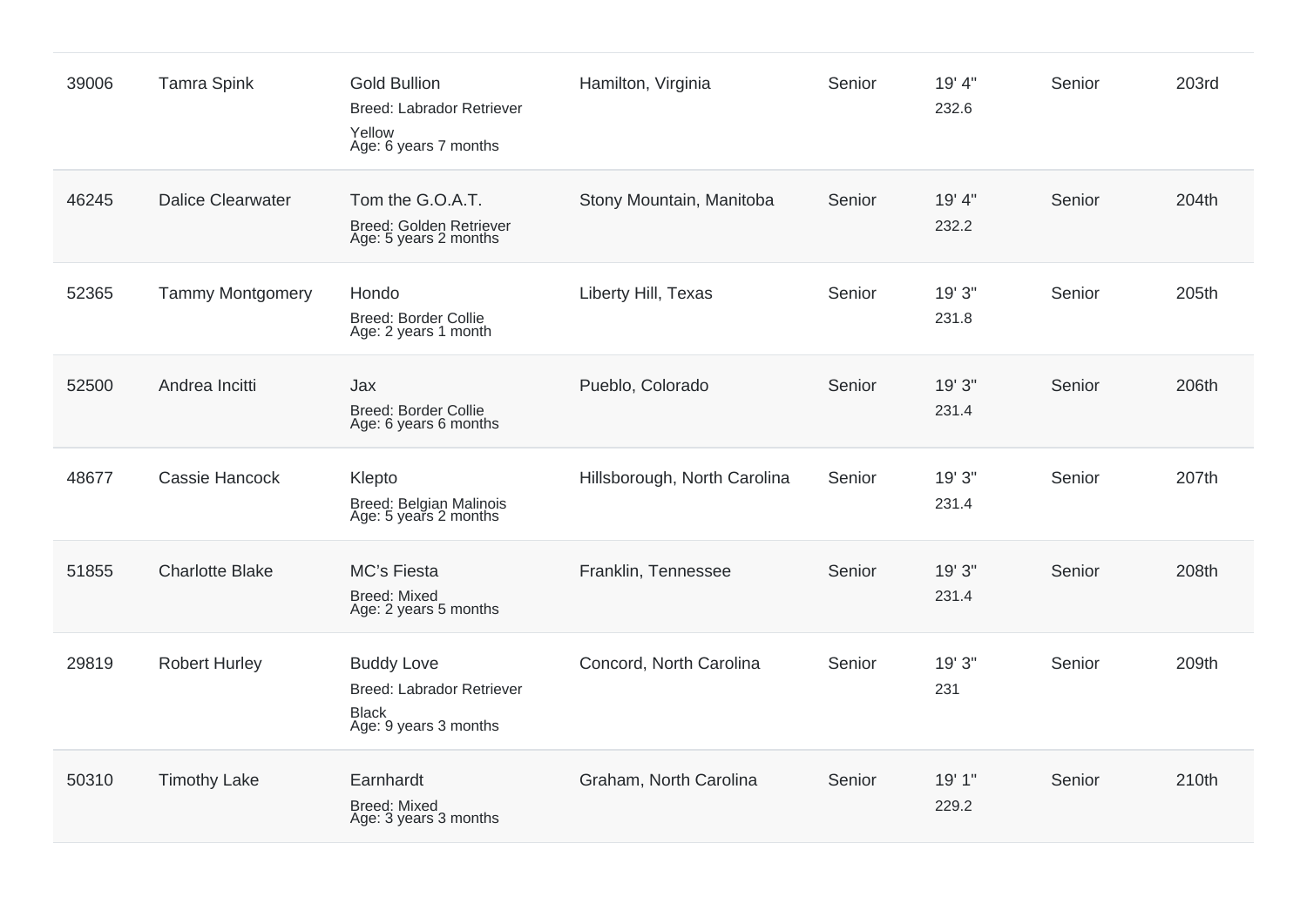| 39006 | <b>Tamra Spink</b>       | <b>Gold Bullion</b><br><b>Breed: Labrador Retriever</b><br>Yellow<br>Age: 6 years 7 months | Hamilton, Virginia           | Senior | 19' 4"<br>232.6 | Senior | 203rd |
|-------|--------------------------|--------------------------------------------------------------------------------------------|------------------------------|--------|-----------------|--------|-------|
| 46245 | <b>Dalice Clearwater</b> | Tom the G.O.A.T.<br>Breed: Golden Retriever<br>Age: 5 years 2 months                       | Stony Mountain, Manitoba     | Senior | 19' 4"<br>232.2 | Senior | 204th |
| 52365 | <b>Tammy Montgomery</b>  | Hondo<br><b>Breed: Border Collie</b><br>Age: 2 years 1 month                               | Liberty Hill, Texas          | Senior | 19' 3"<br>231.8 | Senior | 205th |
| 52500 | Andrea Incitti           | Jax<br><b>Breed: Border Collie</b><br>Age: 6 years 6 months                                | Pueblo, Colorado             | Senior | 19' 3"<br>231.4 | Senior | 206th |
| 48677 | Cassie Hancock           | Klepto<br>Breed: Belgian Malinois<br>Age: 5 years 2 months                                 | Hillsborough, North Carolina | Senior | 19' 3"<br>231.4 | Senior | 207th |
| 51855 | <b>Charlotte Blake</b>   | MC's Fiesta<br><b>Breed: Mixed</b><br>Age: 2 years 5 months                                | Franklin, Tennessee          | Senior | 19' 3"<br>231.4 | Senior | 208th |
| 29819 | <b>Robert Hurley</b>     | <b>Buddy Love</b><br>Breed: Labrador Retriever<br><b>Black</b><br>Age: 9 years 3 months    | Concord, North Carolina      | Senior | 19' 3"<br>231   | Senior | 209th |
| 50310 | <b>Timothy Lake</b>      | Earnhardt<br><b>Breed: Mixed</b><br>Age: 3 years 3 months                                  | Graham, North Carolina       | Senior | 19' 1"<br>229.2 | Senior | 210th |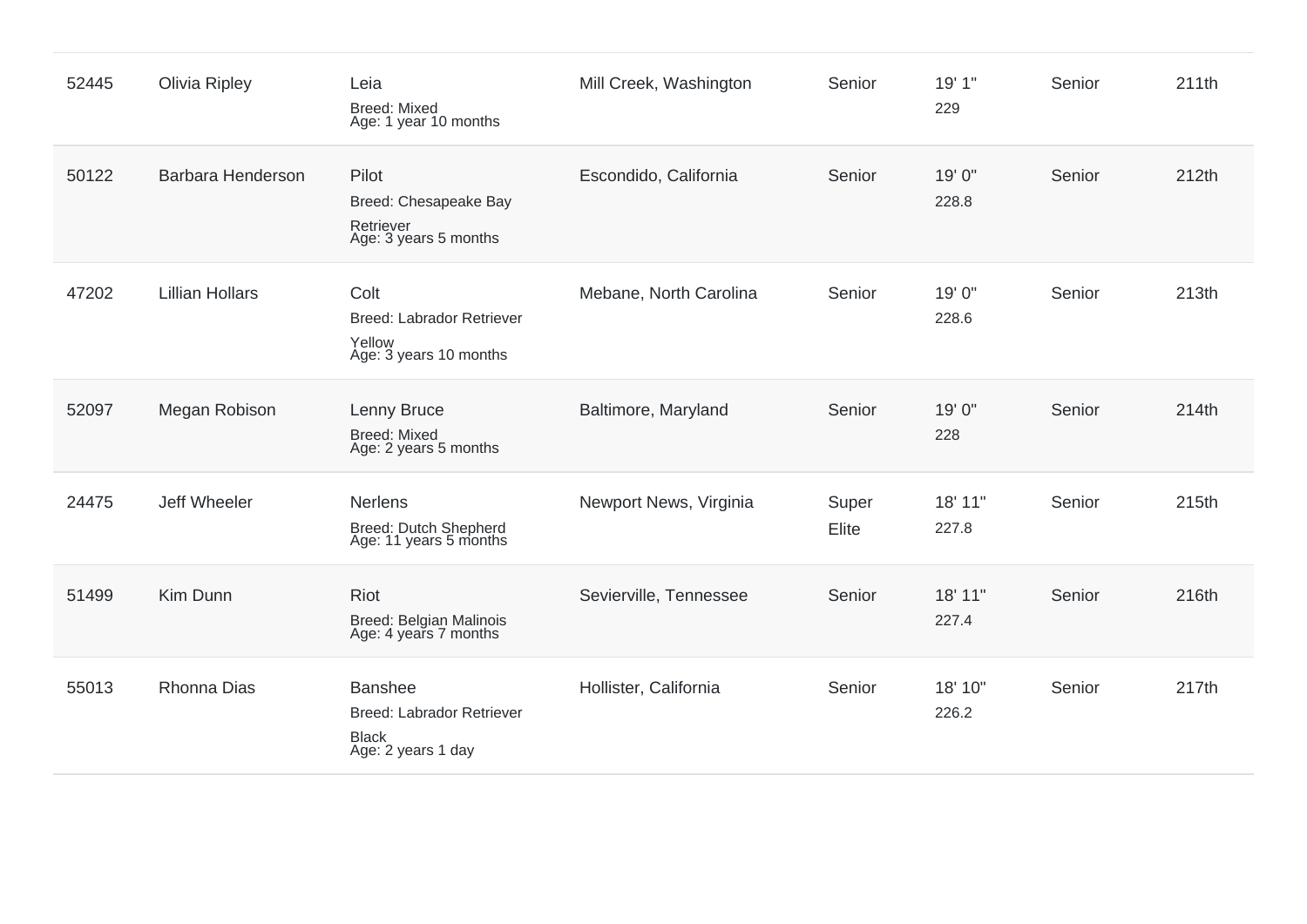| 52445 | <b>Olivia Ripley</b>   | Leia<br><b>Breed: Mixed</b><br>Age: 1 year 10 months                                     | Mill Creek, Washington | Senior         | 19' 1"<br>229    | Senior | 211th |
|-------|------------------------|------------------------------------------------------------------------------------------|------------------------|----------------|------------------|--------|-------|
| 50122 | Barbara Henderson      | Pilot<br>Breed: Chesapeake Bay<br>Retriever<br>Age: 3 years 5 months                     | Escondido, California  | Senior         | 19' 0"<br>228.8  | Senior | 212th |
| 47202 | <b>Lillian Hollars</b> | Colt<br><b>Breed: Labrador Retriever</b><br>Yellow<br>Age: 3 years 10 months             | Mebane, North Carolina | Senior         | 19' 0"<br>228.6  | Senior | 213th |
| 52097 | Megan Robison          | Lenny Bruce<br><b>Breed: Mixed</b><br>Age: 2 years 5 months                              | Baltimore, Maryland    | Senior         | 19' 0"<br>228    | Senior | 214th |
| 24475 | Jeff Wheeler           | Nerlens<br>Breed: Dutch Shepherd<br>Age: 11 years 5 months                               | Newport News, Virginia | Super<br>Elite | 18' 11"<br>227.8 | Senior | 215th |
| 51499 | Kim Dunn               | Riot<br>Breed: Belgian Malinois<br>Age: 4 years 7 months                                 | Sevierville, Tennessee | Senior         | 18' 11"<br>227.4 | Senior | 216th |
| 55013 | <b>Rhonna Dias</b>     | <b>Banshee</b><br><b>Breed: Labrador Retriever</b><br><b>Black</b><br>Age: 2 years 1 day | Hollister, California  | Senior         | 18' 10"<br>226.2 | Senior | 217th |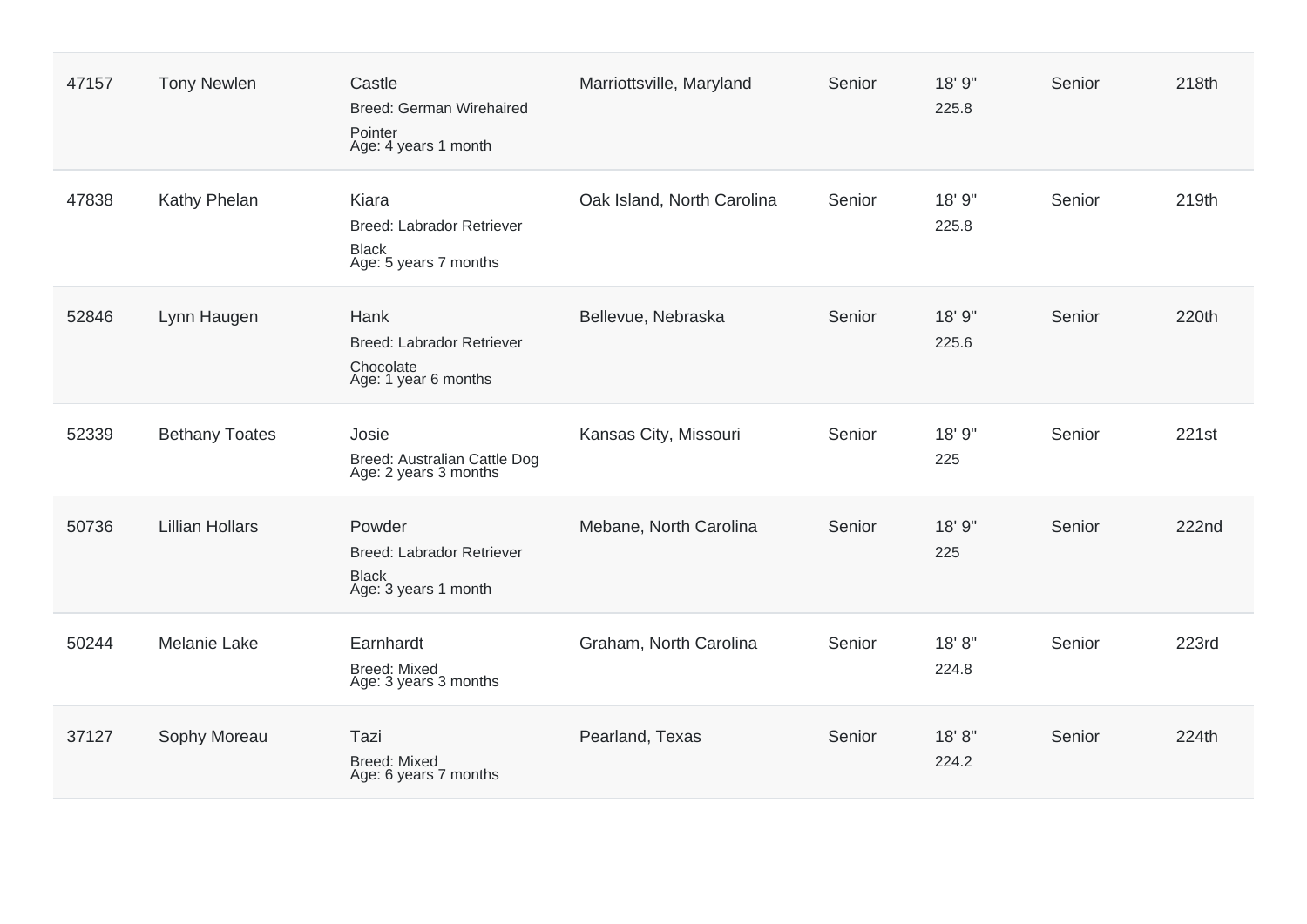| 47157 | <b>Tony Newlen</b>     | Castle<br>Breed: German Wirehaired<br>Pointer<br>Age: 4 years 1 month         | Marriottsville, Maryland   | Senior | 18' 9"<br>225.8 | Senior | 218th        |
|-------|------------------------|-------------------------------------------------------------------------------|----------------------------|--------|-----------------|--------|--------------|
| 47838 | Kathy Phelan           | Kiara<br>Breed: Labrador Retriever<br><b>Black</b><br>Age: 5 years 7 months   | Oak Island, North Carolina | Senior | 18' 9"<br>225.8 | Senior | 219th        |
| 52846 | Lynn Haugen            | Hank<br><b>Breed: Labrador Retriever</b><br>Chocolate<br>Age: 1 year 6 months | Bellevue, Nebraska         | Senior | 18' 9"<br>225.6 | Senior | 220th        |
| 52339 | <b>Bethany Toates</b>  | Josie<br>Breed: Australian Cattle Dog<br>Age: 2 years 3 months                | Kansas City, Missouri      | Senior | 18' 9"<br>225   | Senior | 221st        |
| 50736 | <b>Lillian Hollars</b> | Powder<br>Breed: Labrador Retriever<br><b>Black</b><br>Age: 3 years 1 month   | Mebane, North Carolina     | Senior | 18' 9"<br>225   | Senior | <b>222nd</b> |
| 50244 | <b>Melanie Lake</b>    | Earnhardt<br><b>Breed: Mixed</b><br>Age: 3 years 3 months                     | Graham, North Carolina     | Senior | 18'8"<br>224.8  | Senior | 223rd        |
| 37127 | Sophy Moreau           | Tazi<br><b>Breed: Mixed</b><br>Age: 6 years 7 months                          | Pearland, Texas            | Senior | 18'8"<br>224.2  | Senior | 224th        |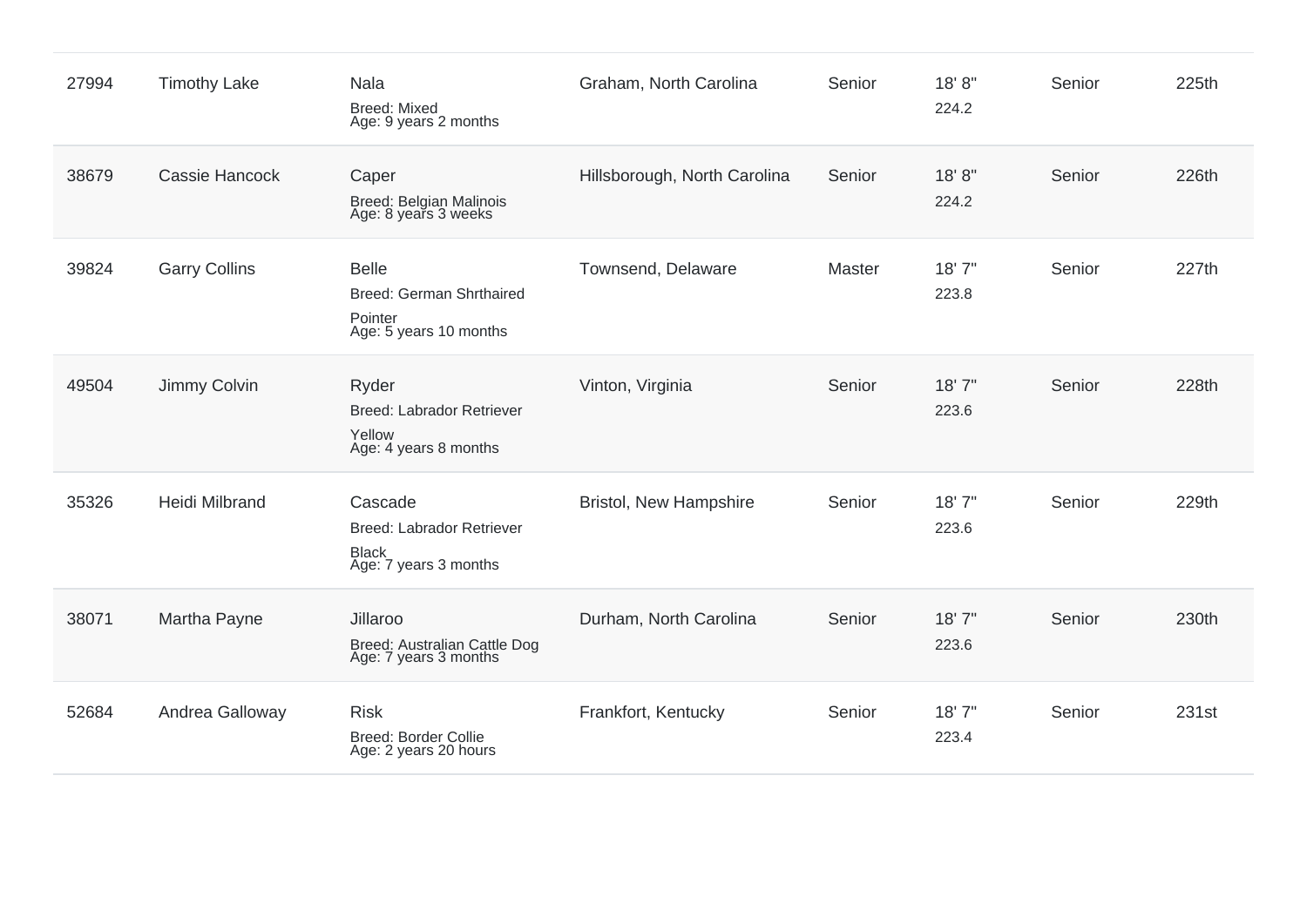| 27994 | <b>Timothy Lake</b>   | Nala<br><b>Breed: Mixed</b><br>Age: 9 years 2 months                                 | Graham, North Carolina        | Senior | 18'8"<br>224.2  | Senior | 225th |
|-------|-----------------------|--------------------------------------------------------------------------------------|-------------------------------|--------|-----------------|--------|-------|
| 38679 | <b>Cassie Hancock</b> | Caper<br>Breed: Belgian Malinois<br>Age: 8 years 3 weeks                             | Hillsborough, North Carolina  | Senior | 18'8"<br>224.2  | Senior | 226th |
| 39824 | <b>Garry Collins</b>  | <b>Belle</b><br>Breed: German Shrthaired<br>Pointer<br>Age: 5 years 10 months        | Townsend, Delaware            | Master | 18'7"<br>223.8  | Senior | 227th |
| 49504 | Jimmy Colvin          | Ryder<br><b>Breed: Labrador Retriever</b><br>Yellow<br>Age: 4 years 8 months         | Vinton, Virginia              | Senior | 18'7"<br>223.6  | Senior | 228th |
| 35326 | <b>Heidi Milbrand</b> | Cascade<br><b>Breed: Labrador Retriever</b><br><b>Black</b><br>Age: 7 years 3 months | <b>Bristol, New Hampshire</b> | Senior | 18'7''<br>223.6 | Senior | 229th |
| 38071 | Martha Payne          | Jillaroo<br>Breed: Australian Cattle Dog<br>Age: 7 years 3 months                    | Durham, North Carolina        | Senior | 18'7"<br>223.6  | Senior | 230th |
| 52684 | Andrea Galloway       | <b>Risk</b><br>Breed: Border Collie<br>Age: 2 years 20 hours                         | Frankfort, Kentucky           | Senior | 18'7"<br>223.4  | Senior | 231st |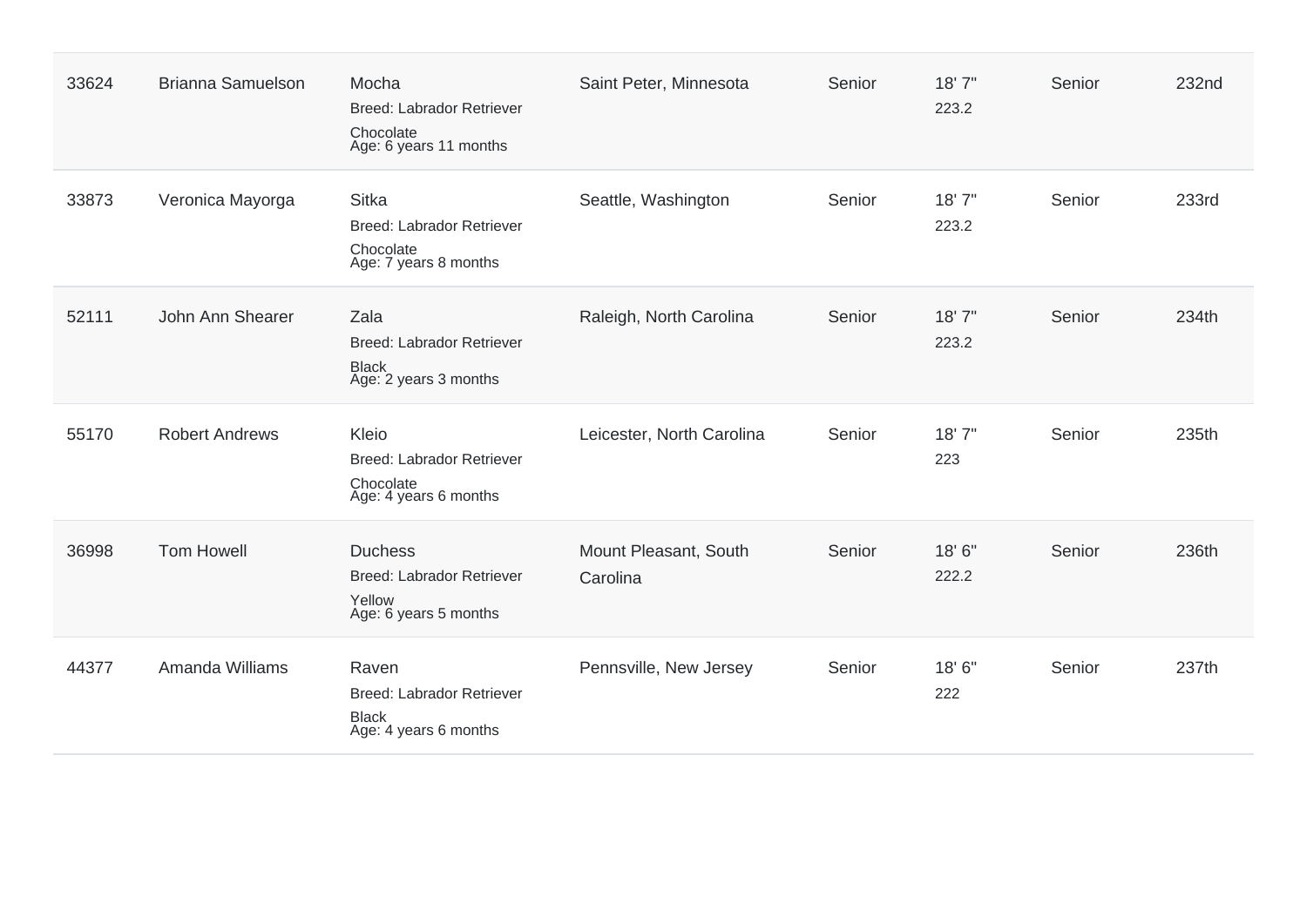| 33624 | <b>Brianna Samuelson</b> | Mocha<br>Breed: Labrador Retriever<br>Chocolate<br>Age: 6 years 11 months       | Saint Peter, Minnesota            | Senior | 18'7"<br>223.2 | Senior | 232nd |
|-------|--------------------------|---------------------------------------------------------------------------------|-----------------------------------|--------|----------------|--------|-------|
| 33873 | Veronica Mayorga         | <b>Sitka</b><br>Breed: Labrador Retriever<br>Chocolate<br>Age: 7 years 8 months | Seattle, Washington               | Senior | 18'7"<br>223.2 | Senior | 233rd |
| 52111 | John Ann Shearer         | Zala<br>Breed: Labrador Retriever<br><b>Black</b><br>Age: 2 years 3 months      | Raleigh, North Carolina           | Senior | 18'7"<br>223.2 | Senior | 234th |
| 55170 | <b>Robert Andrews</b>    | Kleio<br>Breed: Labrador Retriever<br>Chocolate<br>Age: 4 years 6 months        | Leicester, North Carolina         | Senior | 18'7"<br>223   | Senior | 235th |
| 36998 | <b>Tom Howell</b>        | <b>Duchess</b><br>Breed: Labrador Retriever<br>Yellow<br>Age: 6 years 5 months  | Mount Pleasant, South<br>Carolina | Senior | 18'6"<br>222.2 | Senior | 236th |
| 44377 | Amanda Williams          | Raven<br>Breed: Labrador Retriever<br><b>Black</b><br>Age: 4 years 6 months     | Pennsville, New Jersey            | Senior | 18'6"<br>222   | Senior | 237th |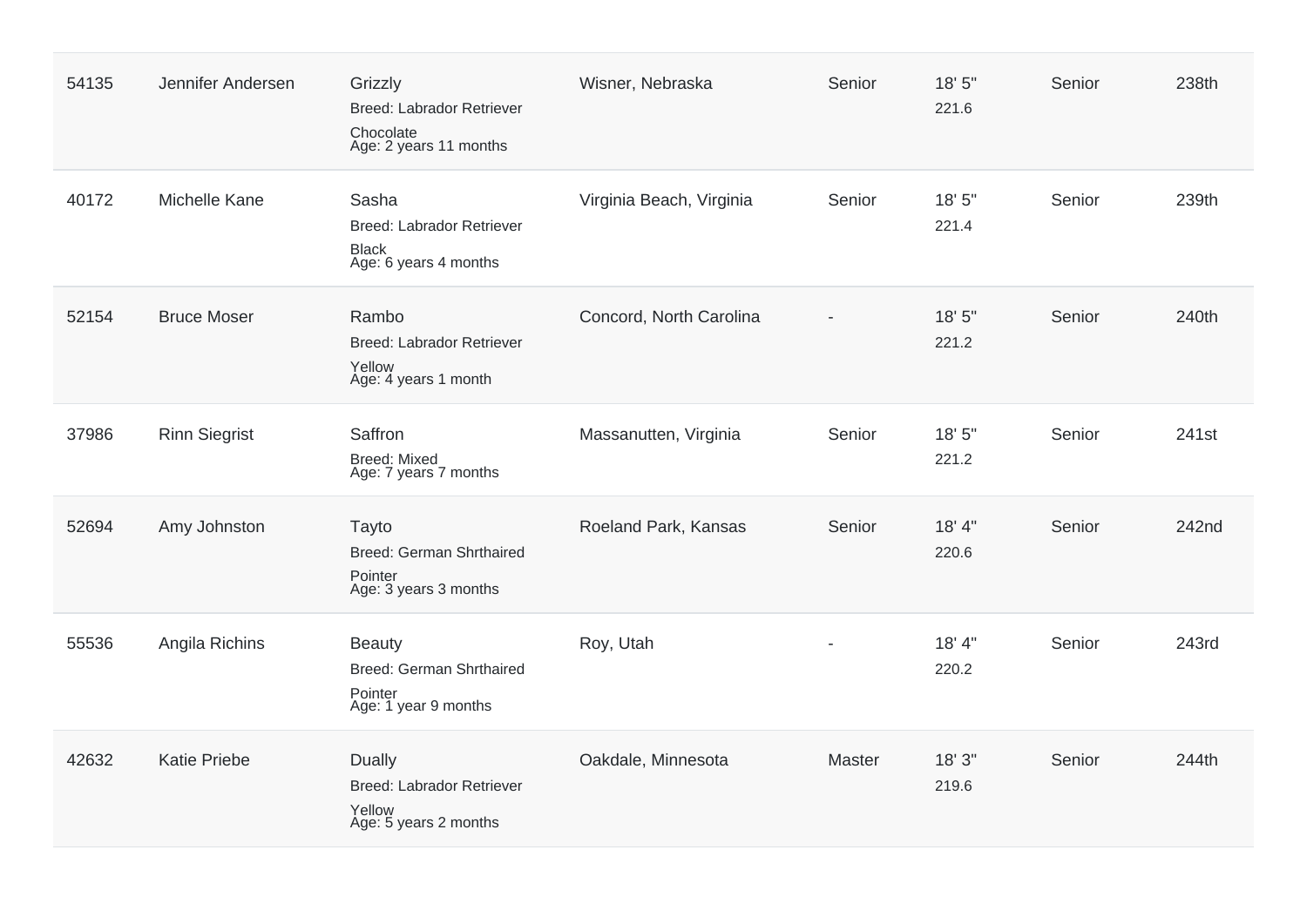| 54135 | Jennifer Andersen    | Grizzly<br><b>Breed: Labrador Retriever</b><br>Chocolate<br>Age: 2 years 11 months   | Wisner, Nebraska         | Senior | 18' 5"<br>221.6 | Senior | 238th |
|-------|----------------------|--------------------------------------------------------------------------------------|--------------------------|--------|-----------------|--------|-------|
| 40172 | Michelle Kane        | Sasha<br><b>Breed: Labrador Retriever</b><br>Black<br>Age: 6 years 4 months          | Virginia Beach, Virginia | Senior | 18' 5"<br>221.4 | Senior | 239th |
| 52154 | <b>Bruce Moser</b>   | Rambo<br><b>Breed: Labrador Retriever</b><br>Yellow<br>Age: 4 years 1 month          | Concord, North Carolina  |        | 18' 5"<br>221.2 | Senior | 240th |
| 37986 | <b>Rinn Siegrist</b> | Saffron<br><b>Breed: Mixed</b><br>Age: 7 years 7 months                              | Massanutten, Virginia    | Senior | 18' 5"<br>221.2 | Senior | 241st |
| 52694 | Amy Johnston         | Tayto<br><b>Breed: German Shrthaired</b><br>Pointer<br>Age: 3 years 3 months         | Roeland Park, Kansas     | Senior | 18' 4"<br>220.6 | Senior | 242nd |
| 55536 | Angila Richins       | <b>Beauty</b><br><b>Breed: German Shrthaired</b><br>Pointer<br>Age: 1 year 9 months  | Roy, Utah                |        | 18' 4"<br>220.2 | Senior | 243rd |
| 42632 | <b>Katie Priebe</b>  | <b>Dually</b><br><b>Breed: Labrador Retriever</b><br>Yellow<br>Age: 5 years 2 months | Oakdale, Minnesota       | Master | 18' 3"<br>219.6 | Senior | 244th |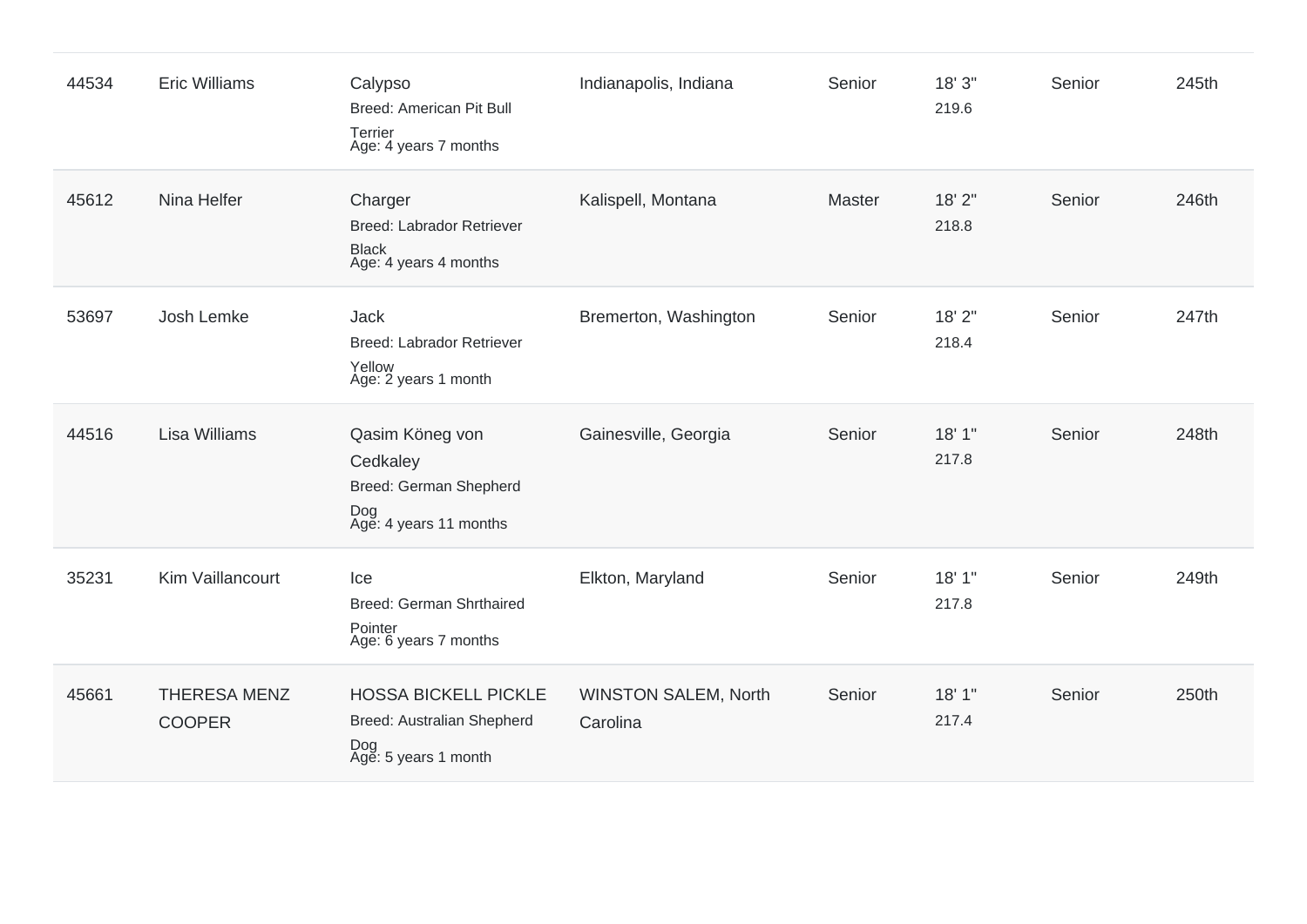| 44534 | <b>Eric Williams</b>                 | Calypso<br>Breed: American Pit Bull<br>Terrier<br>Age: 4 years 7 months                  | Indianapolis, Indiana                   | Senior | 18' 3"<br>219.6 | Senior | 245th |
|-------|--------------------------------------|------------------------------------------------------------------------------------------|-----------------------------------------|--------|-----------------|--------|-------|
| 45612 | Nina Helfer                          | Charger<br><b>Breed: Labrador Retriever</b><br><b>Black</b><br>Age: 4 years 4 months     | Kalispell, Montana                      | Master | 18' 2"<br>218.8 | Senior | 246th |
| 53697 | Josh Lemke                           | <b>Jack</b><br>Breed: Labrador Retriever<br>Yellow<br>Age: 2 years 1 month               | Bremerton, Washington                   | Senior | 18' 2"<br>218.4 | Senior | 247th |
| 44516 | Lisa Williams                        | Qasim Köneg von<br>Cedkaley<br>Breed: German Shepherd<br>Dog<br>Age: 4 years 11 months   | Gainesville, Georgia                    | Senior | 18'1"<br>217.8  | Senior | 248th |
| 35231 | Kim Vaillancourt                     | Ice<br><b>Breed: German Shrthaired</b><br>Pointer<br>Age: 6 years 7 months               | Elkton, Maryland                        | Senior | 18' 1"<br>217.8 | Senior | 249th |
| 45661 | <b>THERESA MENZ</b><br><b>COOPER</b> | <b>HOSSA BICKELL PICKLE</b><br>Breed: Australian Shepherd<br>Dog<br>Age: 5 years 1 month | <b>WINSTON SALEM, North</b><br>Carolina | Senior | 18' 1"<br>217.4 | Senior | 250th |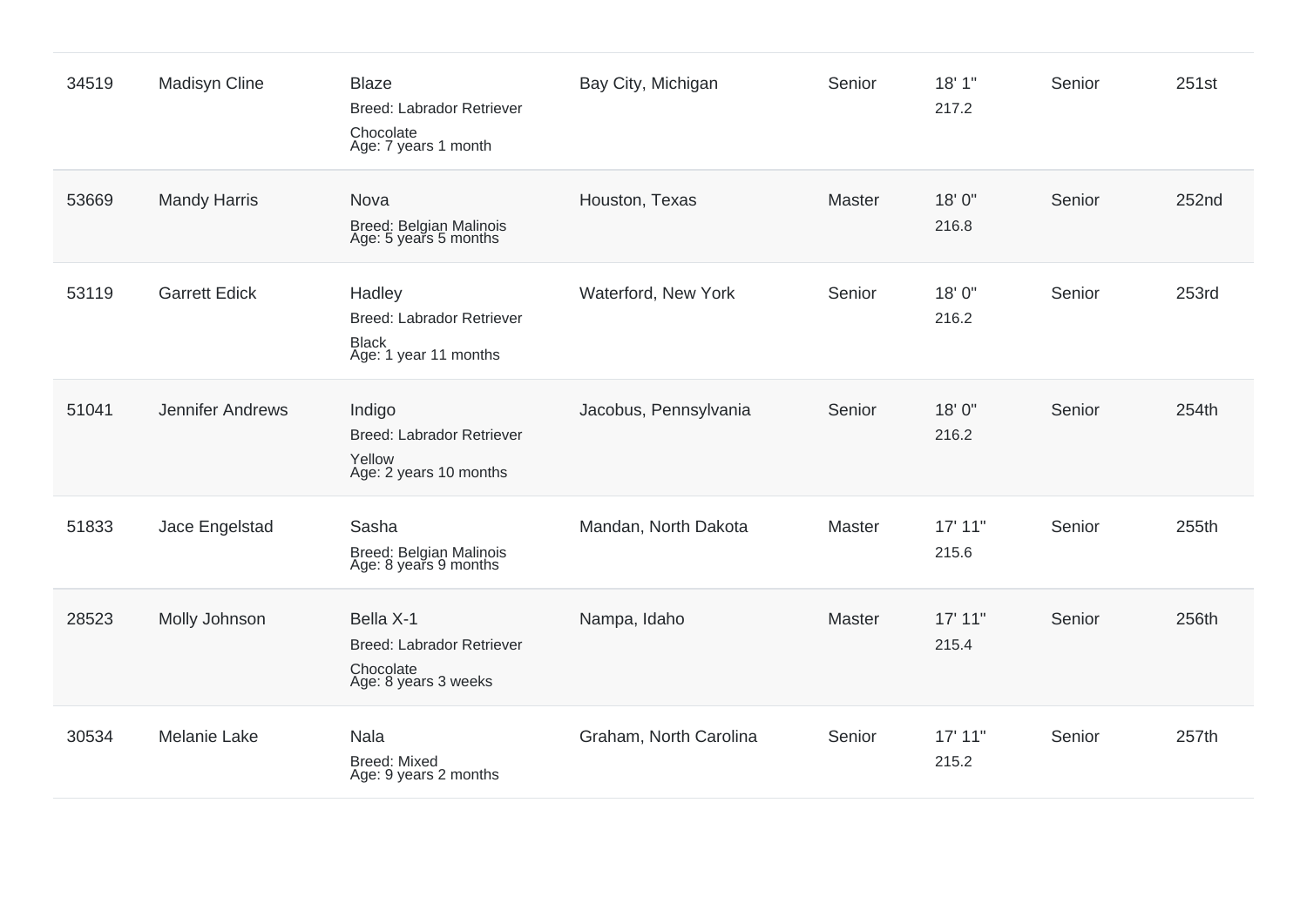| 34519 | <b>Madisyn Cline</b> | <b>Blaze</b><br><b>Breed: Labrador Retriever</b><br>Chocolate<br>Age: 7 years 1 month | Bay City, Michigan     | Senior | 18'1"<br>217.2   | Senior | 251st |
|-------|----------------------|---------------------------------------------------------------------------------------|------------------------|--------|------------------|--------|-------|
| 53669 | <b>Mandy Harris</b>  | <b>Nova</b><br>Breed: Belgian Malinois<br>Age: 5 years 5 months                       | Houston, Texas         | Master | 18'0"<br>216.8   | Senior | 252nd |
| 53119 | <b>Garrett Edick</b> | Hadley<br>Breed: Labrador Retriever<br><b>Black</b><br>Age: 1 year 11 months          | Waterford, New York    | Senior | 18'0"<br>216.2   | Senior | 253rd |
| 51041 | Jennifer Andrews     | Indigo<br><b>Breed: Labrador Retriever</b><br>Yellow<br>Age: 2 years 10 months        | Jacobus, Pennsylvania  | Senior | 18'0"<br>216.2   | Senior | 254th |
| 51833 | Jace Engelstad       | Sasha<br>Breed: Belgian Malinois<br>Age: 8 years 9 months                             | Mandan, North Dakota   | Master | 17' 11"<br>215.6 | Senior | 255th |
| 28523 | Molly Johnson        | Bella X-1<br><b>Breed: Labrador Retriever</b><br>Chocolate<br>Age: 8 years 3 weeks    | Nampa, Idaho           | Master | 17' 11"<br>215.4 | Senior | 256th |
| 30534 | <b>Melanie Lake</b>  | Nala<br>Breed: Mixed<br>Age: 9 years 2 months                                         | Graham, North Carolina | Senior | 17' 11"<br>215.2 | Senior | 257th |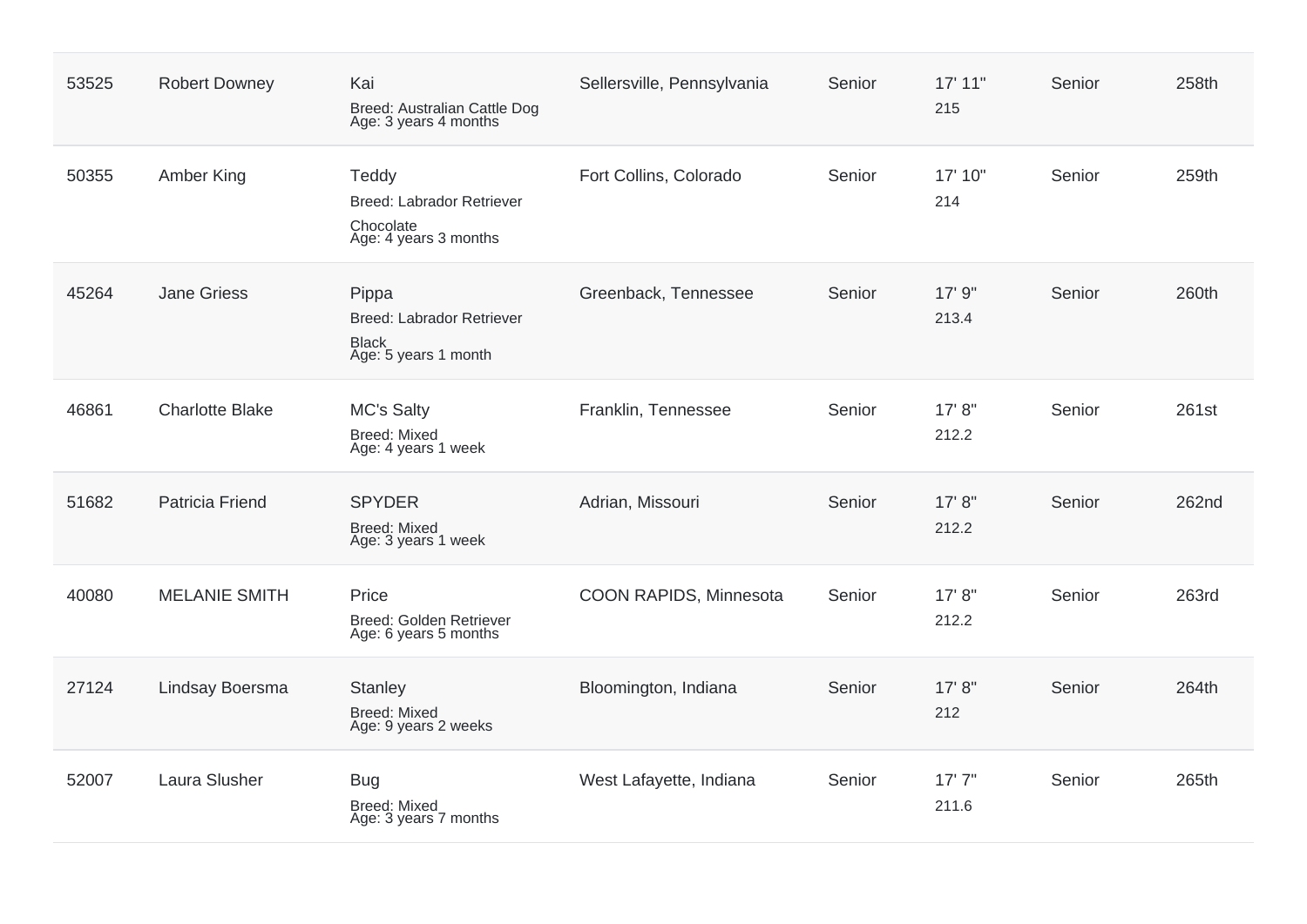| 53525 | <b>Robert Downey</b>   | Kai<br>Breed: Australian Cattle Dog<br>Age: 3 years 4 months                      | Sellersville, Pennsylvania | Senior | 17' 11"<br>215   | Senior | 258th |
|-------|------------------------|-----------------------------------------------------------------------------------|----------------------------|--------|------------------|--------|-------|
| 50355 | Amber King             | Teddy<br><b>Breed: Labrador Retriever</b><br>Chocolate<br>Age: 4 years 3 months   | Fort Collins, Colorado     | Senior | 17' 10"<br>214   | Senior | 259th |
| 45264 | <b>Jane Griess</b>     | Pippa<br><b>Breed: Labrador Retriever</b><br><b>Black</b><br>Age: 5 years 1 month | Greenback, Tennessee       | Senior | 17' 9"<br>213.4  | Senior | 260th |
| 46861 | <b>Charlotte Blake</b> | <b>MC's Salty</b><br><b>Breed: Mixed</b><br>Age: 4 years 1 week                   | Franklin, Tennessee        | Senior | 17' 8''<br>212.2 | Senior | 261st |
| 51682 | <b>Patricia Friend</b> | <b>SPYDER</b><br><b>Breed: Mixed</b><br>Age: 3 years 1 week                       | Adrian, Missouri           | Senior | 17' 8''<br>212.2 | Senior | 262nd |
| 40080 | <b>MELANIE SMITH</b>   | Price<br>Breed: Golden Retriever<br>Age: 6 years 5 months                         | COON RAPIDS, Minnesota     | Senior | 17' 8''<br>212.2 | Senior | 263rd |
| 27124 | Lindsay Boersma        | <b>Stanley</b><br><b>Breed: Mixed</b><br>Age: 9 years 2 weeks                     | Bloomington, Indiana       | Senior | 17' 8''<br>212   | Senior | 264th |
| 52007 | Laura Slusher          | <b>Bug</b><br><b>Breed: Mixed</b><br>Age: 3 years 7 months                        | West Lafayette, Indiana    | Senior | 17'7''<br>211.6  | Senior | 265th |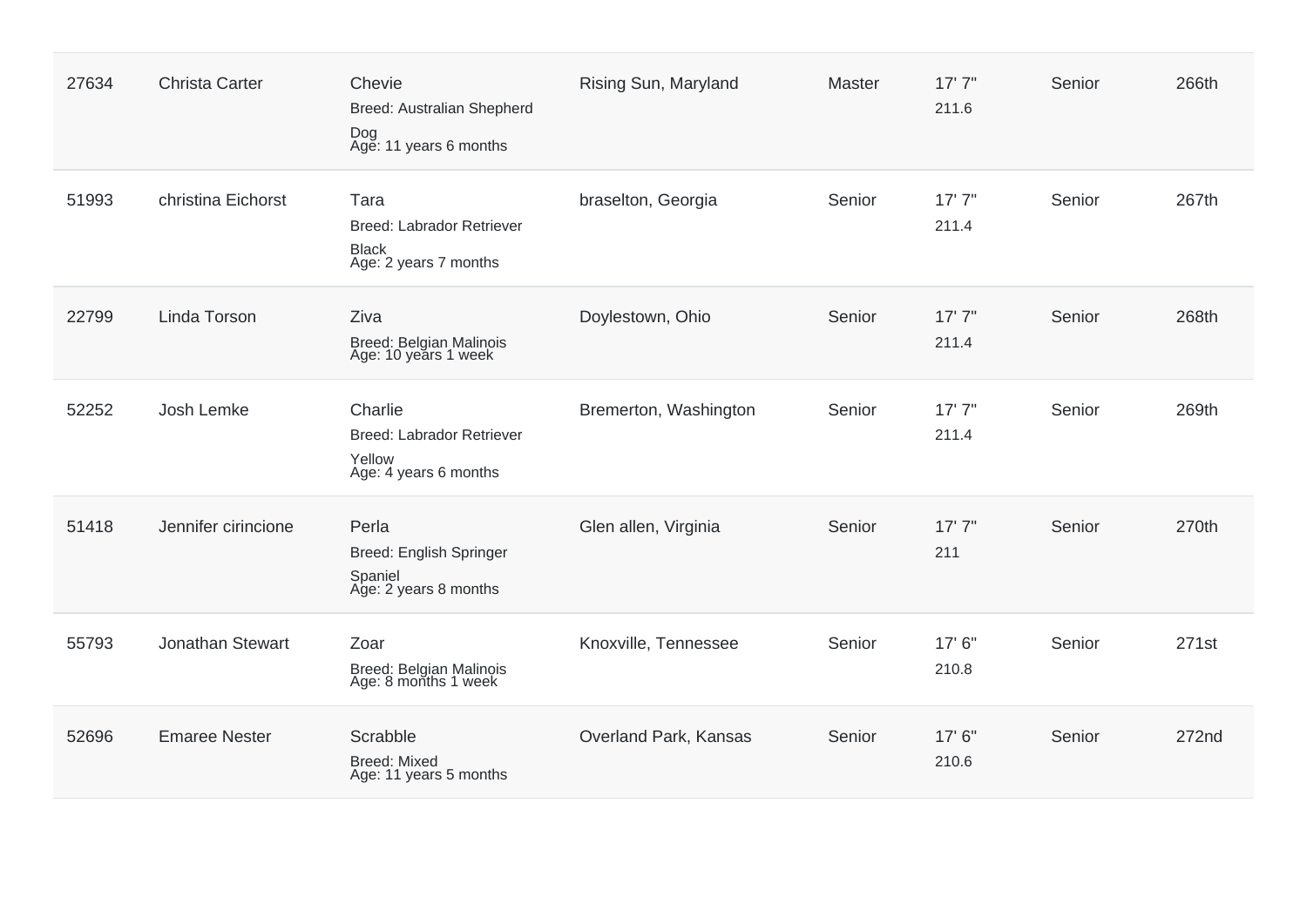| 27634 | <b>Christa Carter</b> | Chevie<br>Breed: Australian Shepherd<br>Dog<br>Age: 11 years 6 months          | Rising Sun, Maryland  | Master | 17'7''<br>211.6 | Senior | 266th |
|-------|-----------------------|--------------------------------------------------------------------------------|-----------------------|--------|-----------------|--------|-------|
| 51993 | christina Eichorst    | Tara<br>Breed: Labrador Retriever<br><b>Black</b><br>Age: 2 years 7 months     | braselton, Georgia    | Senior | 17'7''<br>211.4 | Senior | 267th |
| 22799 | Linda Torson          | Ziva<br>Breed: Belgian Malinois<br>Age: 10 years 1 week                        | Doylestown, Ohio      | Senior | 17'7''<br>211.4 | Senior | 268th |
| 52252 | Josh Lemke            | Charlie<br><b>Breed: Labrador Retriever</b><br>Yellow<br>Age: 4 years 6 months | Bremerton, Washington | Senior | 17'7''<br>211.4 | Senior | 269th |
| 51418 | Jennifer cirincione   | Perla<br><b>Breed: English Springer</b><br>Spaniel<br>Age: 2 years 8 months    | Glen allen, Virginia  | Senior | 17'7''<br>211   | Senior | 270th |
| 55793 | Jonathan Stewart      | Zoar<br>Breed: Belgian Malinois<br>Age: 8 months 1 week                        | Knoxville, Tennessee  | Senior | 17' 6"<br>210.8 | Senior | 271st |
| 52696 | <b>Emaree Nester</b>  | Scrabble<br><b>Breed: Mixed</b><br>Age: 11 years 5 months                      | Overland Park, Kansas | Senior | 17' 6"<br>210.6 | Senior | 272nd |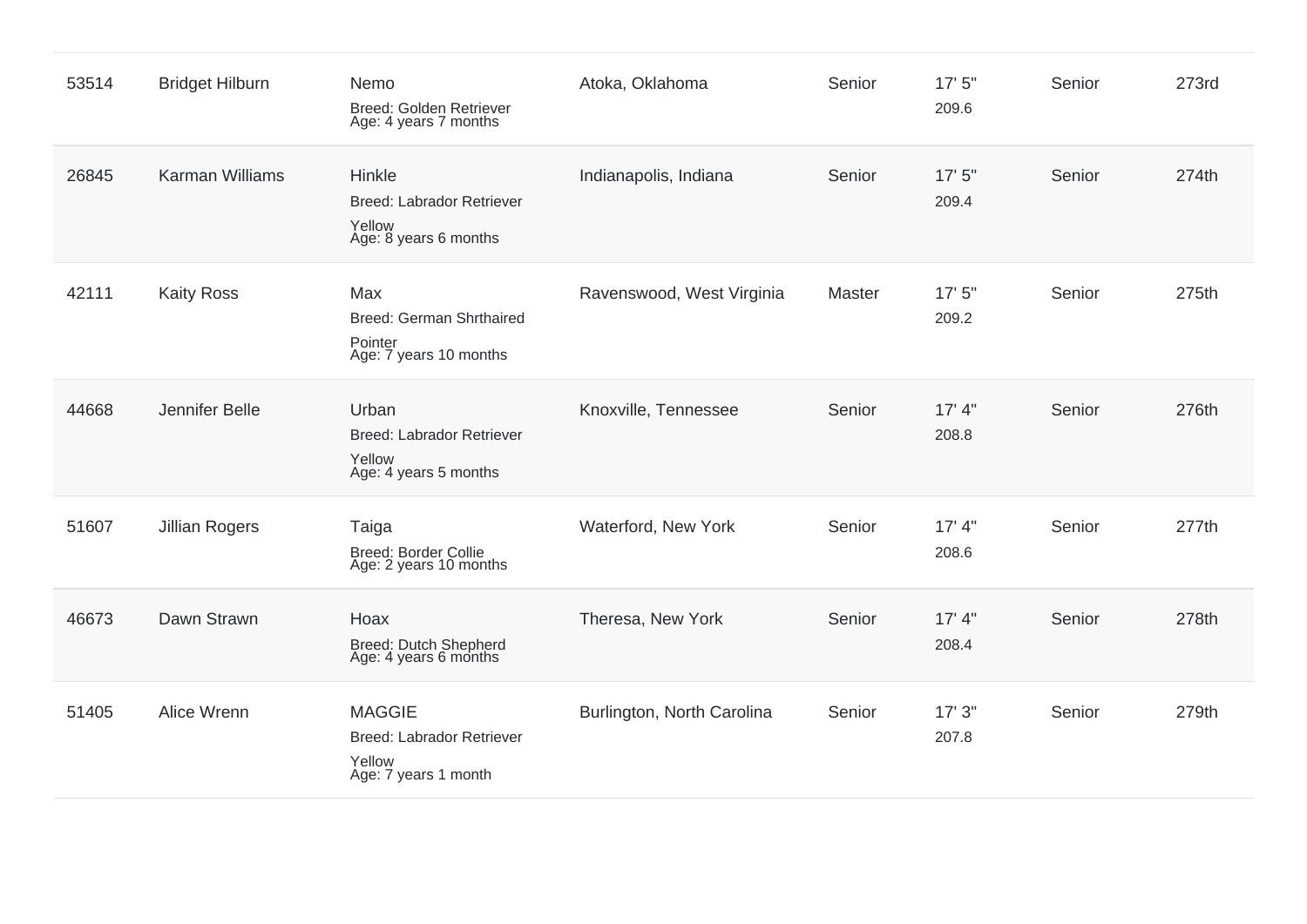| 53514 | <b>Bridget Hilburn</b> | Nemo<br><b>Breed: Golden Retriever</b><br>Age: 4 years 7 months                     | Atoka, Oklahoma            | Senior | 17'5''<br>209.6 | Senior | 273rd |
|-------|------------------------|-------------------------------------------------------------------------------------|----------------------------|--------|-----------------|--------|-------|
| 26845 | <b>Karman Williams</b> | Hinkle<br><b>Breed: Labrador Retriever</b><br>Yellow<br>Age: 8 years 6 months       | Indianapolis, Indiana      | Senior | 17'5''<br>209.4 | Senior | 274th |
| 42111 | <b>Kaity Ross</b>      | Max<br>Breed: German Shrthaired<br>Pointer<br>Age: 7 years 10 months                | Ravenswood, West Virginia  | Master | 17'5''<br>209.2 | Senior | 275th |
| 44668 | Jennifer Belle         | Urban<br><b>Breed: Labrador Retriever</b><br>Yellow<br>Age: 4 years 5 months        | Knoxville, Tennessee       | Senior | 17' 4"<br>208.8 | Senior | 276th |
| 51607 | <b>Jillian Rogers</b>  | Taiga<br><b>Breed: Border Collie</b><br>Age: 2 years 10 months                      | Waterford, New York        | Senior | 17' 4"<br>208.6 | Senior | 277th |
| 46673 | Dawn Strawn            | Hoax<br>Breed: Dutch Shepherd<br>Age: 4 years 6 months                              | Theresa, New York          | Senior | 17' 4"<br>208.4 | Senior | 278th |
| 51405 | Alice Wrenn            | <b>MAGGIE</b><br><b>Breed: Labrador Retriever</b><br>Yellow<br>Age: 7 years 1 month | Burlington, North Carolina | Senior | 17'3''<br>207.8 | Senior | 279th |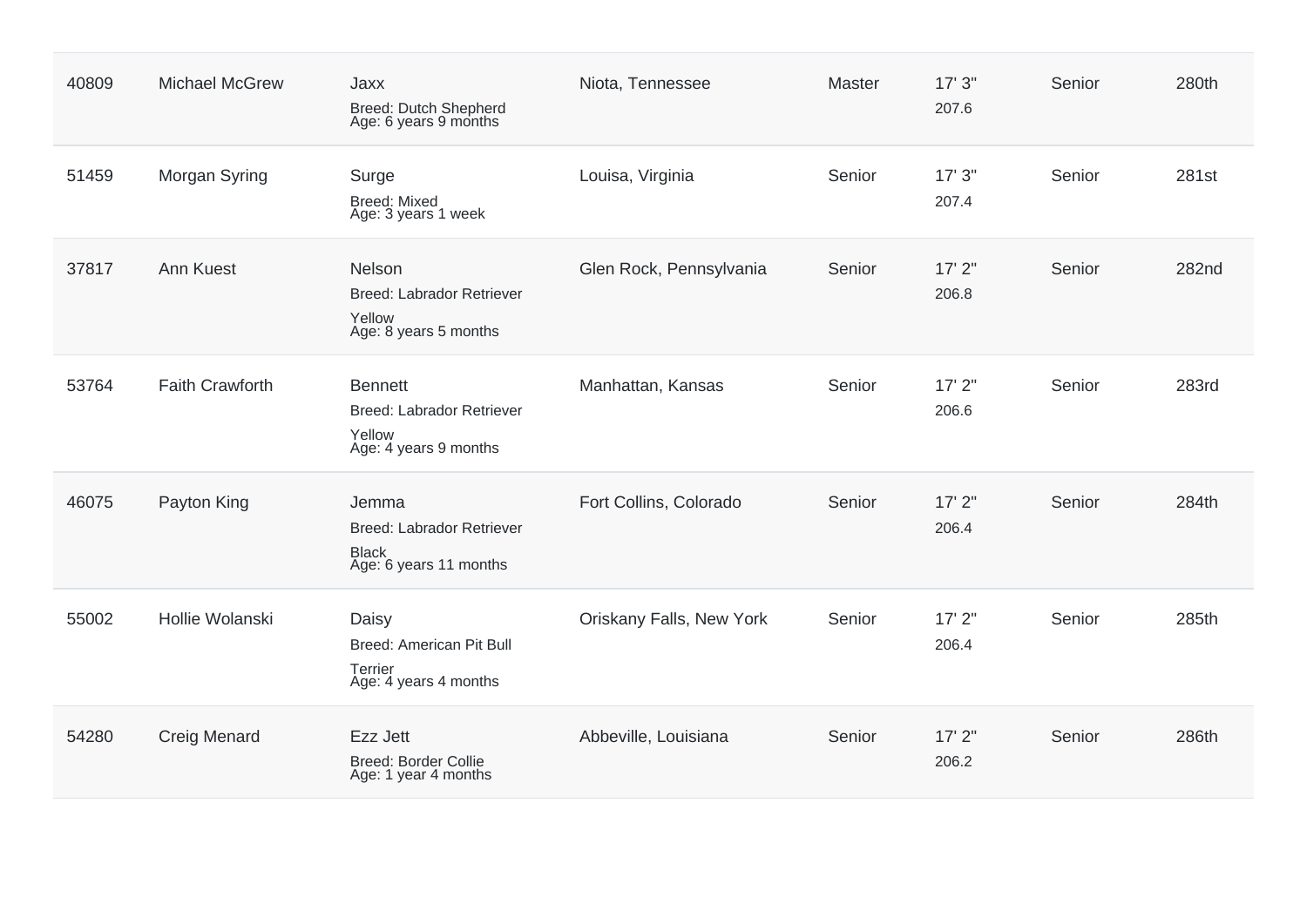| 40809 | <b>Michael McGrew</b>  | Jaxx<br><b>Breed: Dutch Shepherd</b><br>Age: 6 years 9 months                  | Niota, Tennessee         | Master | 17'3''<br>207.6   | Senior | 280th |
|-------|------------------------|--------------------------------------------------------------------------------|--------------------------|--------|-------------------|--------|-------|
| 51459 | Morgan Syring          | Surge<br><b>Breed: Mixed</b><br>Age: 3 years 1 week                            | Louisa, Virginia         | Senior | 17'3''<br>207.4   | Senior | 281st |
| 37817 | Ann Kuest              | Nelson<br><b>Breed: Labrador Retriever</b><br>Yellow<br>Age: 8 years 5 months  | Glen Rock, Pennsylvania  | Senior | $17'$ 2"<br>206.8 | Senior | 282nd |
| 53764 | <b>Faith Crawforth</b> | <b>Bennett</b><br>Breed: Labrador Retriever<br>Yellow<br>Age: 4 years 9 months | Manhattan, Kansas        | Senior | 17'2"<br>206.6    | Senior | 283rd |
| 46075 | Payton King            | Jemma<br>Breed: Labrador Retriever<br><b>Black</b><br>Age: 6 years 11 months   | Fort Collins, Colorado   | Senior | 17'2"<br>206.4    | Senior | 284th |
| 55002 | Hollie Wolanski        | Daisy<br>Breed: American Pit Bull<br>Terrier<br>Age: 4 years 4 months          | Oriskany Falls, New York | Senior | $17'$ 2"<br>206.4 | Senior | 285th |
| 54280 | <b>Creig Menard</b>    | Ezz Jett<br><b>Breed: Border Collie</b><br>Age: 1 year 4 months                | Abbeville, Louisiana     | Senior | 17'2''<br>206.2   | Senior | 286th |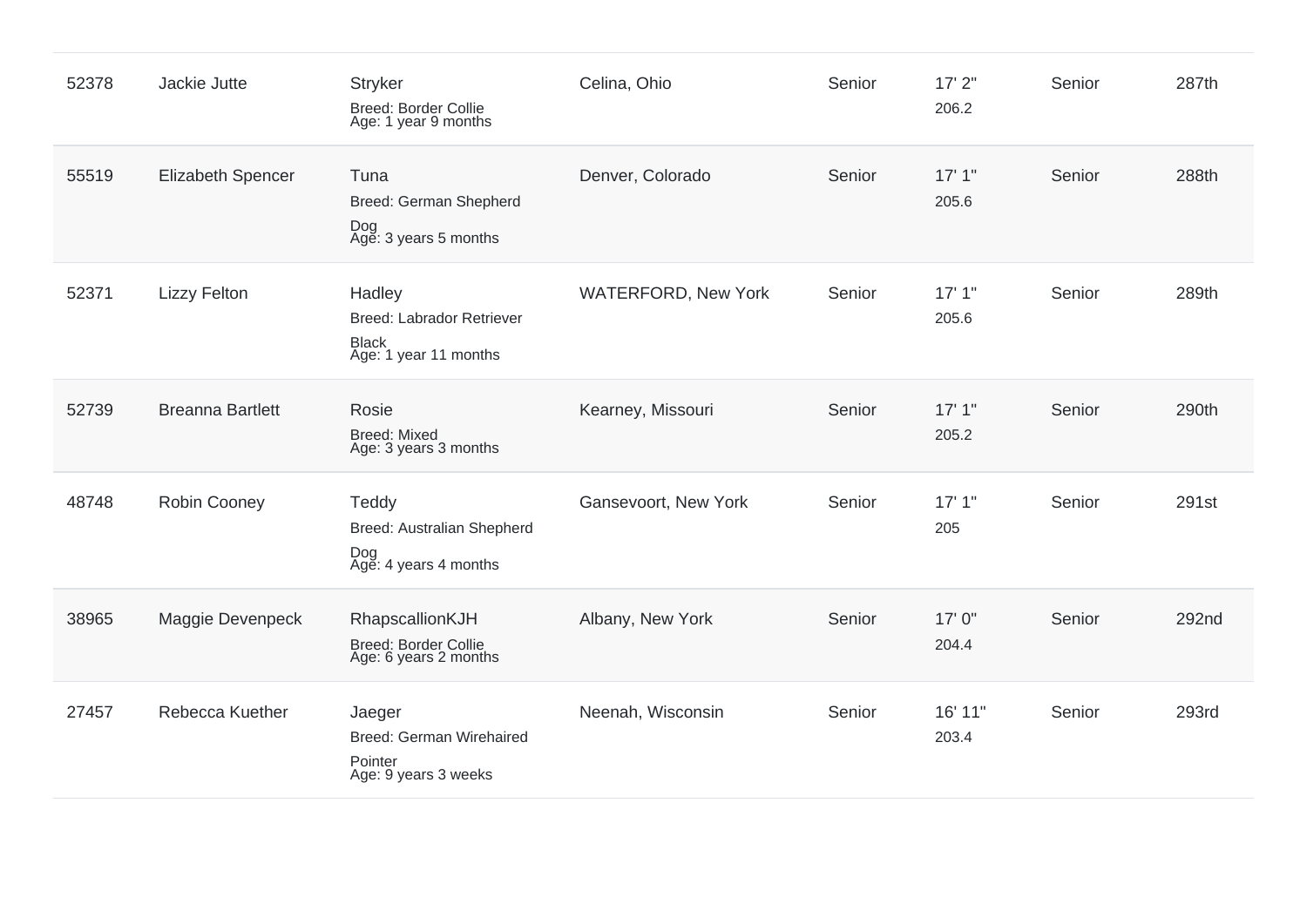| 52378 | Jackie Jutte             | <b>Stryker</b><br>Breed: Border Collie<br>Age: 1 year 9 months                      | Celina, Ohio               | Senior | $17'$ $2"$<br>206.2 | Senior | 287th |
|-------|--------------------------|-------------------------------------------------------------------------------------|----------------------------|--------|---------------------|--------|-------|
| 55519 | <b>Elizabeth Spencer</b> | Tuna<br>Breed: German Shepherd<br>Dog<br>Age: 3 years 5 months                      | Denver, Colorado           | Senior | 17'1''<br>205.6     | Senior | 288th |
| 52371 | <b>Lizzy Felton</b>      | Hadley<br><b>Breed: Labrador Retriever</b><br><b>Black</b><br>Age: 1 year 11 months | <b>WATERFORD, New York</b> | Senior | 17'1''<br>205.6     | Senior | 289th |
| 52739 | <b>Breanna Bartlett</b>  | Rosie<br><b>Breed: Mixed</b><br>Age: 3 years 3 months                               | Kearney, Missouri          | Senior | 17'1''<br>205.2     | Senior | 290th |
| 48748 | Robin Cooney             | Teddy<br>Breed: Australian Shepherd<br>Dog<br>Age: 4 years 4 months                 | Gansevoort, New York       | Senior | 17'1''<br>205       | Senior | 291st |
| 38965 | Maggie Devenpeck         | RhapscallionKJH<br>Breed: Border Collie<br>Age: 6 years 2 months                    | Albany, New York           | Senior | 17' 0"<br>204.4     | Senior | 292nd |
| 27457 | Rebecca Kuether          | Jaeger<br><b>Breed: German Wirehaired</b><br>Pointer<br>Age: 9 years 3 weeks        | Neenah, Wisconsin          | Senior | 16' 11"<br>203.4    | Senior | 293rd |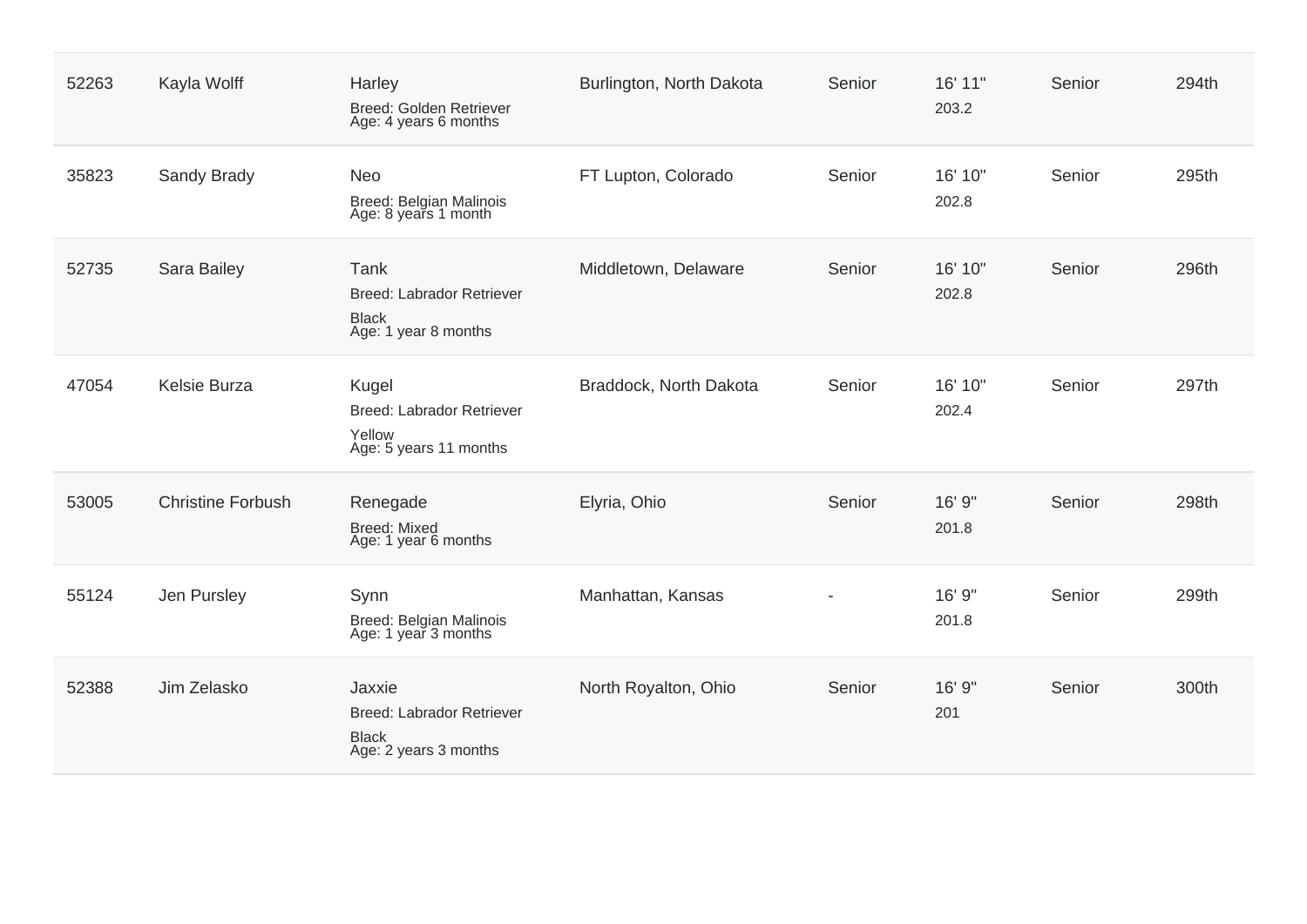| 52263 | Kayla Wolff              | Harley<br>Breed: Golden Retriever<br>Age: 4 years 6 months                    | Burlington, North Dakota | Senior | 16' 11"<br>203.2 | Senior | 294th |
|-------|--------------------------|-------------------------------------------------------------------------------|--------------------------|--------|------------------|--------|-------|
| 35823 | Sandy Brady              | <b>Neo</b><br>Breed: Belgian Malinois<br>Age: 8 years 1 month                 | FT Lupton, Colorado      | Senior | 16' 10"<br>202.8 | Senior | 295th |
| 52735 | Sara Bailey              | Tank<br>Breed: Labrador Retriever<br><b>Black</b><br>Age: 1 year 8 months     | Middletown, Delaware     | Senior | 16' 10"<br>202.8 | Senior | 296th |
| 47054 | Kelsie Burza             | Kugel<br><b>Breed: Labrador Retriever</b><br>Yellow<br>Age: 5 years 11 months | Braddock, North Dakota   | Senior | 16' 10"<br>202.4 | Senior | 297th |
| 53005 | <b>Christine Forbush</b> | Renegade<br><b>Breed: Mixed</b><br>Age: 1 year 6 months                       | Elyria, Ohio             | Senior | 16' 9"<br>201.8  | Senior | 298th |
| 55124 | Jen Pursley              | Synn<br>Breed: Belgian Malinois<br>Age: 1 year 3 months                       | Manhattan, Kansas        |        | 16' 9"<br>201.8  | Senior | 299th |
| 52388 | Jim Zelasko              | Jaxxie<br>Breed: Labrador Retriever<br><b>Black</b><br>Age: 2 years 3 months  | North Royalton, Ohio     | Senior | 16' 9"<br>201    | Senior | 300th |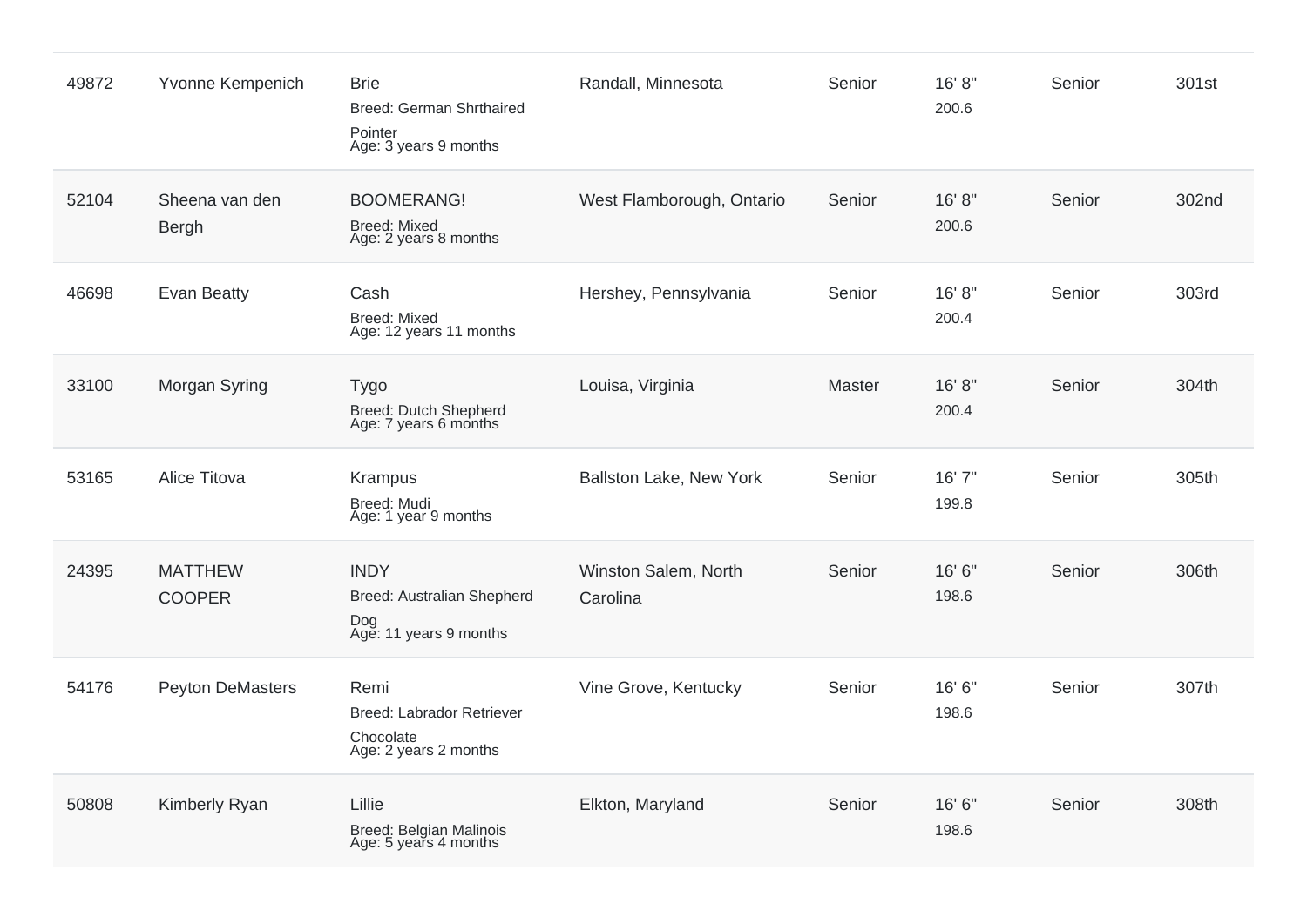| 49872 | Yvonne Kempenich                | <b>Brie</b><br>Breed: German Shrthaired<br>Pointer<br>Age: 3 years 9 months | Randall, Minnesota               | Senior | 16' 8"<br>200.6 | Senior | 301st |
|-------|---------------------------------|-----------------------------------------------------------------------------|----------------------------------|--------|-----------------|--------|-------|
| 52104 | Sheena van den<br>Bergh         | <b>BOOMERANG!</b><br><b>Breed: Mixed</b><br>Age: 2 years 8 months           | West Flamborough, Ontario        | Senior | 16' 8"<br>200.6 | Senior | 302nd |
| 46698 | <b>Evan Beatty</b>              | Cash<br><b>Breed: Mixed</b><br>Age: 12 years 11 months                      | Hershey, Pennsylvania            | Senior | 16' 8"<br>200.4 | Senior | 303rd |
| 33100 | Morgan Syring                   | <b>Tygo</b><br>Breed: Dutch Shepherd<br>Age: 7 years 6 months               | Louisa, Virginia                 | Master | 16' 8"<br>200.4 | Senior | 304th |
| 53165 | Alice Titova                    | Krampus<br>Breed: Mudi<br>Age: 1 year 9 months                              | Ballston Lake, New York          | Senior | 16' 7"<br>199.8 | Senior | 305th |
| 24395 | <b>MATTHEW</b><br><b>COOPER</b> | <b>INDY</b><br>Breed: Australian Shepherd<br>Dog<br>Age: 11 years 9 months  | Winston Salem, North<br>Carolina | Senior | 16' 6"<br>198.6 | Senior | 306th |
| 54176 | <b>Peyton DeMasters</b>         | Remi<br>Breed: Labrador Retriever<br>Chocolate<br>Age: 2 years 2 months     | Vine Grove, Kentucky             | Senior | 16' 6"<br>198.6 | Senior | 307th |
| 50808 | Kimberly Ryan                   | Lillie<br>Breed: Belgian Malinois<br>Age: 5 years 4 months                  | Elkton, Maryland                 | Senior | 16' 6"<br>198.6 | Senior | 308th |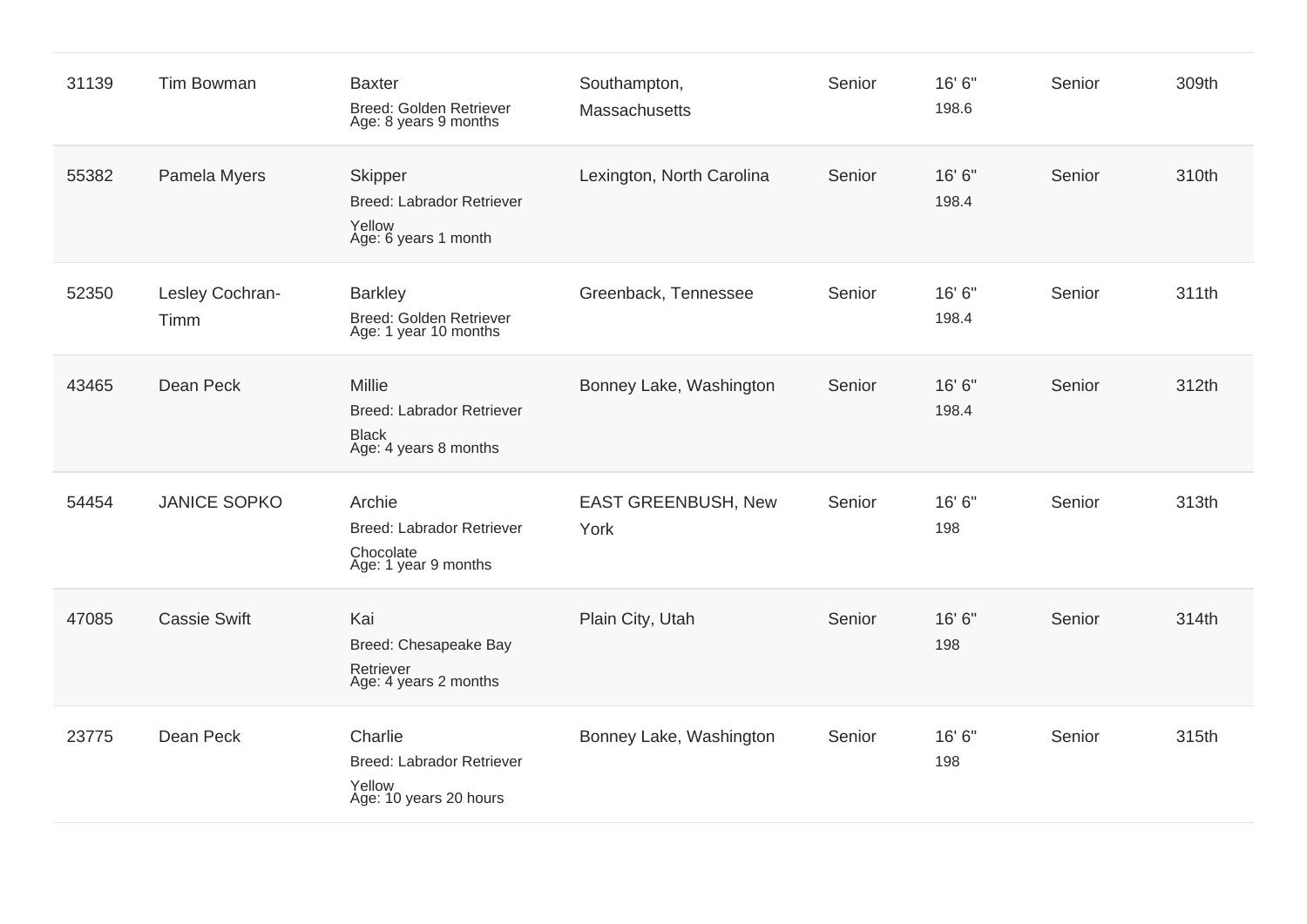| 31139 | <b>Tim Bowman</b>       | <b>Baxter</b><br><b>Breed: Golden Retriever</b><br>Age: 8 years 9 months                   | Southampton,<br>Massachusetts      | Senior | 16' 6"<br>198.6 | Senior | 309th |
|-------|-------------------------|--------------------------------------------------------------------------------------------|------------------------------------|--------|-----------------|--------|-------|
| 55382 | Pamela Myers            | <b>Skipper</b><br><b>Breed: Labrador Retriever</b><br>Yellow<br>Age: 6 years 1 month       | Lexington, North Carolina          | Senior | 16' 6"<br>198.4 | Senior | 310th |
| 52350 | Lesley Cochran-<br>Timm | <b>Barkley</b><br>Breed: Golden Retriever<br>Age: 1 year 10 months                         | Greenback, Tennessee               | Senior | 16' 6"<br>198.4 | Senior | 311th |
| 43465 | Dean Peck               | <b>Millie</b><br><b>Breed: Labrador Retriever</b><br><b>Black</b><br>Age: 4 years 8 months | Bonney Lake, Washington            | Senior | 16' 6"<br>198.4 | Senior | 312th |
| 54454 | <b>JANICE SOPKO</b>     | Archie<br><b>Breed: Labrador Retriever</b><br>Chocolate<br>Age: 1 year 9 months            | <b>EAST GREENBUSH, New</b><br>York | Senior | 16' 6"<br>198   | Senior | 313th |
| 47085 | <b>Cassie Swift</b>     | Kai<br>Breed: Chesapeake Bay<br>Retriever<br>Age: 4 years 2 months                         | Plain City, Utah                   | Senior | 16' 6"<br>198   | Senior | 314th |
| 23775 | Dean Peck               | Charlie<br><b>Breed: Labrador Retriever</b><br>Yellow<br>Age: 10 years 20 hours            | Bonney Lake, Washington            | Senior | 16' 6"<br>198   | Senior | 315th |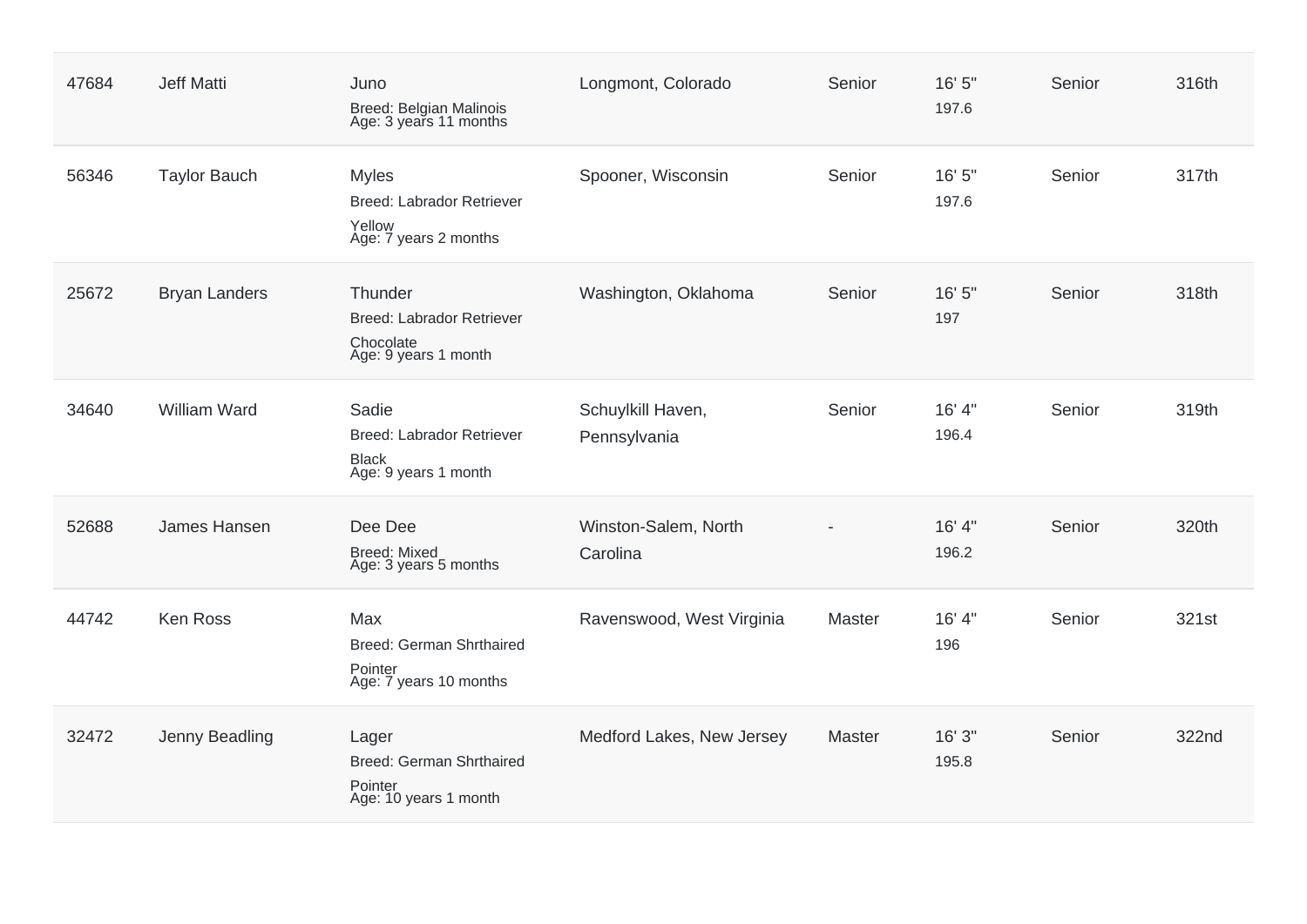| 47684 | <b>Jeff Matti</b>    | Juno<br>Breed: Belgian Malinois<br>Age: 3 years 11 months                        | Longmont, Colorado                | Senior | 16' 5"<br>197.6 | Senior | 316th |
|-------|----------------------|----------------------------------------------------------------------------------|-----------------------------------|--------|-----------------|--------|-------|
| 56346 | <b>Taylor Bauch</b>  | <b>Myles</b><br>Breed: Labrador Retriever<br>Yellow<br>Age: 7 years 2 months     | Spooner, Wisconsin                | Senior | 16' 5"<br>197.6 | Senior | 317th |
| 25672 | <b>Bryan Landers</b> | Thunder<br><b>Breed: Labrador Retriever</b><br>Chocolate<br>Age: 9 years 1 month | Washington, Oklahoma              | Senior | 16' 5"<br>197   | Senior | 318th |
| 34640 | <b>William Ward</b>  | Sadie<br>Breed: Labrador Retriever<br><b>Black</b><br>Age: 9 years 1 month       | Schuylkill Haven,<br>Pennsylvania | Senior | 16' 4"<br>196.4 | Senior | 319th |
| 52688 | James Hansen         | Dee Dee<br><b>Breed: Mixed</b><br>Age: 3 years 5 months                          | Winston-Salem, North<br>Carolina  |        | 16' 4"<br>196.2 | Senior | 320th |
| 44742 | Ken Ross             | Max<br><b>Breed: German Shrthaired</b><br>Pointer<br>Age: 7 years 10 months      | Ravenswood, West Virginia         | Master | 16' 4"<br>196   | Senior | 321st |
| 32472 | Jenny Beadling       | Lager<br>Breed: German Shrthaired<br>Pointer<br>Age: 10 years 1 month            | Medford Lakes, New Jersey         | Master | 16'3''<br>195.8 | Senior | 322nd |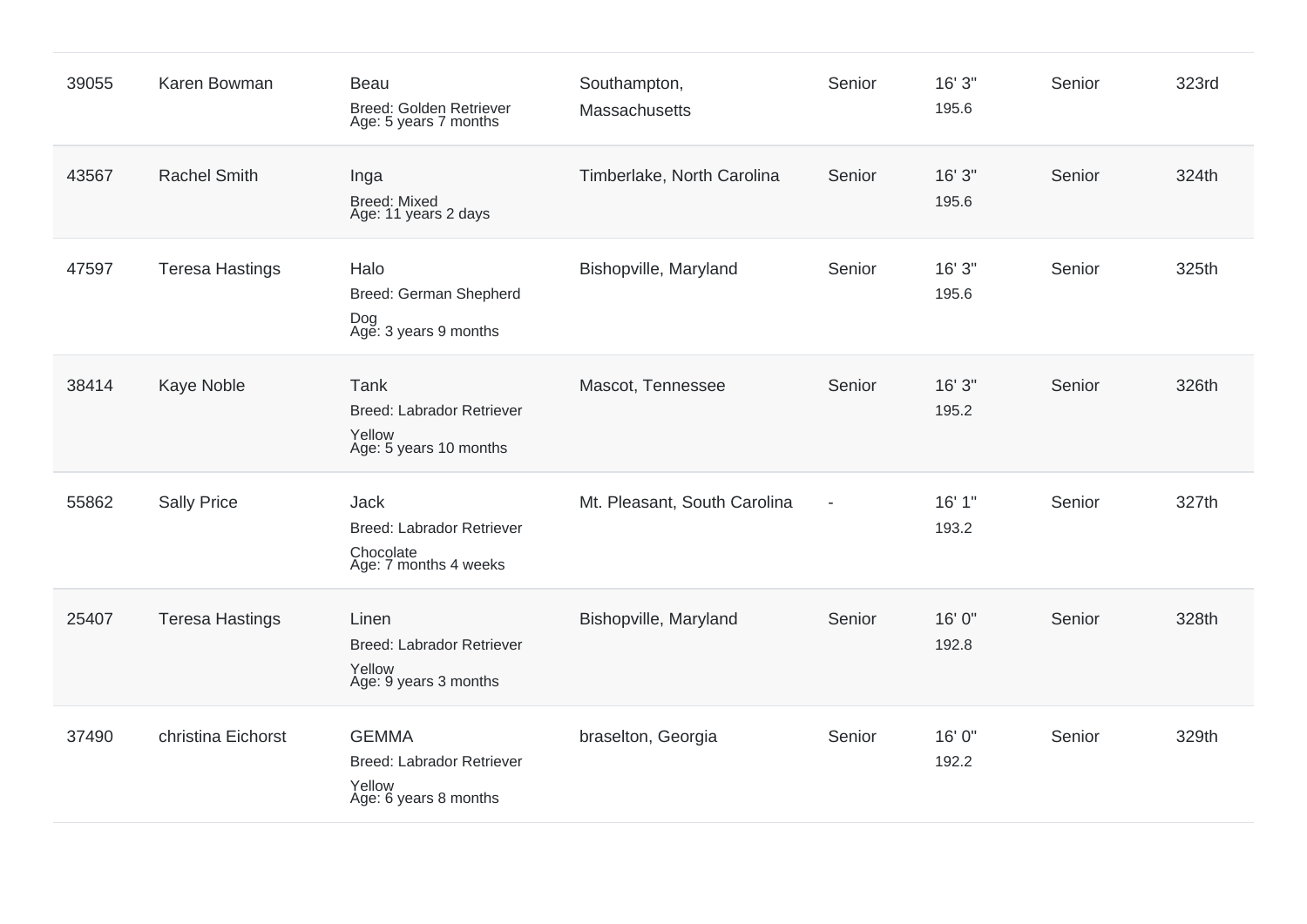| 39055 | Karen Bowman           | Beau<br>Breed: Golden Retriever<br>Age: 5 years 7 months                       | Southampton,<br>Massachusetts | Senior                   | 16'3''<br>195.6 | Senior | 323rd |
|-------|------------------------|--------------------------------------------------------------------------------|-------------------------------|--------------------------|-----------------|--------|-------|
| 43567 | <b>Rachel Smith</b>    | Inga<br><b>Breed: Mixed</b><br>Age: 11 years 2 days                            | Timberlake, North Carolina    | Senior                   | 16'3''<br>195.6 | Senior | 324th |
| 47597 | <b>Teresa Hastings</b> | Halo<br>Breed: German Shepherd<br>Dog<br>Age: 3 years 9 months                 | Bishopville, Maryland         | Senior                   | 16' 3"<br>195.6 | Senior | 325th |
| 38414 | Kaye Noble             | Tank<br><b>Breed: Labrador Retriever</b><br>Yellow<br>Age: 5 years 10 months   | Mascot, Tennessee             | Senior                   | 16'3''<br>195.2 | Senior | 326th |
| 55862 | <b>Sally Price</b>     | Jack<br><b>Breed: Labrador Retriever</b><br>Chocolate<br>Age: 7 months 4 weeks | Mt. Pleasant, South Carolina  | $\overline{\phantom{a}}$ | 16' 1"<br>193.2 | Senior | 327th |
| 25407 | <b>Teresa Hastings</b> | Linen<br><b>Breed: Labrador Retriever</b><br>Yellow<br>Age: 9 years 3 months   | Bishopville, Maryland         | Senior                   | 16' 0"<br>192.8 | Senior | 328th |
| 37490 | christina Eichorst     | <b>GEMMA</b><br>Breed: Labrador Retriever<br>Yellow<br>Age: 6 years 8 months   | braselton, Georgia            | Senior                   | 16' 0"<br>192.2 | Senior | 329th |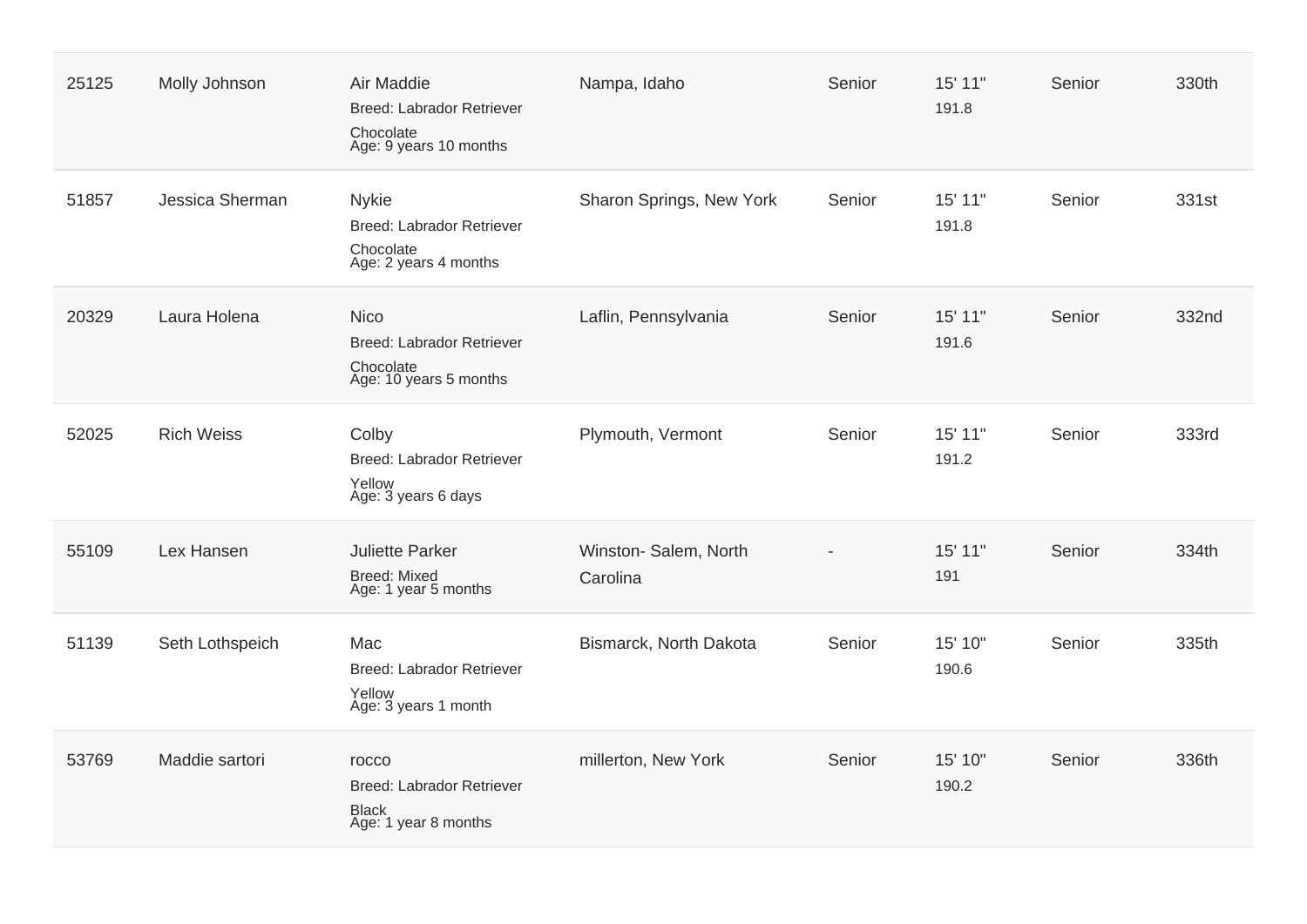| 25125 | Molly Johnson     | Air Maddie<br><b>Breed: Labrador Retriever</b><br>Chocolate<br>Age: 9 years 10 months  | Nampa, Idaho                      | Senior | 15' 11"<br>191.8 | Senior | 330th |
|-------|-------------------|----------------------------------------------------------------------------------------|-----------------------------------|--------|------------------|--------|-------|
| 51857 | Jessica Sherman   | <b>Nykie</b><br>Breed: Labrador Retriever<br>Chocolate<br>Age: 2 years 4 months        | Sharon Springs, New York          | Senior | 15' 11"<br>191.8 | Senior | 331st |
| 20329 | Laura Holena      | <b>Nico</b><br><b>Breed: Labrador Retriever</b><br>Chocolate<br>Age: 10 years 5 months | Laflin, Pennsylvania              | Senior | 15' 11"<br>191.6 | Senior | 332nd |
| 52025 | <b>Rich Weiss</b> | Colby<br><b>Breed: Labrador Retriever</b><br>Yellow<br>Age: 3 years 6 days             | Plymouth, Vermont                 | Senior | 15' 11"<br>191.2 | Senior | 333rd |
| 55109 | Lex Hansen        | <b>Juliette Parker</b><br><b>Breed: Mixed</b><br>Age: 1 year 5 months                  | Winston- Salem, North<br>Carolina |        | 15' 11"<br>191   | Senior | 334th |
| 51139 | Seth Lothspeich   | Mac<br><b>Breed: Labrador Retriever</b><br>Yellow<br>Age: 3 years 1 month              | Bismarck, North Dakota            | Senior | 15' 10"<br>190.6 | Senior | 335th |
| 53769 | Maddie sartori    | rocco<br><b>Breed: Labrador Retriever</b><br><b>Black</b><br>Age: 1 year 8 months      | millerton, New York               | Senior | 15' 10"<br>190.2 | Senior | 336th |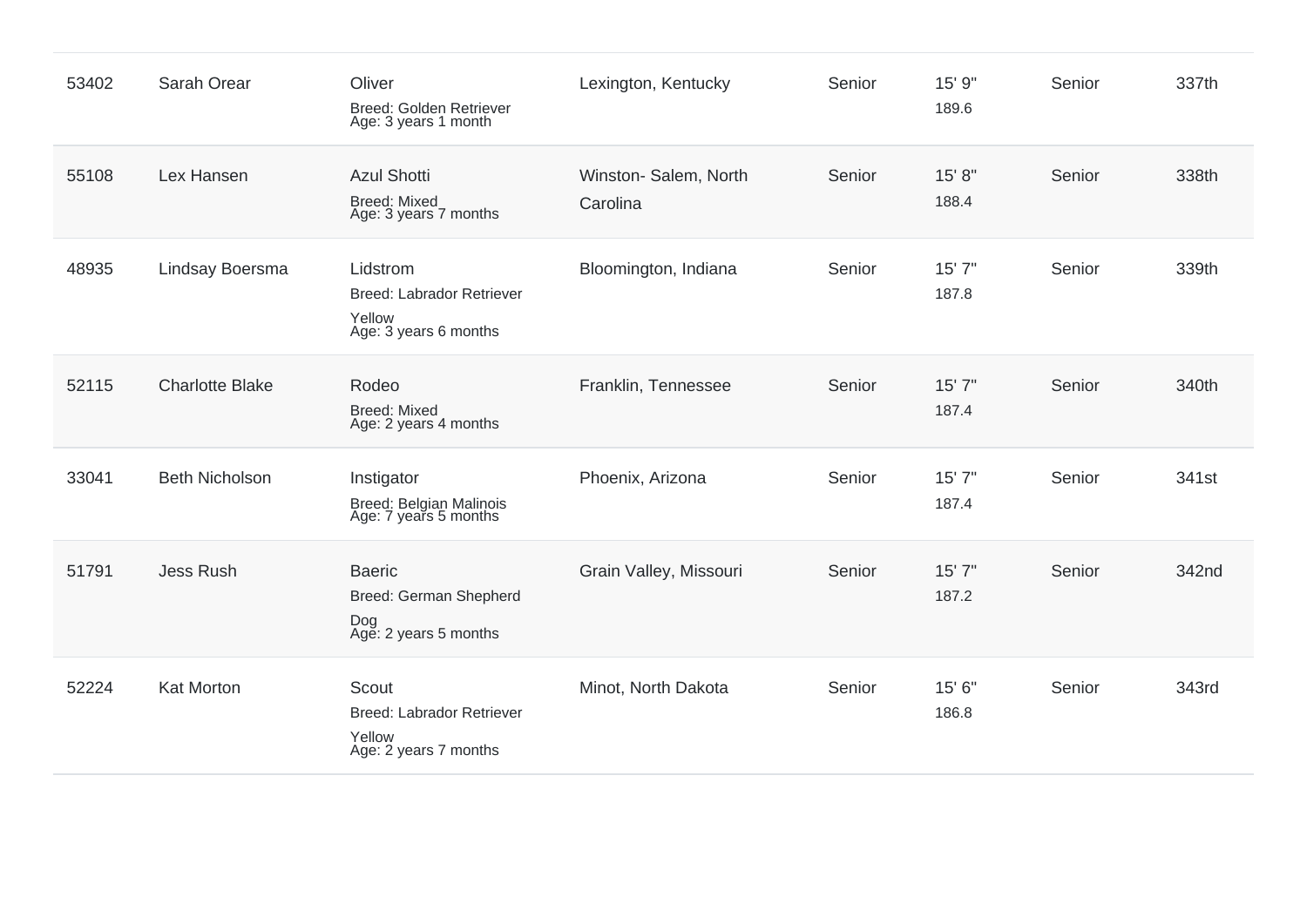| 53402 | Sarah Orear            | Oliver<br><b>Breed: Golden Retriever</b><br>Age: 3 years 1 month                | Lexington, Kentucky              | Senior | 15' 9"<br>189.6 | Senior | 337th |
|-------|------------------------|---------------------------------------------------------------------------------|----------------------------------|--------|-----------------|--------|-------|
| 55108 | Lex Hansen             | <b>Azul Shotti</b><br><b>Breed: Mixed</b><br>Age: 3 years 7 months              | Winston-Salem, North<br>Carolina | Senior | 15' 8"<br>188.4 | Senior | 338th |
| 48935 | Lindsay Boersma        | Lidstrom<br><b>Breed: Labrador Retriever</b><br>Yellow<br>Age: 3 years 6 months | Bloomington, Indiana             | Senior | 15' 7"<br>187.8 | Senior | 339th |
| 52115 | <b>Charlotte Blake</b> | Rodeo<br><b>Breed: Mixed</b><br>Age: 2 years 4 months                           | Franklin, Tennessee              | Senior | 15'7''<br>187.4 | Senior | 340th |
| 33041 | <b>Beth Nicholson</b>  | Instigator<br>Breed: Belgian Malinois<br>Age: 7 years 5 months                  | Phoenix, Arizona                 | Senior | 15' 7"<br>187.4 | Senior | 341st |
| 51791 | <b>Jess Rush</b>       | <b>Baeric</b><br>Breed: German Shepherd<br>Dog<br>Age: 2 years 5 months         | Grain Valley, Missouri           | Senior | 15' 7"<br>187.2 | Senior | 342nd |
| 52224 | Kat Morton             | Scout<br><b>Breed: Labrador Retriever</b><br>Yellow<br>Age: 2 years 7 months    | Minot, North Dakota              | Senior | 15' 6"<br>186.8 | Senior | 343rd |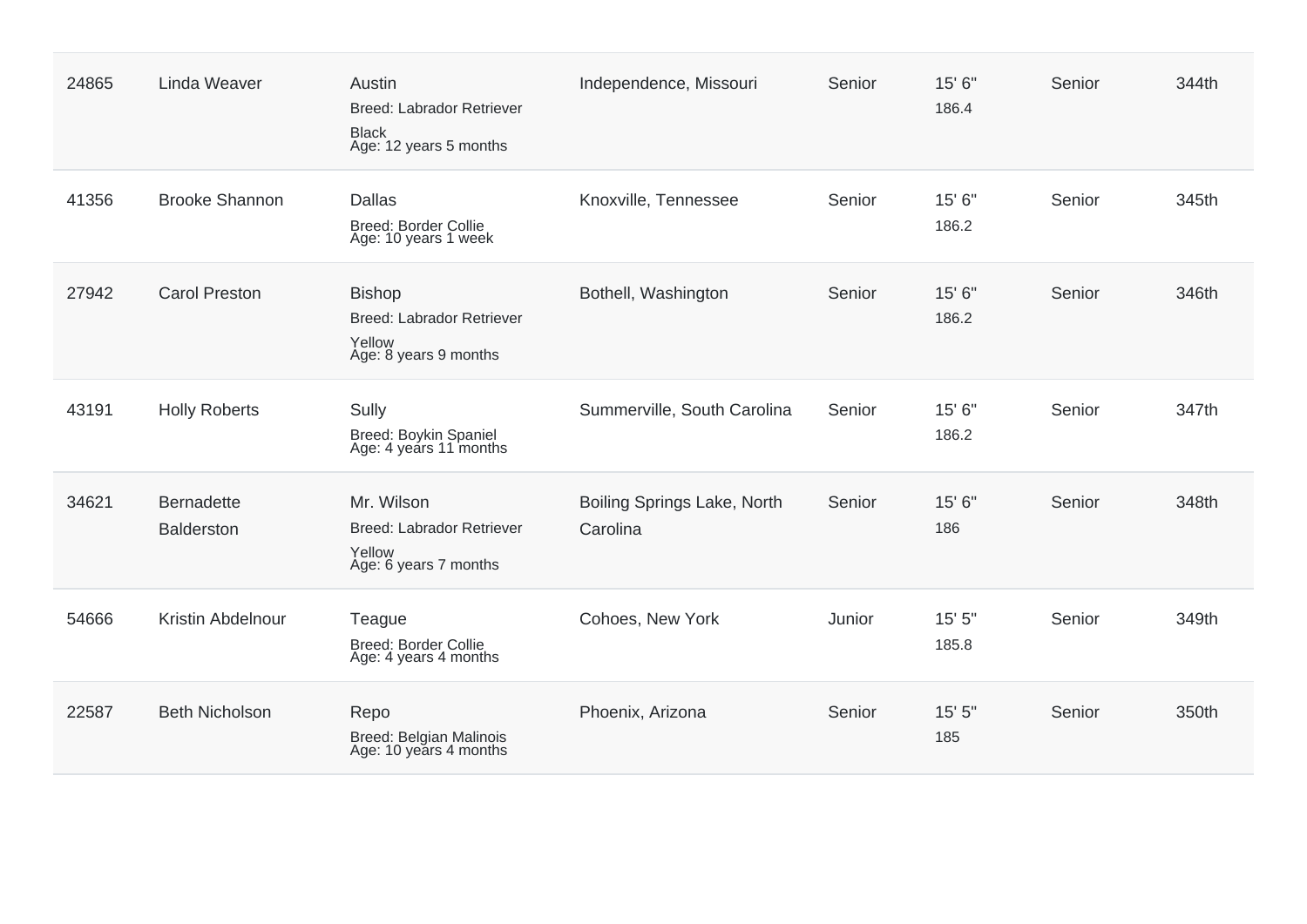| 24865 | <b>Linda Weaver</b>                    | Austin<br><b>Breed: Labrador Retriever</b><br><b>Black</b><br>Age: 12 years 5 months | Independence, Missouri                  | Senior | 15' 6"<br>186.4 | Senior | 344th |
|-------|----------------------------------------|--------------------------------------------------------------------------------------|-----------------------------------------|--------|-----------------|--------|-------|
| 41356 | <b>Brooke Shannon</b>                  | <b>Dallas</b><br><b>Breed: Border Collie</b><br>Age: 10 years 1 week                 | Knoxville, Tennessee                    | Senior | 15' 6"<br>186.2 | Senior | 345th |
| 27942 | <b>Carol Preston</b>                   | <b>Bishop</b><br><b>Breed: Labrador Retriever</b><br>Yellow<br>Age: 8 years 9 months | Bothell, Washington                     | Senior | 15' 6"<br>186.2 | Senior | 346th |
| 43191 | <b>Holly Roberts</b>                   | Sully<br>Breed: Boykin Spaniel<br>Age: 4 years 11 months                             | Summerville, South Carolina             | Senior | 15' 6"<br>186.2 | Senior | 347th |
| 34621 | <b>Bernadette</b><br><b>Balderston</b> | Mr. Wilson<br>Breed: Labrador Retriever<br>Yellow<br>Age: 6 years 7 months           | Boiling Springs Lake, North<br>Carolina | Senior | 15' 6"<br>186   | Senior | 348th |
| 54666 | Kristin Abdelnour                      | Teague<br>Breed: Border Collie<br>Age: 4 years 4 months                              | Cohoes, New York                        | Junior | 15'5''<br>185.8 | Senior | 349th |
| 22587 | <b>Beth Nicholson</b>                  | Repo<br>Breed: Belgian Malinois<br>Age: 10 years 4 months                            | Phoenix, Arizona                        | Senior | 15'5''<br>185   | Senior | 350th |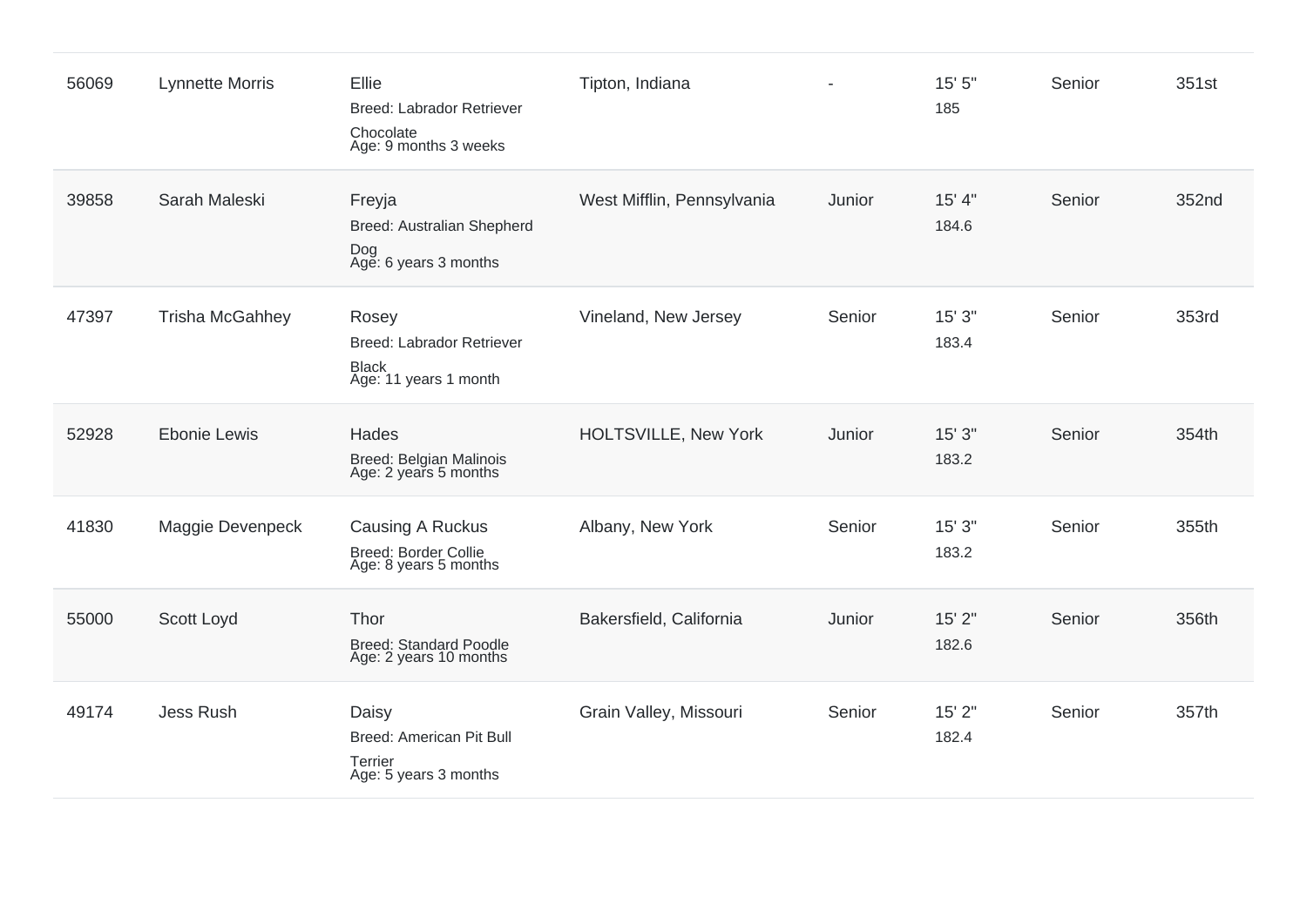| 56069 | <b>Lynnette Morris</b> | Ellie<br>Breed: Labrador Retriever<br>Chocolate<br>Age: 9 months 3 weeks           | Tipton, Indiana             | $\blacksquare$ | 15' 5"<br>185   | Senior | 351st |
|-------|------------------------|------------------------------------------------------------------------------------|-----------------------------|----------------|-----------------|--------|-------|
| 39858 | Sarah Maleski          | Freyja<br>Breed: Australian Shepherd<br>Dog<br>Age: 6 years 3 months               | West Mifflin, Pennsylvania  | Junior         | 15' 4"<br>184.6 | Senior | 352nd |
| 47397 | <b>Trisha McGahhey</b> | Rosey<br><b>Breed: Labrador Retriever</b><br><b>Black</b><br>Age: 11 years 1 month | Vineland, New Jersey        | Senior         | 15'3''<br>183.4 | Senior | 353rd |
| 52928 | <b>Ebonie Lewis</b>    | Hades<br>Breed: Belgian Malinois<br>Age: 2 years 5 months                          | <b>HOLTSVILLE, New York</b> | Junior         | 15' 3"<br>183.2 | Senior | 354th |
| 41830 | Maggie Devenpeck       | Causing A Ruckus<br><b>Breed: Border Collie</b><br>Age: 8 years 5 months           | Albany, New York            | Senior         | 15'3''<br>183.2 | Senior | 355th |
| 55000 | Scott Loyd             | Thor<br><b>Breed: Standard Poodle</b><br>Age: 2 years 10 months                    | Bakersfield, California     | Junior         | 15' 2"<br>182.6 | Senior | 356th |
| 49174 | Jess Rush              | Daisy<br>Breed: American Pit Bull<br>Terrier<br>Age: 5 years 3 months              | Grain Valley, Missouri      | Senior         | 15' 2"<br>182.4 | Senior | 357th |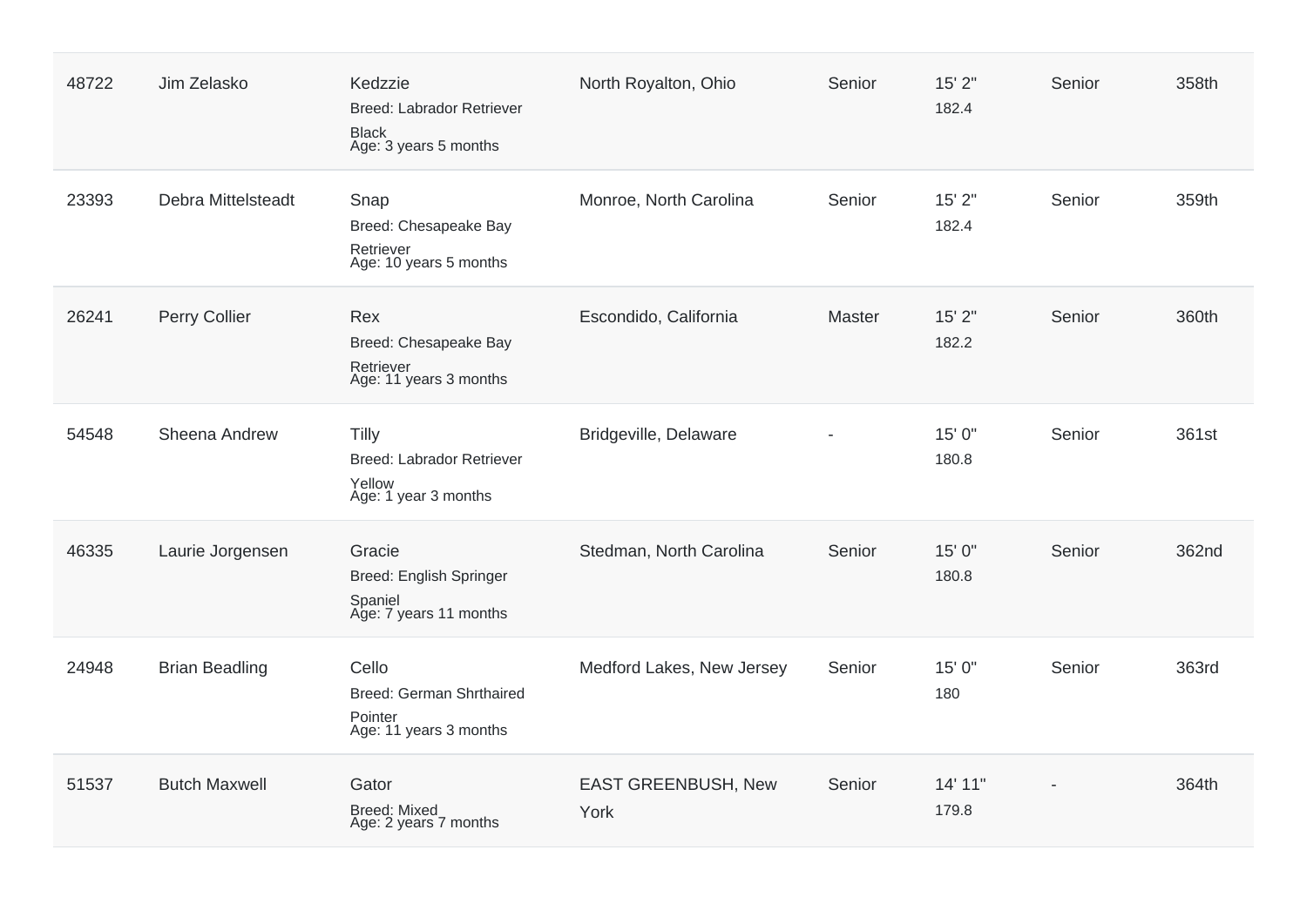| 48722 | Jim Zelasko           | Kedzzie<br><b>Breed: Labrador Retriever</b><br><b>Black</b><br>Age: 3 years 5 months | North Royalton, Ohio               | Senior | 15'2"<br>182.4   | Senior | 358th |
|-------|-----------------------|--------------------------------------------------------------------------------------|------------------------------------|--------|------------------|--------|-------|
| 23393 | Debra Mittelsteadt    | Snap<br>Breed: Chesapeake Bay<br>Retriever<br>Age: 10 years 5 months                 | Monroe, North Carolina             | Senior | 15'2"<br>182.4   | Senior | 359th |
| 26241 | Perry Collier         | Rex<br>Breed: Chesapeake Bay<br>Retriever<br>Age: 11 years 3 months                  | Escondido, California              | Master | 15'2"<br>182.2   | Senior | 360th |
| 54548 | Sheena Andrew         | <b>Tilly</b><br><b>Breed: Labrador Retriever</b><br>Yellow<br>Age: 1 year 3 months   | Bridgeville, Delaware              |        | 15' 0"<br>180.8  | Senior | 361st |
| 46335 | Laurie Jorgensen      | Gracie<br>Breed: English Springer<br>Spaniel<br>Age: 7 years 11 months               | Stedman, North Carolina            | Senior | 15' 0"<br>180.8  | Senior | 362nd |
| 24948 | <b>Brian Beadling</b> | Cello<br>Breed: German Shrthaired<br>Pointer<br>Age: 11 years 3 months               | Medford Lakes, New Jersey          | Senior | 15' 0"<br>180    | Senior | 363rd |
| 51537 | <b>Butch Maxwell</b>  | Gator<br><b>Breed: Mixed</b><br>Age: 2 years 7 months                                | <b>EAST GREENBUSH, New</b><br>York | Senior | 14' 11"<br>179.8 |        | 364th |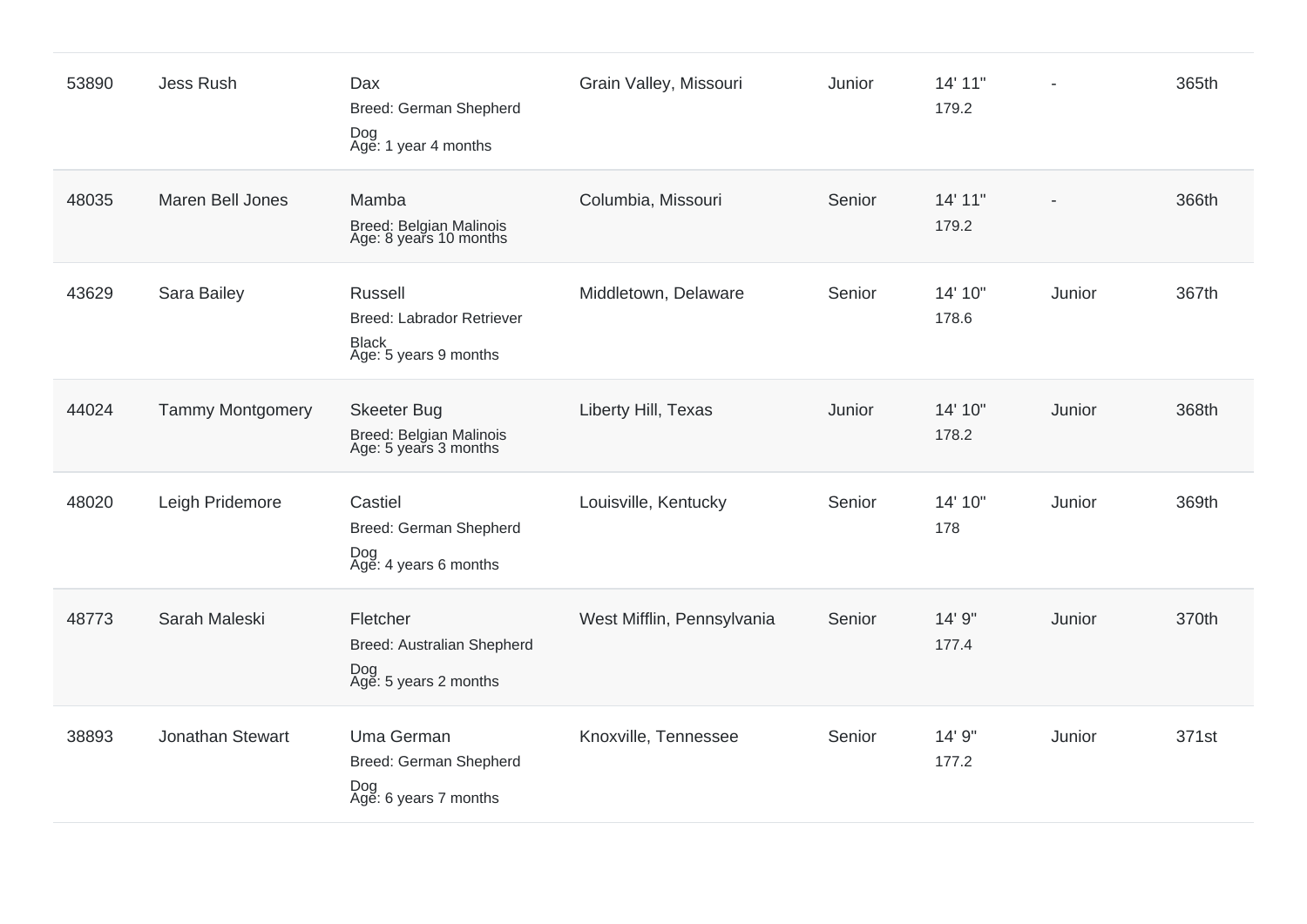| 53890 | Jess Rush               | Dax<br>Breed: German Shepherd<br>Dog<br>Age: 1 year 4 months                                | Grain Valley, Missouri     | Junior | 14' 11"<br>179.2 |        | 365th |
|-------|-------------------------|---------------------------------------------------------------------------------------------|----------------------------|--------|------------------|--------|-------|
| 48035 | Maren Bell Jones        | Mamba<br>Breed: Belgian Malinois<br>Age: 8 years 10 months                                  | Columbia, Missouri         | Senior | 14' 11"<br>179.2 |        | 366th |
| 43629 | Sara Bailey             | <b>Russell</b><br><b>Breed: Labrador Retriever</b><br><b>Black</b><br>Age: 5 years 9 months | Middletown, Delaware       | Senior | 14' 10"<br>178.6 | Junior | 367th |
| 44024 | <b>Tammy Montgomery</b> | <b>Skeeter Bug</b><br>Breed: Belgian Malinois<br>Age: 5 years 3 months                      | Liberty Hill, Texas        | Junior | 14' 10"<br>178.2 | Junior | 368th |
| 48020 | Leigh Pridemore         | Castiel<br>Breed: German Shepherd<br>Dog<br>Age: 4 years 6 months                           | Louisville, Kentucky       | Senior | 14' 10"<br>178   | Junior | 369th |
| 48773 | Sarah Maleski           | Fletcher<br>Breed: Australian Shepherd<br>Dog<br>Age: 5 years 2 months                      | West Mifflin, Pennsylvania | Senior | 14' 9"<br>177.4  | Junior | 370th |
| 38893 | Jonathan Stewart        | Uma German<br>Breed: German Shepherd<br>Dog<br>Age: 6 years 7 months                        | Knoxville, Tennessee       | Senior | 14' 9"<br>177.2  | Junior | 371st |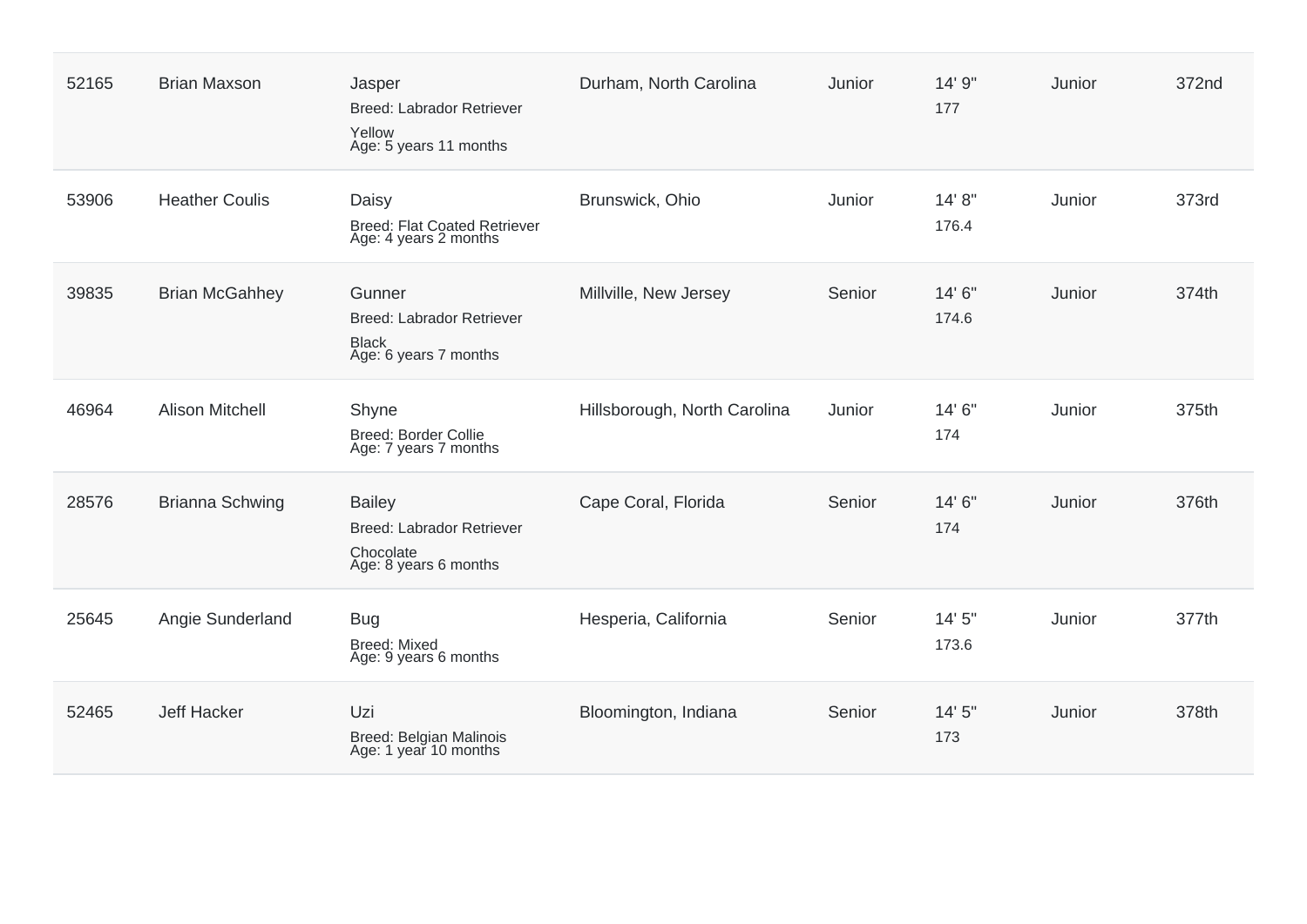| 52165 | <b>Brian Maxson</b>    | Jasper<br>Breed: Labrador Retriever<br>Yellow<br>Age: 5 years 11 months          | Durham, North Carolina       | Junior | 14' 9"<br>177    | Junior | 372nd |
|-------|------------------------|----------------------------------------------------------------------------------|------------------------------|--------|------------------|--------|-------|
| 53906 | <b>Heather Coulis</b>  | Daisy<br><b>Breed: Flat Coated Retriever</b><br>Age: 4 years 2 months            | Brunswick, Ohio              | Junior | 14' 8''<br>176.4 | Junior | 373rd |
| 39835 | <b>Brian McGahhey</b>  | Gunner<br>Breed: Labrador Retriever<br><b>Black</b><br>Age: 6 years 7 months     | Millville, New Jersey        | Senior | 14' 6"<br>174.6  | Junior | 374th |
| 46964 | <b>Alison Mitchell</b> | Shyne<br><b>Breed: Border Collie</b><br>Age: 7 years 7 months                    | Hillsborough, North Carolina | Junior | 14' 6"<br>174    | Junior | 375th |
| 28576 | <b>Brianna Schwing</b> | <b>Bailey</b><br>Breed: Labrador Retriever<br>Chocolate<br>Age: 8 years 6 months | Cape Coral, Florida          | Senior | 14' 6"<br>174    | Junior | 376th |
| 25645 | Angie Sunderland       | <b>Bug</b><br><b>Breed: Mixed</b><br>Age: 9 years 6 months                       | Hesperia, California         | Senior | 14'5''<br>173.6  | Junior | 377th |
| 52465 | <b>Jeff Hacker</b>     | Uzi<br>Breed: Belgian Malinois<br>Age: 1 year 10 months                          | Bloomington, Indiana         | Senior | 14'5''<br>173    | Junior | 378th |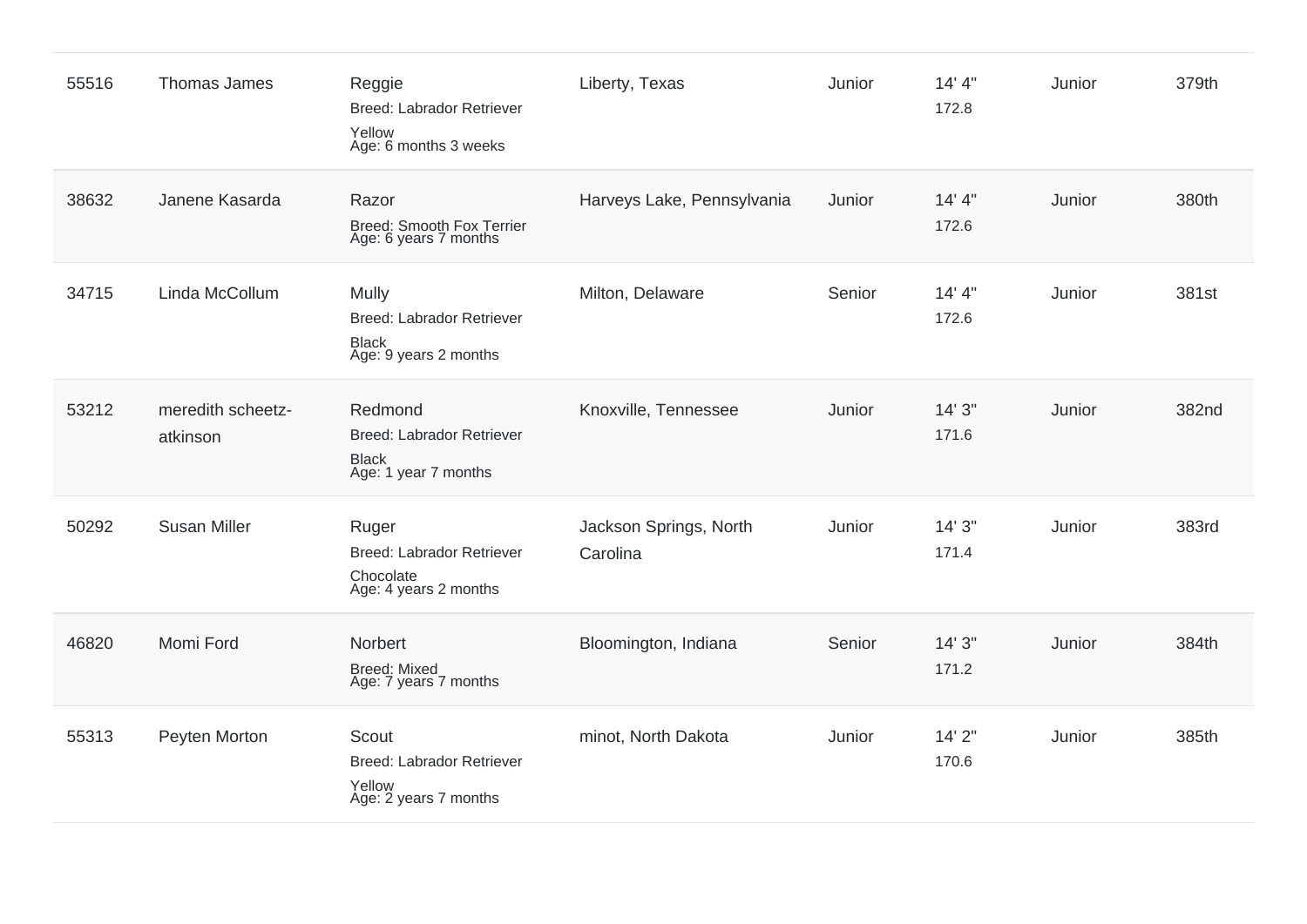| 55516 | Thomas James                  | Reggie<br><b>Breed: Labrador Retriever</b><br>Yellow<br>Age: 6 months 3 weeks       | Liberty, Texas                     | Junior | 14' 4''<br>172.8 | Junior | 379th |
|-------|-------------------------------|-------------------------------------------------------------------------------------|------------------------------------|--------|------------------|--------|-------|
| 38632 | Janene Kasarda                | Razor<br>Breed: Smooth Fox Terrier<br>Age: 6 years 7 months                         | Harveys Lake, Pennsylvania         | Junior | 14' 4''<br>172.6 | Junior | 380th |
| 34715 | Linda McCollum                | Mully<br><b>Breed: Labrador Retriever</b><br><b>Black</b><br>Age: 9 years 2 months  | Milton, Delaware                   | Senior | 14' 4''<br>172.6 | Junior | 381st |
| 53212 | meredith scheetz-<br>atkinson | Redmond<br><b>Breed: Labrador Retriever</b><br><b>Black</b><br>Age: 1 year 7 months | Knoxville, Tennessee               | Junior | 14'3''<br>171.6  | Junior | 382nd |
| 50292 | <b>Susan Miller</b>           | Ruger<br><b>Breed: Labrador Retriever</b><br>Chocolate<br>Age: 4 years 2 months     | Jackson Springs, North<br>Carolina | Junior | 14'3''<br>171.4  | Junior | 383rd |
| 46820 | Momi Ford                     | <b>Norbert</b><br>Breed: Mixed<br>Age: 7 years 7 months                             | Bloomington, Indiana               | Senior | 14'3''<br>171.2  | Junior | 384th |
| 55313 | Peyten Morton                 | Scout<br>Breed: Labrador Retriever<br>Yellow<br>Age: 2 years 7 months               | minot, North Dakota                | Junior | 14'2''<br>170.6  | Junior | 385th |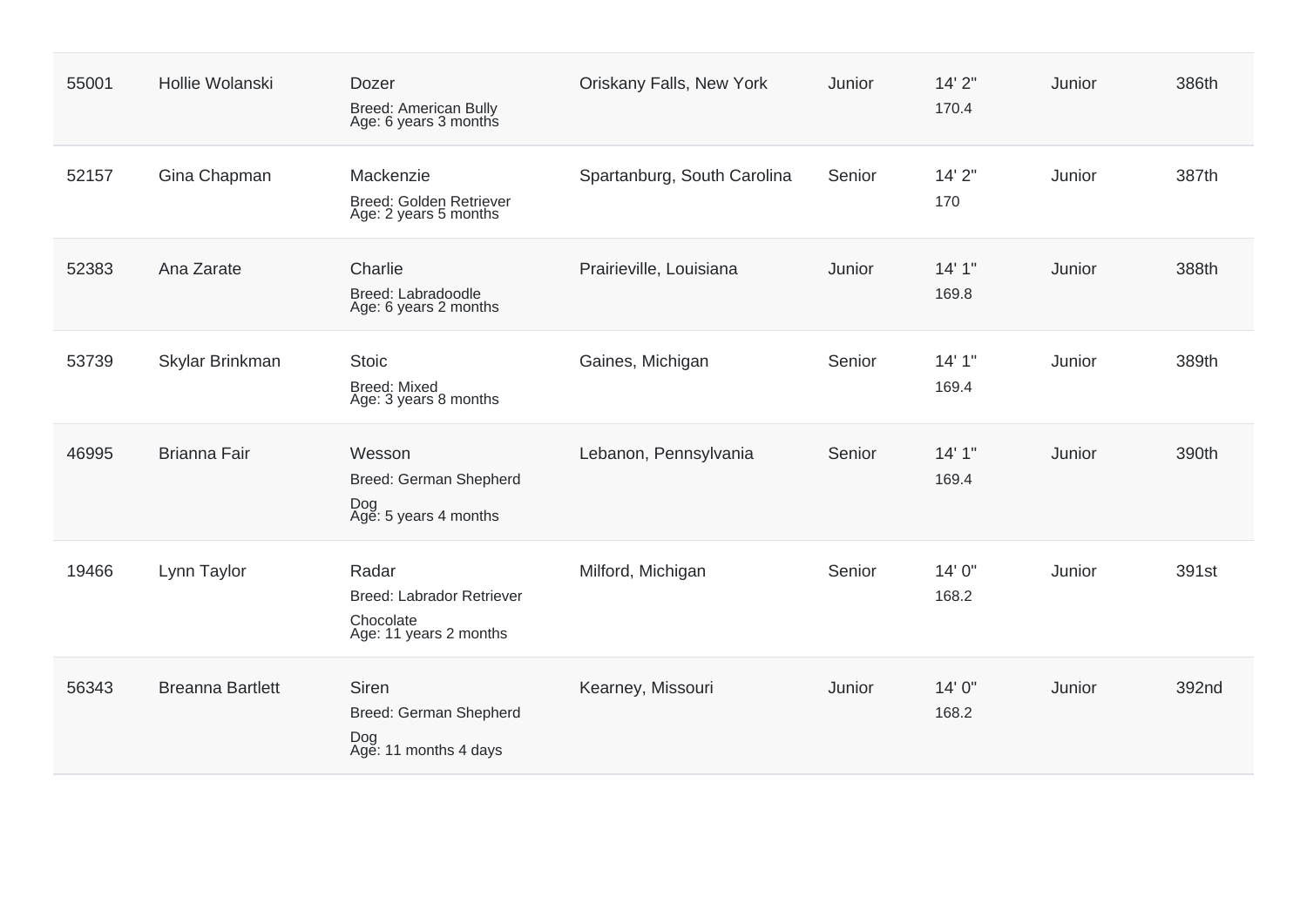| 55001 | Hollie Wolanski         | Dozer<br><b>Breed: American Bully</b><br>Age: 6 years 3 months                   | Oriskany Falls, New York    | Junior | 14'2''<br>170.4 | Junior | 386th |
|-------|-------------------------|----------------------------------------------------------------------------------|-----------------------------|--------|-----------------|--------|-------|
| 52157 | Gina Chapman            | Mackenzie<br>Breed: Golden Retriever<br>Age: 2 years 5 months                    | Spartanburg, South Carolina | Senior | 14'2''<br>170   | Junior | 387th |
| 52383 | Ana Zarate              | Charlie<br>Breed: Labradoodle<br>Age: 6 years 2 months                           | Prairieville, Louisiana     | Junior | 14'1''<br>169.8 | Junior | 388th |
| 53739 | Skylar Brinkman         | <b>Stoic</b><br><b>Breed: Mixed</b><br>Age: 3 years 8 months                     | Gaines, Michigan            | Senior | 14'1''<br>169.4 | Junior | 389th |
| 46995 | <b>Brianna Fair</b>     | Wesson<br>Breed: German Shepherd<br>Dog<br>Age: 5 years 4 months                 | Lebanon, Pennsylvania       | Senior | 14'1''<br>169.4 | Junior | 390th |
| 19466 | Lynn Taylor             | Radar<br><b>Breed: Labrador Retriever</b><br>Chocolate<br>Age: 11 years 2 months | Milford, Michigan           | Senior | 14' 0"<br>168.2 | Junior | 391st |
| 56343 | <b>Breanna Bartlett</b> | <b>Siren</b><br>Breed: German Shepherd<br>Dog<br>Age: 11 months 4 days           | Kearney, Missouri           | Junior | 14' 0"<br>168.2 | Junior | 392nd |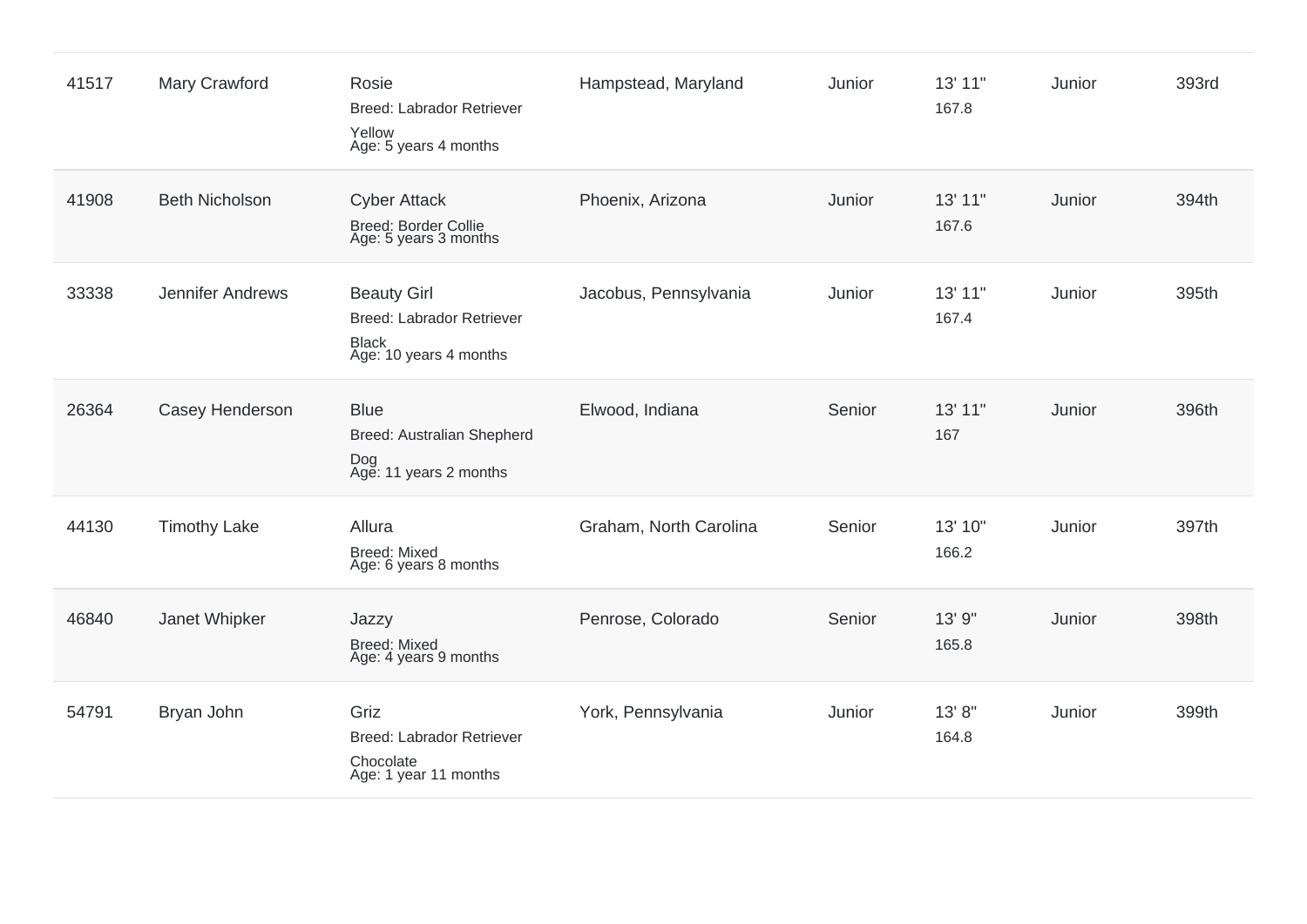| 41517 | Mary Crawford         | Rosie<br><b>Breed: Labrador Retriever</b><br>Yellow<br>Age: 5 years 4 months                     | Hampstead, Maryland    | Junior | 13' 11"<br>167.8 | Junior | 393rd |
|-------|-----------------------|--------------------------------------------------------------------------------------------------|------------------------|--------|------------------|--------|-------|
| 41908 | <b>Beth Nicholson</b> | <b>Cyber Attack</b><br><b>Breed: Border Collie</b><br>Age: 5 years 3 months                      | Phoenix, Arizona       | Junior | 13' 11"<br>167.6 | Junior | 394th |
| 33338 | Jennifer Andrews      | <b>Beauty Girl</b><br><b>Breed: Labrador Retriever</b><br><b>Black</b><br>Age: 10 years 4 months | Jacobus, Pennsylvania  | Junior | 13' 11"<br>167.4 | Junior | 395th |
| 26364 | Casey Henderson       | <b>Blue</b><br>Breed: Australian Shepherd<br>Dog<br>Age: 11 years 2 months                       | Elwood, Indiana        | Senior | 13' 11"<br>167   | Junior | 396th |
| 44130 | <b>Timothy Lake</b>   | Allura<br><b>Breed: Mixed</b><br>Age: 6 years 8 months                                           | Graham, North Carolina | Senior | 13' 10"<br>166.2 | Junior | 397th |
| 46840 | Janet Whipker         | Jazzy<br><b>Breed: Mixed</b><br>Age: 4 years 9 months                                            | Penrose, Colorado      | Senior | 13' 9"<br>165.8  | Junior | 398th |
| 54791 | Bryan John            | Griz<br><b>Breed: Labrador Retriever</b><br>Chocolate<br>Age: 1 year 11 months                   | York, Pennsylvania     | Junior | 13' 8"<br>164.8  | Junior | 399th |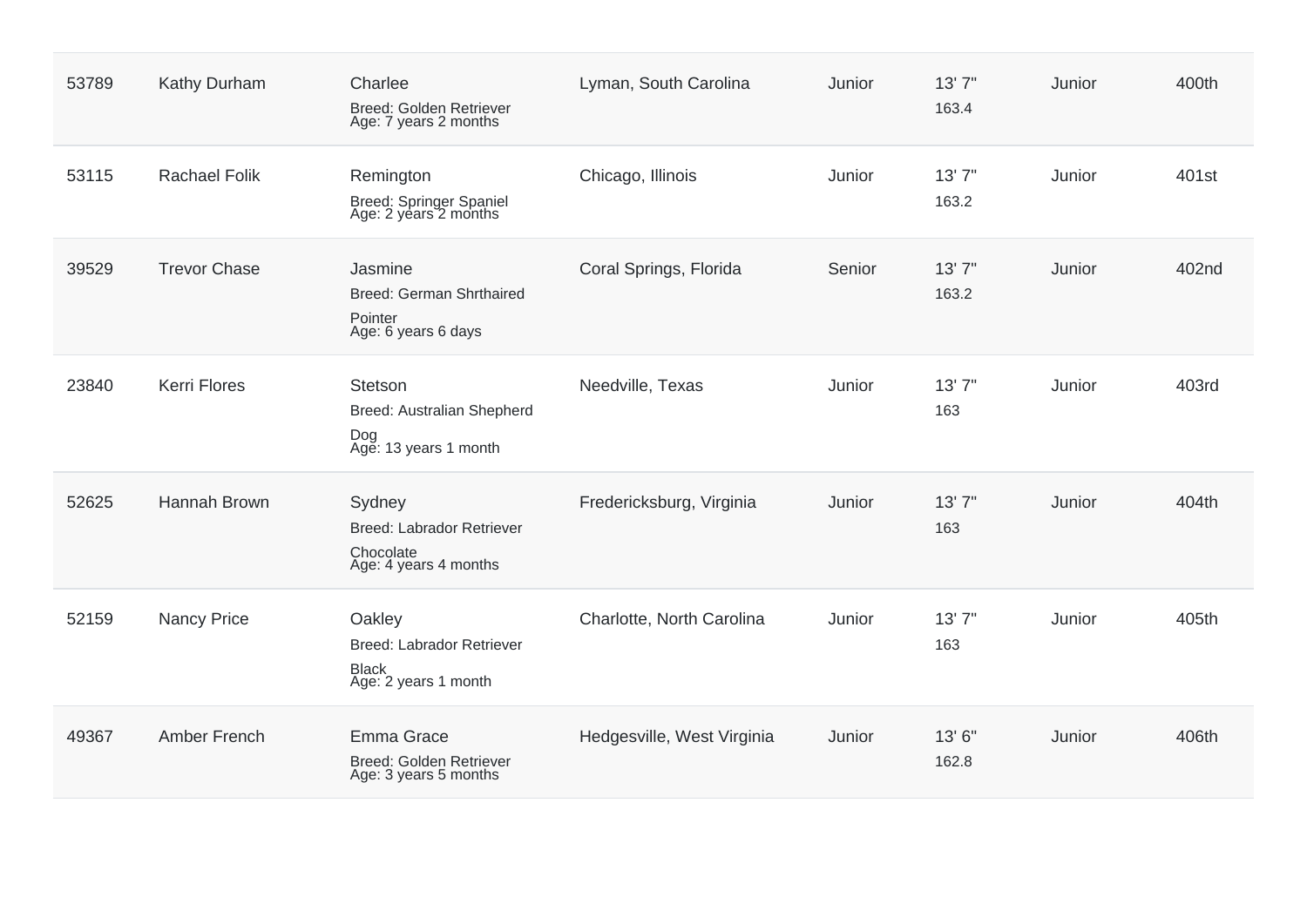| 53789 | Kathy Durham         | Charlee<br><b>Breed: Golden Retriever</b><br>Age: 7 years 2 months               | Lyman, South Carolina      | Junior | 13'7''<br>163.4 | Junior | 400th             |
|-------|----------------------|----------------------------------------------------------------------------------|----------------------------|--------|-----------------|--------|-------------------|
| 53115 | <b>Rachael Folik</b> | Remington<br>Breed: Springer Spaniel<br>Age: 2 years 2 months                    | Chicago, Illinois          | Junior | 13'7''<br>163.2 | Junior | 401 <sub>st</sub> |
| 39529 | <b>Trevor Chase</b>  | Jasmine<br>Breed: German Shrthaired<br>Pointer<br>Age: 6 years 6 days            | Coral Springs, Florida     | Senior | 13'7''<br>163.2 | Junior | 402nd             |
| 23840 | <b>Kerri Flores</b>  | Stetson<br>Breed: Australian Shepherd<br>Dog<br>Age: 13 years 1 month            | Needville, Texas           | Junior | 13'7''<br>163   | Junior | 403rd             |
| 52625 | <b>Hannah Brown</b>  | Sydney<br><b>Breed: Labrador Retriever</b><br>Chocolate<br>Age: 4 years 4 months | Fredericksburg, Virginia   | Junior | 13'7''<br>163   | Junior | 404th             |
| 52159 | <b>Nancy Price</b>   | Oakley<br>Breed: Labrador Retriever<br><b>Black</b><br>Age: 2 years 1 month      | Charlotte, North Carolina  | Junior | 13'7''<br>163   | Junior | 405th             |
| 49367 | Amber French         | Emma Grace<br>Breed: Golden Retriever<br>Age: 3 years 5 months                   | Hedgesville, West Virginia | Junior | 13'6"<br>162.8  | Junior | 406th             |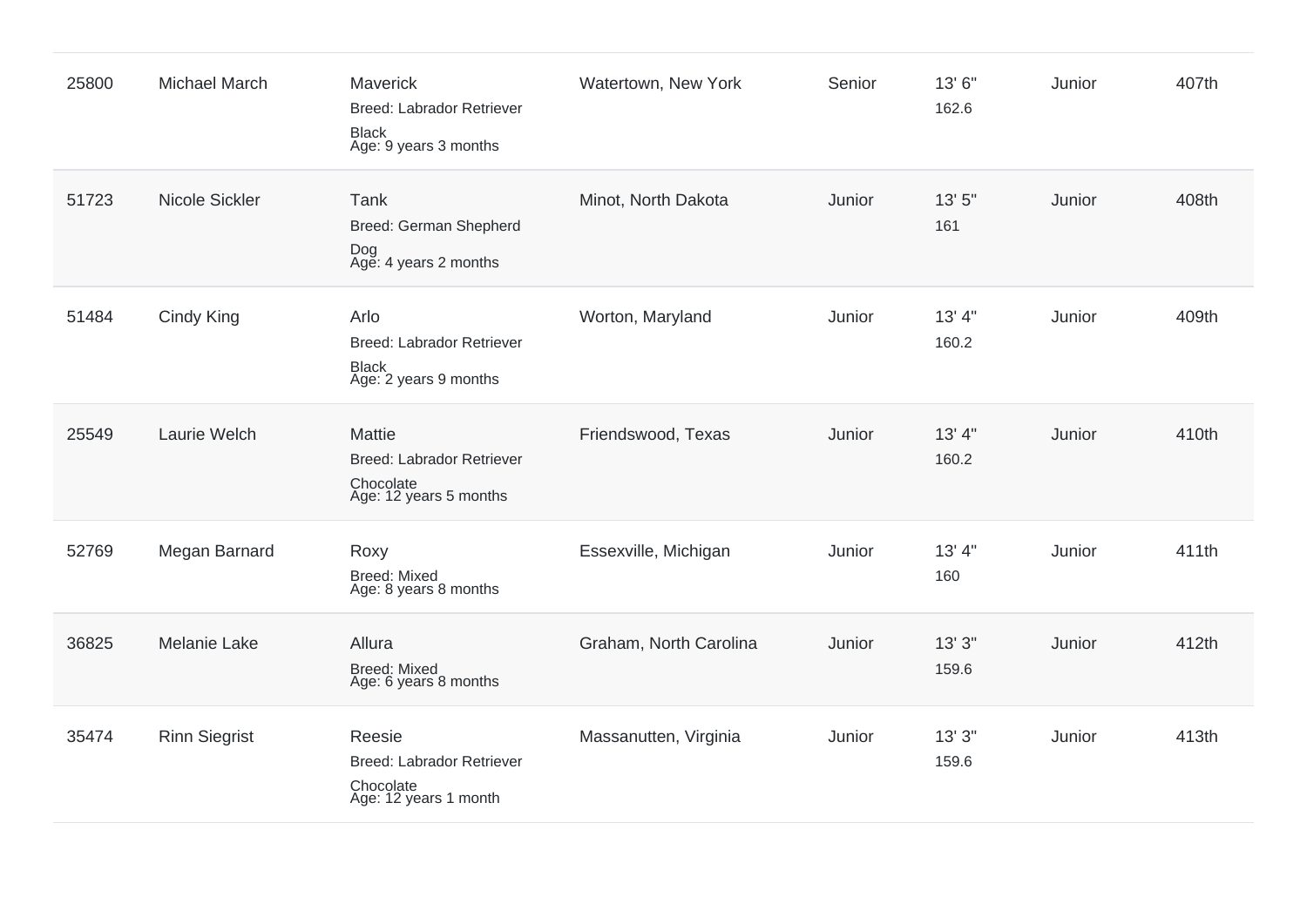| 25800 | <b>Michael March</b> | <b>Maverick</b><br><b>Breed: Labrador Retriever</b><br><b>Black</b><br>Age: 9 years 3 months | Watertown, New York    | Senior | 13' 6"<br>162.6  | Junior | 407th |
|-------|----------------------|----------------------------------------------------------------------------------------------|------------------------|--------|------------------|--------|-------|
| 51723 | Nicole Sickler       | Tank<br>Breed: German Shepherd<br>Dog<br>Age: 4 years 2 months                               | Minot, North Dakota    | Junior | 13' 5"<br>161    | Junior | 408th |
| 51484 | Cindy King           | Arlo<br><b>Breed: Labrador Retriever</b><br><b>Black</b><br>Age: 2 years 9 months            | Worton, Maryland       | Junior | 13' 4"<br>160.2  | Junior | 409th |
| 25549 | Laurie Welch         | <b>Mattie</b><br><b>Breed: Labrador Retriever</b><br>Chocolate<br>Age: 12 years 5 months     | Friendswood, Texas     | Junior | 13' 4''<br>160.2 | Junior | 410th |
| 52769 | Megan Barnard        | Roxy<br><b>Breed: Mixed</b><br>Age: 8 years 8 months                                         | Essexville, Michigan   | Junior | 13' 4"<br>160    | Junior | 411th |
| 36825 | <b>Melanie Lake</b>  | Allura<br><b>Breed: Mixed</b><br>Age: 6 years 8 months                                       | Graham, North Carolina | Junior | 13'3''<br>159.6  | Junior | 412th |
| 35474 | <b>Rinn Siegrist</b> | Reesie<br>Breed: Labrador Retriever<br>Chocolate<br>Age: 12 years 1 month                    | Massanutten, Virginia  | Junior | 13'3''<br>159.6  | Junior | 413th |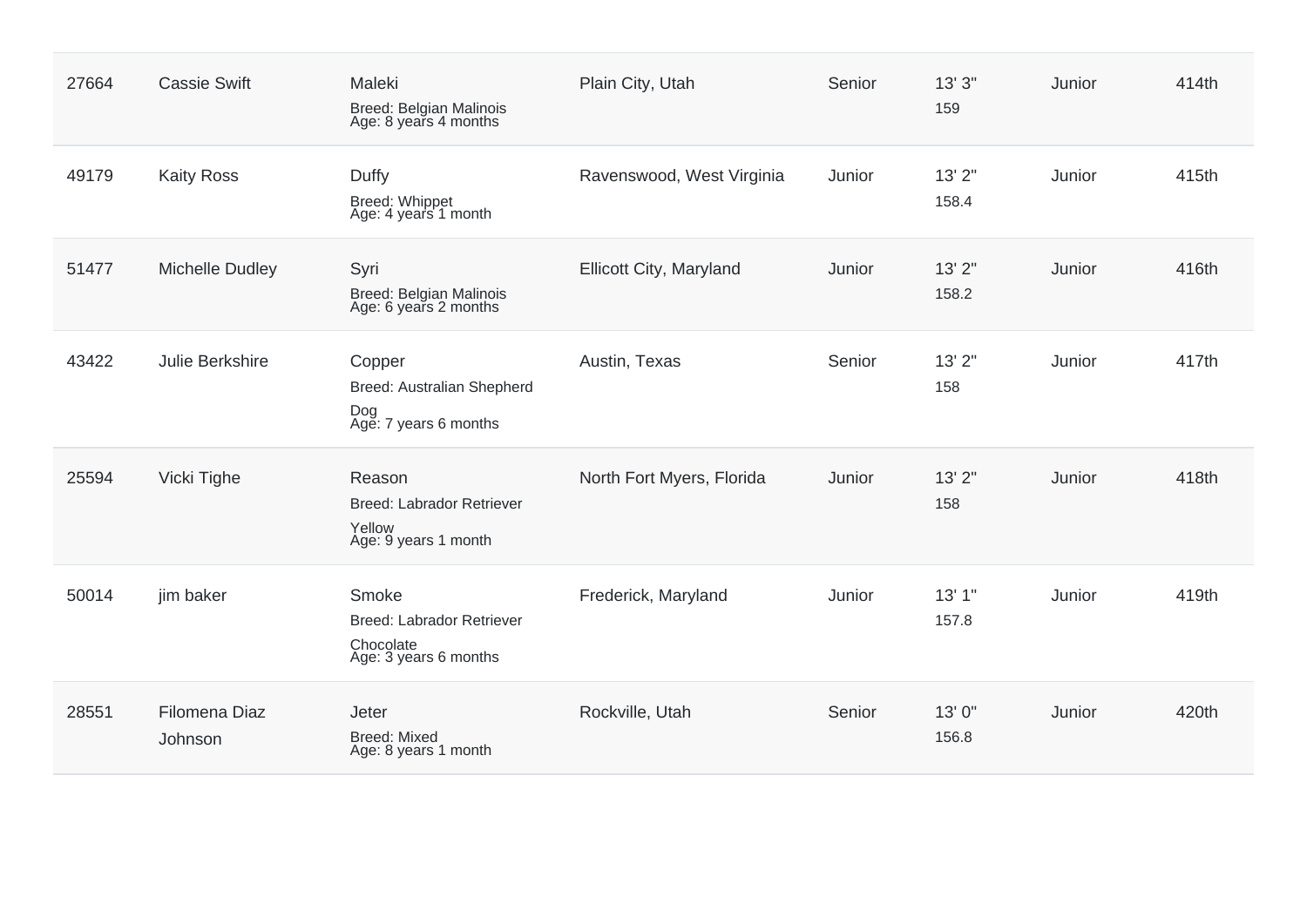| 27664 | <b>Cassie Swift</b>      | Maleki<br>Breed: Belgian Malinois<br>Age: 8 years 4 months                   | Plain City, Utah          | Senior | 13'3''<br>159   | Junior | 414th |
|-------|--------------------------|------------------------------------------------------------------------------|---------------------------|--------|-----------------|--------|-------|
| 49179 | <b>Kaity Ross</b>        | Duffy<br>Breed: Whippet<br>Age: 4 years 1 month                              | Ravenswood, West Virginia | Junior | 13'2"<br>158.4  | Junior | 415th |
| 51477 | <b>Michelle Dudley</b>   | Syri<br>Breed: Belgian Malinois<br>Age: 6 years 2 months                     | Ellicott City, Maryland   | Junior | 13'2"<br>158.2  | Junior | 416th |
| 43422 | Julie Berkshire          | Copper<br>Breed: Australian Shepherd<br>Dog<br>Age: 7 years 6 months         | Austin, Texas             | Senior | 13' 2"<br>158   | Junior | 417th |
| 25594 | Vicki Tighe              | Reason<br><b>Breed: Labrador Retriever</b><br>Yellow<br>Age: 9 years 1 month | North Fort Myers, Florida | Junior | 13'2"<br>158    | Junior | 418th |
| 50014 | jim baker                | Smoke<br>Breed: Labrador Retriever<br>Chocolate<br>Age: 3 years 6 months     | Frederick, Maryland       | Junior | 13'1"<br>157.8  | Junior | 419th |
| 28551 | Filomena Diaz<br>Johnson | Jeter<br><b>Breed: Mixed</b><br>Age: 8 years 1 month                         | Rockville, Utah           | Senior | 13' 0"<br>156.8 | Junior | 420th |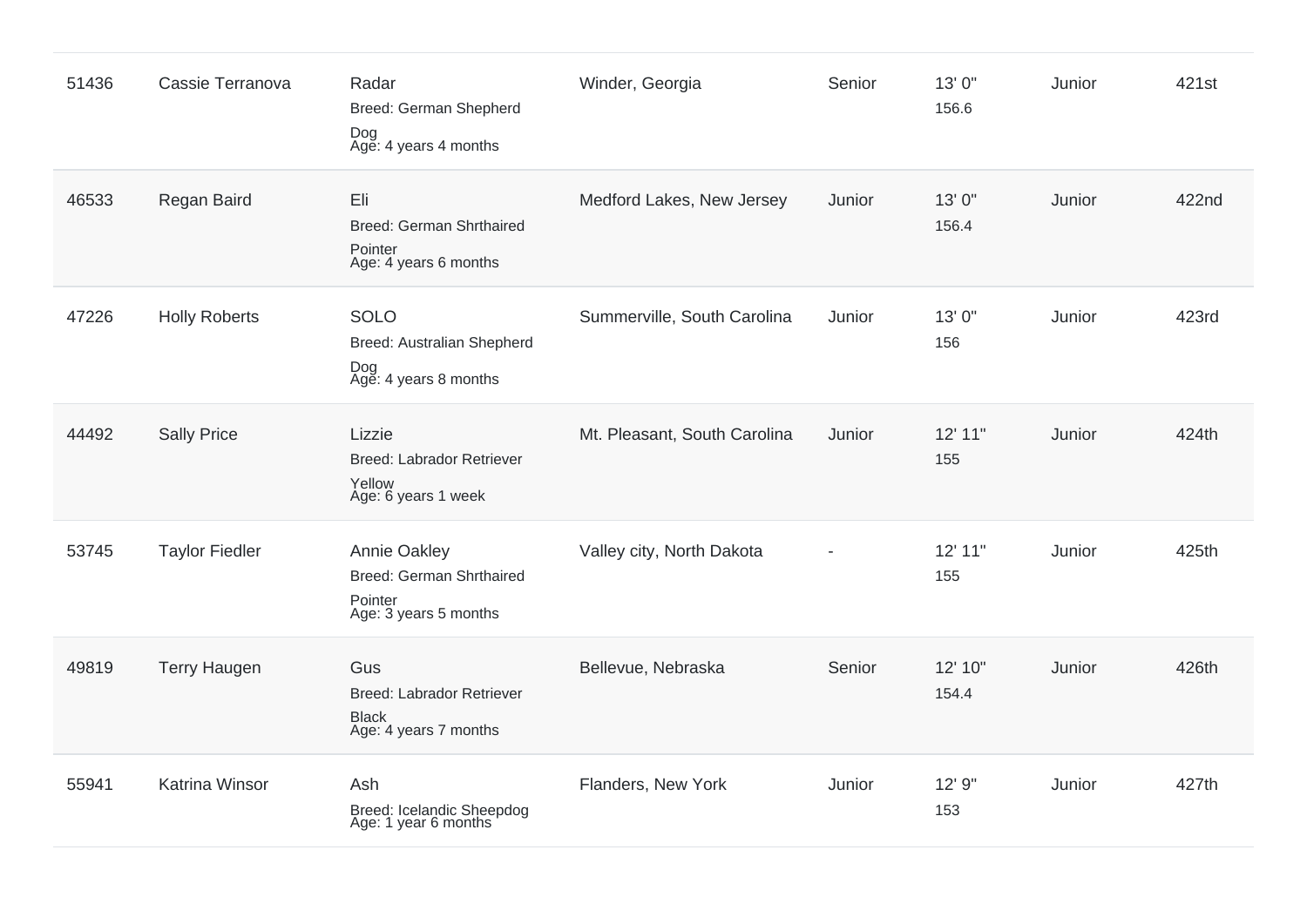| 51436 | Cassie Terranova      | Radar<br>Breed: German Shepherd<br>Dog<br>Age: 4 years 4 months                     | Winder, Georgia              | Senior         | 13' 0"<br>156.6  | Junior | 421st |
|-------|-----------------------|-------------------------------------------------------------------------------------|------------------------------|----------------|------------------|--------|-------|
| 46533 | Regan Baird           | Eli<br>Breed: German Shrthaired<br>Pointer<br>Age: 4 years 6 months                 | Medford Lakes, New Jersey    | Junior         | 13'0"<br>156.4   | Junior | 422nd |
| 47226 | <b>Holly Roberts</b>  | <b>SOLO</b><br>Breed: Australian Shepherd<br>Dog<br>Age: 4 years 8 months           | Summerville, South Carolina  | Junior         | 13' 0"<br>156    | Junior | 423rd |
| 44492 | <b>Sally Price</b>    | Lizzie<br><b>Breed: Labrador Retriever</b><br>Yellow<br>Age: 6 years 1 week         | Mt. Pleasant, South Carolina | Junior         | 12' 11"<br>155   | Junior | 424th |
| 53745 | <b>Taylor Fiedler</b> | Annie Oakley<br><b>Breed: German Shrthaired</b><br>Pointer<br>Age: 3 years 5 months | Valley city, North Dakota    | $\overline{a}$ | 12' 11"<br>155   | Junior | 425th |
| 49819 | <b>Terry Haugen</b>   | Gus<br><b>Breed: Labrador Retriever</b><br><b>Black</b><br>Age: 4 years 7 months    | Bellevue, Nebraska           | Senior         | 12' 10"<br>154.4 | Junior | 426th |
| 55941 | <b>Katrina Winsor</b> | Ash<br>Breed: Icelandic Sheepdog<br>Age: 1 year 6 months                            | Flanders, New York           | Junior         | 12' 9"<br>153    | Junior | 427th |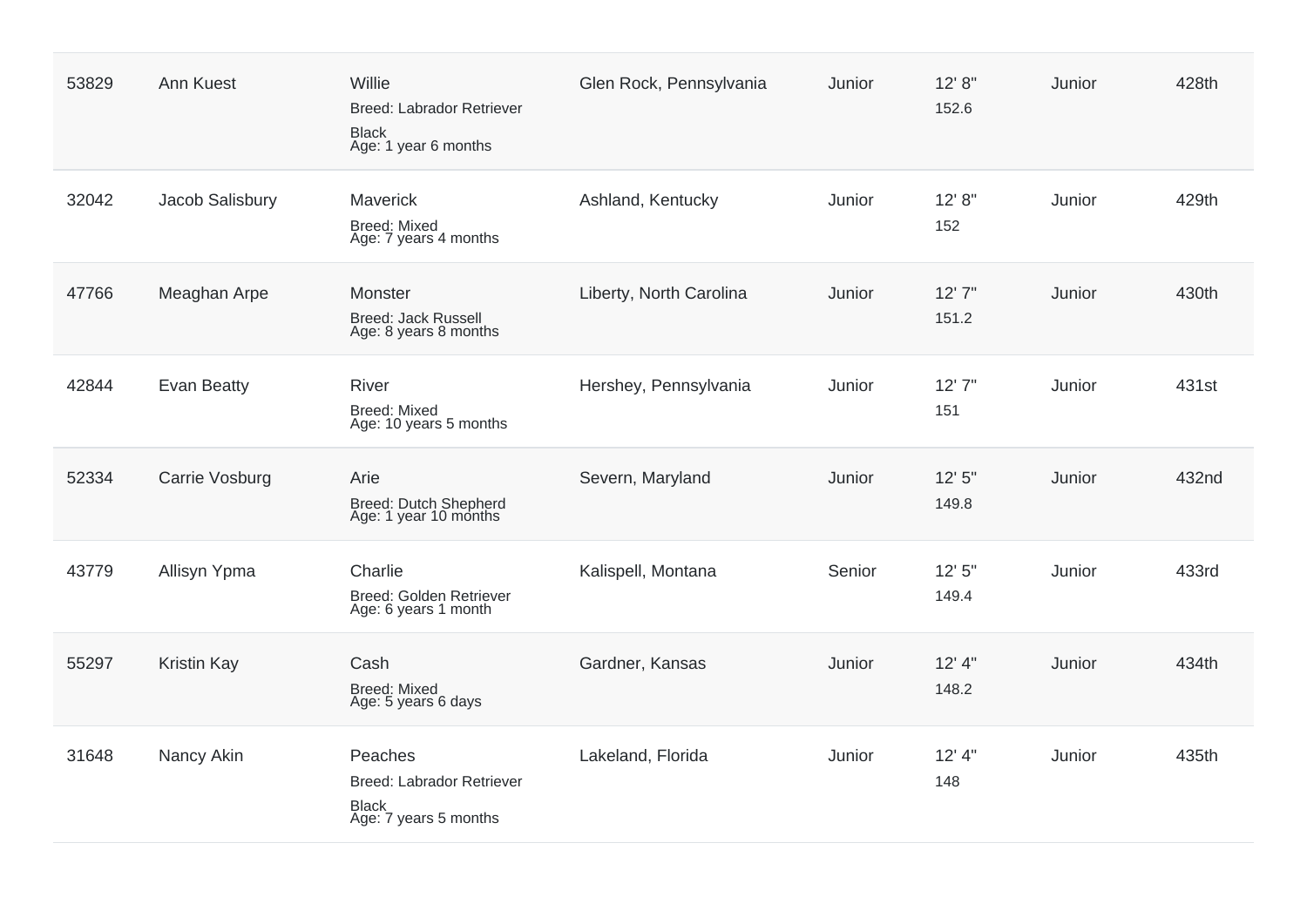| 53829 | Ann Kuest          | Willie<br><b>Breed: Labrador Retriever</b><br><b>Black</b><br>Age: 1 year 6 months   | Glen Rock, Pennsylvania | Junior | 12' 8''<br>152.6  | Junior | 428th |
|-------|--------------------|--------------------------------------------------------------------------------------|-------------------------|--------|-------------------|--------|-------|
| 32042 | Jacob Salisbury    | Maverick<br><b>Breed: Mixed</b><br>Age: 7 years 4 months                             | Ashland, Kentucky       | Junior | 12' 8''<br>152    | Junior | 429th |
| 47766 | Meaghan Arpe       | Monster<br><b>Breed: Jack Russell</b><br>Age: 8 years 8 months                       | Liberty, North Carolina | Junior | 12'7''<br>151.2   | Junior | 430th |
| 42844 | <b>Evan Beatty</b> | <b>River</b><br><b>Breed: Mixed</b><br>Age: 10 years 5 months                        | Hershey, Pennsylvania   | Junior | 12'7''<br>151     | Junior | 431st |
| 52334 | Carrie Vosburg     | Arie<br>Breed: Dutch Shepherd<br>Age: 1 year 10 months                               | Severn, Maryland        | Junior | 12'5''<br>149.8   | Junior | 432nd |
| 43779 | Allisyn Ypma       | Charlie<br>Breed: Golden Retriever<br>Age: 6 years 1 month                           | Kalispell, Montana      | Senior | 12'5''<br>149.4   | Junior | 433rd |
| 55297 | <b>Kristin Kay</b> | Cash<br><b>Breed: Mixed</b><br>Age: 5 years 6 days                                   | Gardner, Kansas         | Junior | $12'$ 4"<br>148.2 | Junior | 434th |
| 31648 | Nancy Akin         | Peaches<br><b>Breed: Labrador Retriever</b><br><b>Black</b><br>Age: 7 years 5 months | Lakeland, Florida       | Junior | $12'$ 4"<br>148   | Junior | 435th |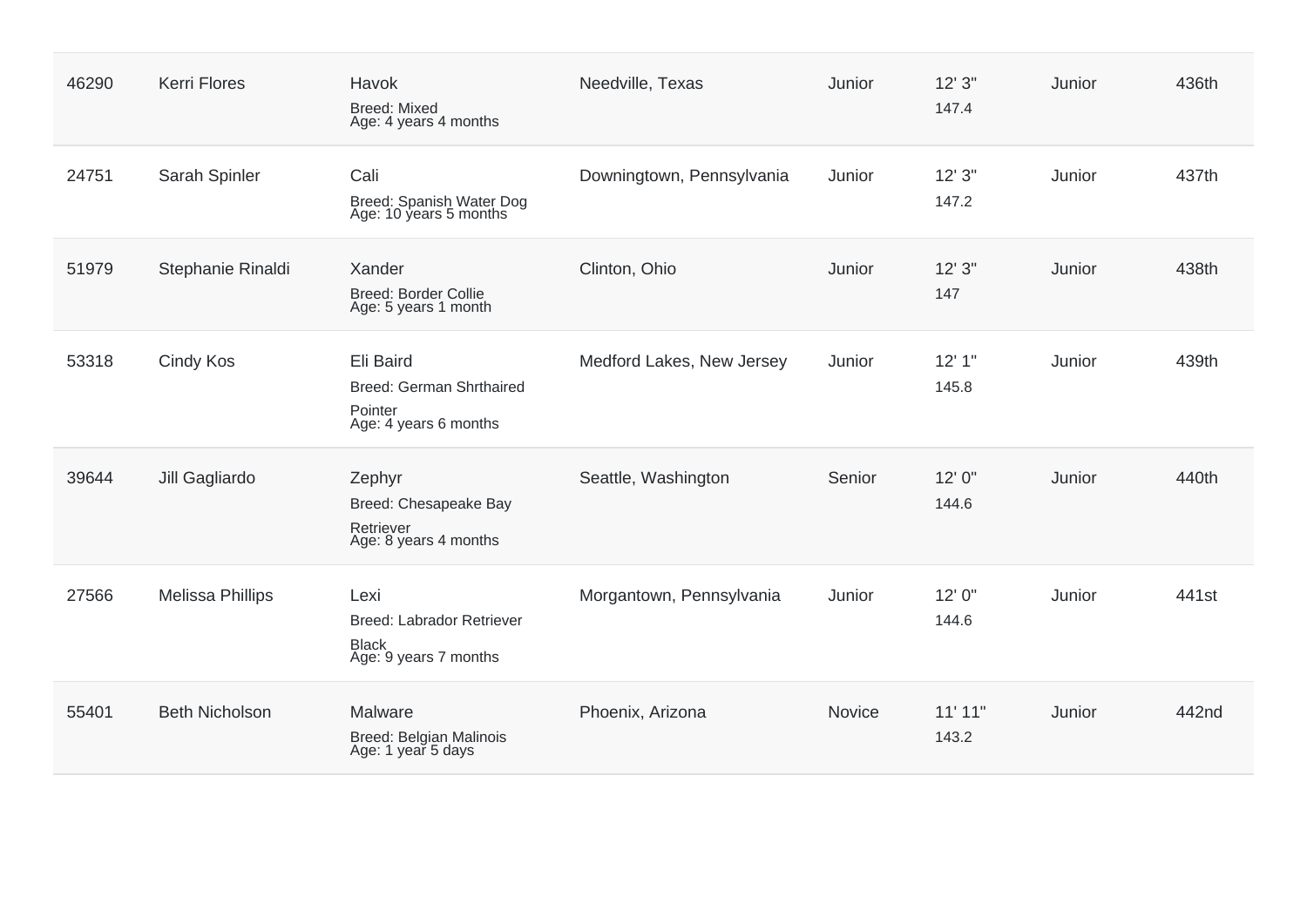| 46290 | <b>Kerri Flores</b>     | Havok<br><b>Breed: Mixed</b><br>Age: 4 years 4 months                             | Needville, Texas          | Junior | 12'3''<br>147.4 | Junior | 436th             |
|-------|-------------------------|-----------------------------------------------------------------------------------|---------------------------|--------|-----------------|--------|-------------------|
| 24751 | Sarah Spinler           | Cali<br>Breed: Spanish Water Dog<br>Age: 10 years 5 months                        | Downingtown, Pennsylvania | Junior | 12'3''<br>147.2 | Junior | 437th             |
| 51979 | Stephanie Rinaldi       | Xander<br>Breed: Border Collie<br>Age: 5 years 1 month                            | Clinton, Ohio             | Junior | 12'3''<br>147   | Junior | 438th             |
| 53318 | Cindy Kos               | Eli Baird<br>Breed: German Shrthaired<br>Pointer<br>Age: 4 years 6 months         | Medford Lakes, New Jersey | Junior | 12'1''<br>145.8 | Junior | 439th             |
| 39644 | Jill Gagliardo          | Zephyr<br>Breed: Chesapeake Bay<br>Retriever<br>Age: 8 years 4 months             | Seattle, Washington       | Senior | 12' 0"<br>144.6 | Junior | 440th             |
| 27566 | <b>Melissa Phillips</b> | Lexi<br><b>Breed: Labrador Retriever</b><br><b>Black</b><br>Age: 9 years 7 months | Morgantown, Pennsylvania  | Junior | 12' 0"<br>144.6 | Junior | 441 <sub>st</sub> |
| 55401 | <b>Beth Nicholson</b>   | Malware<br>Breed: Belgian Malinois<br>Age: 1 year 5 days                          | Phoenix, Arizona          | Novice | 11'11"<br>143.2 | Junior | 442nd             |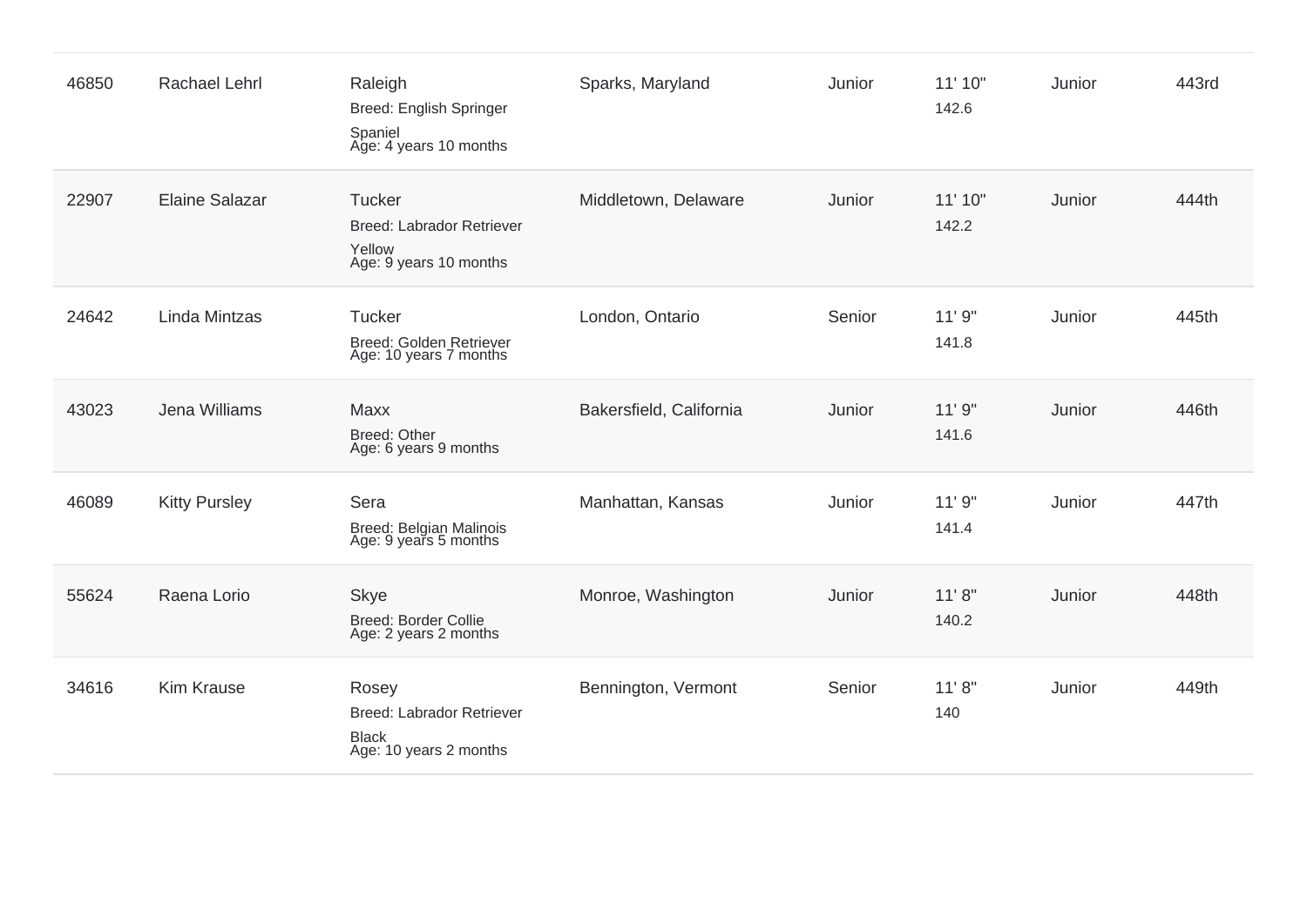| 46850 | <b>Rachael Lehrl</b>  | Raleigh<br><b>Breed: English Springer</b><br>Spaniel<br>Age: 4 years 10 months        | Sparks, Maryland        | Junior | 11' 10"<br>142.6 | Junior | 443rd |
|-------|-----------------------|---------------------------------------------------------------------------------------|-------------------------|--------|------------------|--------|-------|
| 22907 | <b>Elaine Salazar</b> | <b>Tucker</b><br><b>Breed: Labrador Retriever</b><br>Yellow<br>Age: 9 years 10 months | Middletown, Delaware    | Junior | 11' 10"<br>142.2 | Junior | 444th |
| 24642 | Linda Mintzas         | <b>Tucker</b><br>Breed: Golden Retriever<br>Age: 10 years 7 months                    | London, Ontario         | Senior | 11'9''<br>141.8  | Junior | 445th |
| 43023 | Jena Williams         | Maxx<br><b>Breed: Other</b><br>Age: 6 years 9 months                                  | Bakersfield, California | Junior | 11'9''<br>141.6  | Junior | 446th |
| 46089 | <b>Kitty Pursley</b>  | Sera<br>Breed: Belgian Malinois<br>Age: 9 years 5 months                              | Manhattan, Kansas       | Junior | 11'9''<br>141.4  | Junior | 447th |
| 55624 | Raena Lorio           | <b>Skye</b><br><b>Breed: Border Collie</b><br>Age: 2 years 2 months                   | Monroe, Washington      | Junior | 11'8''<br>140.2  | Junior | 448th |
| 34616 | <b>Kim Krause</b>     | Rosey<br><b>Breed: Labrador Retriever</b><br><b>Black</b><br>Age: 10 years 2 months   | Bennington, Vermont     | Senior | 11' 8''<br>140   | Junior | 449th |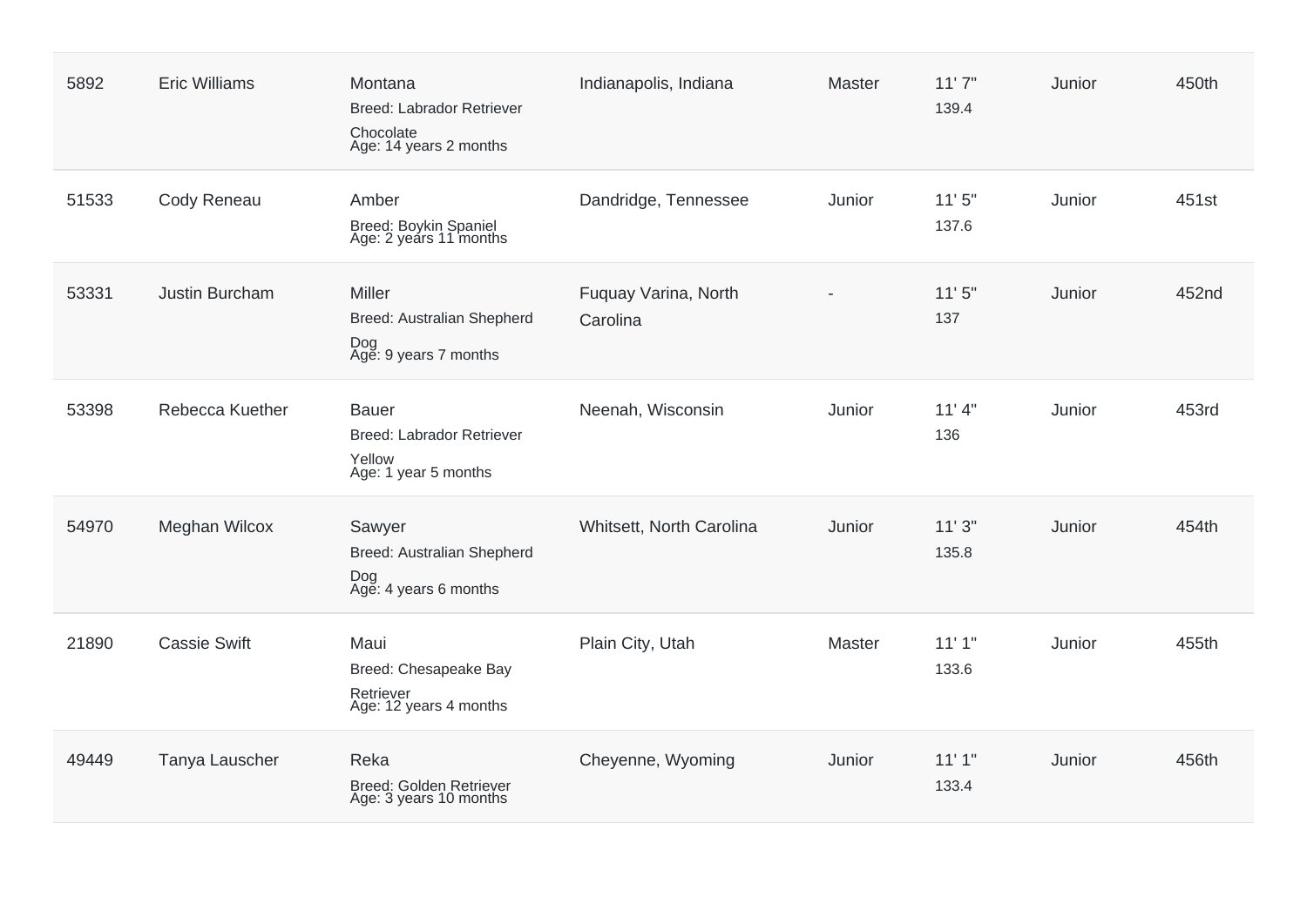| 5892  | <b>Eric Williams</b> | Montana<br>Breed: Labrador Retriever<br>Chocolate<br>Age: 14 years 2 months        | Indianapolis, Indiana            | Master | 11'7''<br>139.4 | Junior | 450th |
|-------|----------------------|------------------------------------------------------------------------------------|----------------------------------|--------|-----------------|--------|-------|
| 51533 | Cody Reneau          | Amber<br>Breed: Boykin Spaniel<br>Age: 2 years 11 months                           | Dandridge, Tennessee             | Junior | 11'5''<br>137.6 | Junior | 451st |
| 53331 | Justin Burcham       | Miller<br>Breed: Australian Shepherd<br>Dog<br>Age: 9 years 7 months               | Fuquay Varina, North<br>Carolina |        | 11'5''<br>137   | Junior | 452nd |
| 53398 | Rebecca Kuether      | <b>Bauer</b><br><b>Breed: Labrador Retriever</b><br>Yellow<br>Age: 1 year 5 months | Neenah, Wisconsin                | Junior | 11'4"<br>136    | Junior | 453rd |
| 54970 | Meghan Wilcox        | Sawyer<br>Breed: Australian Shepherd<br>Dog<br>Age: 4 years 6 months               | Whitsett, North Carolina         | Junior | 11'3''<br>135.8 | Junior | 454th |
| 21890 | <b>Cassie Swift</b>  | Maui<br>Breed: Chesapeake Bay<br>Retriever<br>Age: 12 years 4 months               | Plain City, Utah                 | Master | 11'1"<br>133.6  | Junior | 455th |
| 49449 | Tanya Lauscher       | Reka<br>Breed: Golden Retriever<br>Age: 3 years 10 months                          | Cheyenne, Wyoming                | Junior | 11'1"<br>133.4  | Junior | 456th |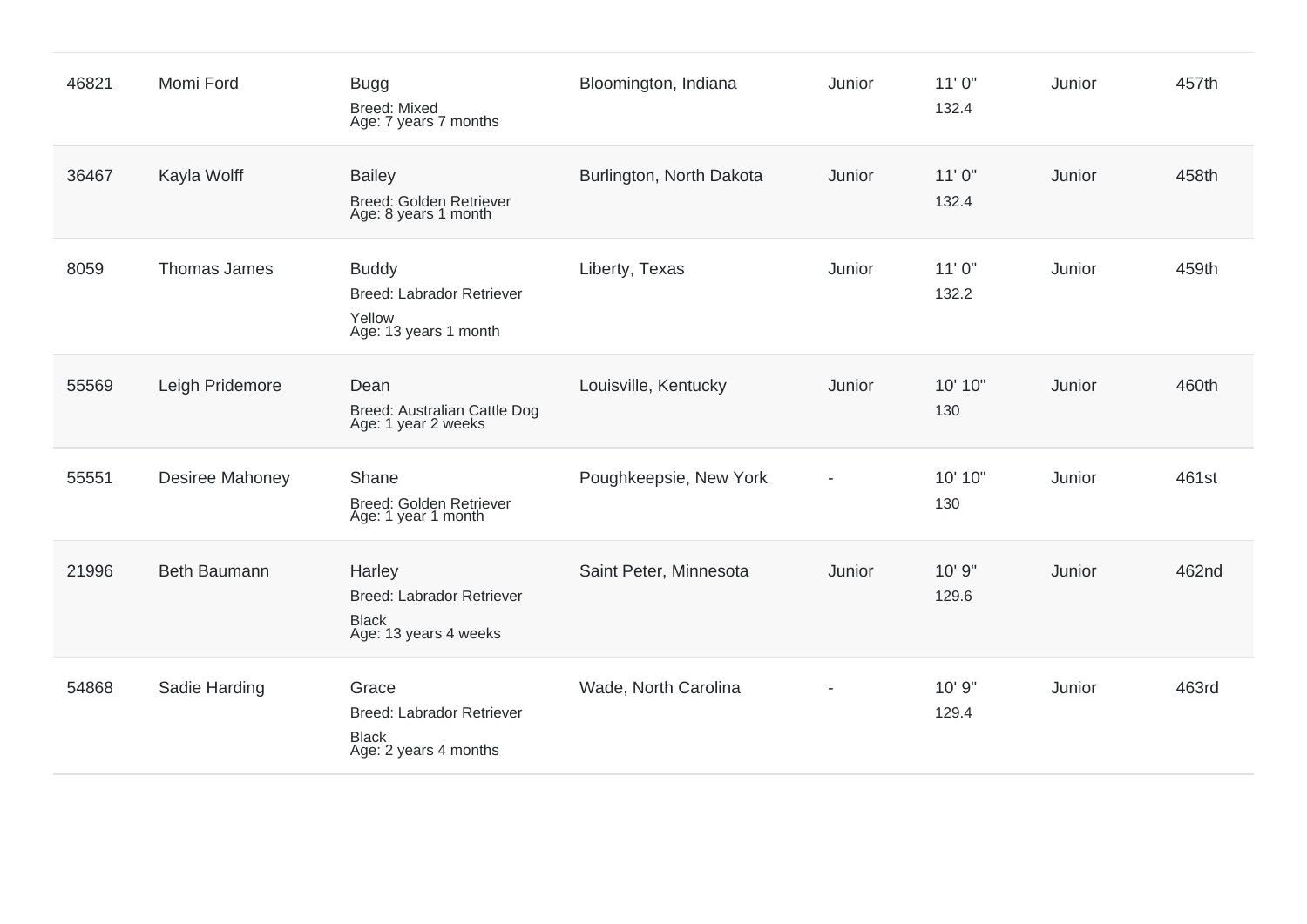| 46821 | Momi Ford              | <b>Bugg</b><br><b>Breed: Mixed</b><br>Age: 7 years 7 months                         | Bloomington, Indiana     | Junior | 11'0''<br>132.4 | Junior | 457th |
|-------|------------------------|-------------------------------------------------------------------------------------|--------------------------|--------|-----------------|--------|-------|
| 36467 | Kayla Wolff            | <b>Bailey</b><br>Breed: Golden Retriever<br>Age: 8 years 1 month                    | Burlington, North Dakota | Junior | 11'0''<br>132.4 | Junior | 458th |
| 8059  | Thomas James           | <b>Buddy</b><br><b>Breed: Labrador Retriever</b><br>Yellow<br>Age: 13 years 1 month | Liberty, Texas           | Junior | 11'0''<br>132.2 | Junior | 459th |
| 55569 | Leigh Pridemore        | Dean<br>Breed: Australian Cattle Dog<br>Age: 1 year 2 weeks                         | Louisville, Kentucky     | Junior | 10' 10"<br>130  | Junior | 460th |
| 55551 | <b>Desiree Mahoney</b> | Shane<br>Breed: Golden Retriever<br>Age: 1 year 1 month                             | Poughkeepsie, New York   |        | 10' 10"<br>130  | Junior | 461st |
| 21996 | Beth Baumann           | Harley<br><b>Breed: Labrador Retriever</b><br><b>Black</b><br>Age: 13 years 4 weeks | Saint Peter, Minnesota   | Junior | 10' 9"<br>129.6 | Junior | 462nd |
| 54868 | Sadie Harding          | Grace<br><b>Breed: Labrador Retriever</b><br><b>Black</b><br>Age: 2 years 4 months  | Wade, North Carolina     |        | 10' 9"<br>129.4 | Junior | 463rd |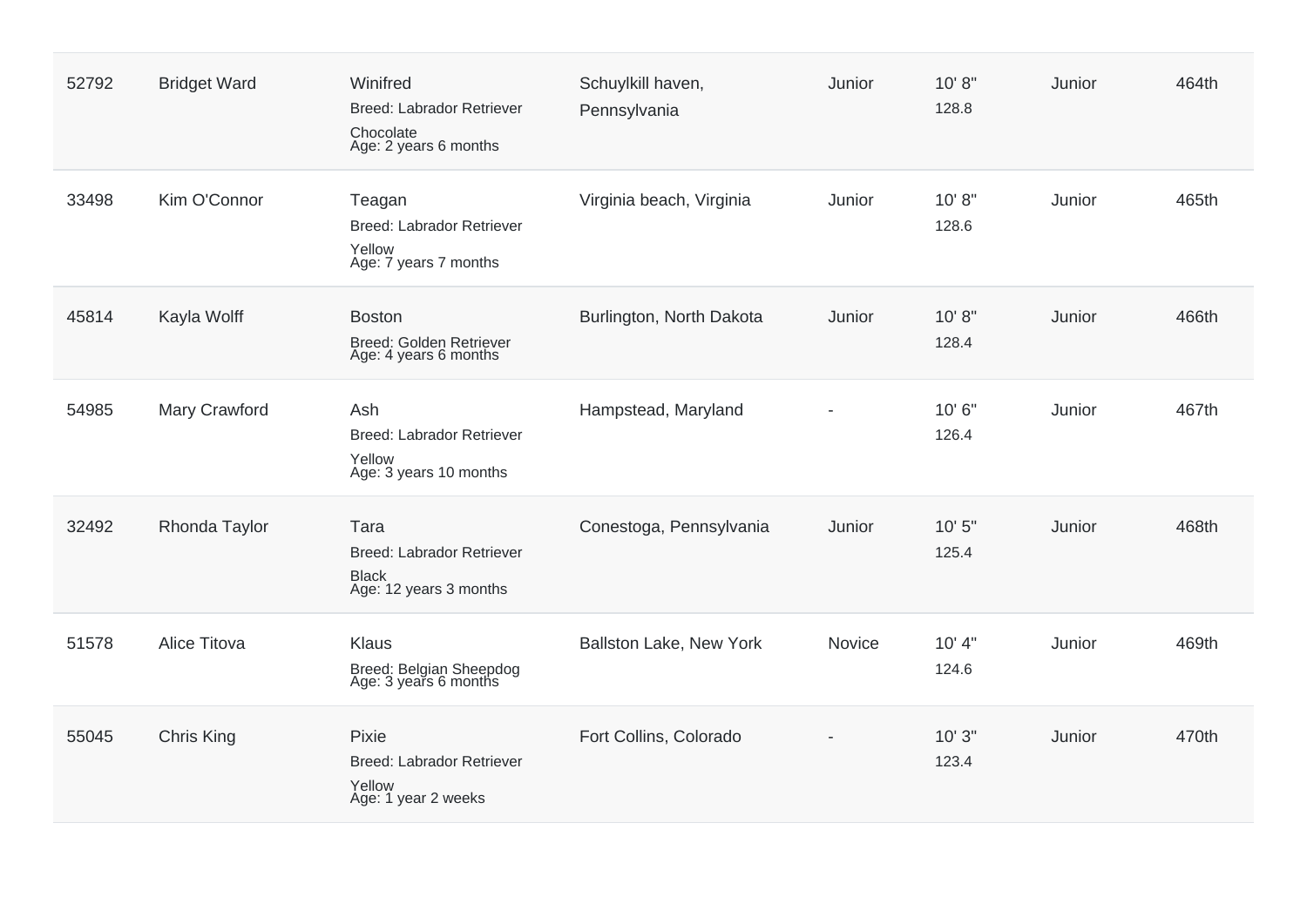| 52792 | <b>Bridget Ward</b> | Winifred<br>Breed: Labrador Retriever<br>Chocolate<br>Age: 2 years 6 months        | Schuylkill haven,<br>Pennsylvania | Junior | 10' 8''<br>128.8 | Junior | 464th |
|-------|---------------------|------------------------------------------------------------------------------------|-----------------------------------|--------|------------------|--------|-------|
| 33498 | Kim O'Connor        | Teagan<br>Breed: Labrador Retriever<br>Yellow<br>Age: 7 years 7 months             | Virginia beach, Virginia          | Junior | 10' 8''<br>128.6 | Junior | 465th |
| 45814 | Kayla Wolff         | <b>Boston</b><br>Breed: Golden Retriever<br>Age: 4 years 6 months                  | Burlington, North Dakota          | Junior | 10' 8''<br>128.4 | Junior | 466th |
| 54985 | Mary Crawford       | Ash<br>Breed: Labrador Retriever<br>Yellow<br>Age: 3 years 10 months               | Hampstead, Maryland               |        | 10'6"<br>126.4   | Junior | 467th |
| 32492 | Rhonda Taylor       | Tara<br><b>Breed: Labrador Retriever</b><br><b>Black</b><br>Age: 12 years 3 months | Conestoga, Pennsylvania           | Junior | 10'5''<br>125.4  | Junior | 468th |
| 51578 | <b>Alice Titova</b> | <b>Klaus</b><br>Breed: Belgian Sheepdog<br>Age: 3 years 6 months                   | Ballston Lake, New York           | Novice | 10' 4"<br>124.6  | Junior | 469th |
| 55045 | Chris King          | Pixie<br><b>Breed: Labrador Retriever</b><br>Yellow<br>Age: 1 year 2 weeks         | Fort Collins, Colorado            |        | 10'3''<br>123.4  | Junior | 470th |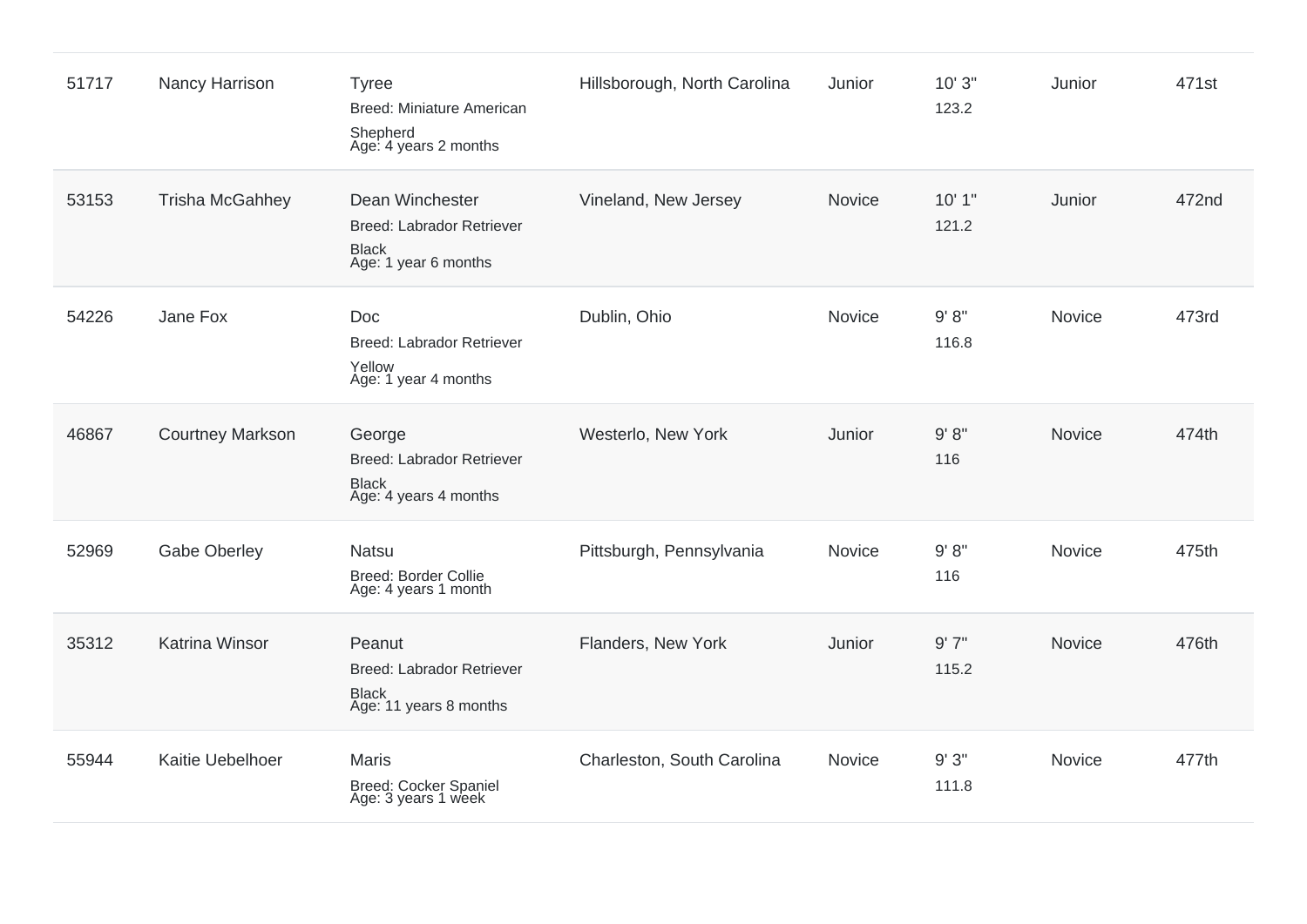| 51717 | Nancy Harrison          | <b>Tyree</b><br><b>Breed: Miniature American</b><br>Shepherd<br>Age: 4 years 2 months | Hillsborough, North Carolina | Junior        | 10'3''<br>123.2 | Junior        | 471st |
|-------|-------------------------|---------------------------------------------------------------------------------------|------------------------------|---------------|-----------------|---------------|-------|
| 53153 | <b>Trisha McGahhey</b>  | Dean Winchester<br>Breed: Labrador Retriever<br><b>Black</b><br>Age: 1 year 6 months  | Vineland, New Jersey         | Novice        | 10'1"<br>121.2  | Junior        | 472nd |
| 54226 | Jane Fox                | Doc<br><b>Breed: Labrador Retriever</b><br>Yellow<br>Age: 1 year 4 months             | Dublin, Ohio                 | Novice        | 9' 8''<br>116.8 | Novice        | 473rd |
| 46867 | <b>Courtney Markson</b> | George<br><b>Breed: Labrador Retriever</b><br><b>Black</b><br>Age: 4 years 4 months   | Westerlo, New York           | Junior        | 9' 8''<br>116   | <b>Novice</b> | 474th |
| 52969 | <b>Gabe Oberley</b>     | <b>Natsu</b><br><b>Breed: Border Collie</b><br>Age: 4 years 1 month                   | Pittsburgh, Pennsylvania     | Novice        | 9' 8''<br>116   | Novice        | 475th |
| 35312 | <b>Katrina Winsor</b>   | Peanut<br><b>Breed: Labrador Retriever</b><br><b>Black</b><br>Age: 11 years 8 months  | Flanders, New York           | Junior        | 9'7''<br>115.2  | Novice        | 476th |
| 55944 | Kaitie Uebelhoer        | <b>Maris</b><br><b>Breed: Cocker Spaniel</b><br>Age: 3 years 1 week                   | Charleston, South Carolina   | <b>Novice</b> | 9'3''<br>111.8  | Novice        | 477th |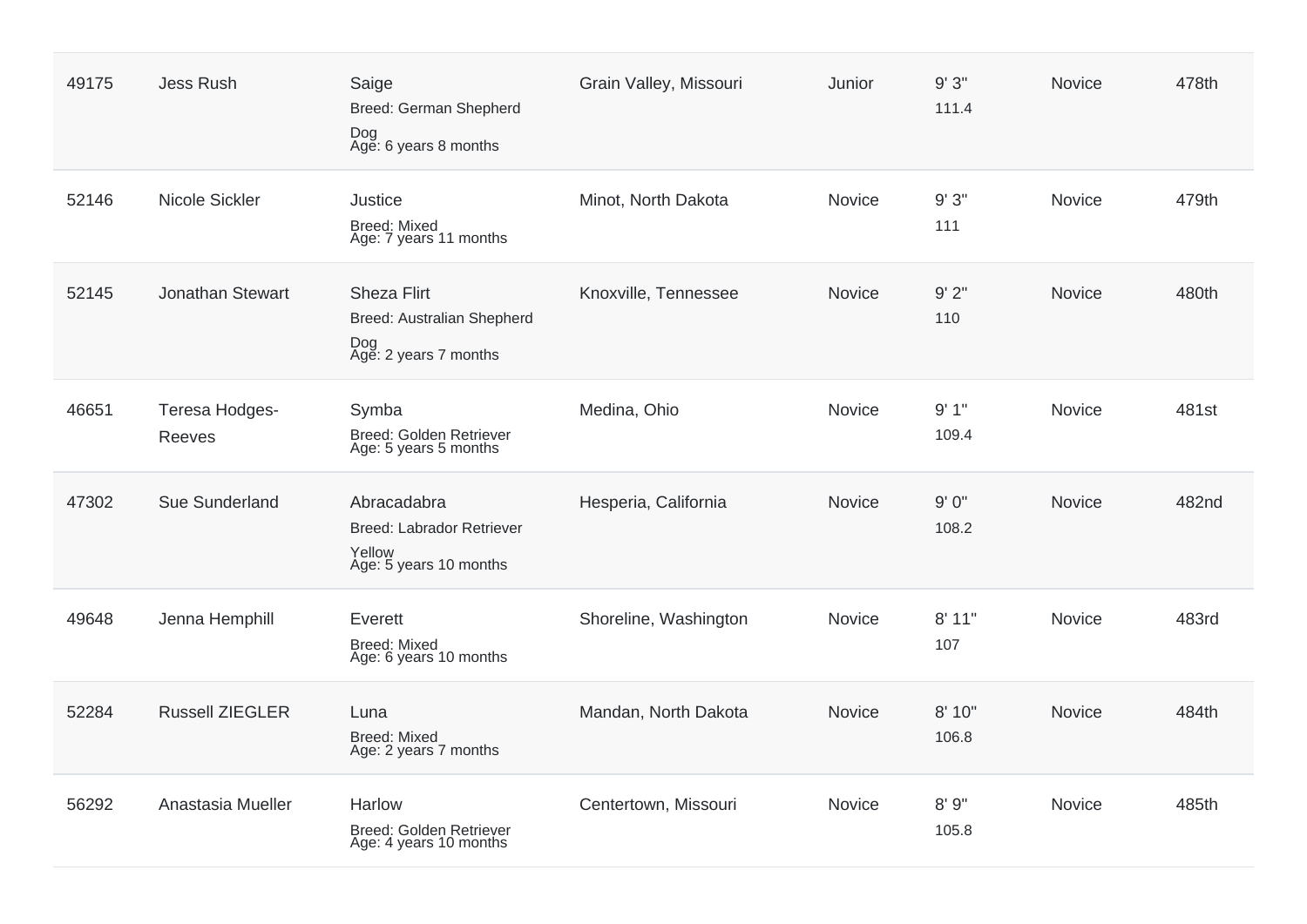| 49175 | <b>Jess Rush</b>         | Saige<br>Breed: German Shepherd<br>Dog<br>Age: 6 years 8 months                  | Grain Valley, Missouri | Junior        | 9'3''<br>111.4  | <b>Novice</b> | 478th |
|-------|--------------------------|----------------------------------------------------------------------------------|------------------------|---------------|-----------------|---------------|-------|
| 52146 | Nicole Sickler           | Justice<br><b>Breed: Mixed</b><br>Age: 7 years 11 months                         | Minot, North Dakota    | Novice        | 9'3''<br>111    | <b>Novice</b> | 479th |
| 52145 | Jonathan Stewart         | <b>Sheza Flirt</b><br>Breed: Australian Shepherd<br>Dog<br>Age: 2 years 7 months | Knoxville, Tennessee   | Novice        | 9'2"<br>110     | Novice        | 480th |
| 46651 | Teresa Hodges-<br>Reeves | Symba<br>Breed: Golden Retriever<br>Age: 5 years 5 months                        | Medina, Ohio           | Novice        | 9'1"<br>109.4   | <b>Novice</b> | 481st |
| 47302 | Sue Sunderland           | Abracadabra<br>Breed: Labrador Retriever<br>Yellow<br>Age: 5 years 10 months     | Hesperia, California   | Novice        | 9'0''<br>108.2  | Novice        | 482nd |
| 49648 | Jenna Hemphill           | Everett<br><b>Breed: Mixed</b><br>Age: 6 years 10 months                         | Shoreline, Washington  | Novice        | 8'11"<br>107    | Novice        | 483rd |
| 52284 | <b>Russell ZIEGLER</b>   | Luna<br>Breed: Mixed<br>Age: 2 years 7 months                                    | Mandan, North Dakota   | Novice        | 8' 10"<br>106.8 | Novice        | 484th |
| 56292 | Anastasia Mueller        | Harlow<br>Breed: Golden Retriever<br>Age: 4 years 10 months                      | Centertown, Missouri   | <b>Novice</b> | 8'9''<br>105.8  | <b>Novice</b> | 485th |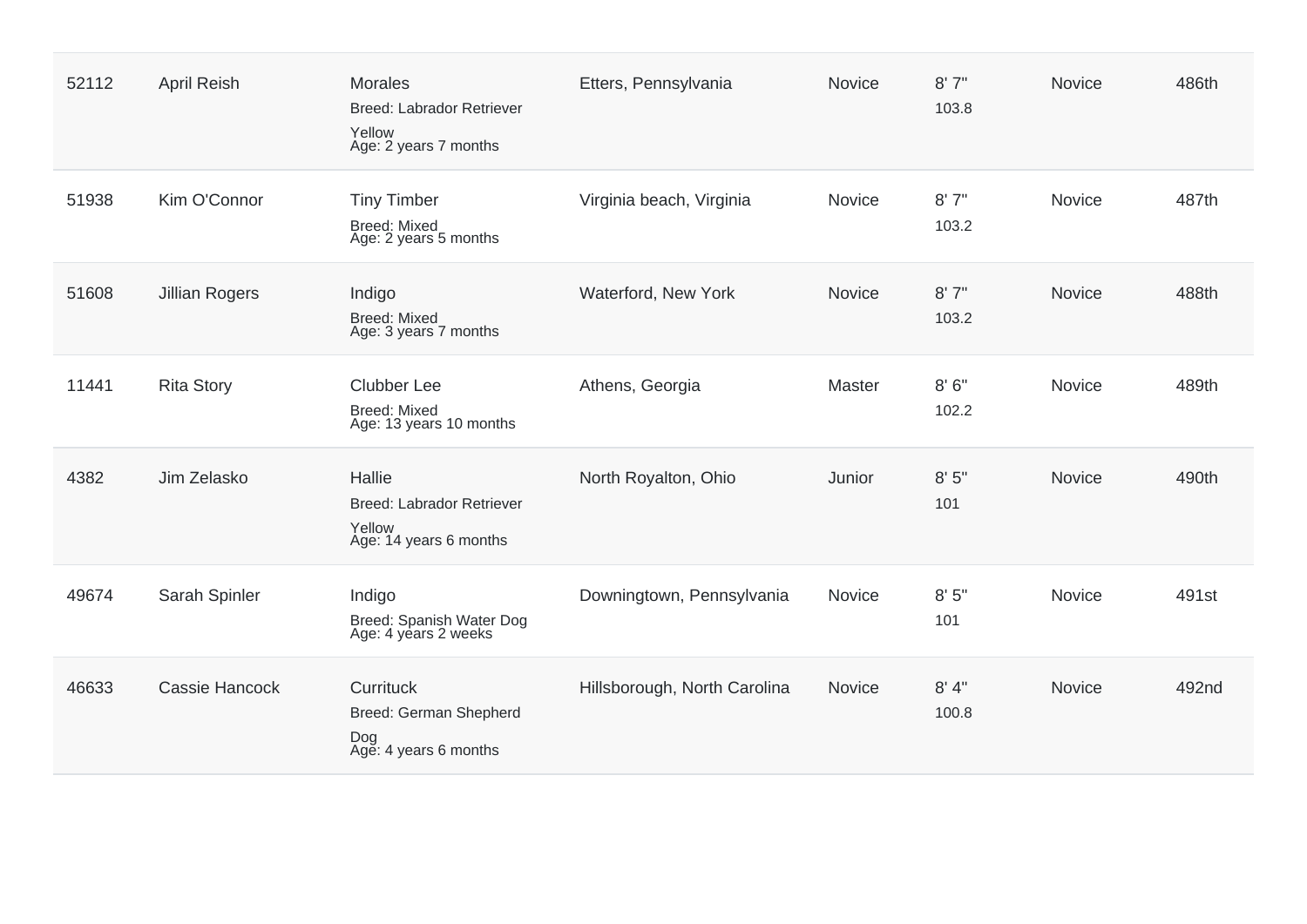| 52112 | <b>April Reish</b>    | <b>Morales</b><br>Breed: Labrador Retriever<br>Yellow<br>Age: 2 years 7 months | Etters, Pennsylvania         | <b>Novice</b> | 8'7''<br>103.8 | <b>Novice</b> | 486th |
|-------|-----------------------|--------------------------------------------------------------------------------|------------------------------|---------------|----------------|---------------|-------|
| 51938 | Kim O'Connor          | <b>Tiny Timber</b><br><b>Breed: Mixed</b><br>Age: 2 years 5 months             | Virginia beach, Virginia     | <b>Novice</b> | 8'7''<br>103.2 | <b>Novice</b> | 487th |
| 51608 | <b>Jillian Rogers</b> | Indigo<br><b>Breed: Mixed</b><br>Age: 3 years 7 months                         | Waterford, New York          | Novice        | 8'7''<br>103.2 | Novice        | 488th |
| 11441 | <b>Rita Story</b>     | <b>Clubber Lee</b><br><b>Breed: Mixed</b><br>Age: 13 years 10 months           | Athens, Georgia              | Master        | 8'6''<br>102.2 | Novice        | 489th |
| 4382  | Jim Zelasko           | Hallie<br>Breed: Labrador Retriever<br>Yellow<br>Age: 14 years 6 months        | North Royalton, Ohio         | Junior        | 8'5''<br>101   | Novice        | 490th |
| 49674 | Sarah Spinler         | Indigo<br>Breed: Spanish Water Dog<br>Age: 4 years 2 weeks                     | Downingtown, Pennsylvania    | Novice        | 8'5''<br>101   | Novice        | 491st |
| 46633 | <b>Cassie Hancock</b> | Currituck<br>Breed: German Shepherd<br>Dog<br>Age: 4 years 6 months            | Hillsborough, North Carolina | Novice        | 8' 4"<br>100.8 | Novice        | 492nd |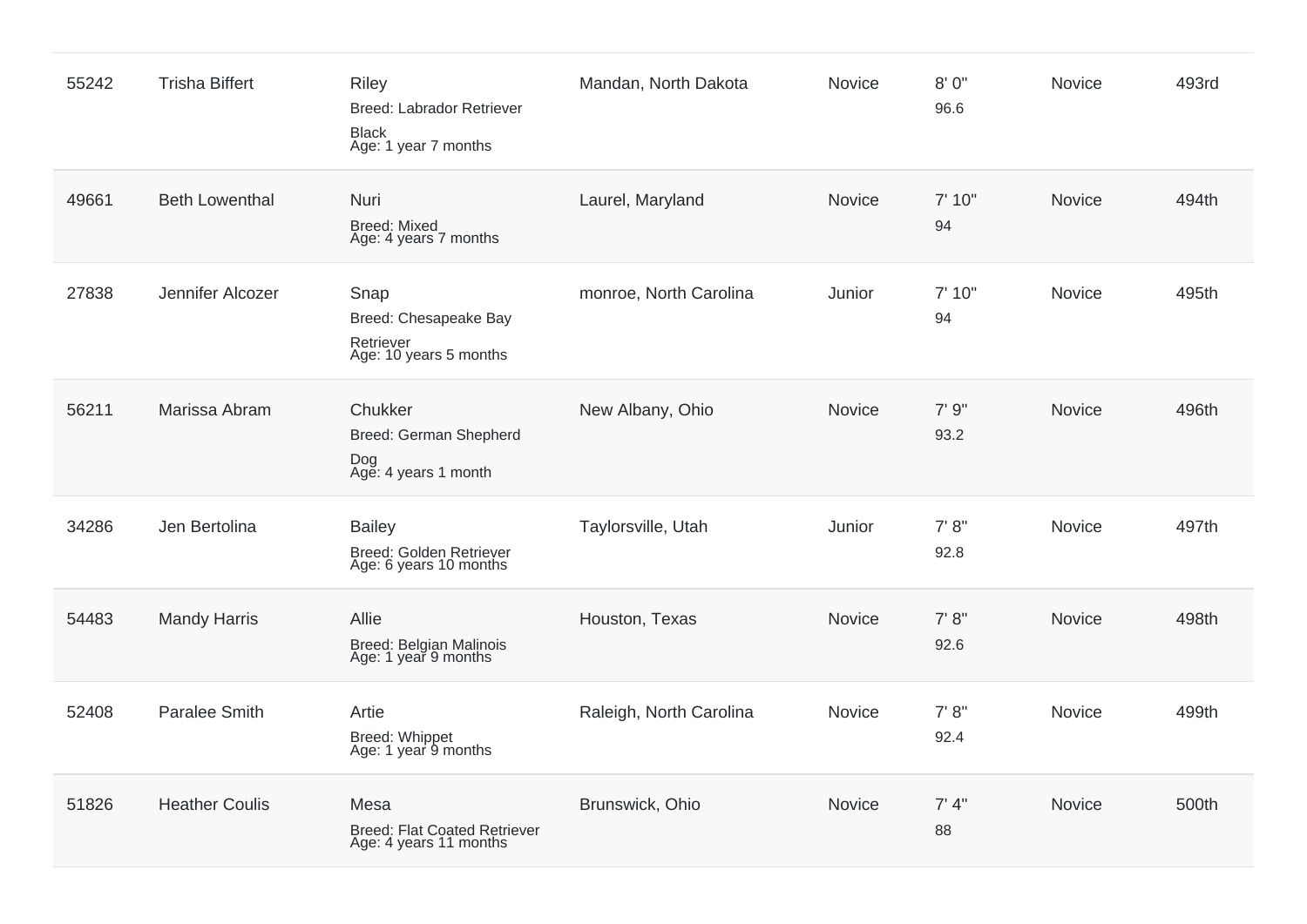| 55242 | <b>Trisha Biffert</b> | <b>Riley</b><br><b>Breed: Labrador Retriever</b><br><b>Black</b><br>Age: 1 year 7 months | Mandan, North Dakota    | Novice | 8'0"<br>96.6   | Novice        | 493rd |
|-------|-----------------------|------------------------------------------------------------------------------------------|-------------------------|--------|----------------|---------------|-------|
| 49661 | <b>Beth Lowenthal</b> | Nuri<br><b>Breed: Mixed</b><br>Age: 4 years 7 months                                     | Laurel, Maryland        | Novice | 7' 10"<br>94   | Novice        | 494th |
| 27838 | Jennifer Alcozer      | Snap<br>Breed: Chesapeake Bay<br>Retriever<br>Age: 10 years 5 months                     | monroe, North Carolina  | Junior | 7' 10"<br>94   | Novice        | 495th |
| 56211 | Marissa Abram         | Chukker<br>Breed: German Shepherd<br>Dog<br>Age: 4 years 1 month                         | New Albany, Ohio        | Novice | 7'9''<br>93.2  | Novice        | 496th |
| 34286 | Jen Bertolina         | <b>Bailey</b><br>Breed: Golden Retriever<br>Age: 6 years 10 months                       | Taylorsville, Utah      | Junior | 7' 8''<br>92.8 | Novice        | 497th |
| 54483 | <b>Mandy Harris</b>   | Allie<br>Breed: Belgian Malinois<br>Age: 1 year 9 months                                 | Houston, Texas          | Novice | 7' 8''<br>92.6 | Novice        | 498th |
| 52408 | <b>Paralee Smith</b>  | Artie<br>Breed: Whippet<br>Age: 1 year 9 months                                          | Raleigh, North Carolina | Novice | 7' 8''<br>92.4 | Novice        | 499th |
| 51826 | <b>Heather Coulis</b> | Mesa<br>Breed: Flat Coated Retriever<br>Age: 4 years 11 months                           | Brunswick, Ohio         | Novice | 7' 4''<br>88   | <b>Novice</b> | 500th |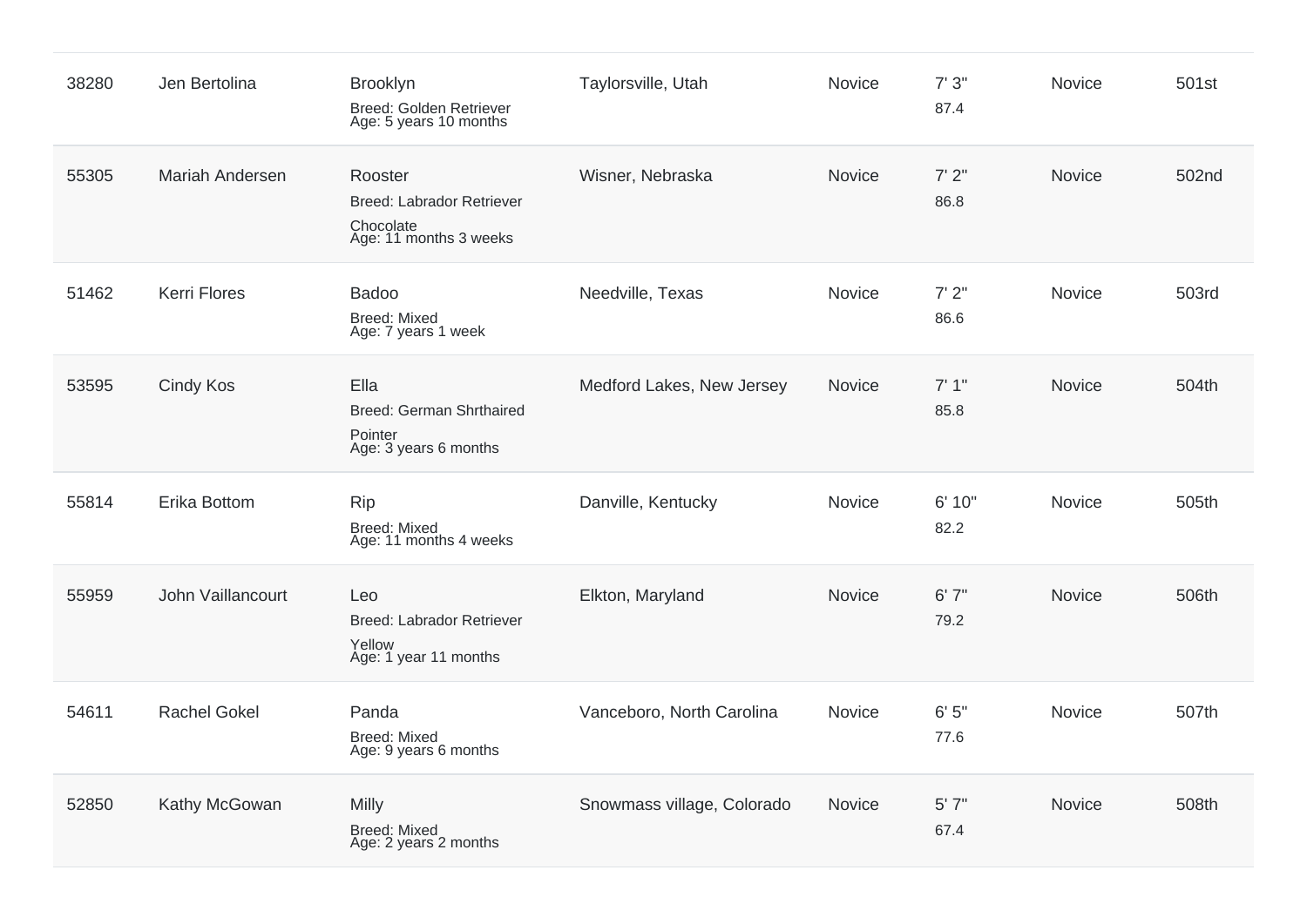| 38280 | Jen Bertolina       | <b>Brooklyn</b><br>Breed: Golden Retriever<br>Age: 5 years 10 months               | Taylorsville, Utah         | Novice | 7'3''<br>87.4  | Novice        | 501st |
|-------|---------------------|------------------------------------------------------------------------------------|----------------------------|--------|----------------|---------------|-------|
| 55305 | Mariah Andersen     | Rooster<br><b>Breed: Labrador Retriever</b><br>Chocolate<br>Age: 11 months 3 weeks | Wisner, Nebraska           | Novice | 7'2''<br>86.8  | Novice        | 502nd |
| 51462 | <b>Kerri Flores</b> | <b>Badoo</b><br><b>Breed: Mixed</b><br>Age: 7 years 1 week                         | Needville, Texas           | Novice | 7'2''<br>86.6  | Novice        | 503rd |
| 53595 | <b>Cindy Kos</b>    | Ella<br><b>Breed: German Shrthaired</b><br>Pointer<br>Age: 3 years 6 months        | Medford Lakes, New Jersey  | Novice | 7'1''<br>85.8  | Novice        | 504th |
| 55814 | Erika Bottom        | <b>Rip</b><br><b>Breed: Mixed</b><br>Age: 11 months 4 weeks                        | Danville, Kentucky         | Novice | 6' 10"<br>82.2 | <b>Novice</b> | 505th |
| 55959 | John Vaillancourt   | Leo<br><b>Breed: Labrador Retriever</b><br>Yellow<br>Age: 1 year 11 months         | Elkton, Maryland           | Novice | 6'7''<br>79.2  | Novice        | 506th |
| 54611 | <b>Rachel Gokel</b> | Panda<br><b>Breed: Mixed</b><br>Age: 9 years 6 months                              | Vanceboro, North Carolina  | Novice | 6'5''<br>77.6  | Novice        | 507th |
| 52850 | Kathy McGowan       | Milly<br><b>Breed: Mixed</b><br>Age: 2 years 2 months                              | Snowmass village, Colorado | Novice | 5'7''<br>67.4  | Novice        | 508th |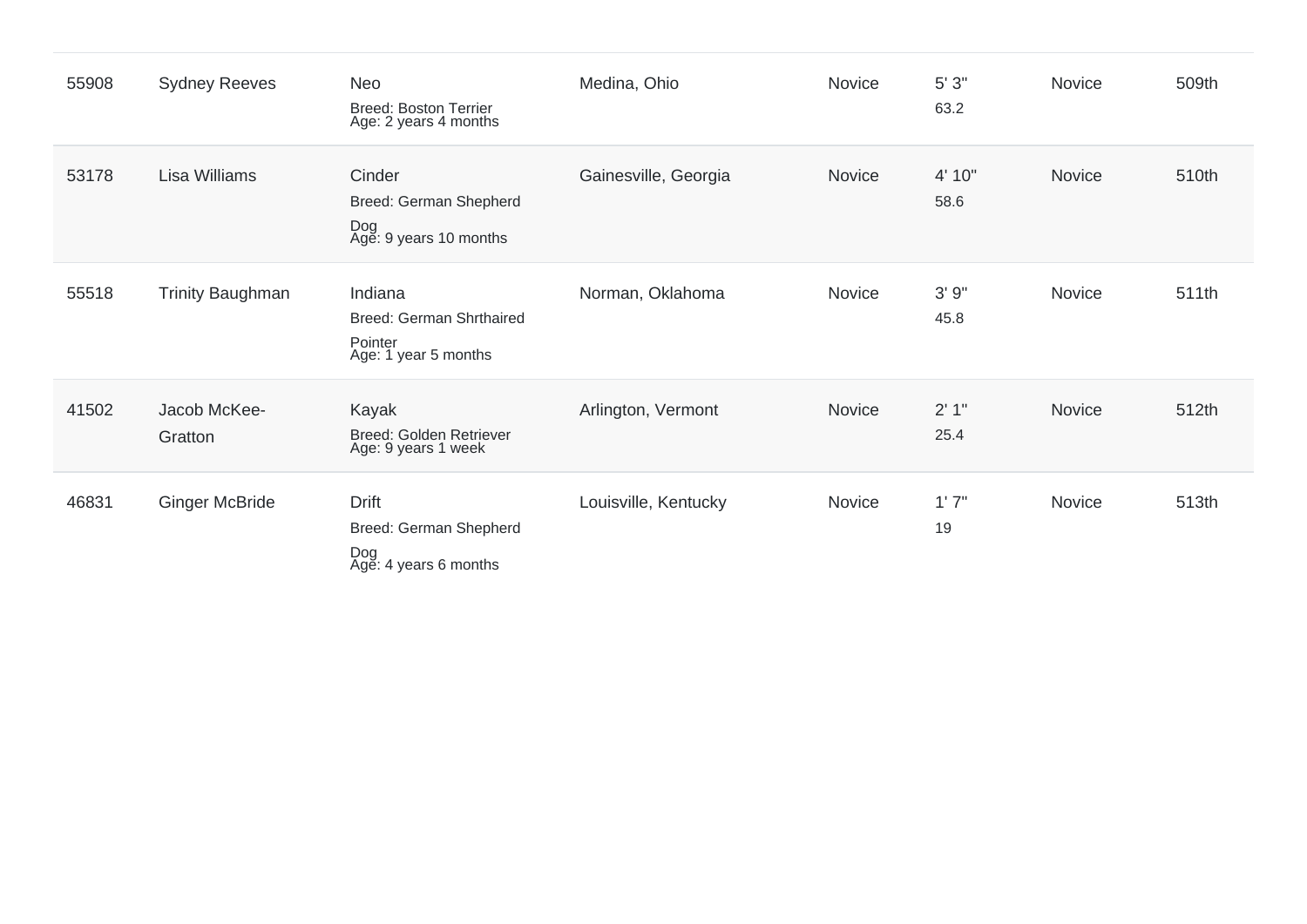| 55908 | <b>Sydney Reeves</b>    | Neo<br><b>Breed: Boston Terrier</b><br>Age: 2 years 4 months           | Medina, Ohio         | Novice | 5'3''<br>63.2  | Novice        | 509th |
|-------|-------------------------|------------------------------------------------------------------------|----------------------|--------|----------------|---------------|-------|
| 53178 | Lisa Williams           | Cinder<br>Breed: German Shepherd<br>Dog<br>Age: 9 years 10 months      | Gainesville, Georgia | Novice | 4' 10"<br>58.6 | Novice        | 510th |
| 55518 | <b>Trinity Baughman</b> | Indiana<br>Breed: German Shrthaired<br>Pointer<br>Age: 1 year 5 months | Norman, Oklahoma     | Novice | 3'9''<br>45.8  | <b>Novice</b> | 511th |
| 41502 | Jacob McKee-<br>Gratton | Kayak<br>Breed: Golden Retriever<br>Age: 9 years 1 week                | Arlington, Vermont   | Novice | 2'1''<br>25.4  | Novice        | 512th |
| 46831 | <b>Ginger McBride</b>   | <b>Drift</b><br>Breed: German Shepherd<br>Dog<br>Age: 4 years 6 months | Louisville, Kentucky | Novice | 1'7''<br>19    | Novice        | 513th |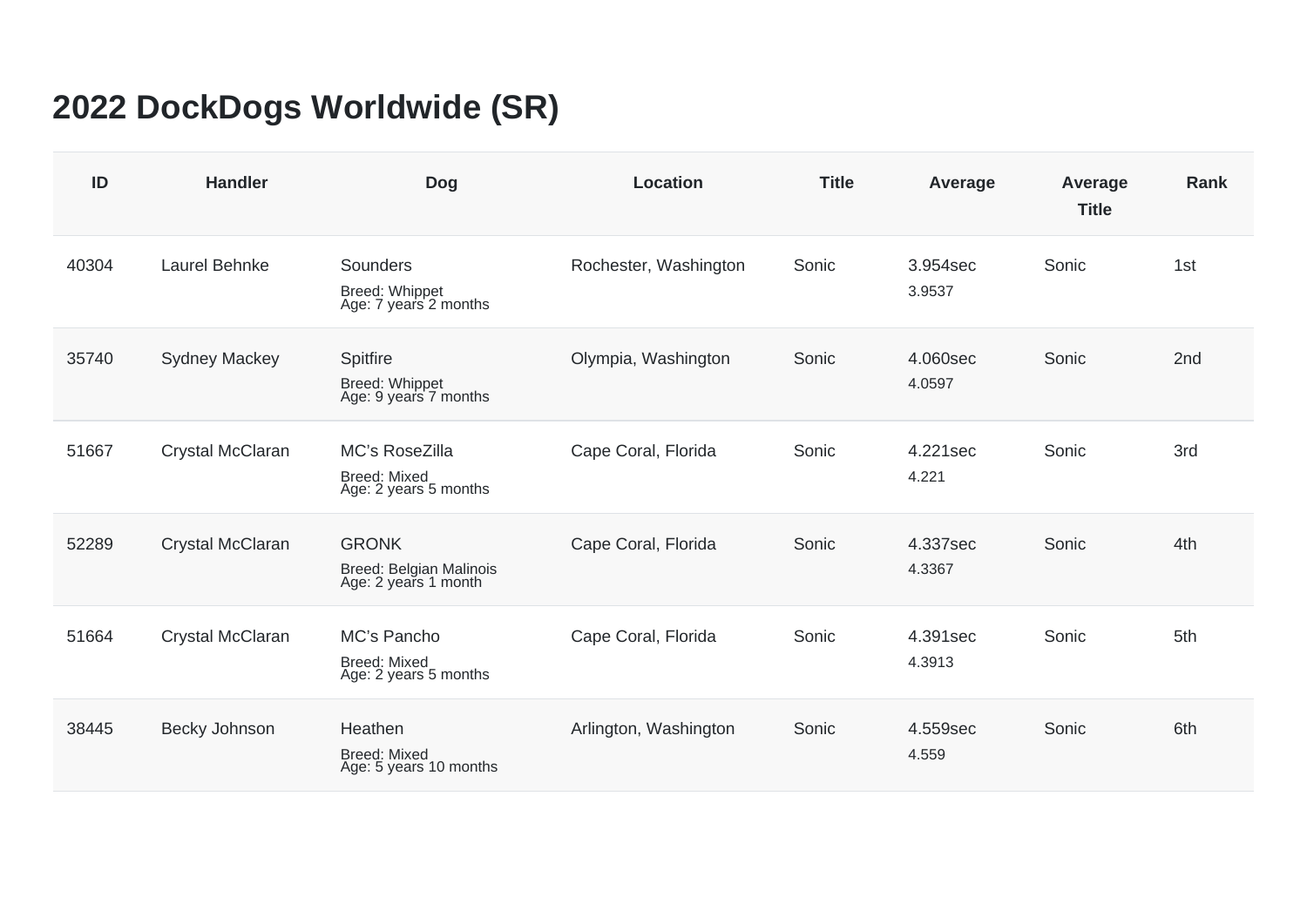## **2022 DockDogs Worldwide (SR)**

| ID    | <b>Handler</b>       | <b>Dog</b>                                                            | <b>Location</b>       | <b>Title</b> | Average            | Average<br><b>Title</b> | <b>Rank</b>     |
|-------|----------------------|-----------------------------------------------------------------------|-----------------------|--------------|--------------------|-------------------------|-----------------|
| 40304 | Laurel Behnke        | Sounders<br>Breed: Whippet<br>Age: 7 years 2 months                   | Rochester, Washington | Sonic        | 3.954sec<br>3.9537 | Sonic                   | 1st             |
| 35740 | <b>Sydney Mackey</b> | Spitfire<br>Breed: Whippet<br>Age: 9 years 7 months                   | Olympia, Washington   | Sonic        | 4.060sec<br>4.0597 | Sonic                   | 2 <sub>nd</sub> |
| 51667 | Crystal McClaran     | <b>MC's RoseZilla</b><br><b>Breed: Mixed</b><br>Age: 2 years 5 months | Cape Coral, Florida   | Sonic        | 4.221sec<br>4.221  | Sonic                   | 3rd             |
| 52289 | Crystal McClaran     | <b>GRONK</b><br>Breed: Belgian Malinois<br>Age: 2 years 1 month       | Cape Coral, Florida   | Sonic        | 4.337sec<br>4.3367 | Sonic                   | 4th             |
| 51664 | Crystal McClaran     | MC's Pancho<br><b>Breed: Mixed</b><br>Age: 2 years 5 months           | Cape Coral, Florida   | Sonic        | 4.391sec<br>4.3913 | Sonic                   | 5th             |
| 38445 | Becky Johnson        | Heathen<br><b>Breed: Mixed</b><br>Age: 5 years 10 months              | Arlington, Washington | Sonic        | 4.559sec<br>4.559  | Sonic                   | 6th             |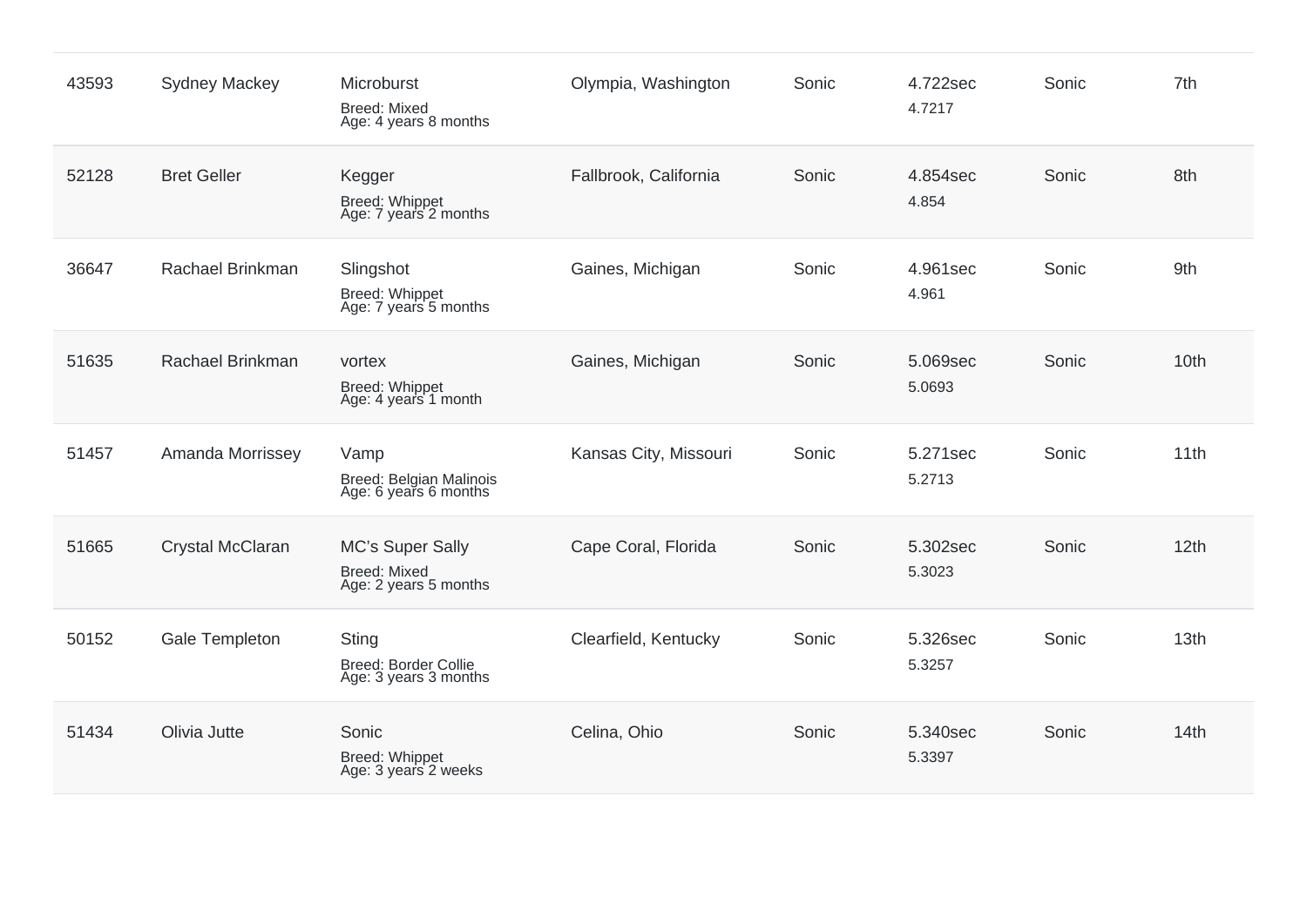| 43593 | <b>Sydney Mackey</b> | Microburst<br><b>Breed: Mixed</b><br>Age: 4 years 8 months       | Olympia, Washington   | Sonic | 4.722sec<br>4.7217 | Sonic | 7th  |
|-------|----------------------|------------------------------------------------------------------|-----------------------|-------|--------------------|-------|------|
| 52128 | <b>Bret Geller</b>   | Kegger<br>Breed: Whippet<br>Age: 7 years 2 months                | Fallbrook, California | Sonic | 4.854sec<br>4.854  | Sonic | 8th  |
| 36647 | Rachael Brinkman     | Slingshot<br>Breed: Whippet<br>Age: 7 years 5 months             | Gaines, Michigan      | Sonic | 4.961sec<br>4.961  | Sonic | 9th  |
| 51635 | Rachael Brinkman     | vortex<br>Breed: Whippet<br>Age: 4 years 1 month                 | Gaines, Michigan      | Sonic | 5.069sec<br>5.0693 | Sonic | 10th |
| 51457 | Amanda Morrissey     | Vamp<br>Breed: Belgian Malinois<br>Age: 6 years 6 months         | Kansas City, Missouri | Sonic | 5.271sec<br>5.2713 | Sonic | 11th |
| 51665 | Crystal McClaran     | MC's Super Sally<br><b>Breed: Mixed</b><br>Age: 2 years 5 months | Cape Coral, Florida   | Sonic | 5.302sec<br>5.3023 | Sonic | 12th |
| 50152 | Gale Templeton       | <b>Sting</b><br>Breed: Border Collie<br>Age: 3 years 3 months    | Clearfield, Kentucky  | Sonic | 5.326sec<br>5.3257 | Sonic | 13th |
| 51434 | Olivia Jutte         | Sonic<br>Breed: Whippet<br>Age: 3 years 2 weeks                  | Celina, Ohio          | Sonic | 5.340sec<br>5.3397 | Sonic | 14th |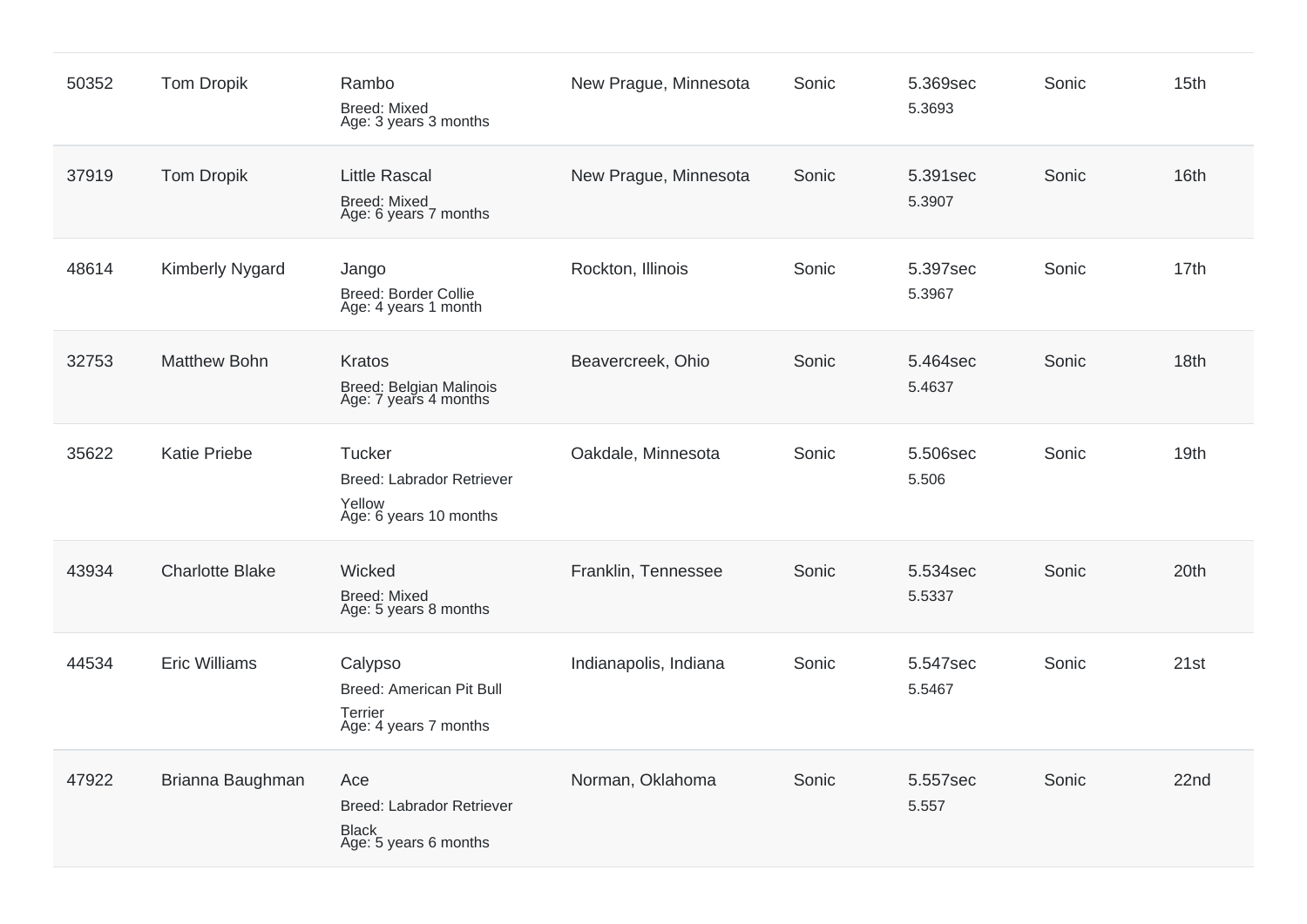| 50352 | <b>Tom Dropik</b>      | Rambo<br><b>Breed: Mixed</b><br>Age: 3 years 3 months                            | New Prague, Minnesota | Sonic | 5.369sec<br>5.3693 | Sonic | 15th             |
|-------|------------------------|----------------------------------------------------------------------------------|-----------------------|-------|--------------------|-------|------------------|
| 37919 | <b>Tom Dropik</b>      | <b>Little Rascal</b><br><b>Breed: Mixed</b><br>Age: 6 years 7 months             | New Prague, Minnesota | Sonic | 5.391sec<br>5.3907 | Sonic | 16th             |
| 48614 | <b>Kimberly Nygard</b> | Jango<br><b>Breed: Border Collie</b><br>Age: 4 years 1 month                     | Rockton, Illinois     | Sonic | 5.397sec<br>5.3967 | Sonic | 17th             |
| 32753 | <b>Matthew Bohn</b>    | <b>Kratos</b><br>Breed: Belgian Malinois<br>Age: 7 years 4 months                | Beavercreek, Ohio     | Sonic | 5.464sec<br>5.4637 | Sonic | 18th             |
| 35622 | <b>Katie Priebe</b>    | Tucker<br><b>Breed: Labrador Retriever</b><br>Yellow<br>Age: 6 years 10 months   | Oakdale, Minnesota    | Sonic | 5.506sec<br>5.506  | Sonic | 19th             |
| 43934 | <b>Charlotte Blake</b> | Wicked<br><b>Breed: Mixed</b><br>Age: 5 years 8 months                           | Franklin, Tennessee   | Sonic | 5.534sec<br>5.5337 | Sonic | 20th             |
| 44534 | <b>Eric Williams</b>   | Calypso<br><b>Breed: American Pit Bull</b><br>Terrier<br>Age: 4 years 7 months   | Indianapolis, Indiana | Sonic | 5.547sec<br>5.5467 | Sonic | 21st             |
| 47922 | Brianna Baughman       | Ace<br><b>Breed: Labrador Retriever</b><br><b>Black</b><br>Age: 5 years 6 months | Norman, Oklahoma      | Sonic | 5.557sec<br>5.557  | Sonic | 22 <sub>nd</sub> |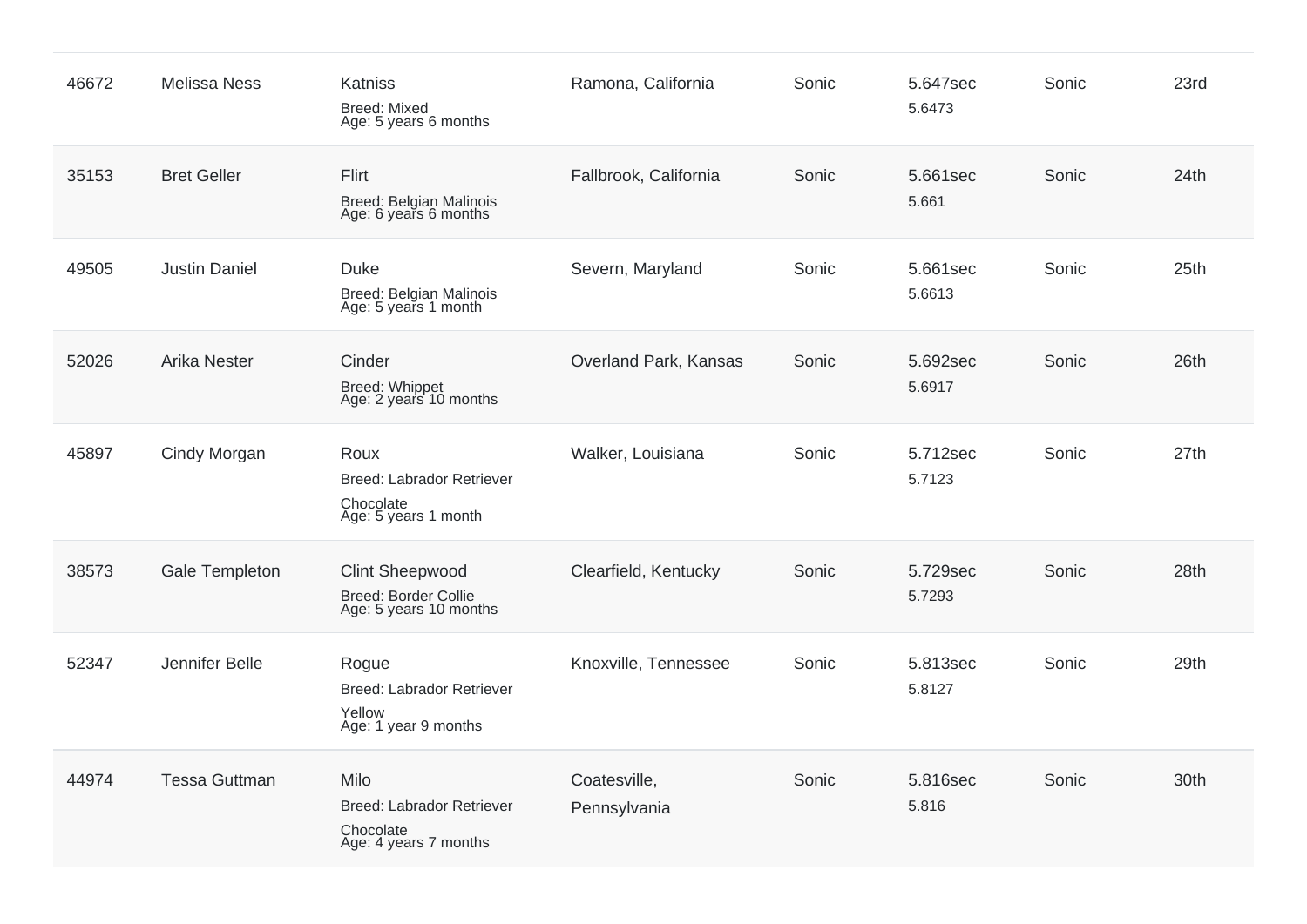| 46672 | <b>Melissa Ness</b>  | Katniss<br><b>Breed: Mixed</b><br>Age: 5 years 6 months                         | Ramona, California           | Sonic | 5.647sec<br>5.6473 | Sonic | 23rd |
|-------|----------------------|---------------------------------------------------------------------------------|------------------------------|-------|--------------------|-------|------|
| 35153 | <b>Bret Geller</b>   | Flirt<br><b>Breed: Belgian Malinois</b><br>Age: 6 years 6 months                | Fallbrook, California        | Sonic | 5.661sec<br>5.661  | Sonic | 24th |
| 49505 | <b>Justin Daniel</b> | <b>Duke</b><br>Breed: Belgian Malinois<br>Age: 5 years 1 month                  | Severn, Maryland             | Sonic | 5.661sec<br>5.6613 | Sonic | 25th |
| 52026 | <b>Arika Nester</b>  | Cinder<br>Breed: Whippet<br>Age: 2 years 10 months                              | Overland Park, Kansas        | Sonic | 5.692sec<br>5.6917 | Sonic | 26th |
| 45897 | Cindy Morgan         | Roux<br><b>Breed: Labrador Retriever</b><br>Chocolate<br>Age: 5 years 1 month   | Walker, Louisiana            | Sonic | 5.712sec<br>5.7123 | Sonic | 27th |
| 38573 | Gale Templeton       | <b>Clint Sheepwood</b><br><b>Breed: Border Collie</b><br>Age: 5 years 10 months | Clearfield, Kentucky         | Sonic | 5.729sec<br>5.7293 | Sonic | 28th |
| 52347 | Jennifer Belle       | Rogue<br><b>Breed: Labrador Retriever</b><br>Yellow<br>Age: 1 year 9 months     | Knoxville, Tennessee         | Sonic | 5.813sec<br>5.8127 | Sonic | 29th |
| 44974 | <b>Tessa Guttman</b> | Milo<br><b>Breed: Labrador Retriever</b><br>Chocolate<br>Age: 4 years 7 months  | Coatesville,<br>Pennsylvania | Sonic | 5.816sec<br>5.816  | Sonic | 30th |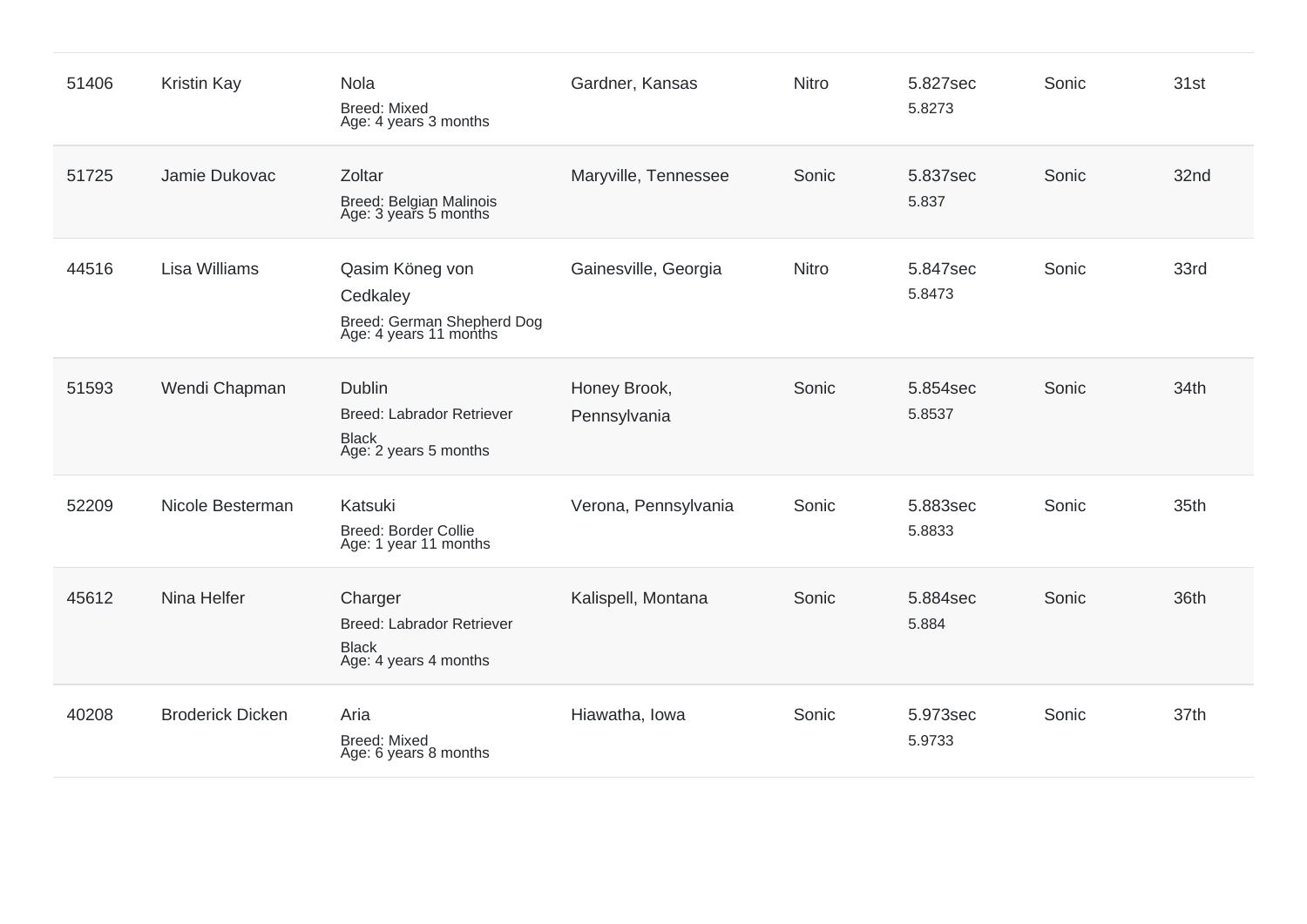| 51406 | Kristin Kay             | Nola<br><b>Breed: Mixed</b><br>Age: 4 years 3 months                                 | Gardner, Kansas              | Nitro        | 5.827sec<br>5.8273 | Sonic | 31st |
|-------|-------------------------|--------------------------------------------------------------------------------------|------------------------------|--------------|--------------------|-------|------|
| 51725 | Jamie Dukovac           | Zoltar<br><b>Breed: Belgian Malinois</b><br>Age: 3 years 5 months                    | Maryville, Tennessee         | Sonic        | 5.837sec<br>5.837  | Sonic | 32nd |
| 44516 | <b>Lisa Williams</b>    | Qasim Köneg von<br>Cedkaley<br>Breed: German Shepherd Dog<br>Age: 4 years 11 months  | Gainesville, Georgia         | <b>Nitro</b> | 5.847sec<br>5.8473 | Sonic | 33rd |
| 51593 | Wendi Chapman           | <b>Dublin</b><br>Breed: Labrador Retriever<br><b>Black</b><br>Age: 2 years 5 months  | Honey Brook,<br>Pennsylvania | Sonic        | 5.854sec<br>5.8537 | Sonic | 34th |
| 52209 | Nicole Besterman        | Katsuki<br>Breed: Border Collie<br>Age: 1 year 11 months                             | Verona, Pennsylvania         | Sonic        | 5.883sec<br>5.8833 | Sonic | 35th |
| 45612 | Nina Helfer             | Charger<br><b>Breed: Labrador Retriever</b><br><b>Black</b><br>Age: 4 years 4 months | Kalispell, Montana           | Sonic        | 5.884sec<br>5.884  | Sonic | 36th |
| 40208 | <b>Broderick Dicken</b> | Aria<br><b>Breed: Mixed</b><br>Age: 6 years 8 months                                 | Hiawatha, Iowa               | Sonic        | 5.973sec<br>5.9733 | Sonic | 37th |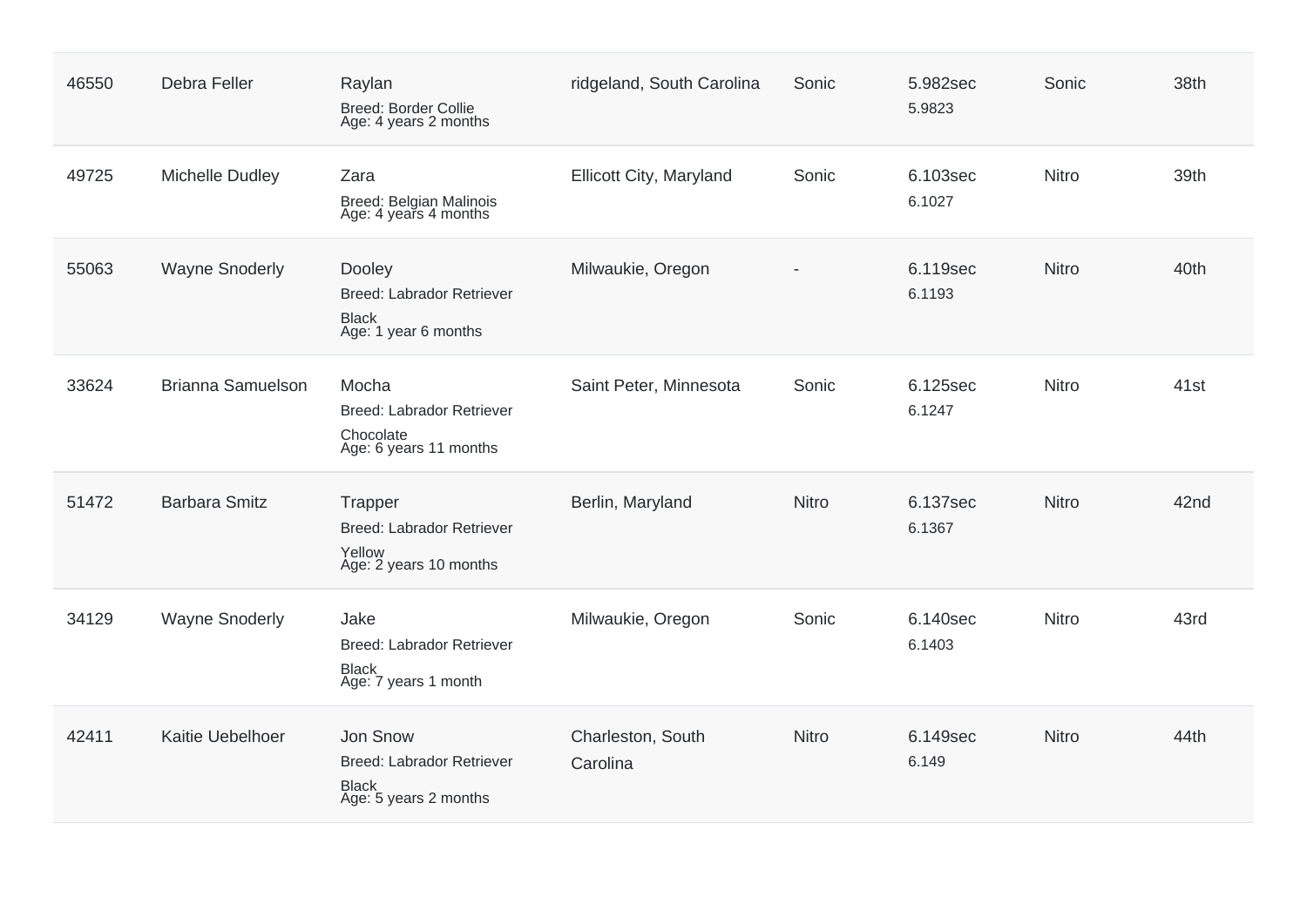| 46550 | Debra Feller             | Raylan<br><b>Breed: Border Collie</b><br>Age: 4 years 2 months                        | ridgeland, South Carolina     | Sonic        | 5.982sec<br>5.9823 | Sonic        | 38th             |
|-------|--------------------------|---------------------------------------------------------------------------------------|-------------------------------|--------------|--------------------|--------------|------------------|
| 49725 | Michelle Dudley          | Zara<br>Breed: Belgian Malinois<br>Age: 4 years 4 months                              | Ellicott City, Maryland       | Sonic        | 6.103sec<br>6.1027 | Nitro        | 39th             |
| 55063 | <b>Wayne Snoderly</b>    | Dooley<br><b>Breed: Labrador Retriever</b><br><b>Black</b><br>Age: 1 year 6 months    | Milwaukie, Oregon             |              | 6.119sec<br>6.1193 | Nitro        | 40th             |
| 33624 | <b>Brianna Samuelson</b> | Mocha<br><b>Breed: Labrador Retriever</b><br>Chocolate<br>Age: 6 years 11 months      | Saint Peter, Minnesota        | Sonic        | 6.125sec<br>6.1247 | Nitro        | 41 <sub>st</sub> |
| 51472 | <b>Barbara Smitz</b>     | Trapper<br><b>Breed: Labrador Retriever</b><br>Yellow<br>Age: 2 years 10 months       | Berlin, Maryland              | <b>Nitro</b> | 6.137sec<br>6.1367 | <b>Nitro</b> | 42nd             |
| 34129 | <b>Wayne Snoderly</b>    | Jake<br><b>Breed: Labrador Retriever</b><br><b>Black</b><br>Age: 7 years 1 month      | Milwaukie, Oregon             | Sonic        | 6.140sec<br>6.1403 | Nitro        | 43rd             |
| 42411 | Kaitie Uebelhoer         | Jon Snow<br><b>Breed: Labrador Retriever</b><br><b>Black</b><br>Age: 5 years 2 months | Charleston, South<br>Carolina | <b>Nitro</b> | 6.149sec<br>6.149  | <b>Nitro</b> | 44th             |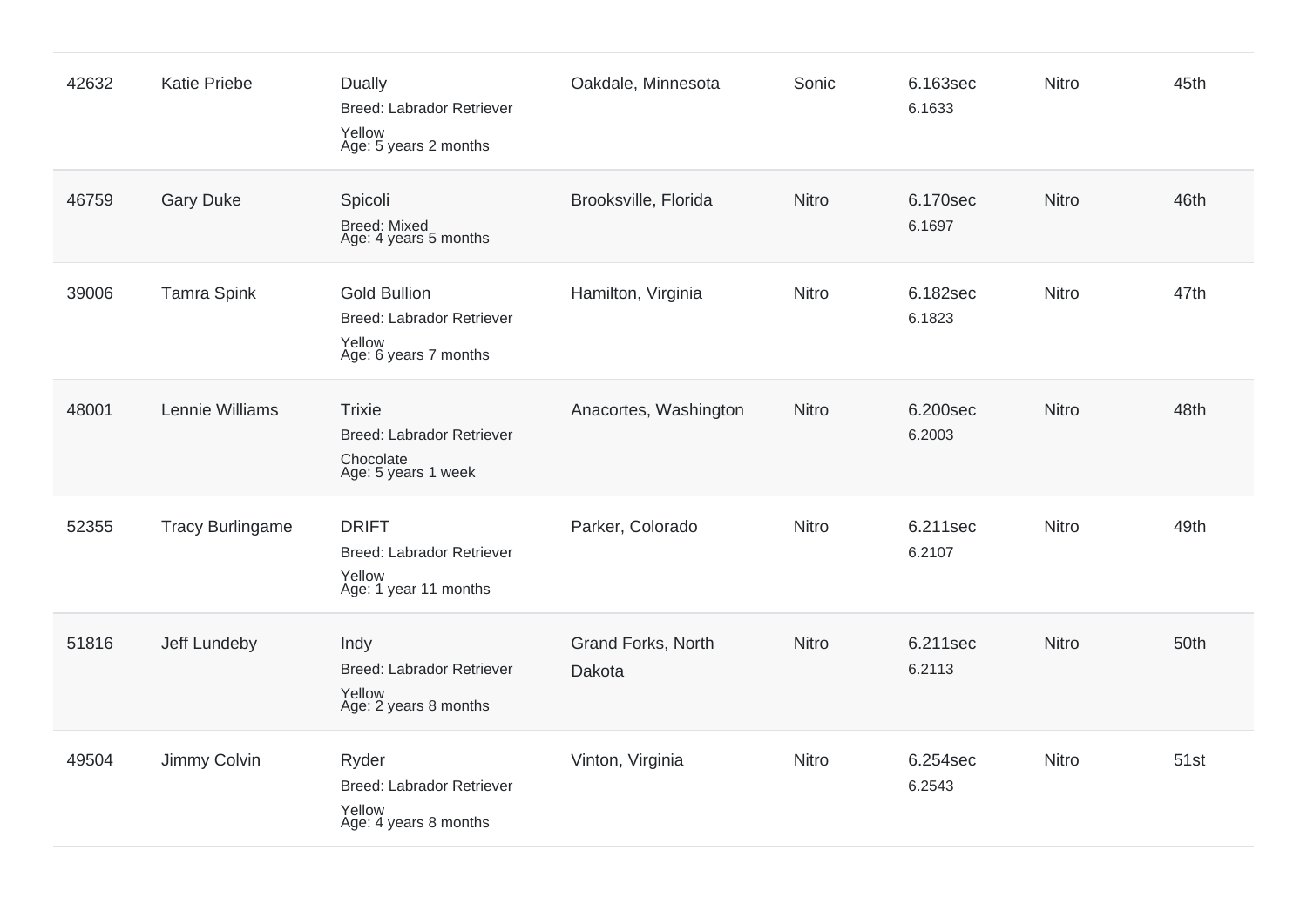| 42632 | <b>Katie Priebe</b>     | <b>Dually</b><br><b>Breed: Labrador Retriever</b><br>Yellow<br>Age: 5 years 2 months       | Oakdale, Minnesota           | Sonic        | 6.163sec<br>6.1633 | Nitro        | 45th |
|-------|-------------------------|--------------------------------------------------------------------------------------------|------------------------------|--------------|--------------------|--------------|------|
| 46759 | <b>Gary Duke</b>        | Spicoli<br><b>Breed: Mixed</b><br>Age: 4 years 5 months                                    | Brooksville, Florida         | Nitro        | 6.170sec<br>6.1697 | Nitro        | 46th |
| 39006 | <b>Tamra Spink</b>      | <b>Gold Bullion</b><br><b>Breed: Labrador Retriever</b><br>Yellow<br>Age: 6 years 7 months | Hamilton, Virginia           | <b>Nitro</b> | 6.182sec<br>6.1823 | Nitro        | 47th |
| 48001 | Lennie Williams         | <b>Trixie</b><br><b>Breed: Labrador Retriever</b><br>Chocolate<br>Age: 5 years 1 week      | Anacortes, Washington        | <b>Nitro</b> | 6.200sec<br>6.2003 | Nitro        | 48th |
| 52355 | <b>Tracy Burlingame</b> | <b>DRIFT</b><br><b>Breed: Labrador Retriever</b><br>Yellow<br>Age: 1 year 11 months        | Parker, Colorado             | Nitro        | 6.211sec<br>6.2107 | Nitro        | 49th |
| 51816 | Jeff Lundeby            | Indy<br><b>Breed: Labrador Retriever</b><br>Yellow<br>Age: 2 years 8 months                | Grand Forks, North<br>Dakota | Nitro        | 6.211sec<br>6.2113 | <b>Nitro</b> | 50th |
| 49504 | Jimmy Colvin            | Ryder<br><b>Breed: Labrador Retriever</b><br>Yellow<br>Age: 4 years 8 months               | Vinton, Virginia             | Nitro        | 6.254sec<br>6.2543 | Nitro        | 51st |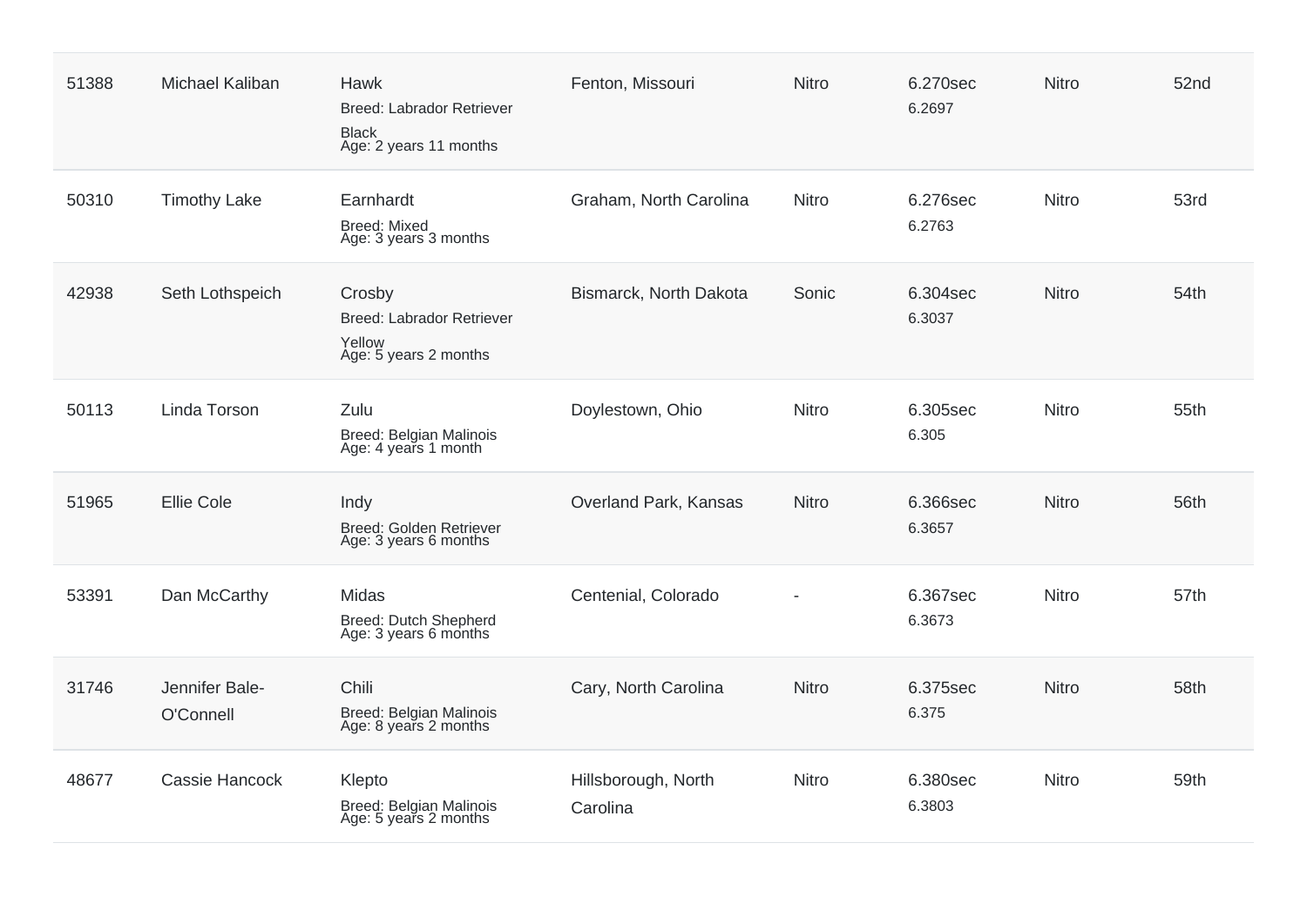| 51388 | <b>Michael Kaliban</b>      | Hawk<br><b>Breed: Labrador Retriever</b><br><b>Black</b><br>Age: 2 years 11 months | Fenton, Missouri                | <b>Nitro</b> | 6.270sec<br>6.2697 | <b>Nitro</b> | 52nd |
|-------|-----------------------------|------------------------------------------------------------------------------------|---------------------------------|--------------|--------------------|--------------|------|
| 50310 | <b>Timothy Lake</b>         | Earnhardt<br><b>Breed: Mixed</b><br>Age: 3 years 3 months                          | Graham, North Carolina          | <b>Nitro</b> | 6.276sec<br>6.2763 | <b>Nitro</b> | 53rd |
| 42938 | Seth Lothspeich             | Crosby<br><b>Breed: Labrador Retriever</b><br>Yellow<br>Age: 5 years 2 months      | Bismarck, North Dakota          | Sonic        | 6.304sec<br>6.3037 | <b>Nitro</b> | 54th |
| 50113 | Linda Torson                | Zulu<br>Breed: Belgian Malinois<br>Age: 4 years 1 month                            | Doylestown, Ohio                | <b>Nitro</b> | 6.305sec<br>6.305  | Nitro        | 55th |
| 51965 | <b>Ellie Cole</b>           | Indy<br>Breed: Golden Retriever<br>Age: 3 years 6 months                           | Overland Park, Kansas           | <b>Nitro</b> | 6.366sec<br>6.3657 | <b>Nitro</b> | 56th |
| 53391 | Dan McCarthy                | <b>Midas</b><br>Breed: Dutch Shepherd<br>Age: 3 years 6 months                     | Centenial, Colorado             |              | 6.367sec<br>6.3673 | <b>Nitro</b> | 57th |
| 31746 | Jennifer Bale-<br>O'Connell | Chili<br>Breed: Belgian Malinois<br>Age: 8 years 2 months                          | Cary, North Carolina            | <b>Nitro</b> | 6.375sec<br>6.375  | <b>Nitro</b> | 58th |
| 48677 | Cassie Hancock              | Klepto<br>Breed: Belgian Malinois<br>Age: 5 years 2 months                         | Hillsborough, North<br>Carolina | <b>Nitro</b> | 6.380sec<br>6.3803 | <b>Nitro</b> | 59th |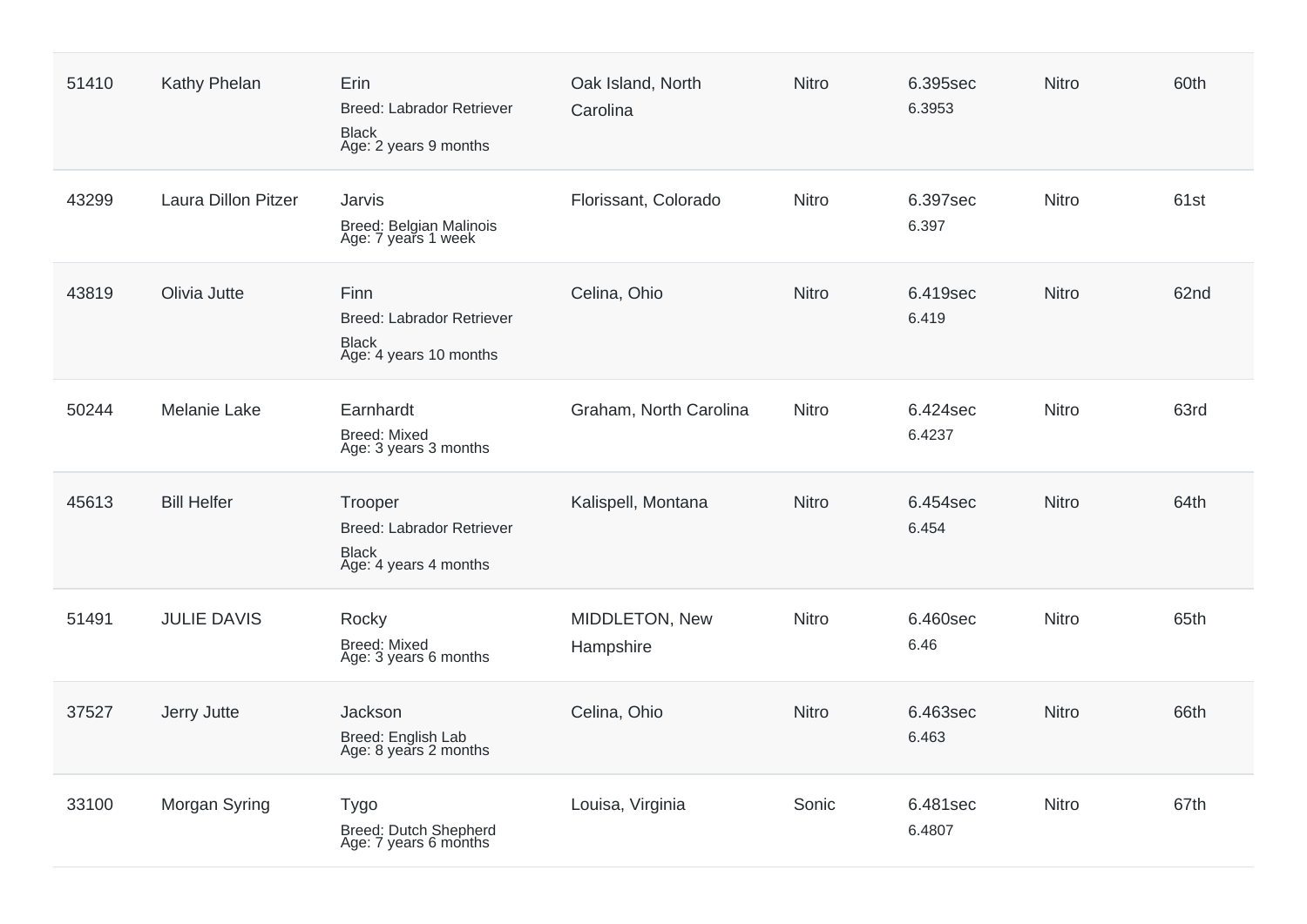| 51410 | Kathy Phelan               | Erin<br><b>Breed: Labrador Retriever</b><br><b>Black</b><br>Age: 2 years 9 months    | Oak Island, North<br>Carolina | <b>Nitro</b> | 6.395sec<br>6.3953 | Nitro        | 60th |
|-------|----------------------------|--------------------------------------------------------------------------------------|-------------------------------|--------------|--------------------|--------------|------|
| 43299 | <b>Laura Dillon Pitzer</b> | Jarvis<br>Breed: Belgian Malinois<br>Age: 7 years 1 week                             | Florissant, Colorado          | <b>Nitro</b> | 6.397sec<br>6.397  | <b>Nitro</b> | 61st |
| 43819 | Olivia Jutte               | Finn<br><b>Breed: Labrador Retriever</b><br><b>Black</b><br>Age: 4 years 10 months   | Celina, Ohio                  | Nitro        | 6.419sec<br>6.419  | Nitro        | 62nd |
| 50244 | <b>Melanie Lake</b>        | Earnhardt<br><b>Breed: Mixed</b><br>Age: 3 years 3 months                            | Graham, North Carolina        | Nitro        | 6.424sec<br>6.4237 | Nitro        | 63rd |
| 45613 | <b>Bill Helfer</b>         | Trooper<br><b>Breed: Labrador Retriever</b><br><b>Black</b><br>Age: 4 years 4 months | Kalispell, Montana            | <b>Nitro</b> | 6.454sec<br>6.454  | Nitro        | 64th |
| 51491 | <b>JULIE DAVIS</b>         | Rocky<br><b>Breed: Mixed</b><br>Age: 3 years 6 months                                | MIDDLETON, New<br>Hampshire   | <b>Nitro</b> | 6.460sec<br>6.46   | Nitro        | 65th |
| 37527 | Jerry Jutte                | Jackson<br>Breed: English Lab<br>Age: 8 years 2 months                               | Celina, Ohio                  | Nitro        | 6.463sec<br>6.463  | Nitro        | 66th |
| 33100 | Morgan Syring              | <b>Tygo</b><br>Breed: Dutch Shepherd<br>Age: 7 years 6 months                        | Louisa, Virginia              | Sonic        | 6.481sec<br>6.4807 | Nitro        | 67th |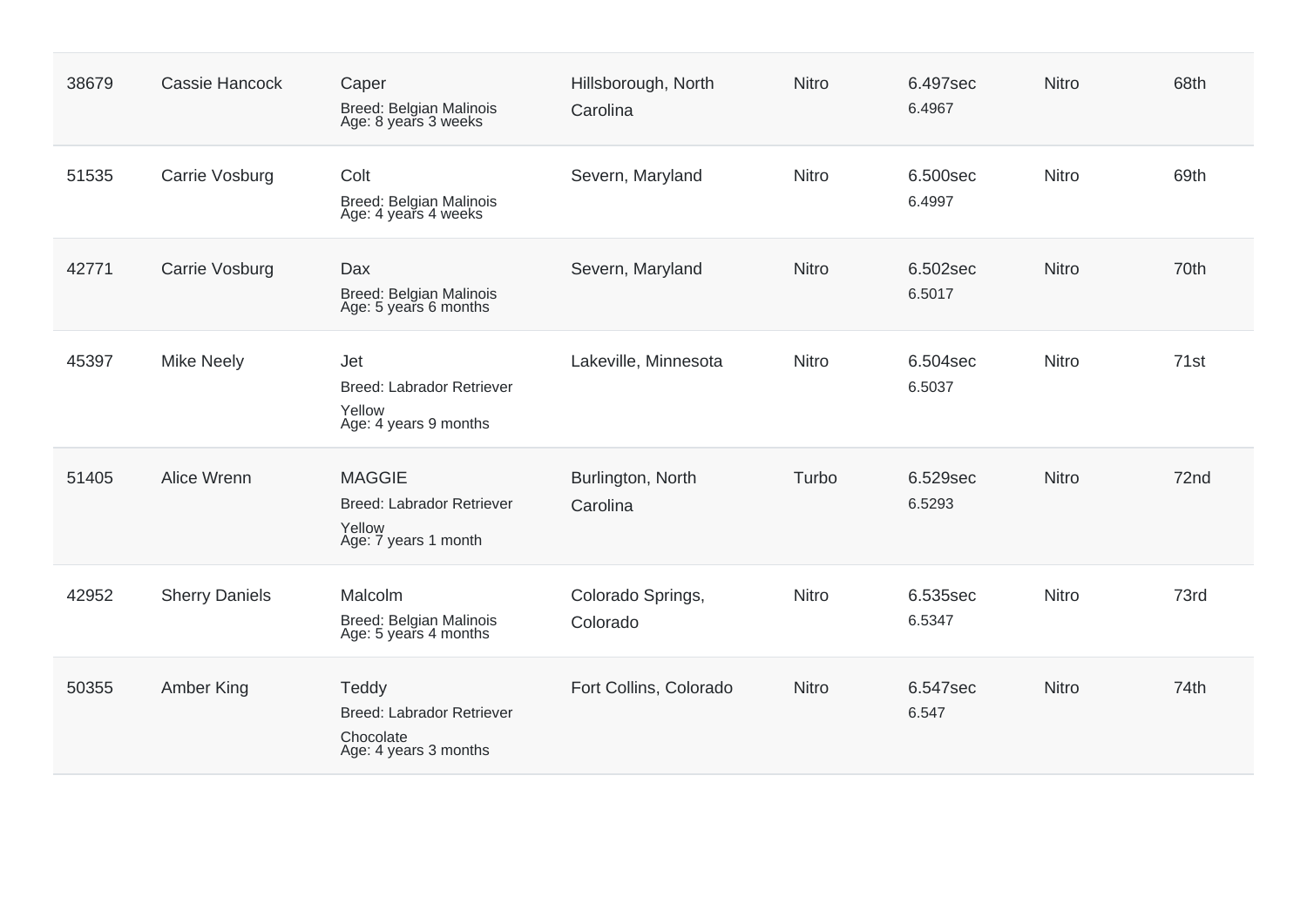| 38679 | Cassie Hancock        | Caper<br><b>Breed: Belgian Malinois</b><br>Age: 8 years 3 weeks              | Hillsborough, North<br>Carolina | <b>Nitro</b> | 6.497sec<br>6.4967 | <b>Nitro</b> | 68th             |
|-------|-----------------------|------------------------------------------------------------------------------|---------------------------------|--------------|--------------------|--------------|------------------|
| 51535 | Carrie Vosburg        | Colt<br><b>Breed: Belgian Malinois</b><br>Age: 4 years 4 weeks               | Severn, Maryland                | <b>Nitro</b> | 6.500sec<br>6.4997 | Nitro        | 69th             |
| 42771 | Carrie Vosburg        | <b>Dax</b><br>Breed: Belgian Malinois<br>Age: 5 years 6 months               | Severn, Maryland                | <b>Nitro</b> | 6.502sec<br>6.5017 | <b>Nitro</b> | 70th             |
| 45397 | <b>Mike Neely</b>     | Jet<br><b>Breed: Labrador Retriever</b><br>Yellow<br>Age: 4 years 9 months   | Lakeville, Minnesota            | <b>Nitro</b> | 6.504sec<br>6.5037 | <b>Nitro</b> | 71 <sub>st</sub> |
| 51405 | Alice Wrenn           | <b>MAGGIE</b><br>Breed: Labrador Retriever<br>Yellow<br>Age: 7 years 1 month | Burlington, North<br>Carolina   | Turbo        | 6.529sec<br>6.5293 | <b>Nitro</b> | 72nd             |
| 42952 | <b>Sherry Daniels</b> | Malcolm<br><b>Breed: Belgian Malinois</b><br>Age: 5 years 4 months           | Colorado Springs,<br>Colorado   | Nitro        | 6.535sec<br>6.5347 | Nitro        | 73rd             |
| 50355 | Amber King            | Teddy<br>Breed: Labrador Retriever<br>Chocolate<br>Age: 4 years 3 months     | Fort Collins, Colorado          | <b>Nitro</b> | 6.547sec<br>6.547  | <b>Nitro</b> | 74th             |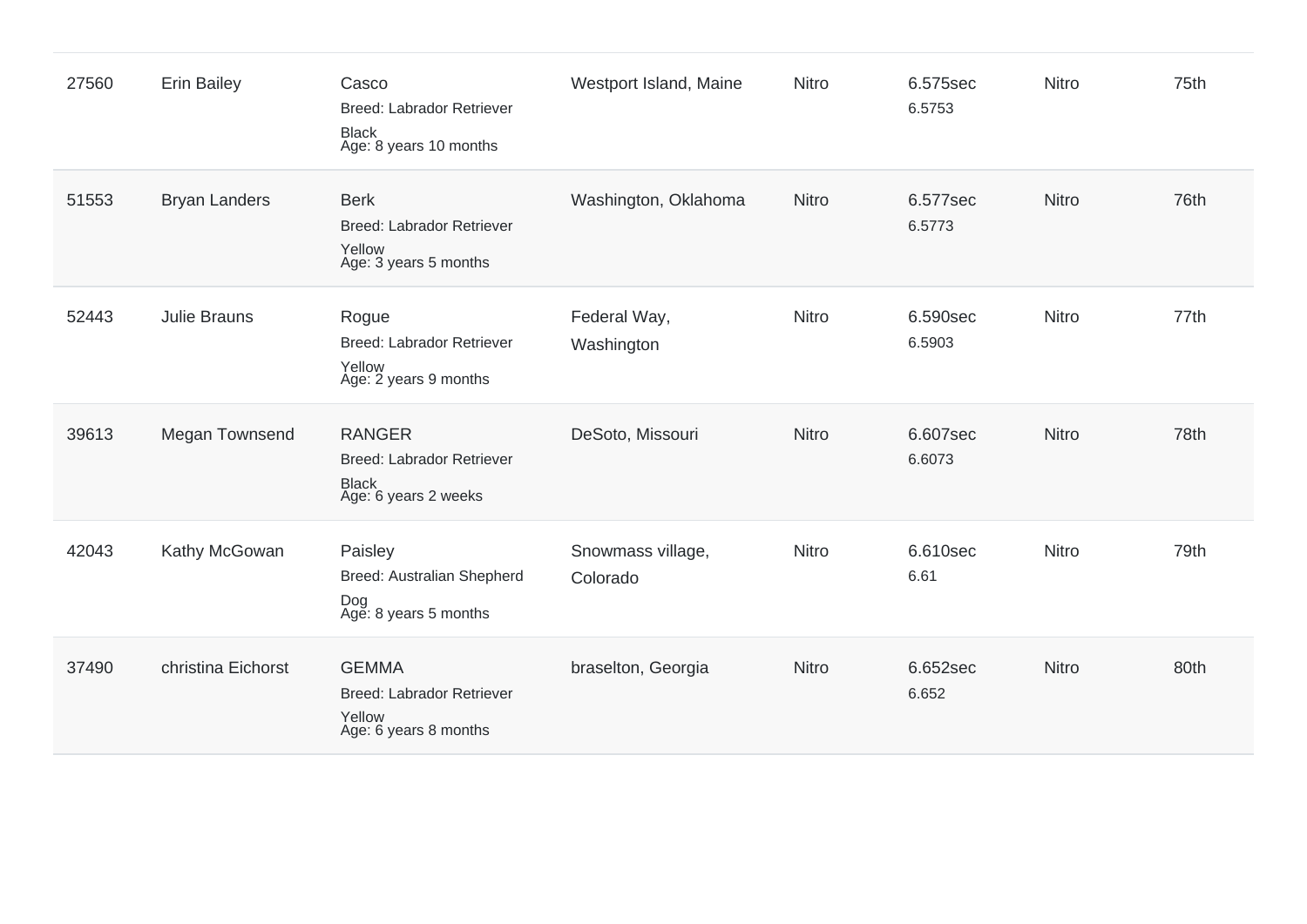| 27560 | <b>Erin Bailey</b>   | Casco<br><b>Breed: Labrador Retriever</b><br>Black<br>Age: 8 years 10 months        | Westport Island, Maine        | <b>Nitro</b> | 6.575sec<br>6.5753 | Nitro        | 75th |
|-------|----------------------|-------------------------------------------------------------------------------------|-------------------------------|--------------|--------------------|--------------|------|
| 51553 | <b>Bryan Landers</b> | <b>Berk</b><br><b>Breed: Labrador Retriever</b><br>Yellow<br>Age: 3 years 5 months  | Washington, Oklahoma          | <b>Nitro</b> | 6.577sec<br>6.5773 | Nitro        | 76th |
| 52443 | <b>Julie Brauns</b>  | Rogue<br><b>Breed: Labrador Retriever</b><br>Yellow<br>Age: 2 years 9 months        | Federal Way,<br>Washington    | Nitro        | 6.590sec<br>6.5903 | Nitro        | 77th |
| 39613 | Megan Townsend       | <b>RANGER</b><br><b>Breed: Labrador Retriever</b><br>Black<br>Age: 6 years 2 weeks  | DeSoto, Missouri              | <b>Nitro</b> | 6.607sec<br>6.6073 | <b>Nitro</b> | 78th |
| 42043 | Kathy McGowan        | Paisley<br><b>Breed: Australian Shepherd</b><br>Dog<br>Age: 8 years 5 months        | Snowmass village,<br>Colorado | <b>Nitro</b> | 6.610sec<br>6.61   | Nitro        | 79th |
| 37490 | christina Eichorst   | <b>GEMMA</b><br><b>Breed: Labrador Retriever</b><br>Yellow<br>Age: 6 years 8 months | braselton, Georgia            | <b>Nitro</b> | 6.652sec<br>6.652  | <b>Nitro</b> | 80th |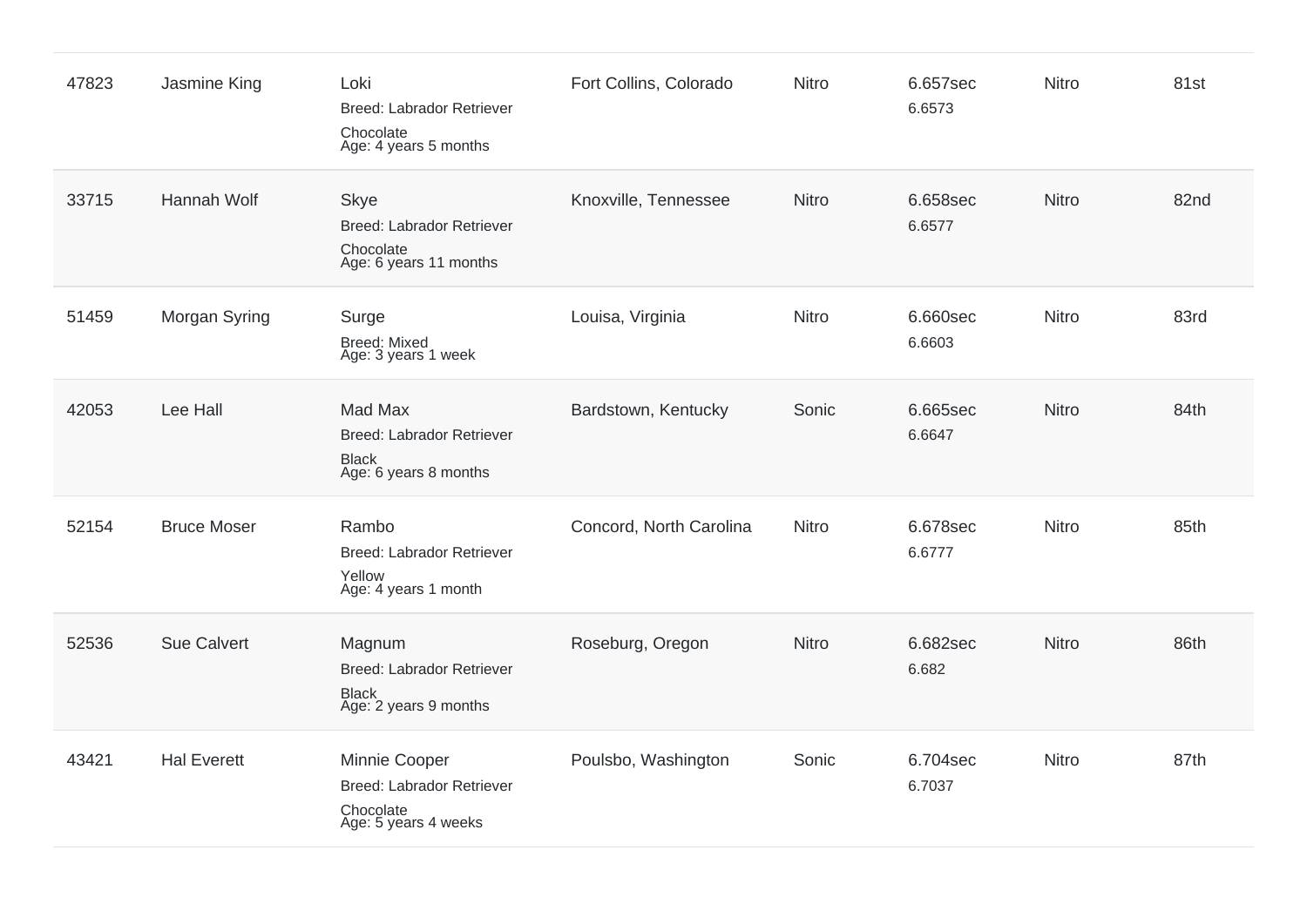| 47823 | Jasmine King       | Loki<br>Breed: Labrador Retriever<br>Chocolate<br>Age: 4 years 5 months                | Fort Collins, Colorado  | <b>Nitro</b> | 6.657sec<br>6.6573 | Nitro        | 81st |
|-------|--------------------|----------------------------------------------------------------------------------------|-------------------------|--------------|--------------------|--------------|------|
| 33715 | Hannah Wolf        | <b>Skye</b><br><b>Breed: Labrador Retriever</b><br>Chocolate<br>Age: 6 years 11 months | Knoxville, Tennessee    | <b>Nitro</b> | 6.658sec<br>6.6577 | Nitro        | 82nd |
| 51459 | Morgan Syring      | Surge<br><b>Breed: Mixed</b><br>Age: 3 years 1 week                                    | Louisa, Virginia        | <b>Nitro</b> | 6.660sec<br>6.6603 | Nitro        | 83rd |
| 42053 | Lee Hall           | Mad Max<br><b>Breed: Labrador Retriever</b><br><b>Black</b><br>Age: 6 years 8 months   | Bardstown, Kentucky     | Sonic        | 6.665sec<br>6.6647 | Nitro        | 84th |
| 52154 | <b>Bruce Moser</b> | Rambo<br><b>Breed: Labrador Retriever</b><br>Yellow<br>Age: 4 years 1 month            | Concord, North Carolina | Nitro        | 6.678sec<br>6.6777 | <b>Nitro</b> | 85th |
| 52536 | <b>Sue Calvert</b> | Magnum<br><b>Breed: Labrador Retriever</b><br><b>Black</b><br>Age: 2 years 9 months    | Roseburg, Oregon        | Nitro        | 6.682sec<br>6.682  | Nitro        | 86th |
| 43421 | <b>Hal Everett</b> | Minnie Cooper<br><b>Breed: Labrador Retriever</b><br>Chocolate<br>Age: 5 years 4 weeks | Poulsbo, Washington     | Sonic        | 6.704sec<br>6.7037 | <b>Nitro</b> | 87th |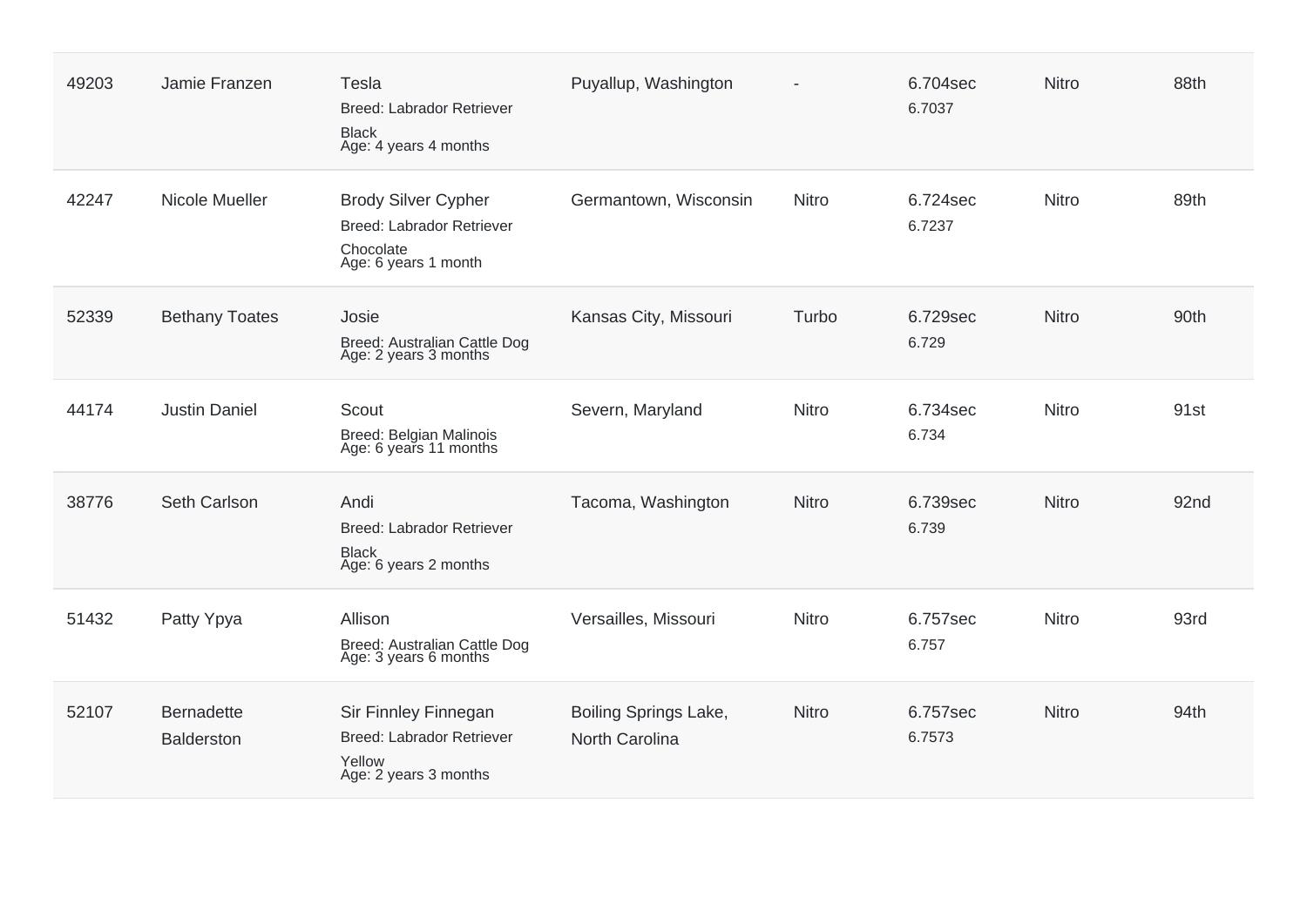| 49203 | Jamie Franzen                          | Tesla<br><b>Breed: Labrador Retriever</b><br><b>Black</b><br>Age: 4 years 4 months           | Puyallup, Washington                    |              | 6.704sec<br>6.7037 | <b>Nitro</b> | 88th |
|-------|----------------------------------------|----------------------------------------------------------------------------------------------|-----------------------------------------|--------------|--------------------|--------------|------|
| 42247 | Nicole Mueller                         | <b>Brody Silver Cypher</b><br>Breed: Labrador Retriever<br>Chocolate<br>Age: 6 years 1 month | Germantown, Wisconsin                   | <b>Nitro</b> | 6.724sec<br>6.7237 | <b>Nitro</b> | 89th |
| 52339 | <b>Bethany Toates</b>                  | Josie<br>Breed: Australian Cattle Dog<br>Age: 2 years 3 months                               | Kansas City, Missouri                   | Turbo        | 6.729sec<br>6.729  | Nitro        | 90th |
| 44174 | <b>Justin Daniel</b>                   | Scout<br>Breed: Belgian Malinois<br>Age: 6 years 11 months                                   | Severn, Maryland                        | <b>Nitro</b> | 6.734sec<br>6.734  | <b>Nitro</b> | 91st |
| 38776 | Seth Carlson                           | Andi<br><b>Breed: Labrador Retriever</b><br><b>Black</b><br>Age: 6 years 2 months            | Tacoma, Washington                      | <b>Nitro</b> | 6.739sec<br>6.739  | <b>Nitro</b> | 92nd |
| 51432 | Patty Ypya                             | Allison<br>Breed: Australian Cattle Dog<br>Age: 3 years 6 months                             | Versailles, Missouri                    | <b>Nitro</b> | 6.757sec<br>6.757  | Nitro        | 93rd |
| 52107 | <b>Bernadette</b><br><b>Balderston</b> | Sir Finnley Finnegan<br><b>Breed: Labrador Retriever</b><br>Yellow<br>Age: 2 years 3 months  | Boiling Springs Lake,<br>North Carolina | <b>Nitro</b> | 6.757sec<br>6.7573 | Nitro        | 94th |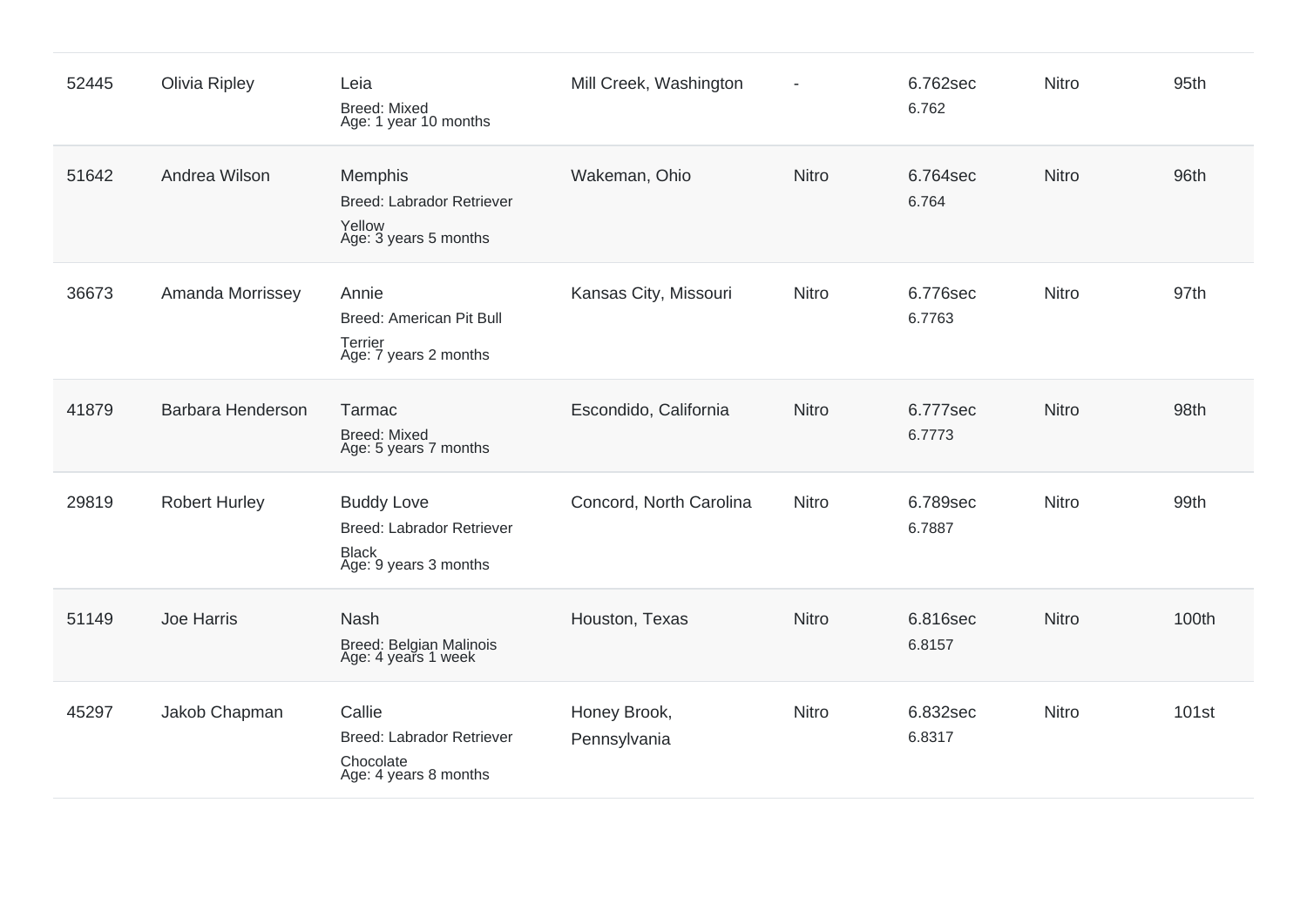| 52445 | <b>Olivia Ripley</b> | Leia<br><b>Breed: Mixed</b><br>Age: 1 year 10 months                                    | Mill Creek, Washington       | ÷,           | 6.762sec<br>6.762  | Nitro        | 95th  |
|-------|----------------------|-----------------------------------------------------------------------------------------|------------------------------|--------------|--------------------|--------------|-------|
| 51642 | Andrea Wilson        | Memphis<br><b>Breed: Labrador Retriever</b><br>Yellow<br>Age: 3 years 5 months          | Wakeman, Ohio                | <b>Nitro</b> | 6.764sec<br>6.764  | <b>Nitro</b> | 96th  |
| 36673 | Amanda Morrissey     | Annie<br><b>Breed: American Pit Bull</b><br>Terrier<br>Age: 7 years 2 months            | Kansas City, Missouri        | Nitro        | 6.776sec<br>6.7763 | Nitro        | 97th  |
| 41879 | Barbara Henderson    | Tarmac<br><b>Breed: Mixed</b><br>Age: 5 years 7 months                                  | Escondido, California        | <b>Nitro</b> | 6.777sec<br>6.7773 | <b>Nitro</b> | 98th  |
| 29819 | <b>Robert Hurley</b> | <b>Buddy Love</b><br>Breed: Labrador Retriever<br><b>Black</b><br>Age: 9 years 3 months | Concord, North Carolina      | Nitro        | 6.789sec<br>6.7887 | Nitro        | 99th  |
| 51149 | Joe Harris           | <b>Nash</b><br>Breed: Belgian Malinois<br>Age: 4 years 1 week                           | Houston, Texas               | <b>Nitro</b> | 6.816sec<br>6.8157 | Nitro        | 100th |
| 45297 | Jakob Chapman        | Callie<br><b>Breed: Labrador Retriever</b><br>Chocolate<br>Age: 4 years 8 months        | Honey Brook,<br>Pennsylvania | <b>Nitro</b> | 6.832sec<br>6.8317 | Nitro        | 101st |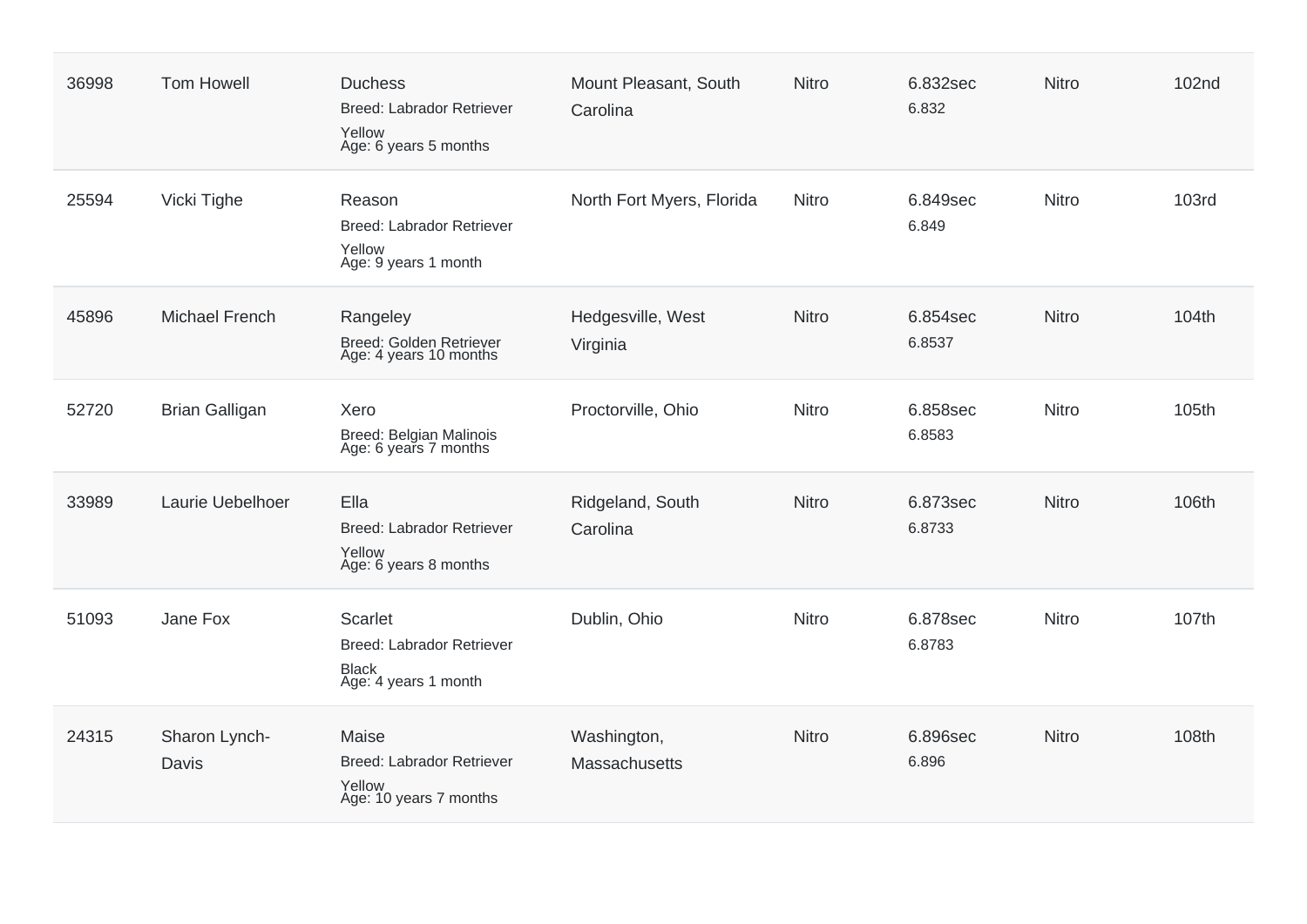| 36998 | <b>Tom Howell</b>      | <b>Duchess</b><br><b>Breed: Labrador Retriever</b><br>Yellow<br>Age: 6 years 5 months | Mount Pleasant, South<br>Carolina | <b>Nitro</b> | 6.832sec<br>6.832  | <b>Nitro</b> | 102nd        |
|-------|------------------------|---------------------------------------------------------------------------------------|-----------------------------------|--------------|--------------------|--------------|--------------|
| 25594 | Vicki Tighe            | Reason<br><b>Breed: Labrador Retriever</b><br>Yellow<br>Age: 9 years 1 month          | North Fort Myers, Florida         | <b>Nitro</b> | 6.849sec<br>6.849  | Nitro        | <b>103rd</b> |
| 45896 | <b>Michael French</b>  | Rangeley<br>Breed: Golden Retriever<br>Age: 4 years 10 months                         | Hedgesville, West<br>Virginia     | <b>Nitro</b> | 6.854sec<br>6.8537 | Nitro        | 104th        |
| 52720 | <b>Brian Galligan</b>  | Xero<br>Breed: Belgian Malinois<br>Age: 6 years 7 months                              | Proctorville, Ohio                | <b>Nitro</b> | 6.858sec<br>6.8583 | <b>Nitro</b> | 105th        |
| 33989 | Laurie Uebelhoer       | Ella<br><b>Breed: Labrador Retriever</b><br>Yellow<br>Age: 6 years 8 months           | Ridgeland, South<br>Carolina      | <b>Nitro</b> | 6.873sec<br>6.8733 | Nitro        | 106th        |
| 51093 | Jane Fox               | Scarlet<br><b>Breed: Labrador Retriever</b><br><b>Black</b><br>Age: 4 years 1 month   | Dublin, Ohio                      | <b>Nitro</b> | 6.878sec<br>6.8783 | <b>Nitro</b> | 107th        |
| 24315 | Sharon Lynch-<br>Davis | Maise<br><b>Breed: Labrador Retriever</b><br>Yellow<br>Age: 10 years 7 months         | Washington,<br>Massachusetts      | <b>Nitro</b> | 6.896sec<br>6.896  | Nitro        | 108th        |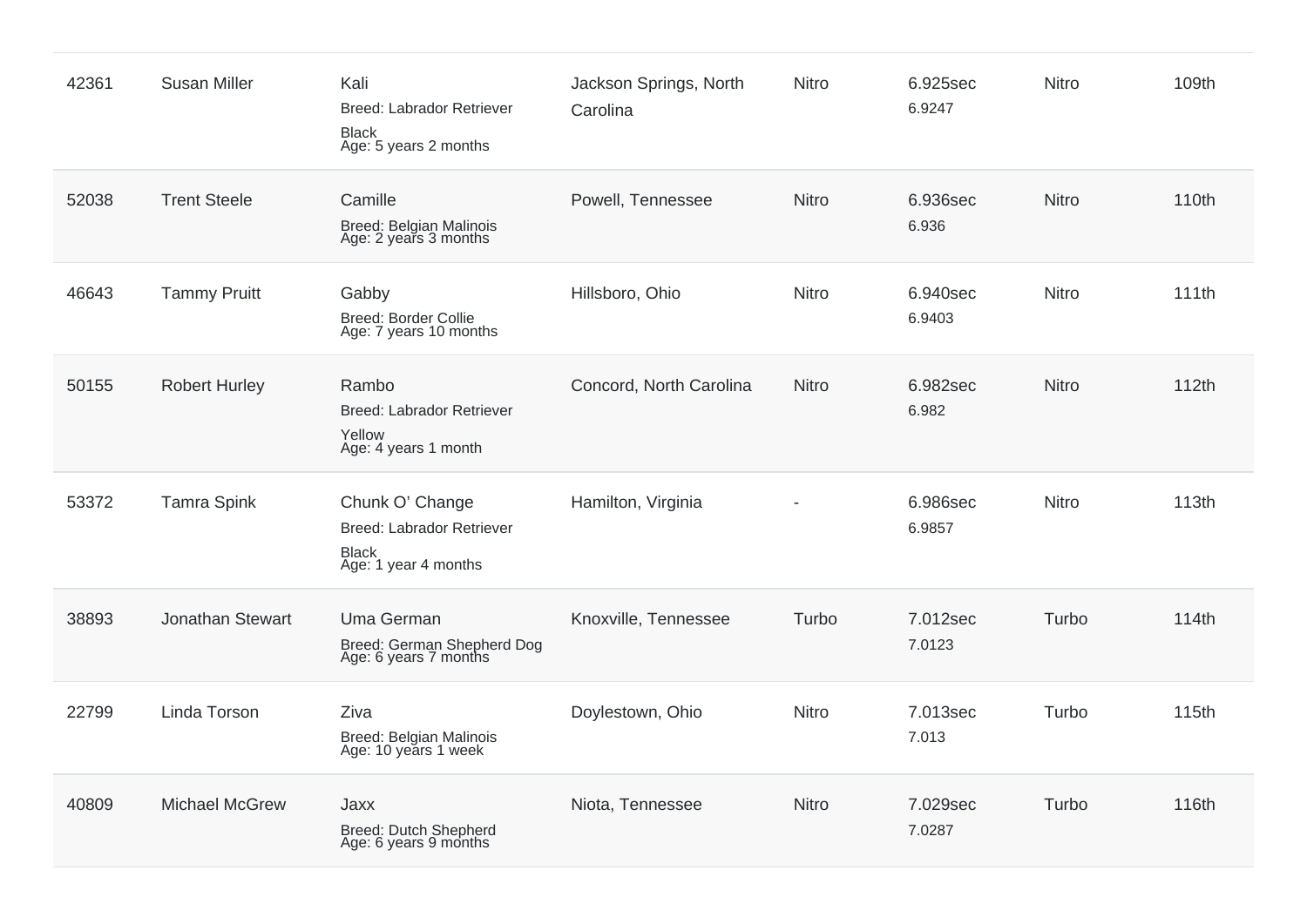| 42361 | <b>Susan Miller</b>   | Kali<br>Breed: Labrador Retriever<br><b>Black</b><br>Age: 5 years 2 months           | Jackson Springs, North<br>Carolina | <b>Nitro</b> | 6.925sec<br>6.9247 | Nitro        | 109th |
|-------|-----------------------|--------------------------------------------------------------------------------------|------------------------------------|--------------|--------------------|--------------|-------|
| 52038 | <b>Trent Steele</b>   | Camille<br>Breed: Belgian Malinois<br>Age: 2 years 3 months                          | Powell, Tennessee                  | <b>Nitro</b> | 6.936sec<br>6.936  | Nitro        | 110th |
| 46643 | <b>Tammy Pruitt</b>   | Gabby<br><b>Breed: Border Collie</b><br>Age: 7 years 10 months                       | Hillsboro, Ohio                    | Nitro        | 6.940sec<br>6.9403 | Nitro        | 111th |
| 50155 | <b>Robert Hurley</b>  | Rambo<br><b>Breed: Labrador Retriever</b><br>Yellow<br>Age: 4 years 1 month          | Concord, North Carolina            | <b>Nitro</b> | 6.982sec<br>6.982  | <b>Nitro</b> | 112th |
| 53372 | <b>Tamra Spink</b>    | Chunk O' Change<br>Breed: Labrador Retriever<br><b>Black</b><br>Age: 1 year 4 months | Hamilton, Virginia                 |              | 6.986sec<br>6.9857 | Nitro        | 113th |
| 38893 | Jonathan Stewart      | Uma German<br>Breed: German Shepherd Dog<br>Age: 6 years 7 months                    | Knoxville, Tennessee               | Turbo        | 7.012sec<br>7.0123 | Turbo        | 114th |
| 22799 | Linda Torson          | Ziva<br>Breed: Belgian Malinois<br>Age: 10 years 1 week                              | Doylestown, Ohio                   | <b>Nitro</b> | 7.013sec<br>7.013  | Turbo        | 115th |
| 40809 | <b>Michael McGrew</b> | Jaxx<br>Breed: Dutch Shepherd<br>Age: 6 years 9 months                               | Niota, Tennessee                   | <b>Nitro</b> | 7.029sec<br>7.0287 | Turbo        | 116th |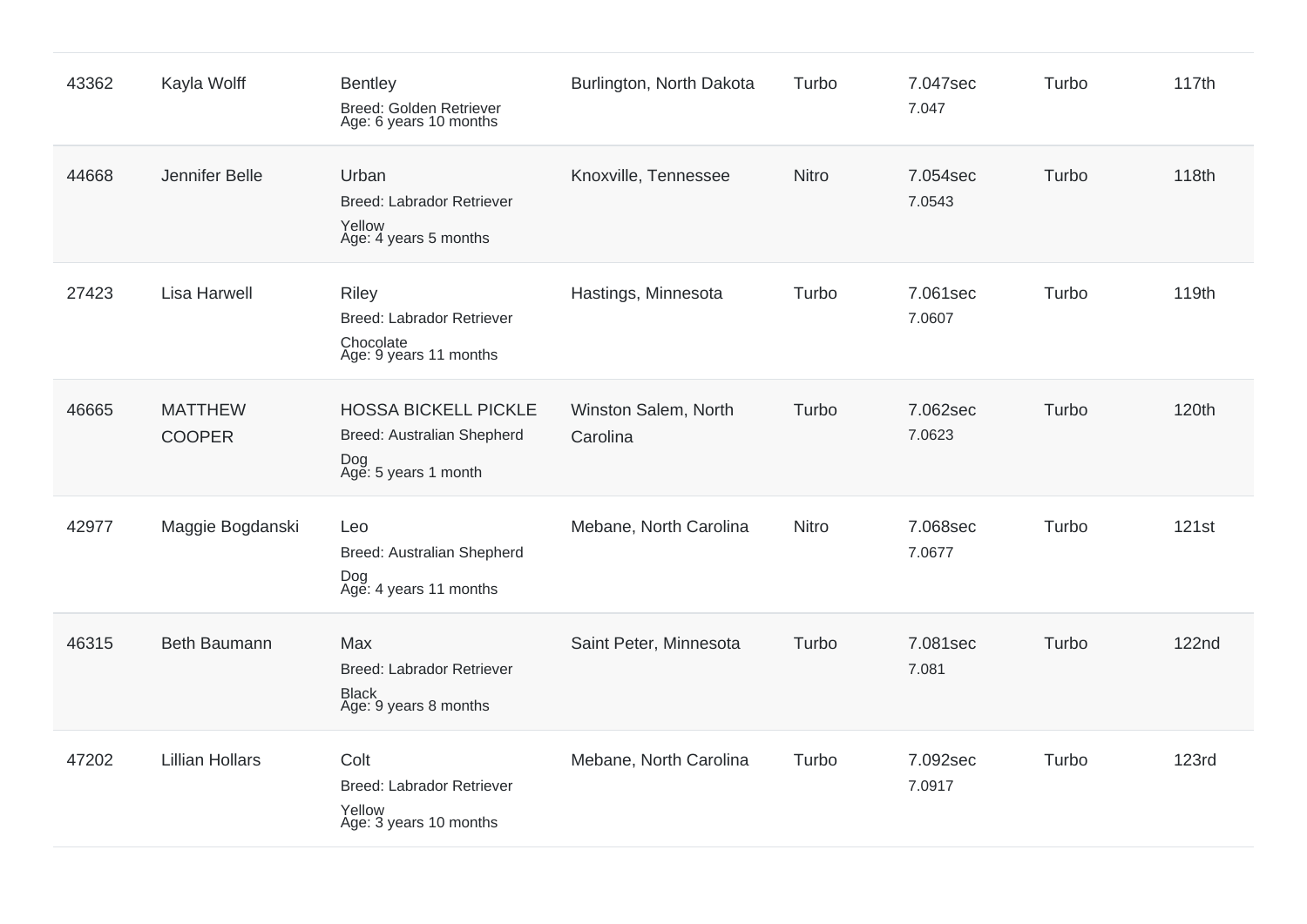| 43362 | Kayla Wolff                     | <b>Bentley</b><br>Breed: Golden Retriever<br>Age: 6 years 10 months                      | Burlington, North Dakota         | Turbo        | 7.047sec<br>7.047  | Turbo | 117th        |
|-------|---------------------------------|------------------------------------------------------------------------------------------|----------------------------------|--------------|--------------------|-------|--------------|
| 44668 | Jennifer Belle                  | Urban<br><b>Breed: Labrador Retriever</b><br>Yellow<br>Age: 4 years 5 months             | Knoxville, Tennessee             | <b>Nitro</b> | 7.054sec<br>7.0543 | Turbo | 118th        |
| 27423 | <b>Lisa Harwell</b>             | <b>Riley</b><br><b>Breed: Labrador Retriever</b><br>Chocolate<br>Age: 9 years 11 months  | Hastings, Minnesota              | Turbo        | 7.061sec<br>7.0607 | Turbo | 119th        |
| 46665 | <b>MATTHEW</b><br><b>COOPER</b> | <b>HOSSA BICKELL PICKLE</b><br>Breed: Australian Shepherd<br>Dog<br>Age: 5 years 1 month | Winston Salem, North<br>Carolina | Turbo        | 7.062sec<br>7.0623 | Turbo | 120th        |
| 42977 | Maggie Bogdanski                | Leo<br>Breed: Australian Shepherd<br>Dog<br>Age: 4 years 11 months                       | Mebane, North Carolina           | Nitro        | 7.068sec<br>7.0677 | Turbo | 121st        |
| 46315 | <b>Beth Baumann</b>             | Max<br><b>Breed: Labrador Retriever</b><br><b>Black</b><br>Age: 9 years 8 months         | Saint Peter, Minnesota           | Turbo        | 7.081sec<br>7.081  | Turbo | <b>122nd</b> |
| 47202 | <b>Lillian Hollars</b>          | Colt<br><b>Breed: Labrador Retriever</b><br>Yellow<br>Age: 3 years 10 months             | Mebane, North Carolina           | Turbo        | 7.092sec<br>7.0917 | Turbo | <b>123rd</b> |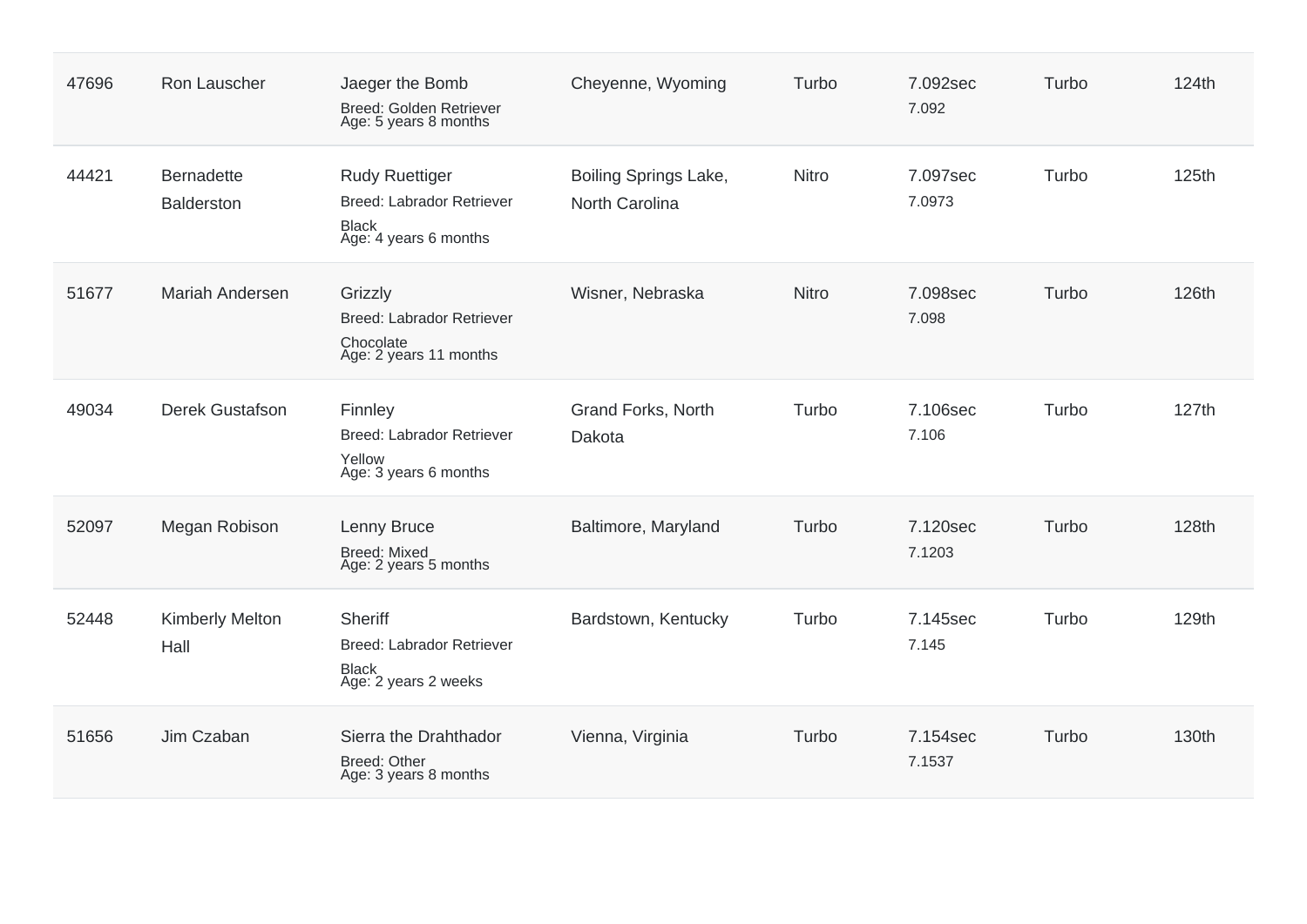| 47696 | Ron Lauscher                           | Jaeger the Bomb<br>Breed: Golden Retriever<br>Age: 5 years 8 months                                | Cheyenne, Wyoming                       | Turbo        | 7.092sec<br>7.092  | Turbo | 124th |
|-------|----------------------------------------|----------------------------------------------------------------------------------------------------|-----------------------------------------|--------------|--------------------|-------|-------|
| 44421 | <b>Bernadette</b><br><b>Balderston</b> | <b>Rudy Ruettiger</b><br><b>Breed: Labrador Retriever</b><br><b>Black</b><br>Age: 4 years 6 months | Boiling Springs Lake,<br>North Carolina | <b>Nitro</b> | 7.097sec<br>7.0973 | Turbo | 125th |
| 51677 | <b>Mariah Andersen</b>                 | Grizzly<br><b>Breed: Labrador Retriever</b><br>Chocolate<br>Age: 2 years 11 months                 | Wisner, Nebraska                        | <b>Nitro</b> | 7.098sec<br>7.098  | Turbo | 126th |
| 49034 | <b>Derek Gustafson</b>                 | Finnley<br><b>Breed: Labrador Retriever</b><br>Yellow<br>Age: 3 years 6 months                     | Grand Forks, North<br>Dakota            | Turbo        | 7.106sec<br>7.106  | Turbo | 127th |
| 52097 | Megan Robison                          | Lenny Bruce<br><b>Breed: Mixed</b><br>Age: 2 years 5 months                                        | Baltimore, Maryland                     | Turbo        | 7.120sec<br>7.1203 | Turbo | 128th |
| 52448 | <b>Kimberly Melton</b><br>Hall         | <b>Sheriff</b><br><b>Breed: Labrador Retriever</b><br><b>Black</b><br>Age: 2 years 2 weeks         | Bardstown, Kentucky                     | Turbo        | 7.145sec<br>7.145  | Turbo | 129th |
| 51656 | Jim Czaban                             | Sierra the Drahthador<br>Breed: Other<br>Age: 3 years 8 months                                     | Vienna, Virginia                        | Turbo        | 7.154sec<br>7.1537 | Turbo | 130th |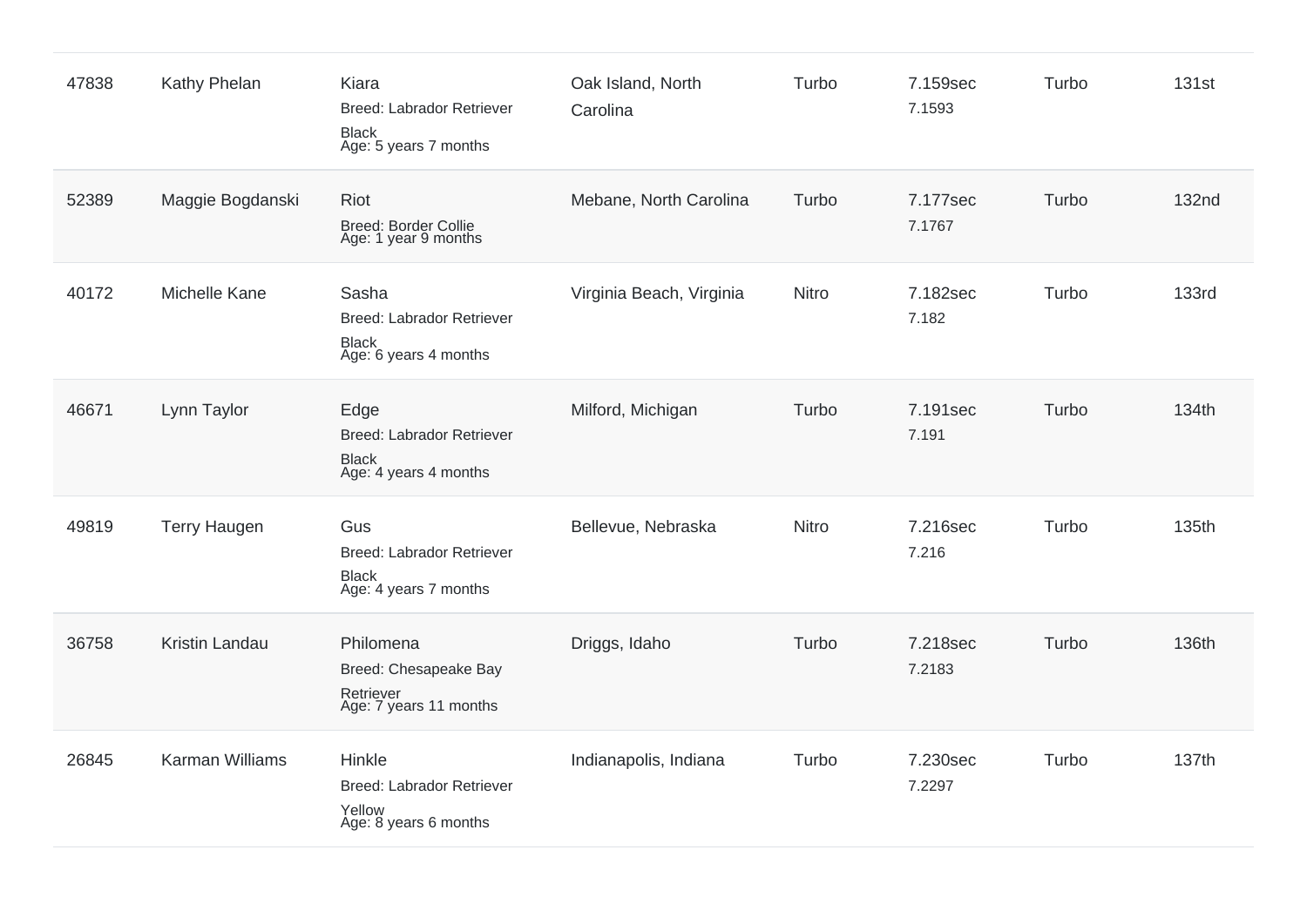| 47838 | Kathy Phelan        | Kiara<br><b>Breed: Labrador Retriever</b><br><b>Black</b><br>Age: 5 years 7 months | Oak Island, North<br>Carolina | Turbo | 7.159sec<br>7.1593 | Turbo | <b>131st</b> |
|-------|---------------------|------------------------------------------------------------------------------------|-------------------------------|-------|--------------------|-------|--------------|
| 52389 | Maggie Bogdanski    | Riot<br>Breed: Border Collie<br>Age: 1 year 9 months                               | Mebane, North Carolina        | Turbo | 7.177sec<br>7.1767 | Turbo | <b>132nd</b> |
| 40172 | Michelle Kane       | Sasha<br><b>Breed: Labrador Retriever</b><br><b>Black</b><br>Age: 6 years 4 months | Virginia Beach, Virginia      | Nitro | 7.182sec<br>7.182  | Turbo | <b>133rd</b> |
| 46671 | Lynn Taylor         | Edge<br><b>Breed: Labrador Retriever</b><br><b>Black</b><br>Age: 4 years 4 months  | Milford, Michigan             | Turbo | 7.191sec<br>7.191  | Turbo | 134th        |
| 49819 | <b>Terry Haugen</b> | Gus<br><b>Breed: Labrador Retriever</b><br><b>Black</b><br>Age: 4 years 7 months   | Bellevue, Nebraska            | Nitro | 7.216sec<br>7.216  | Turbo | 135th        |
| 36758 | Kristin Landau      | Philomena<br>Breed: Chesapeake Bay<br>Retriever<br>Age: 7 years 11 months          | Driggs, Idaho                 | Turbo | 7.218sec<br>7.2183 | Turbo | 136th        |
| 26845 | Karman Williams     | Hinkle<br><b>Breed: Labrador Retriever</b><br>Yellow<br>Age: 8 years 6 months      | Indianapolis, Indiana         | Turbo | 7.230sec<br>7.2297 | Turbo | 137th        |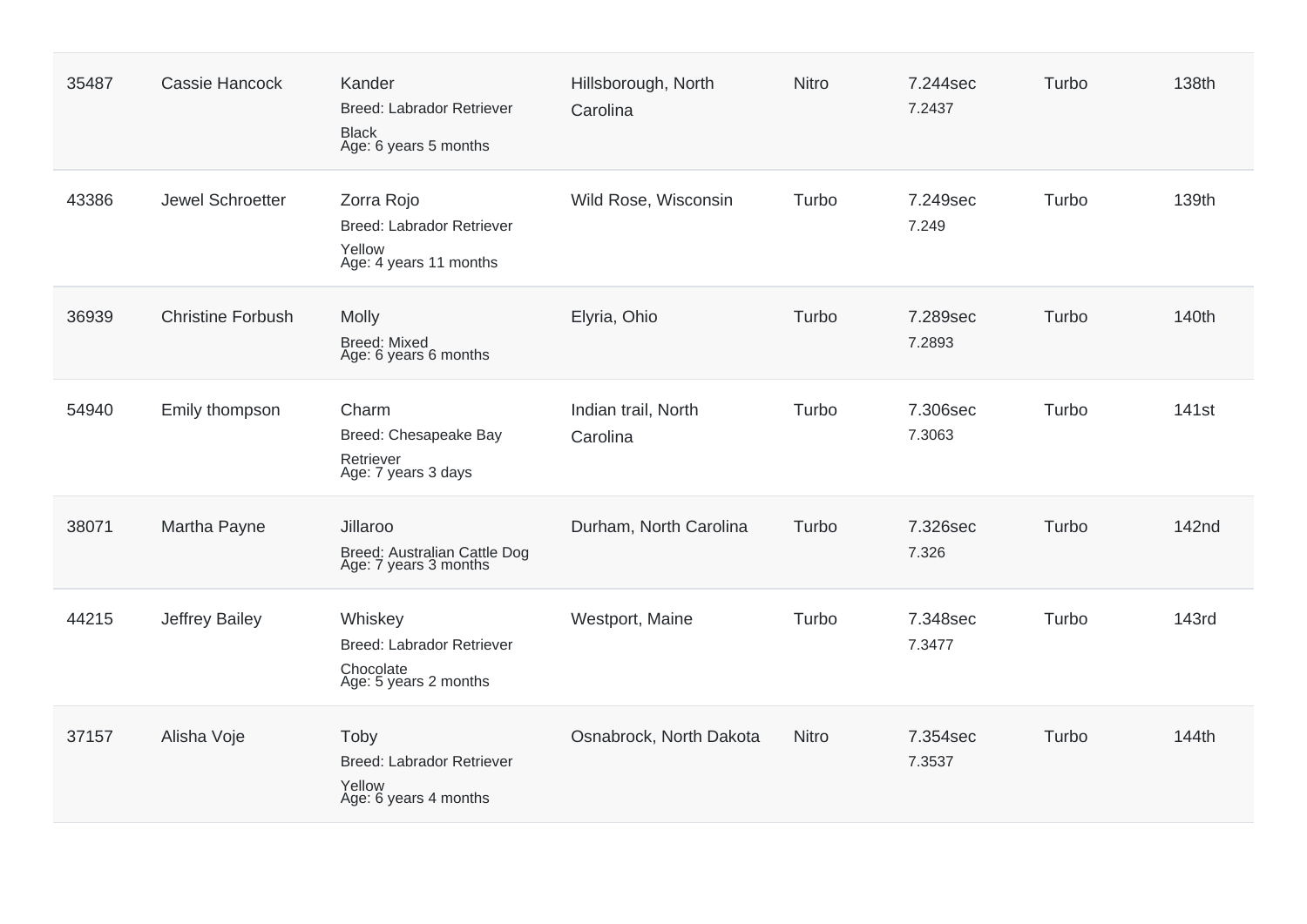| 35487 | Cassie Hancock           | Kander<br><b>Breed: Labrador Retriever</b><br><b>Black</b><br>Age: 6 years 5 months | Hillsborough, North<br>Carolina | <b>Nitro</b> | 7.244sec<br>7.2437 | Turbo | 138th             |
|-------|--------------------------|-------------------------------------------------------------------------------------|---------------------------------|--------------|--------------------|-------|-------------------|
| 43386 | Jewel Schroetter         | Zorra Rojo<br><b>Breed: Labrador Retriever</b><br>Yellow<br>Age: 4 years 11 months  | Wild Rose, Wisconsin            | Turbo        | 7.249sec<br>7.249  | Turbo | 139th             |
| 36939 | <b>Christine Forbush</b> | <b>Molly</b><br><b>Breed: Mixed</b><br>Age: 6 years 6 months                        | Elyria, Ohio                    | Turbo        | 7.289sec<br>7.2893 | Turbo | 140th             |
| 54940 | Emily thompson           | Charm<br>Breed: Chesapeake Bay<br>Retriever<br>Age: 7 years 3 days                  | Indian trail, North<br>Carolina | Turbo        | 7.306sec<br>7.3063 | Turbo | 141 <sub>st</sub> |
| 38071 | Martha Payne             | Jillaroo<br>Breed: Australian Cattle Dog<br>Age: 7 years 3 months                   | Durham, North Carolina          | Turbo        | 7.326sec<br>7.326  | Turbo | 142nd             |
| 44215 | Jeffrey Bailey           | Whiskey<br><b>Breed: Labrador Retriever</b><br>Chocolate<br>Age: 5 years 2 months   | Westport, Maine                 | Turbo        | 7.348sec<br>7.3477 | Turbo | <b>143rd</b>      |
| 37157 | Alisha Voje              | Toby<br><b>Breed: Labrador Retriever</b><br>Yellow<br>Age: 6 years 4 months         | Osnabrock, North Dakota         | <b>Nitro</b> | 7.354sec<br>7.3537 | Turbo | 144th             |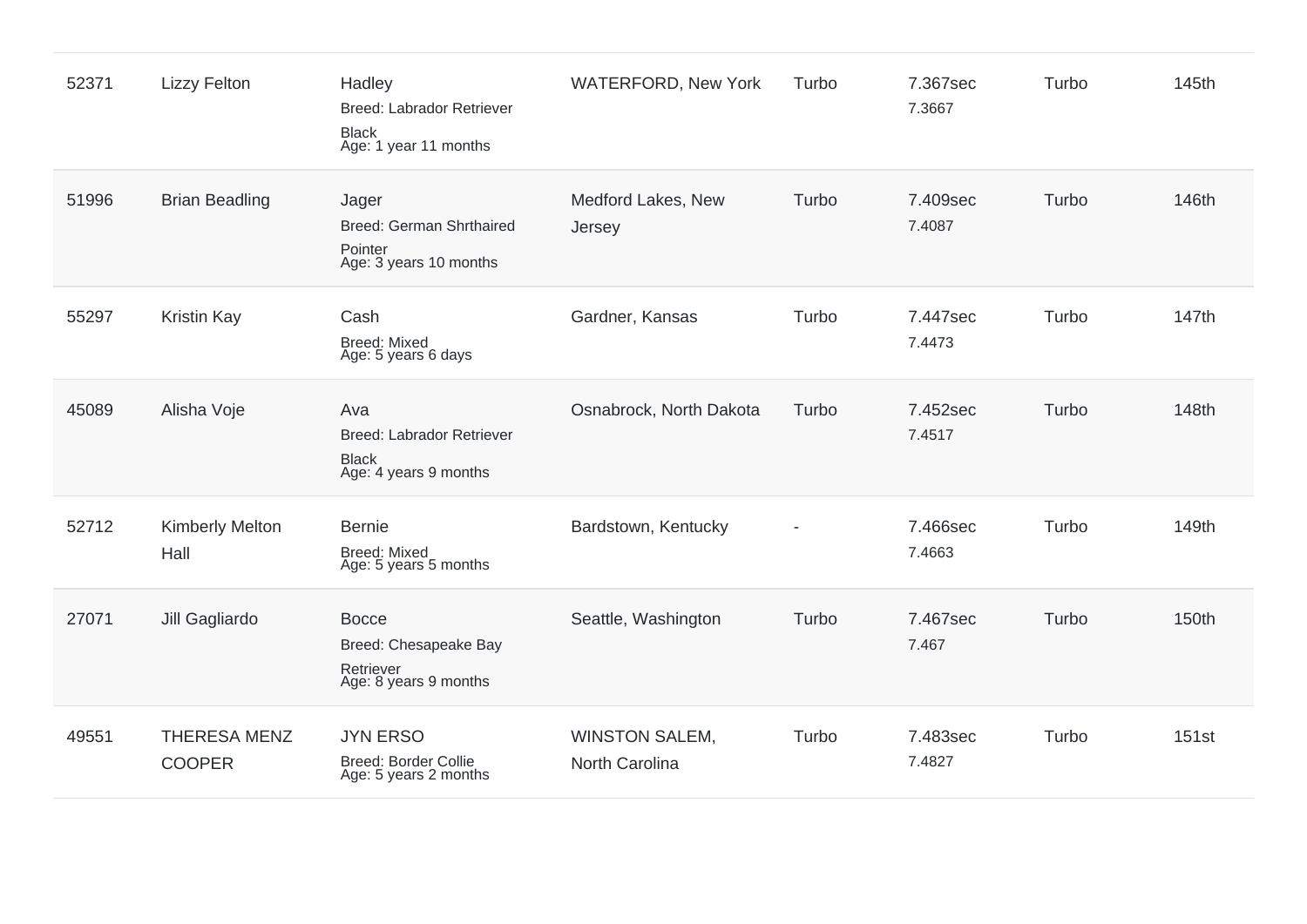| 52371 | <b>Lizzy Felton</b>                  | Hadley<br><b>Breed: Labrador Retriever</b><br><b>Black</b><br>Age: 1 year 11 months | <b>WATERFORD, New York</b>              | Turbo          | 7.367sec<br>7.3667 | Turbo | 145th |
|-------|--------------------------------------|-------------------------------------------------------------------------------------|-----------------------------------------|----------------|--------------------|-------|-------|
| 51996 | <b>Brian Beadling</b>                | Jager<br><b>Breed: German Shrthaired</b><br>Pointer<br>Age: 3 years 10 months       | Medford Lakes, New<br>Jersey            | Turbo          | 7.409sec<br>7.4087 | Turbo | 146th |
| 55297 | <b>Kristin Kay</b>                   | Cash<br><b>Breed: Mixed</b><br>Age: 5 years 6 days                                  | Gardner, Kansas                         | Turbo          | 7.447sec<br>7.4473 | Turbo | 147th |
| 45089 | Alisha Voje                          | Ava<br><b>Breed: Labrador Retriever</b><br><b>Black</b><br>Age: 4 years 9 months    | Osnabrock, North Dakota                 | Turbo          | 7.452sec<br>7.4517 | Turbo | 148th |
| 52712 | <b>Kimberly Melton</b><br>Hall       | <b>Bernie</b><br><b>Breed: Mixed</b><br>Age: 5 years 5 months                       | Bardstown, Kentucky                     | $\blacksquare$ | 7.466sec<br>7.4663 | Turbo | 149th |
| 27071 | Jill Gagliardo                       | <b>Bocce</b><br>Breed: Chesapeake Bay<br>Retriever<br>Age: 8 years 9 months         | Seattle, Washington                     | Turbo          | 7.467sec<br>7.467  | Turbo | 150th |
| 49551 | <b>THERESA MENZ</b><br><b>COOPER</b> | <b>JYN ERSO</b><br>Breed: Border Collie<br>Age: 5 years 2 months                    | <b>WINSTON SALEM,</b><br>North Carolina | Turbo          | 7.483sec<br>7.4827 | Turbo | 151st |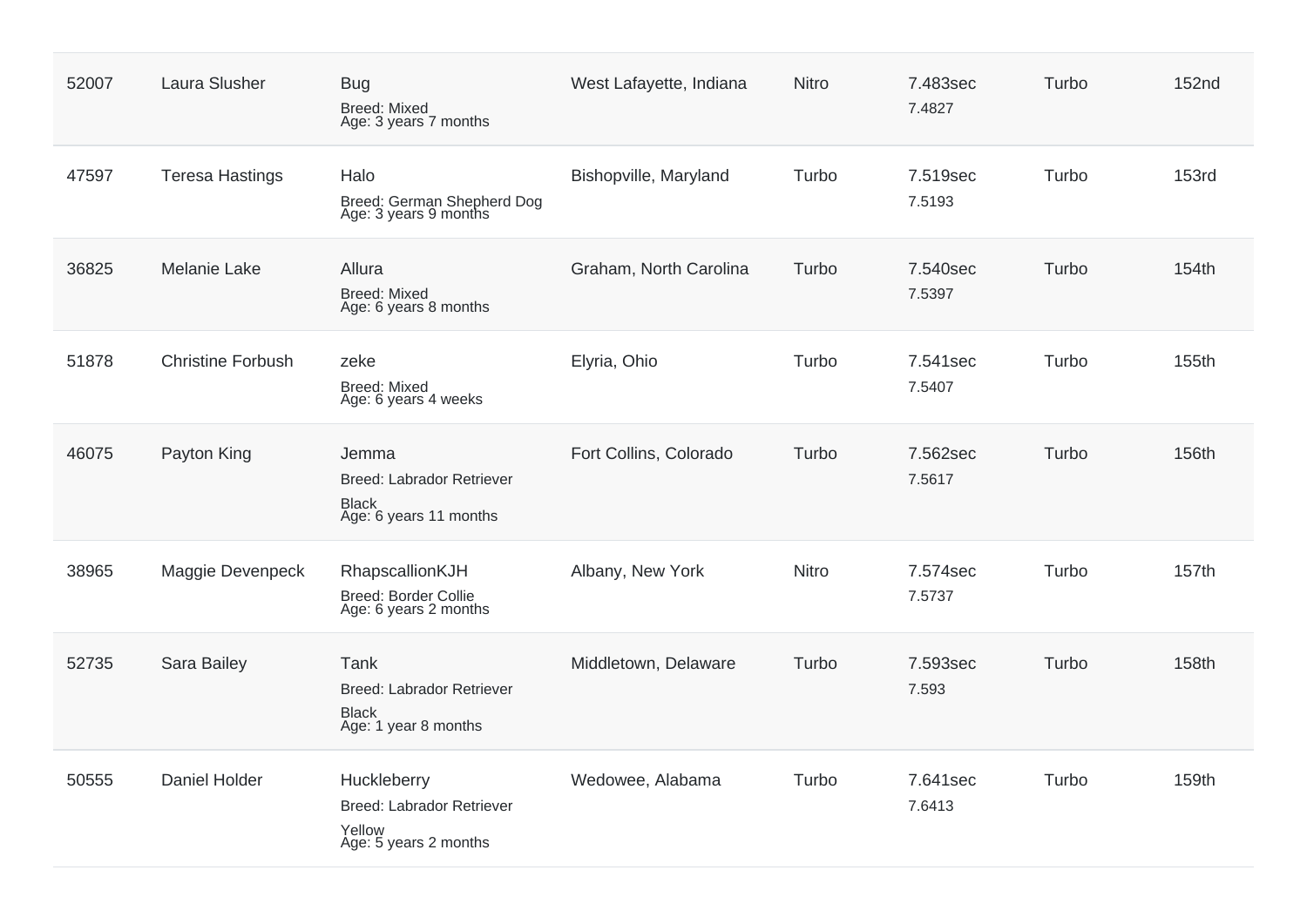| 52007 | <b>Laura Slusher</b>     | <b>Bug</b><br><b>Breed: Mixed</b><br>Age: 3 years 7 months                          | West Lafayette, Indiana | <b>Nitro</b> | 7.483sec<br>7.4827 | Turbo | <b>152nd</b> |
|-------|--------------------------|-------------------------------------------------------------------------------------|-------------------------|--------------|--------------------|-------|--------------|
| 47597 | <b>Teresa Hastings</b>   | Halo<br>Breed: German Shepherd Dog<br>Age: 3 years 9 months                         | Bishopville, Maryland   | Turbo        | 7.519sec<br>7.5193 | Turbo | <b>153rd</b> |
| 36825 | <b>Melanie Lake</b>      | Allura<br><b>Breed: Mixed</b><br>Age: 6 years 8 months                              | Graham, North Carolina  | Turbo        | 7.540sec<br>7.5397 | Turbo | 154th        |
| 51878 | <b>Christine Forbush</b> | zeke<br><b>Breed: Mixed</b><br>Age: 6 years 4 weeks                                 | Elyria, Ohio            | Turbo        | 7.541sec<br>7.5407 | Turbo | 155th        |
| 46075 | Payton King              | Jemma<br><b>Breed: Labrador Retriever</b><br><b>Black</b><br>Age: 6 years 11 months | Fort Collins, Colorado  | Turbo        | 7.562sec<br>7.5617 | Turbo | 156th        |
| 38965 | Maggie Devenpeck         | RhapscallionKJH<br>Breed: Border Collie<br>Age: 6 years 2 months                    | Albany, New York        | <b>Nitro</b> | 7.574sec<br>7.5737 | Turbo | 157th        |
| 52735 | Sara Bailey              | Tank<br><b>Breed: Labrador Retriever</b><br><b>Black</b><br>Age: 1 year 8 months    | Middletown, Delaware    | Turbo        | 7.593sec<br>7.593  | Turbo | 158th        |
| 50555 | Daniel Holder            | Huckleberry<br><b>Breed: Labrador Retriever</b><br>Yellow<br>Age: 5 years 2 months  | Wedowee, Alabama        | Turbo        | 7.641sec<br>7.6413 | Turbo | 159th        |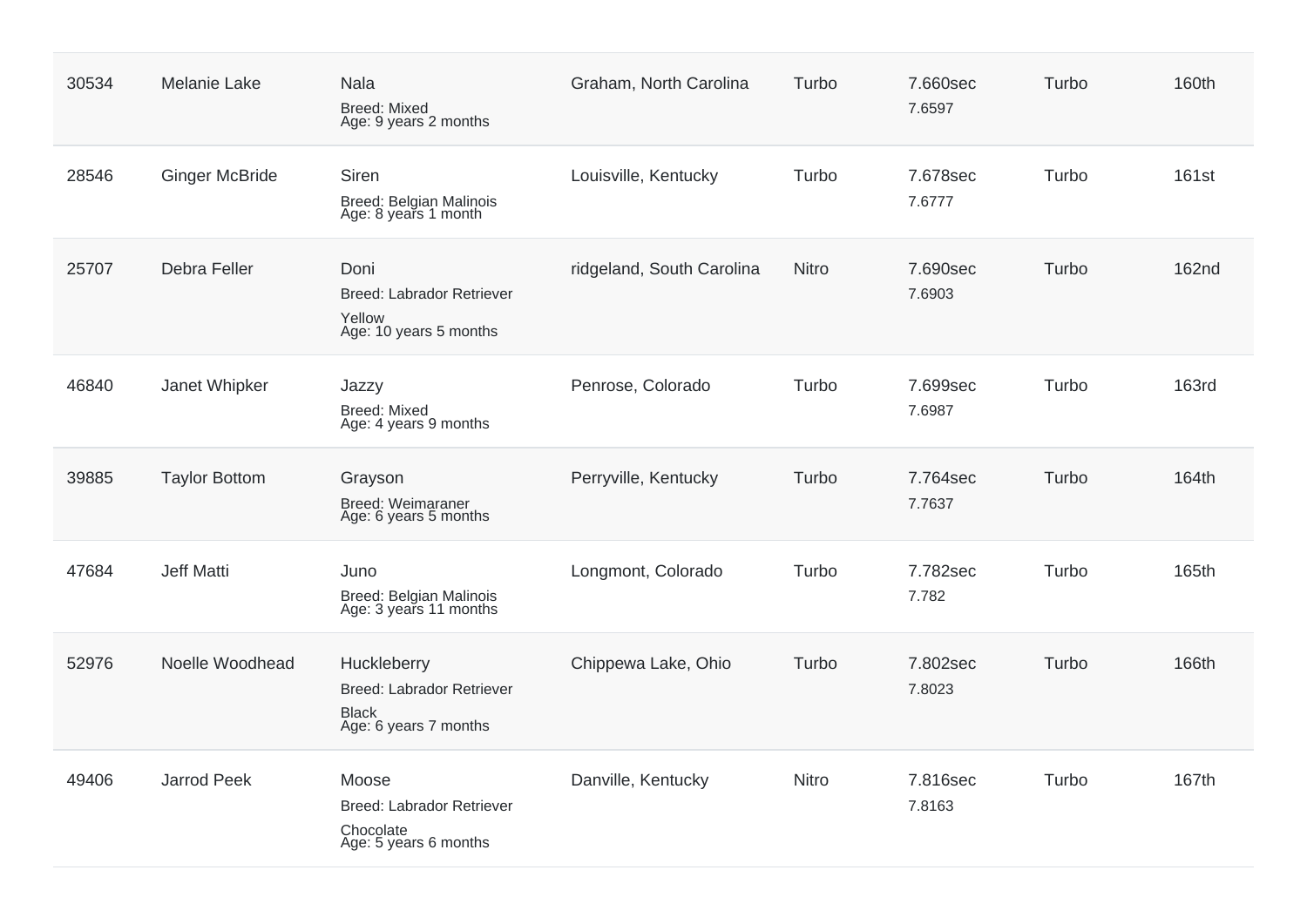| 30534 | Melanie Lake          | <b>Nala</b><br><b>Breed: Mixed</b><br>Age: 9 years 2 months                              | Graham, North Carolina    | Turbo        | 7.660sec<br>7.6597 | Turbo | 160th        |
|-------|-----------------------|------------------------------------------------------------------------------------------|---------------------------|--------------|--------------------|-------|--------------|
| 28546 | <b>Ginger McBride</b> | Siren<br>Breed: Belgian Malinois<br>Age: 8 years 1 month                                 | Louisville, Kentucky      | Turbo        | 7.678sec<br>7.6777 | Turbo | 161st        |
| 25707 | Debra Feller          | Doni<br>Breed: Labrador Retriever<br>Yellow<br>Age: 10 years 5 months                    | ridgeland, South Carolina | <b>Nitro</b> | 7.690sec<br>7.6903 | Turbo | <b>162nd</b> |
| 46840 | Janet Whipker         | Jazzy<br><b>Breed: Mixed</b><br>Age: 4 years 9 months                                    | Penrose, Colorado         | Turbo        | 7.699sec<br>7.6987 | Turbo | <b>163rd</b> |
| 39885 | <b>Taylor Bottom</b>  | Grayson<br><b>Breed: Weimaraner</b><br>Age: 6 years 5 months                             | Perryville, Kentucky      | Turbo        | 7.764sec<br>7.7637 | Turbo | 164th        |
| 47684 | <b>Jeff Matti</b>     | Juno<br>Breed: Belgian Malinois<br>Age: 3 years 11 months                                | Longmont, Colorado        | Turbo        | 7.782sec<br>7.782  | Turbo | 165th        |
| 52976 | Noelle Woodhead       | Huckleberry<br><b>Breed: Labrador Retriever</b><br><b>Black</b><br>Age: 6 years 7 months | Chippewa Lake, Ohio       | Turbo        | 7.802sec<br>7.8023 | Turbo | 166th        |
| 49406 | <b>Jarrod Peek</b>    | Moose<br><b>Breed: Labrador Retriever</b><br>Chocolate<br>Age: 5 years 6 months          | Danville, Kentucky        | Nitro        | 7.816sec<br>7.8163 | Turbo | 167th        |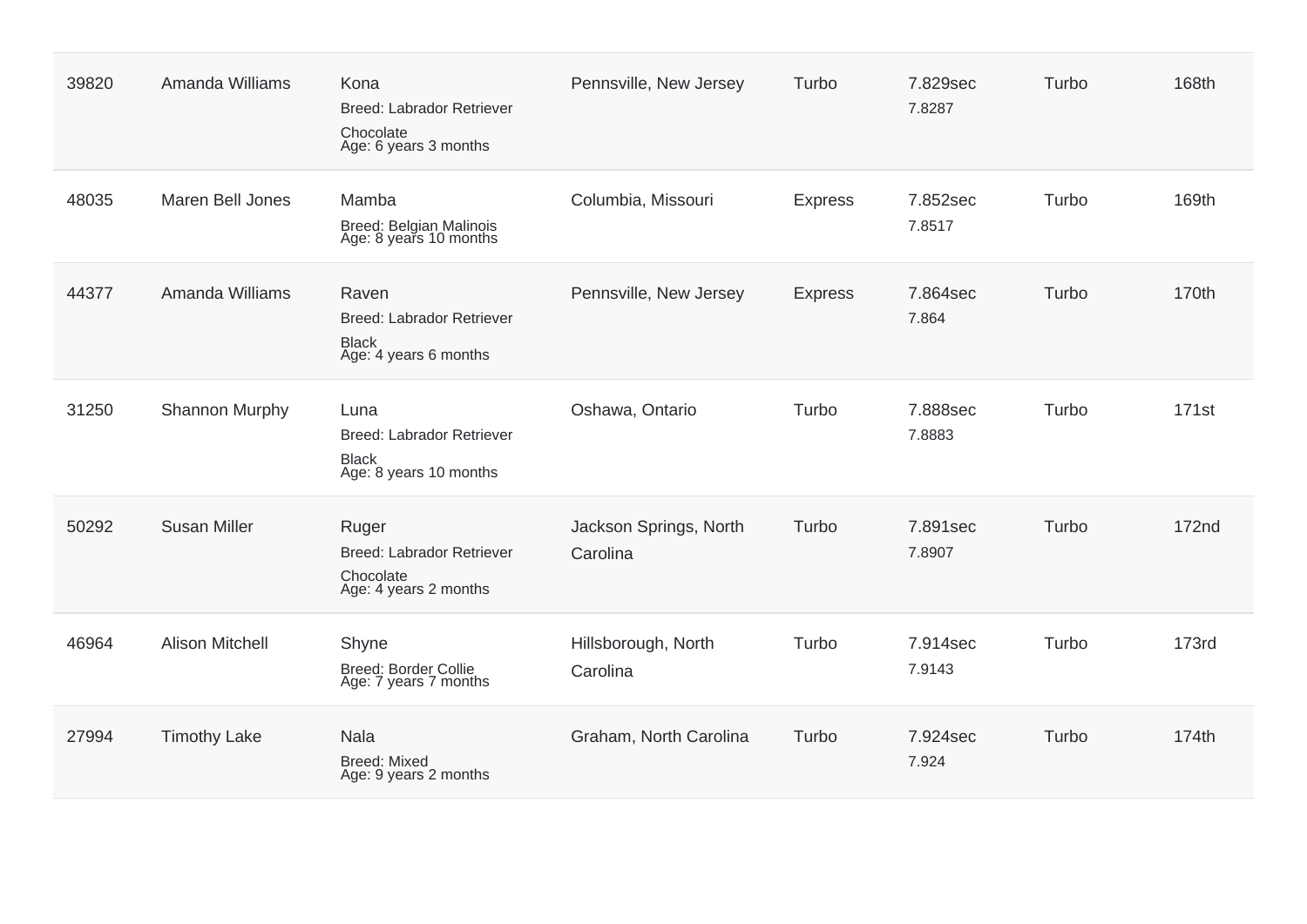| 39820 | Amanda Williams        | Kona<br>Breed: Labrador Retriever<br>Chocolate<br>Age: 6 years 3 months            | Pennsville, New Jersey             | Turbo          | 7.829sec<br>7.8287 | Turbo | 168th             |
|-------|------------------------|------------------------------------------------------------------------------------|------------------------------------|----------------|--------------------|-------|-------------------|
| 48035 | Maren Bell Jones       | Mamba<br>Breed: Belgian Malinois<br>Age: 8 years 10 months                         | Columbia, Missouri                 | <b>Express</b> | 7.852sec<br>7.8517 | Turbo | 169th             |
| 44377 | Amanda Williams        | Raven<br><b>Breed: Labrador Retriever</b><br><b>Black</b><br>Age: 4 years 6 months | Pennsville, New Jersey             | <b>Express</b> | 7.864sec<br>7.864  | Turbo | 170th             |
| 31250 | Shannon Murphy         | Luna<br><b>Breed: Labrador Retriever</b><br><b>Black</b><br>Age: 8 years 10 months | Oshawa, Ontario                    | Turbo          | 7.888sec<br>7.8883 | Turbo | 171 <sub>st</sub> |
| 50292 | <b>Susan Miller</b>    | Ruger<br><b>Breed: Labrador Retriever</b><br>Chocolate<br>Age: 4 years 2 months    | Jackson Springs, North<br>Carolina | Turbo          | 7.891sec<br>7.8907 | Turbo | 172 <sub>nd</sub> |
| 46964 | <b>Alison Mitchell</b> | Shyne<br><b>Breed: Border Collie</b><br>Age: 7 years 7 months                      | Hillsborough, North<br>Carolina    | Turbo          | 7.914sec<br>7.9143 | Turbo | <b>173rd</b>      |
| 27994 | <b>Timothy Lake</b>    | <b>Nala</b><br><b>Breed: Mixed</b><br>Age: 9 years 2 months                        | Graham, North Carolina             | Turbo          | 7.924sec<br>7.924  | Turbo | 174th             |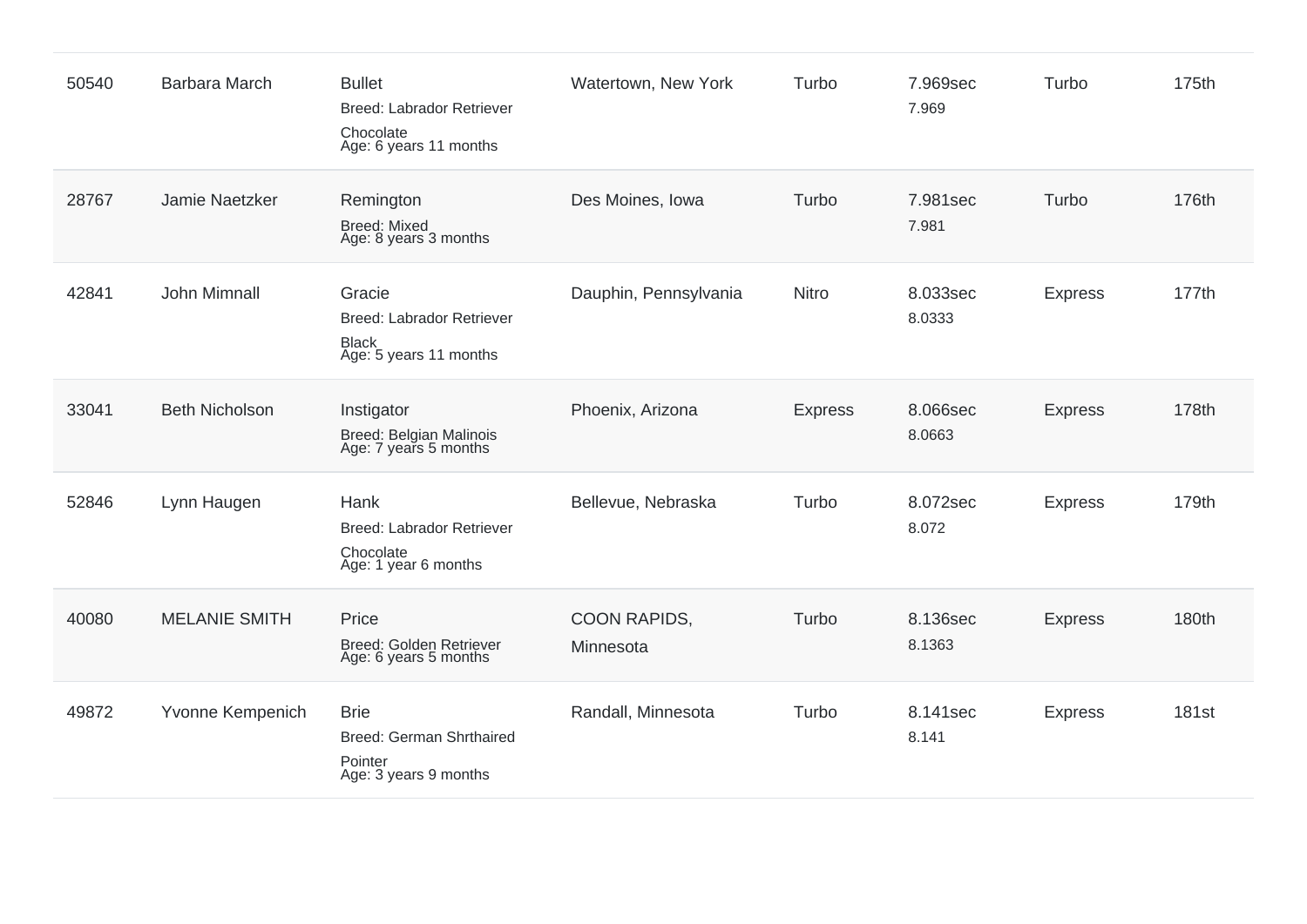| 50540 | <b>Barbara March</b>  | <b>Bullet</b><br><b>Breed: Labrador Retriever</b><br>Chocolate<br>Age: 6 years 11 months | Watertown, New York       | Turbo          | 7.969sec<br>7.969  | Turbo          | 175th |
|-------|-----------------------|------------------------------------------------------------------------------------------|---------------------------|----------------|--------------------|----------------|-------|
| 28767 | Jamie Naetzker        | Remington<br><b>Breed: Mixed</b><br>Age: 8 years 3 months                                | Des Moines, Iowa          | Turbo          | 7.981sec<br>7.981  | Turbo          | 176th |
| 42841 | John Mimnall          | Gracie<br><b>Breed: Labrador Retriever</b><br><b>Black</b><br>Age: 5 years 11 months     | Dauphin, Pennsylvania     | <b>Nitro</b>   | 8.033sec<br>8.0333 | <b>Express</b> | 177th |
| 33041 | <b>Beth Nicholson</b> | Instigator<br>Breed: Belgian Malinois<br>Age: 7 years 5 months                           | Phoenix, Arizona          | <b>Express</b> | 8.066sec<br>8.0663 | <b>Express</b> | 178th |
| 52846 | Lynn Haugen           | Hank<br><b>Breed: Labrador Retriever</b><br>Chocolate<br>Age: 1 year 6 months            | Bellevue, Nebraska        | Turbo          | 8.072sec<br>8.072  | <b>Express</b> | 179th |
| 40080 | <b>MELANIE SMITH</b>  | Price<br>Breed: Golden Retriever<br>Age: 6 years 5 months                                | COON RAPIDS,<br>Minnesota | Turbo          | 8.136sec<br>8.1363 | <b>Express</b> | 180th |
| 49872 | Yvonne Kempenich      | <b>Brie</b><br>Breed: German Shrthaired<br>Pointer<br>Age: 3 years 9 months              | Randall, Minnesota        | Turbo          | 8.141sec<br>8.141  | <b>Express</b> | 181st |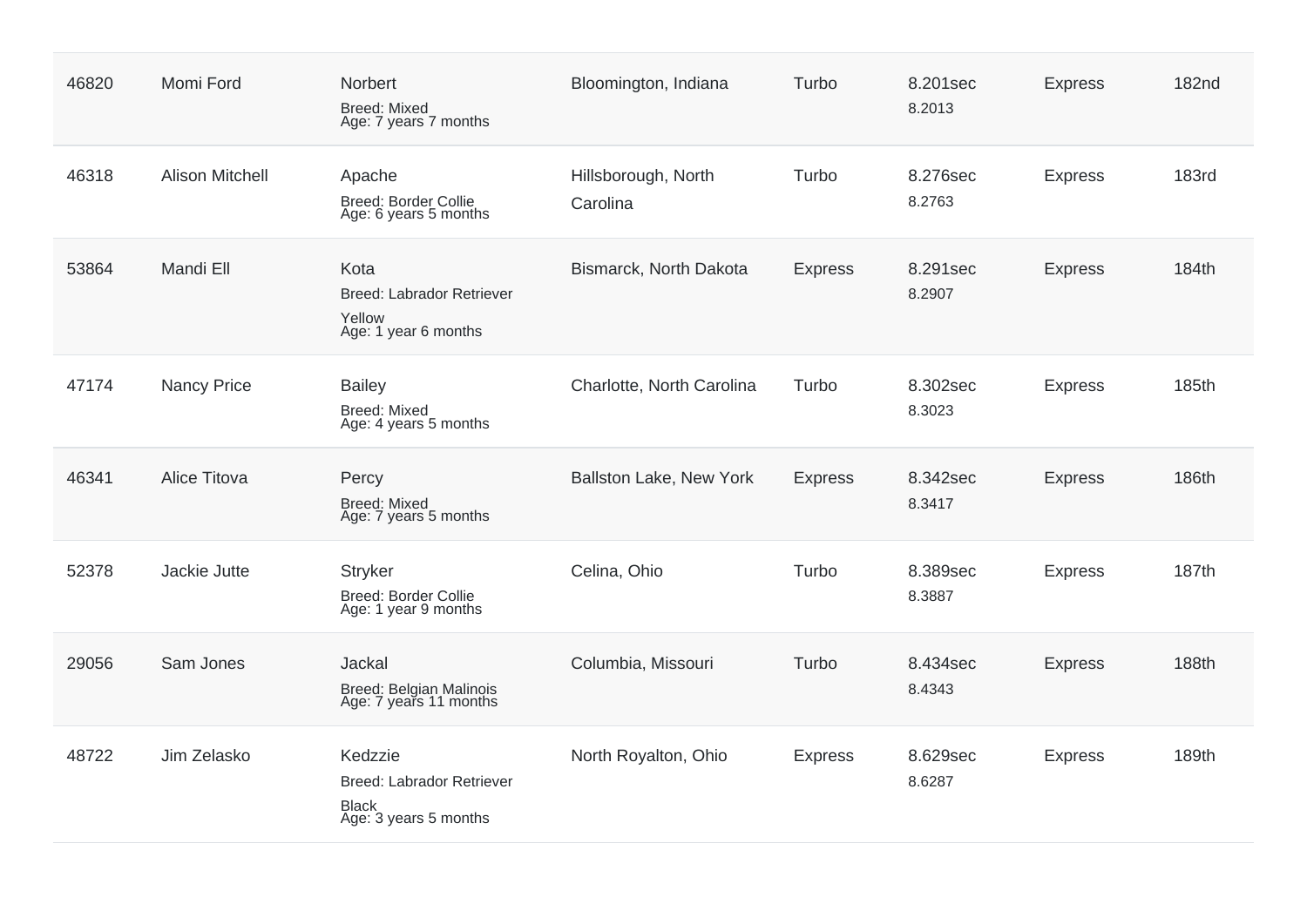| 46820 | Momi Ford              | Norbert<br><b>Breed: Mixed</b><br>Age: 7 years 7 months                              | Bloomington, Indiana            | Turbo          | 8.201sec<br>8.2013 | <b>Express</b> | <b>182nd</b> |
|-------|------------------------|--------------------------------------------------------------------------------------|---------------------------------|----------------|--------------------|----------------|--------------|
| 46318 | <b>Alison Mitchell</b> | Apache<br><b>Breed: Border Collie</b><br>Age: 6 years 5 months                       | Hillsborough, North<br>Carolina | Turbo          | 8.276sec<br>8.2763 | <b>Express</b> | <b>183rd</b> |
| 53864 | Mandi Ell              | Kota<br>Breed: Labrador Retriever<br>Yellow<br>Age: 1 year 6 months                  | Bismarck, North Dakota          | <b>Express</b> | 8.291sec<br>8.2907 | <b>Express</b> | 184th        |
| 47174 | <b>Nancy Price</b>     | <b>Bailey</b><br><b>Breed: Mixed</b><br>Age: 4 years 5 months                        | Charlotte, North Carolina       | Turbo          | 8.302sec<br>8.3023 | <b>Express</b> | 185th        |
| 46341 | Alice Titova           | Percy<br><b>Breed: Mixed</b><br>Age: 7 years 5 months                                | Ballston Lake, New York         | <b>Express</b> | 8.342sec<br>8.3417 | <b>Express</b> | 186th        |
| 52378 | Jackie Jutte           | <b>Stryker</b><br><b>Breed: Border Collie</b><br>Age: 1 year 9 months                | Celina, Ohio                    | Turbo          | 8.389sec<br>8.3887 | <b>Express</b> | 187th        |
| 29056 | Sam Jones              | Jackal<br>Breed: Belgian Malinois<br>Age: 7 years 11 months                          | Columbia, Missouri              | Turbo          | 8.434sec<br>8.4343 | <b>Express</b> | 188th        |
| 48722 | Jim Zelasko            | Kedzzie<br><b>Breed: Labrador Retriever</b><br><b>Black</b><br>Age: 3 years 5 months | North Royalton, Ohio            | <b>Express</b> | 8.629sec<br>8.6287 | <b>Express</b> | 189th        |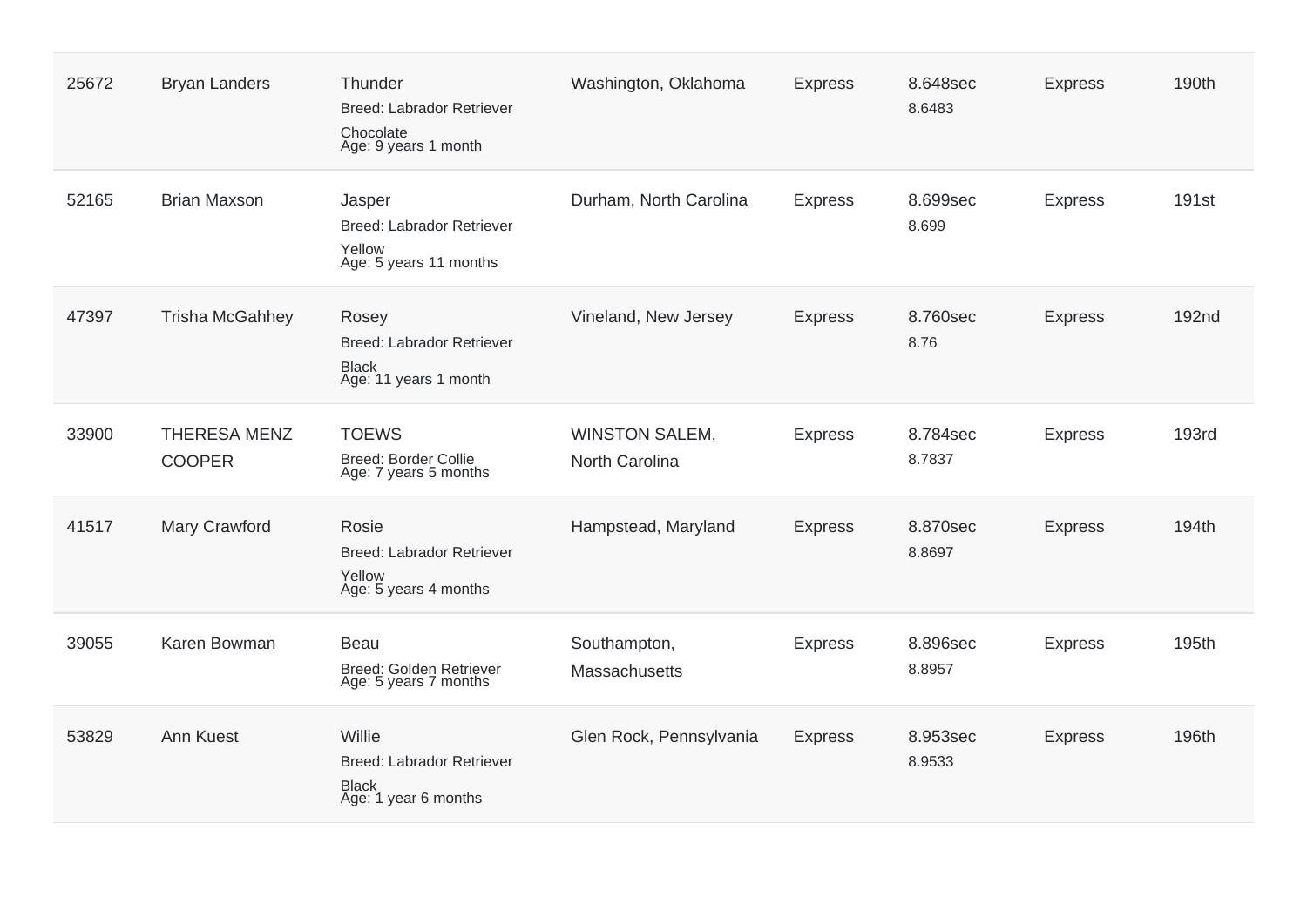| 25672 | <b>Bryan Landers</b>                 | Thunder<br><b>Breed: Labrador Retriever</b><br>Chocolate<br>Age: 9 years 1 month   | Washington, Oklahoma                    | <b>Express</b> | 8.648sec<br>8.6483 | <b>Express</b> | 190th             |
|-------|--------------------------------------|------------------------------------------------------------------------------------|-----------------------------------------|----------------|--------------------|----------------|-------------------|
| 52165 | <b>Brian Maxson</b>                  | Jasper<br>Breed: Labrador Retriever<br>Yellow<br>Age: 5 years 11 months            | Durham, North Carolina                  | <b>Express</b> | 8.699sec<br>8.699  | <b>Express</b> | 191 <sub>st</sub> |
| 47397 | <b>Trisha McGahhey</b>               | Rosey<br><b>Breed: Labrador Retriever</b><br><b>Black</b><br>Age: 11 years 1 month | Vineland, New Jersey                    | <b>Express</b> | 8.760sec<br>8.76   | <b>Express</b> | <b>192nd</b>      |
| 33900 | <b>THERESA MENZ</b><br><b>COOPER</b> | <b>TOEWS</b><br>Breed: Border Collie<br>Age: 7 years 5 months                      | <b>WINSTON SALEM,</b><br>North Carolina | <b>Express</b> | 8.784sec<br>8.7837 | <b>Express</b> | <b>193rd</b>      |
| 41517 | Mary Crawford                        | Rosie<br><b>Breed: Labrador Retriever</b><br>Yellow<br>Age: 5 years 4 months       | Hampstead, Maryland                     | <b>Express</b> | 8.870sec<br>8.8697 | <b>Express</b> | 194th             |
| 39055 | Karen Bowman                         | Beau<br>Breed: Golden Retriever<br>Age: 5 years 7 months                           | Southampton,<br>Massachusetts           | <b>Express</b> | 8.896sec<br>8.8957 | <b>Express</b> | 195th             |
| 53829 | Ann Kuest                            | Willie<br>Breed: Labrador Retriever<br><b>Black</b><br>Age: 1 year 6 months        | Glen Rock, Pennsylvania                 | <b>Express</b> | 8.953sec<br>8.9533 | <b>Express</b> | 196th             |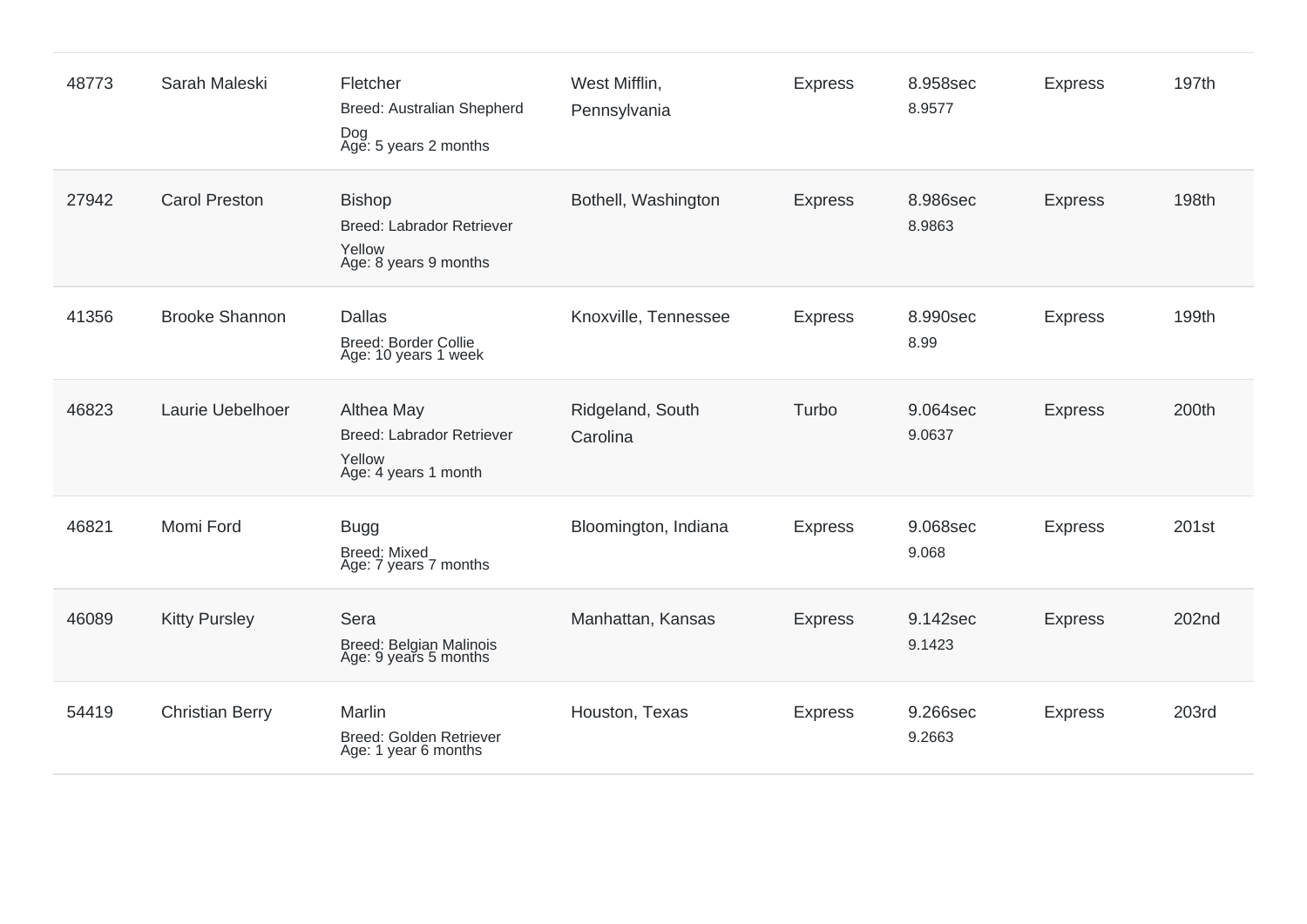| 48773 | Sarah Maleski          | Fletcher<br>Breed: Australian Shepherd<br>Dog<br>Age: 5 years 2 months               | West Mifflin,<br>Pennsylvania | <b>Express</b> | 8.958sec<br>8.9577 | <b>Express</b> | 197th |
|-------|------------------------|--------------------------------------------------------------------------------------|-------------------------------|----------------|--------------------|----------------|-------|
| 27942 | <b>Carol Preston</b>   | <b>Bishop</b><br><b>Breed: Labrador Retriever</b><br>Yellow<br>Age: 8 years 9 months | Bothell, Washington           | <b>Express</b> | 8.986sec<br>8.9863 | <b>Express</b> | 198th |
| 41356 | <b>Brooke Shannon</b>  | <b>Dallas</b><br><b>Breed: Border Collie</b><br>Age: 10 years 1 week                 | Knoxville, Tennessee          | <b>Express</b> | 8.990sec<br>8.99   | <b>Express</b> | 199th |
| 46823 | Laurie Uebelhoer       | Althea May<br>Breed: Labrador Retriever<br>Yellow<br>Age: 4 years 1 month            | Ridgeland, South<br>Carolina  | Turbo          | 9.064sec<br>9.0637 | <b>Express</b> | 200th |
| 46821 | Momi Ford              | <b>Bugg</b><br><b>Breed: Mixed</b><br>Age: 7 years 7 months                          | Bloomington, Indiana          | <b>Express</b> | 9.068sec<br>9.068  | <b>Express</b> | 201st |
| 46089 | <b>Kitty Pursley</b>   | Sera<br>Breed: Belgian Malinois<br>Age: 9 years 5 months                             | Manhattan, Kansas             | <b>Express</b> | 9.142sec<br>9.1423 | <b>Express</b> | 202nd |
| 54419 | <b>Christian Berry</b> | Marlin<br>Breed: Golden Retriever<br>Age: 1 year 6 months                            | Houston, Texas                | <b>Express</b> | 9.266sec<br>9.2663 | <b>Express</b> | 203rd |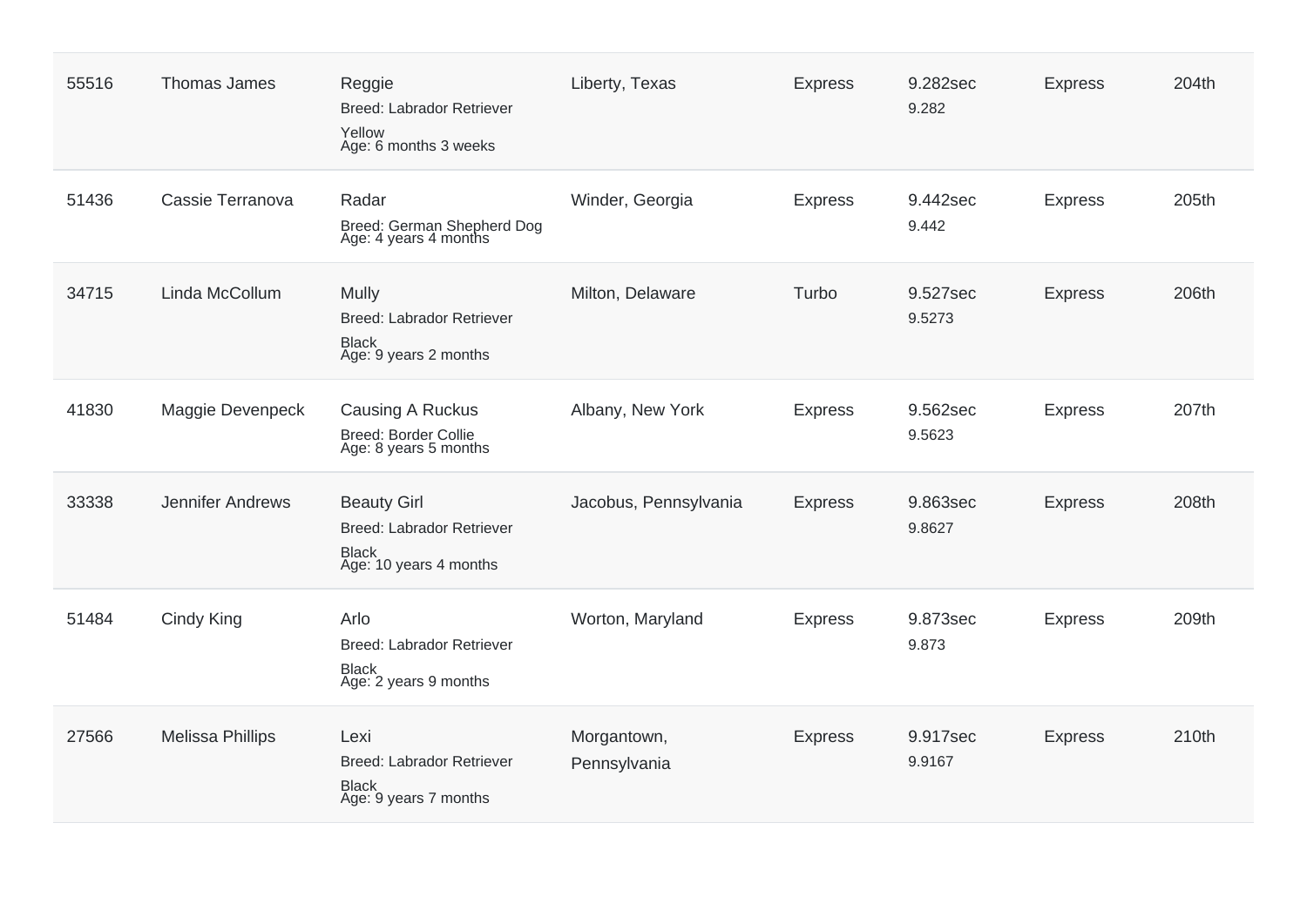| 55516 | Thomas James            | Reggie<br><b>Breed: Labrador Retriever</b><br>Yellow<br>Age: 6 months 3 weeks             | Liberty, Texas              | <b>Express</b> | 9.282sec<br>9.282  | <b>Express</b> | 204th |
|-------|-------------------------|-------------------------------------------------------------------------------------------|-----------------------------|----------------|--------------------|----------------|-------|
| 51436 | Cassie Terranova        | Radar<br>Breed: German Shepherd Dog<br>Age: 4 years 4 months                              | Winder, Georgia             | <b>Express</b> | 9.442sec<br>9.442  | <b>Express</b> | 205th |
| 34715 | Linda McCollum          | <b>Mully</b><br><b>Breed: Labrador Retriever</b><br><b>Black</b><br>Age: 9 years 2 months | Milton, Delaware            | Turbo          | 9.527sec<br>9.5273 | <b>Express</b> | 206th |
| 41830 | Maggie Devenpeck        | Causing A Ruckus<br><b>Breed: Border Collie</b><br>Age: 8 years 5 months                  | Albany, New York            | <b>Express</b> | 9.562sec<br>9.5623 | <b>Express</b> | 207th |
| 33338 | Jennifer Andrews        | <b>Beauty Girl</b><br>Breed: Labrador Retriever<br><b>Black</b><br>Age: 10 years 4 months | Jacobus, Pennsylvania       | <b>Express</b> | 9.863sec<br>9.8627 | <b>Express</b> | 208th |
| 51484 | Cindy King              | Arlo<br><b>Breed: Labrador Retriever</b><br><b>Black</b><br>Age: 2 years 9 months         | Worton, Maryland            | <b>Express</b> | 9.873sec<br>9.873  | <b>Express</b> | 209th |
| 27566 | <b>Melissa Phillips</b> | Lexi<br>Breed: Labrador Retriever<br><b>Black</b><br>Age: 9 years 7 months                | Morgantown,<br>Pennsylvania | <b>Express</b> | 9.917sec<br>9.9167 | <b>Express</b> | 210th |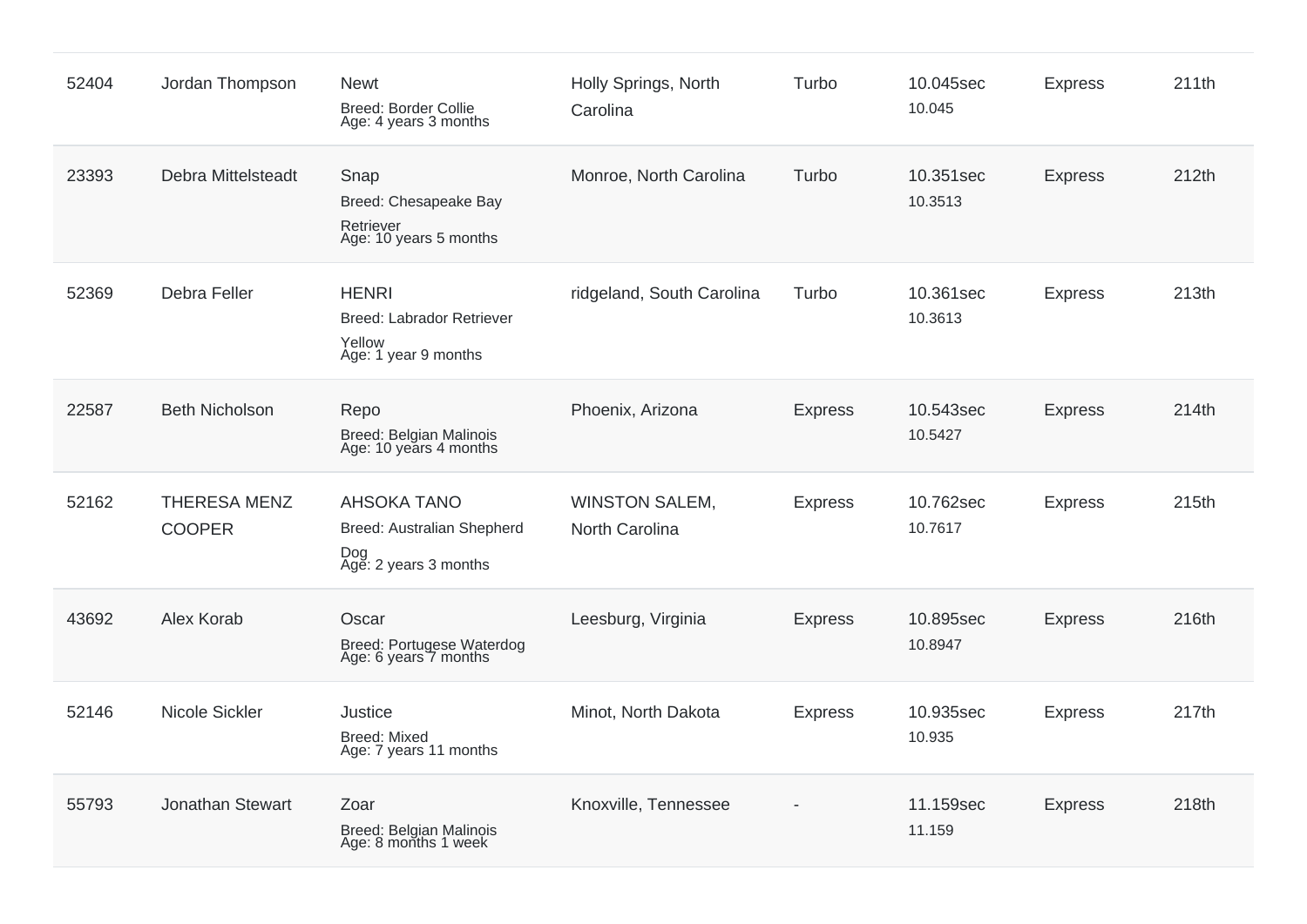| 52404 | Jordan Thompson                      | <b>Newt</b><br>Breed: Border Collie<br>Age: 4 years 3 months                       | Holly Springs, North<br>Carolina        | Turbo          | 10.045sec<br>10.045  | <b>Express</b> | 211th |
|-------|--------------------------------------|------------------------------------------------------------------------------------|-----------------------------------------|----------------|----------------------|----------------|-------|
| 23393 | Debra Mittelsteadt                   | Snap<br>Breed: Chesapeake Bay<br>Retriever<br>Age: 10 years 5 months               | Monroe, North Carolina                  | Turbo          | 10.351sec<br>10.3513 | <b>Express</b> | 212th |
| 52369 | Debra Feller                         | <b>HENRI</b><br><b>Breed: Labrador Retriever</b><br>Yellow<br>Age: 1 year 9 months | ridgeland, South Carolina               | Turbo          | 10.361sec<br>10.3613 | <b>Express</b> | 213th |
| 22587 | <b>Beth Nicholson</b>                | Repo<br>Breed: Belgian Malinois<br>Age: 10 years 4 months                          | Phoenix, Arizona                        | <b>Express</b> | 10.543sec<br>10.5427 | <b>Express</b> | 214th |
| 52162 | <b>THERESA MENZ</b><br><b>COOPER</b> | <b>AHSOKA TANO</b><br>Breed: Australian Shepherd<br>Dog<br>Age: 2 years 3 months   | <b>WINSTON SALEM,</b><br>North Carolina | <b>Express</b> | 10.762sec<br>10.7617 | <b>Express</b> | 215th |
| 43692 | Alex Korab                           | Oscar<br>Breed: Portugese Waterdog<br>Age: 6 years 7 months                        | Leesburg, Virginia                      | <b>Express</b> | 10.895sec<br>10.8947 | <b>Express</b> | 216th |
| 52146 | Nicole Sickler                       | Justice<br><b>Breed: Mixed</b><br>Age: 7 years 11 months                           | Minot, North Dakota                     | <b>Express</b> | 10.935sec<br>10.935  | <b>Express</b> | 217th |
| 55793 | Jonathan Stewart                     | Zoar<br>Breed: Belgian Malinois<br>Age: 8 months 1 week                            | Knoxville, Tennessee                    |                | 11.159sec<br>11.159  | <b>Express</b> | 218th |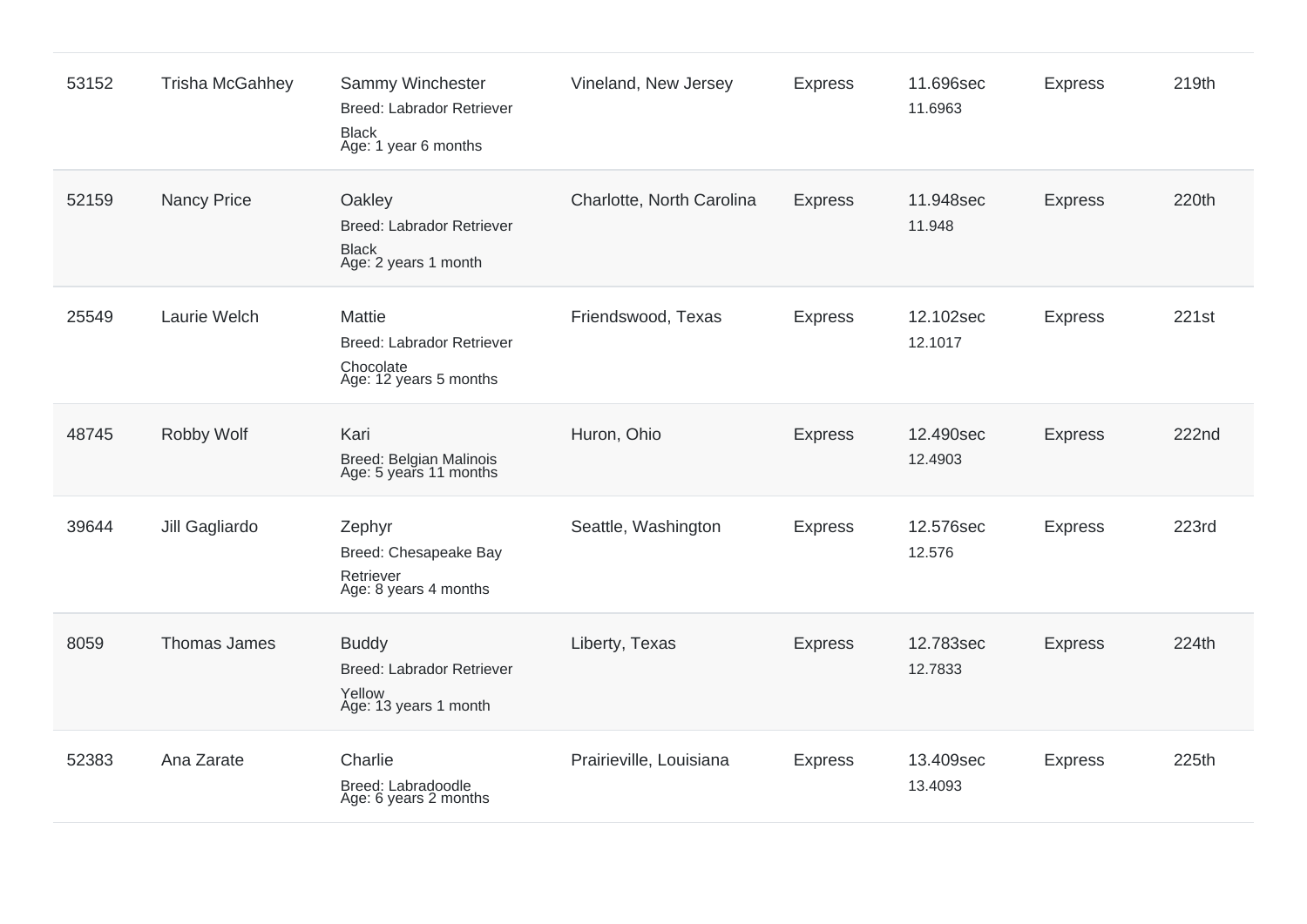| 53152 | <b>Trisha McGahhey</b> | Sammy Winchester<br><b>Breed: Labrador Retriever</b><br><b>Black</b><br>Age: 1 year 6 months | Vineland, New Jersey      | <b>Express</b> | 11.696sec<br>11.6963 | <b>Express</b> | 219th        |
|-------|------------------------|----------------------------------------------------------------------------------------------|---------------------------|----------------|----------------------|----------------|--------------|
| 52159 | <b>Nancy Price</b>     | Oakley<br><b>Breed: Labrador Retriever</b><br><b>Black</b><br>Age: 2 years 1 month           | Charlotte, North Carolina | <b>Express</b> | 11.948sec<br>11.948  | <b>Express</b> | 220th        |
| 25549 | Laurie Welch           | Mattie<br>Breed: Labrador Retriever<br>Chocolate<br>Age: 12 years 5 months                   | Friendswood, Texas        | <b>Express</b> | 12.102sec<br>12.1017 | <b>Express</b> | 221st        |
| 48745 | Robby Wolf             | Kari<br>Breed: Belgian Malinois<br>Age: 5 years 11 months                                    | Huron, Ohio               | <b>Express</b> | 12.490sec<br>12.4903 | <b>Express</b> | 222nd        |
| 39644 | Jill Gagliardo         | Zephyr<br>Breed: Chesapeake Bay<br>Retriever<br>Age: 8 years 4 months                        | Seattle, Washington       | <b>Express</b> | 12.576sec<br>12.576  | <b>Express</b> | <b>223rd</b> |
| 8059  | Thomas James           | <b>Buddy</b><br><b>Breed: Labrador Retriever</b><br>Yellow<br>Age: 13 years 1 month          | Liberty, Texas            | <b>Express</b> | 12.783sec<br>12.7833 | <b>Express</b> | 224th        |
| 52383 | Ana Zarate             | Charlie<br>Breed: Labradoodle<br>Age: 6 years 2 months                                       | Prairieville, Louisiana   | <b>Express</b> | 13.409sec<br>13.4093 | <b>Express</b> | 225th        |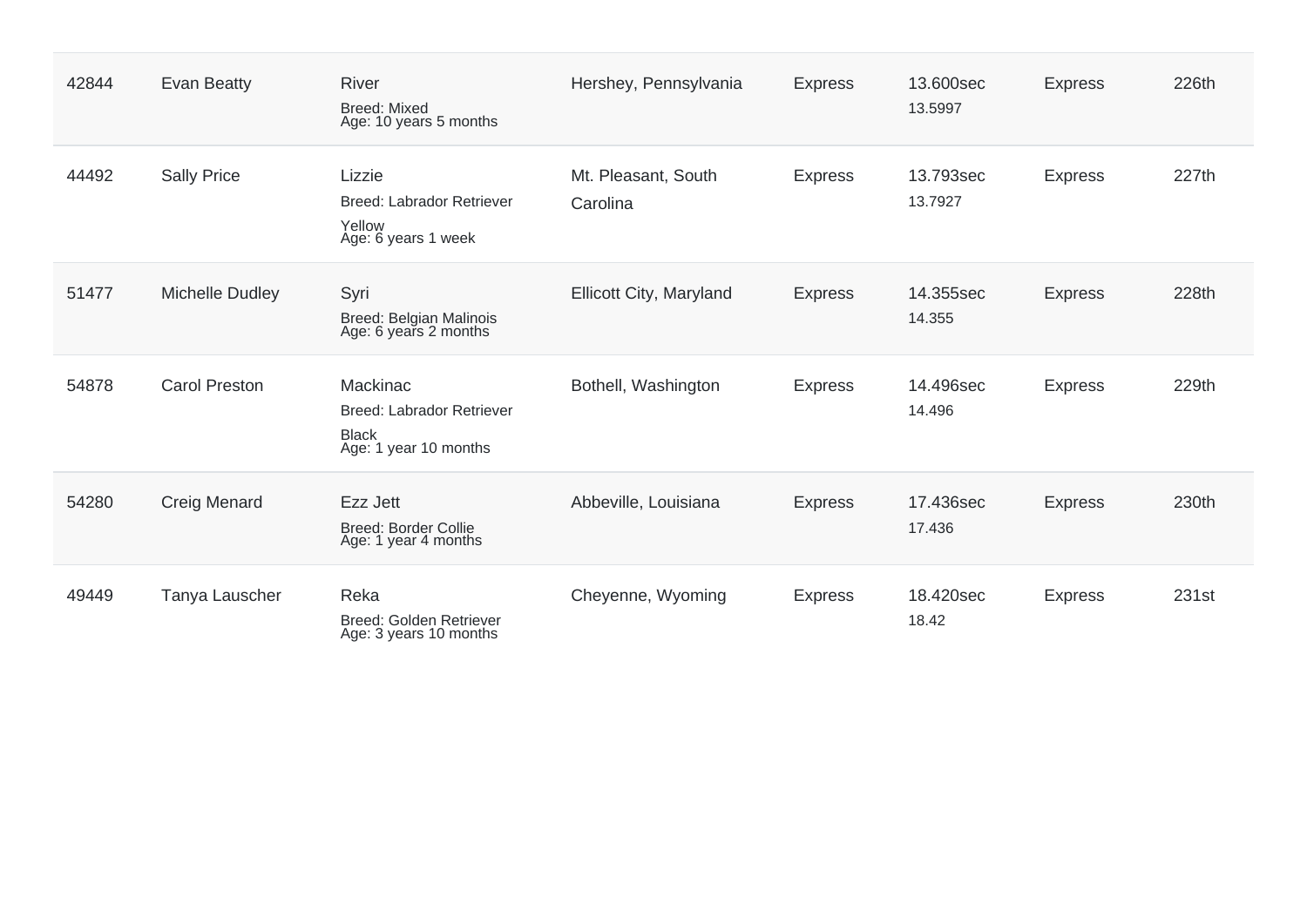| 42844 | Evan Beatty          | <b>River</b><br><b>Breed: Mixed</b><br>Age: 10 years 5 months                         | Hershey, Pennsylvania           | <b>Express</b> | 13.600sec<br>13.5997 | <b>Express</b> | 226th |
|-------|----------------------|---------------------------------------------------------------------------------------|---------------------------------|----------------|----------------------|----------------|-------|
| 44492 | <b>Sally Price</b>   | Lizzie<br>Breed: Labrador Retriever<br>Yellow<br>Age: 6 years 1 week                  | Mt. Pleasant, South<br>Carolina | <b>Express</b> | 13.793sec<br>13.7927 | <b>Express</b> | 227th |
| 51477 | Michelle Dudley      | Syri<br>Breed: Belgian Malinois<br>Age: 6 years 2 months                              | Ellicott City, Maryland         | <b>Express</b> | 14.355sec<br>14.355  | <b>Express</b> | 228th |
| 54878 | <b>Carol Preston</b> | Mackinac<br><b>Breed: Labrador Retriever</b><br><b>Black</b><br>Age: 1 year 10 months | Bothell, Washington             | <b>Express</b> | 14.496sec<br>14.496  | <b>Express</b> | 229th |
| 54280 | Creig Menard         | Ezz Jett<br><b>Breed: Border Collie</b><br>Age: 1 year 4 months                       | Abbeville, Louisiana            | <b>Express</b> | 17.436sec<br>17.436  | <b>Express</b> | 230th |
| 49449 | Tanya Lauscher       | Reka<br>Breed: Golden Retriever<br>Age: 3 years 10 months                             | Cheyenne, Wyoming               | <b>Express</b> | 18.420sec<br>18.42   | <b>Express</b> | 231st |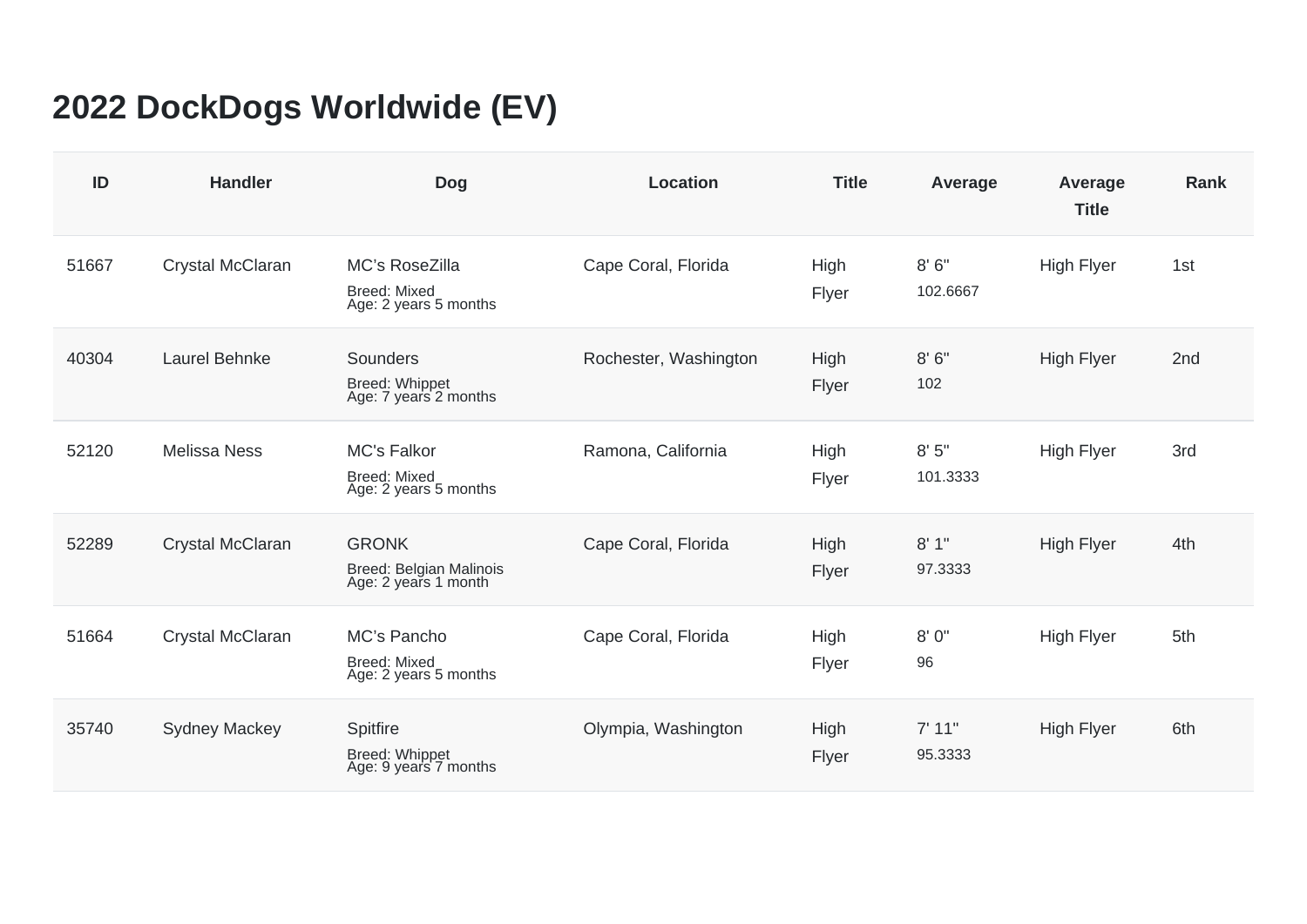## **2022 DockDogs Worldwide (EV)**

| ID    | <b>Handler</b>       | <b>Dog</b>                                                         | <b>Location</b>       | <b>Title</b>  | Average           | Average<br><b>Title</b> | <b>Rank</b> |
|-------|----------------------|--------------------------------------------------------------------|-----------------------|---------------|-------------------|-------------------------|-------------|
| 51667 | Crystal McClaran     | MC's RoseZilla<br><b>Breed: Mixed</b><br>Age: 2 years 5 months     | Cape Coral, Florida   | High<br>Flyer | 8'6''<br>102.6667 | <b>High Flyer</b>       | 1st         |
| 40304 | Laurel Behnke        | Sounders<br>Breed: Whippet<br>Age: 7 years 2 months                | Rochester, Washington | High<br>Flyer | 8'6''<br>102      | <b>High Flyer</b>       | 2nd         |
| 52120 | <b>Melissa Ness</b>  | <b>MC's Falkor</b><br><b>Breed: Mixed</b><br>Age: 2 years 5 months | Ramona, California    | High<br>Flyer | 8'5''<br>101.3333 | <b>High Flyer</b>       | 3rd         |
| 52289 | Crystal McClaran     | <b>GRONK</b><br>Breed: Belgian Malinois<br>Age: 2 years 1 month    | Cape Coral, Florida   | High<br>Flyer | 8'1"<br>97.3333   | <b>High Flyer</b>       | 4th         |
| 51664 | Crystal McClaran     | MC's Pancho<br><b>Breed: Mixed</b><br>Age: 2 years 5 months        | Cape Coral, Florida   | High<br>Flyer | 8'0''<br>96       | <b>High Flyer</b>       | 5th         |
| 35740 | <b>Sydney Mackey</b> | Spitfire<br>Breed: Whippet<br>Age: 9 years 7 months                | Olympia, Washington   | High<br>Flyer | 7' 11"<br>95.3333 | <b>High Flyer</b>       | 6th         |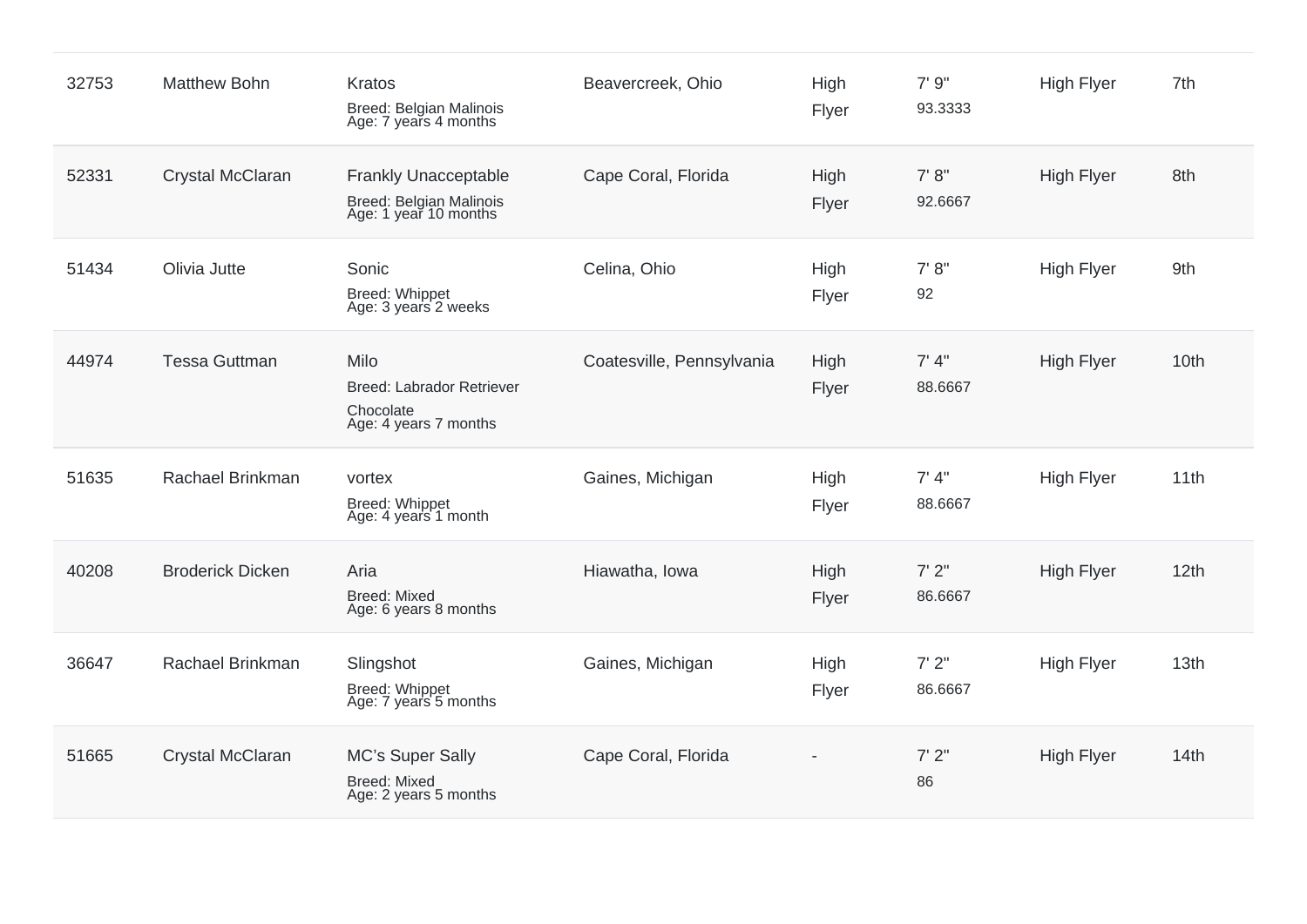| 32753 | <b>Matthew Bohn</b>     | Kratos<br>Breed: Belgian Malinois<br>Age: 7 years 4 months                      | Beavercreek, Ohio         | High<br>Flyer | 7'9''<br>93.3333  | <b>High Flyer</b> | 7th  |
|-------|-------------------------|---------------------------------------------------------------------------------|---------------------------|---------------|-------------------|-------------------|------|
| 52331 | Crystal McClaran        | <b>Frankly Unacceptable</b><br>Breed: Belgian Malinois<br>Age: 1 year 10 months | Cape Coral, Florida       | High<br>Flyer | 7' 8''<br>92.6667 | <b>High Flyer</b> | 8th  |
| 51434 | Olivia Jutte            | Sonic<br>Breed: Whippet<br>Age: 3 years 2 weeks                                 | Celina, Ohio              | High<br>Flyer | 7' 8''<br>92      | <b>High Flyer</b> | 9th  |
| 44974 | <b>Tessa Guttman</b>    | Milo<br>Breed: Labrador Retriever<br>Chocolate<br>Age: 4 years 7 months         | Coatesville, Pennsylvania | High<br>Flyer | 7' 4''<br>88.6667 | <b>High Flyer</b> | 10th |
| 51635 | Rachael Brinkman        | vortex<br>Breed: Whippet<br>Age: 4 years 1 month                                | Gaines, Michigan          | High<br>Flyer | 7' 4''<br>88.6667 | <b>High Flyer</b> | 11th |
| 40208 | <b>Broderick Dicken</b> | Aria<br><b>Breed: Mixed</b><br>Age: 6 years 8 months                            | Hiawatha, Iowa            | High<br>Flyer | 7'2''<br>86.6667  | <b>High Flyer</b> | 12th |
| 36647 | Rachael Brinkman        | Slingshot<br><b>Breed: Whippet</b><br>Age: 7 years 5 months                     | Gaines, Michigan          | High<br>Flyer | 7'2"<br>86.6667   | <b>High Flyer</b> | 13th |
| 51665 | Crystal McClaran        | MC's Super Sally<br><b>Breed: Mixed</b><br>Age: 2 years 5 months                | Cape Coral, Florida       |               | 7'2''<br>86       | <b>High Flyer</b> | 14th |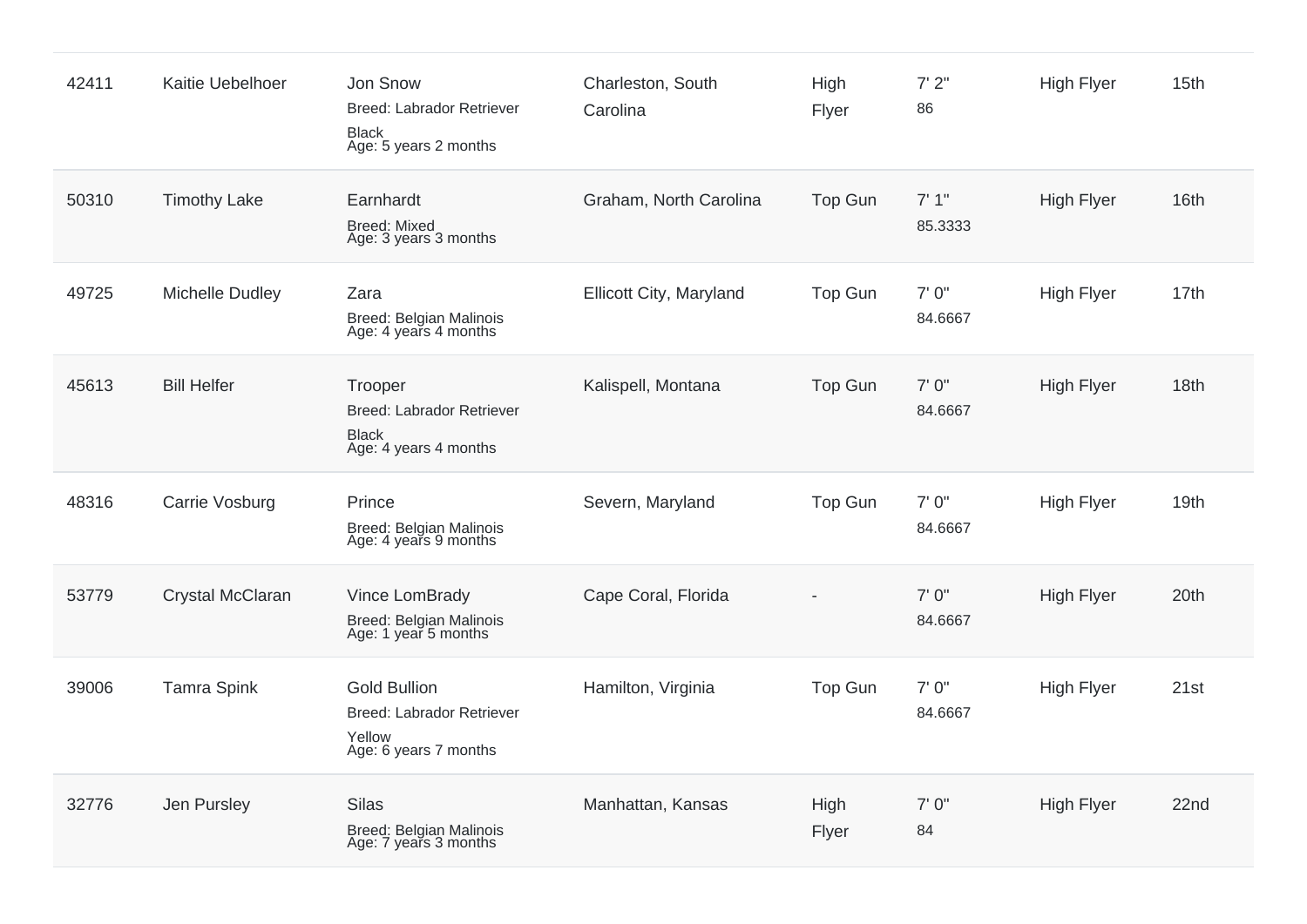| 42411 | Kaitie Uebelhoer    | Jon Snow<br>Breed: Labrador Retriever<br><b>Black</b><br>Age: 5 years 2 months             | Charleston, South<br>Carolina | High<br>Flyer  | 7'2''<br>86       | High Flyer        | 15th |
|-------|---------------------|--------------------------------------------------------------------------------------------|-------------------------------|----------------|-------------------|-------------------|------|
| 50310 | <b>Timothy Lake</b> | Earnhardt<br><b>Breed: Mixed</b><br>Age: 3 years 3 months                                  | Graham, North Carolina        | Top Gun        | 7'1''<br>85.3333  | <b>High Flyer</b> | 16th |
| 49725 | Michelle Dudley     | Zara<br>Breed: Belgian Malinois<br>Age: 4 years 4 months                                   | Ellicott City, Maryland       | Top Gun        | 7'0''<br>84.6667  | <b>High Flyer</b> | 17th |
| 45613 | <b>Bill Helfer</b>  | Trooper<br>Breed: Labrador Retriever<br><b>Black</b><br>Age: 4 years 4 months              | Kalispell, Montana            | Top Gun        | 7'0''<br>84.6667  | High Flyer        | 18th |
| 48316 | Carrie Vosburg      | Prince<br><b>Breed: Belgian Malinois</b><br>Age: 4 years 9 months                          | Severn, Maryland              | Top Gun        | 7'0''<br>84.6667  | <b>High Flyer</b> | 19th |
| 53779 | Crystal McClaran    | Vince LomBrady<br>Breed: Belgian Malinois<br>Age: 1 year 5 months                          | Cape Coral, Florida           |                | 7' 0''<br>84.6667 | <b>High Flyer</b> | 20th |
| 39006 | <b>Tamra Spink</b>  | <b>Gold Bullion</b><br><b>Breed: Labrador Retriever</b><br>Yellow<br>Age: 6 years 7 months | Hamilton, Virginia            | <b>Top Gun</b> | 7' 0"<br>84.6667  | High Flyer        | 21st |
| 32776 | Jen Pursley         | <b>Silas</b><br>Breed: Belgian Malinois<br>Age: 7 years 3 months                           | Manhattan, Kansas             | High<br>Flyer  | 7'0''<br>84       | <b>High Flyer</b> | 22nd |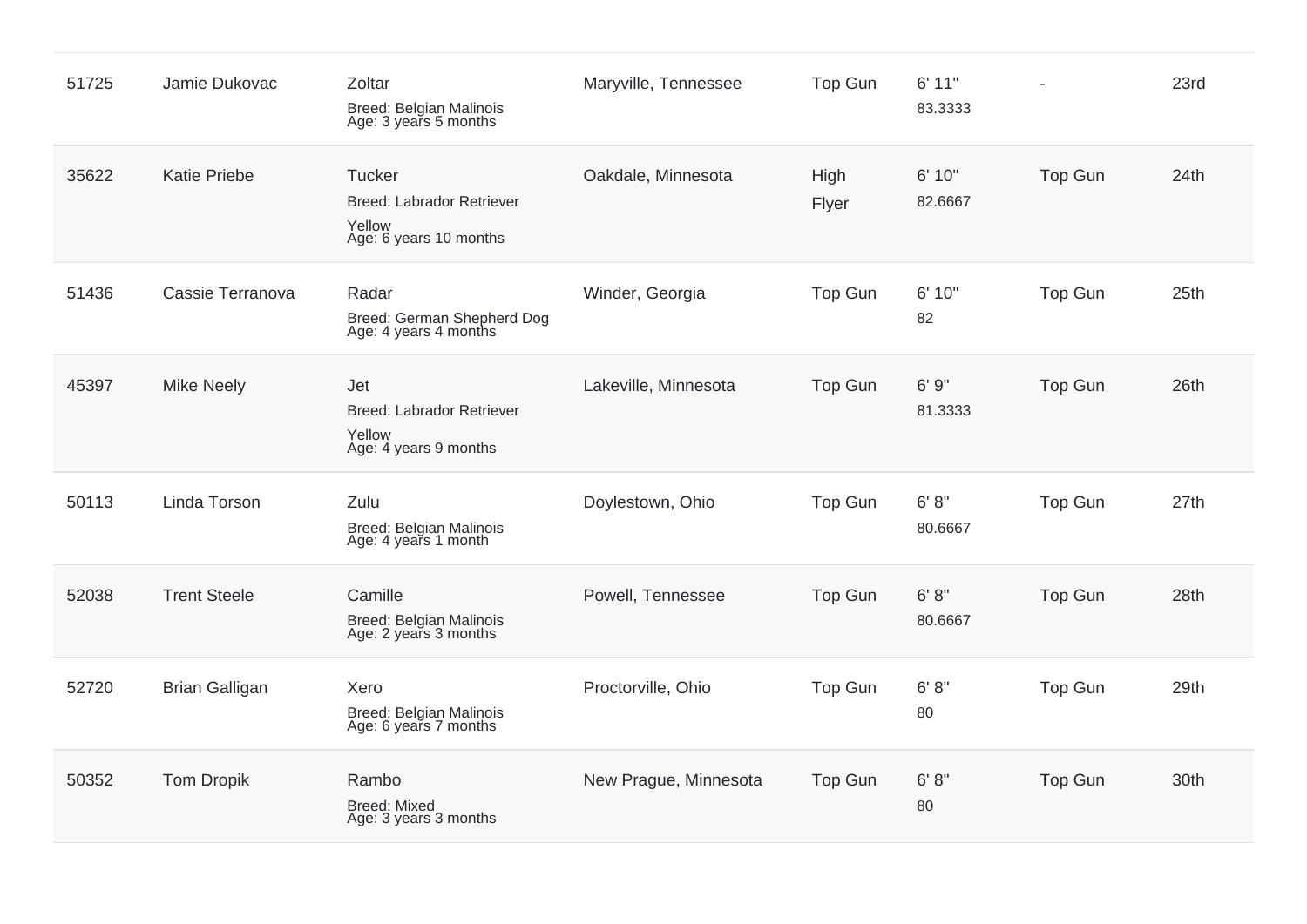| 51725 | Jamie Dukovac         | Zoltar<br>Breed: Belgian Malinois<br>Age: 3 years 5 months                            | Maryville, Tennessee  | <b>Top Gun</b> | 6'11"<br>83.3333  |                | 23rd |
|-------|-----------------------|---------------------------------------------------------------------------------------|-----------------------|----------------|-------------------|----------------|------|
| 35622 | <b>Katie Priebe</b>   | <b>Tucker</b><br><b>Breed: Labrador Retriever</b><br>Yellow<br>Age: 6 years 10 months | Oakdale, Minnesota    | High<br>Flyer  | 6' 10"<br>82.6667 | <b>Top Gun</b> | 24th |
| 51436 | Cassie Terranova      | Radar<br>Breed: German Shepherd Dog<br>Age: 4 years 4 months                          | Winder, Georgia       | Top Gun        | 6' 10"<br>82      | Top Gun        | 25th |
| 45397 | <b>Mike Neely</b>     | Jet<br>Breed: Labrador Retriever<br>Yellow<br>Age: 4 years 9 months                   | Lakeville, Minnesota  | Top Gun        | 6'9''<br>81.3333  | <b>Top Gun</b> | 26th |
| 50113 | Linda Torson          | Zulu<br>Breed: Belgian Malinois<br>Age: 4 years 1 month                               | Doylestown, Ohio      | Top Gun        | 6' 8''<br>80.6667 | <b>Top Gun</b> | 27th |
| 52038 | <b>Trent Steele</b>   | Camille<br>Breed: Belgian Malinois<br>Age: 2 years 3 months                           | Powell, Tennessee     | Top Gun        | 6' 8''<br>80.6667 | Top Gun        | 28th |
| 52720 | <b>Brian Galligan</b> | Xero<br>Breed: Belgian Malinois<br>Age: 6 years 7 months                              | Proctorville, Ohio    | Top Gun        | 6' 8''<br>80      | Top Gun        | 29th |
| 50352 | <b>Tom Dropik</b>     | Rambo<br>Breed: Mixed<br>Age: 3 years 3 months                                        | New Prague, Minnesota | Top Gun        | 6' 8''<br>80      | Top Gun        | 30th |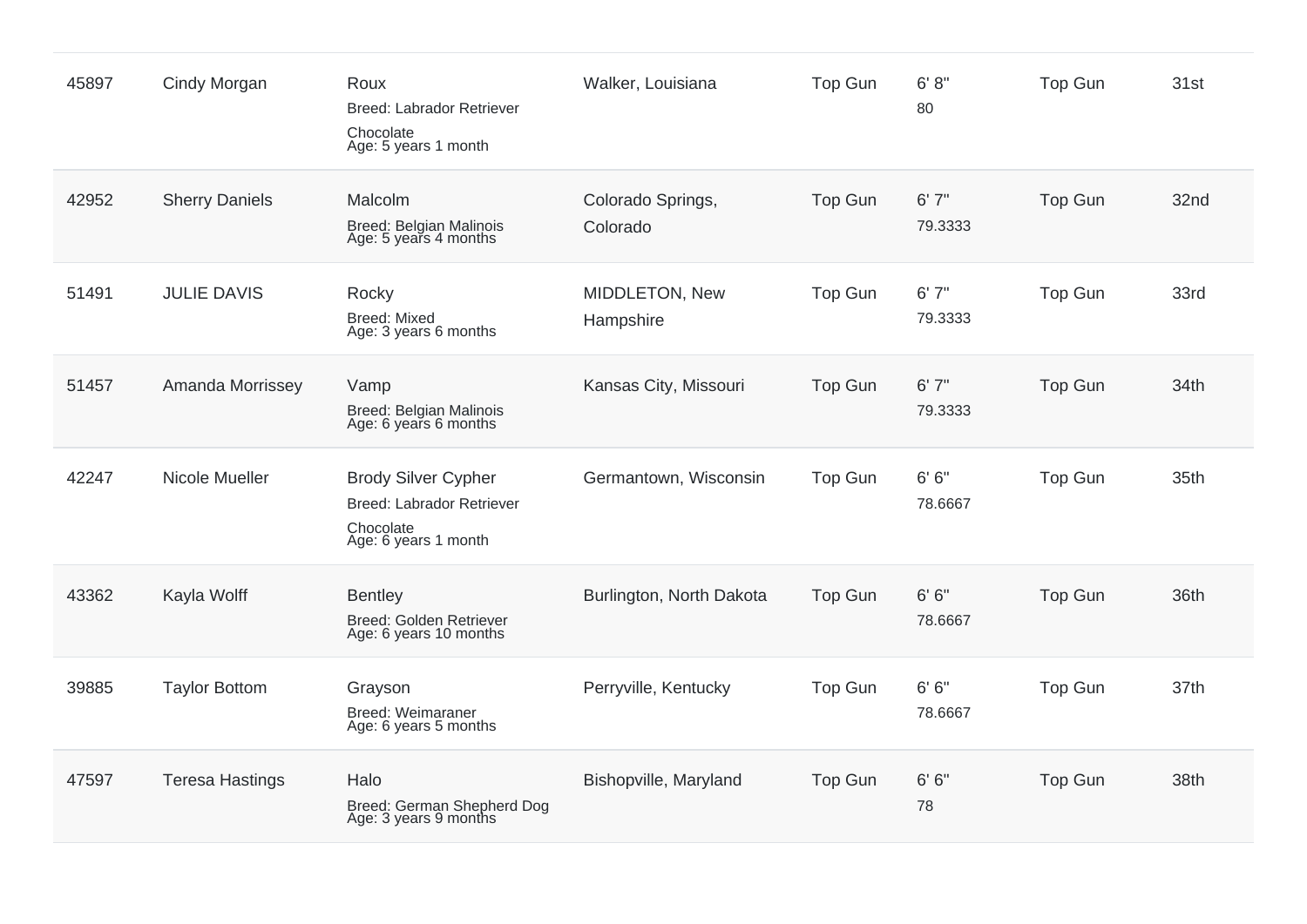| 45897 | Cindy Morgan           | Roux<br>Breed: Labrador Retriever<br>Chocolate<br>Age: 5 years 1 month                       | Walker, Louisiana             | Top Gun        | 6' 8''<br>80      | Top Gun        | 31st |
|-------|------------------------|----------------------------------------------------------------------------------------------|-------------------------------|----------------|-------------------|----------------|------|
| 42952 | <b>Sherry Daniels</b>  | Malcolm<br>Breed: Belgian Malinois<br>Age: 5 years 4 months                                  | Colorado Springs,<br>Colorado | Top Gun        | 6'7''<br>79.3333  | <b>Top Gun</b> | 32nd |
| 51491 | <b>JULIE DAVIS</b>     | Rocky<br><b>Breed: Mixed</b><br>Age: 3 years 6 months                                        | MIDDLETON, New<br>Hampshire   | Top Gun        | 6'7''<br>79.3333  | <b>Top Gun</b> | 33rd |
| 51457 | Amanda Morrissey       | Vamp<br>Breed: Belgian Malinois<br>Age: 6 years 6 months                                     | Kansas City, Missouri         | Top Gun        | 6'7''<br>79.3333  | <b>Top Gun</b> | 34th |
| 42247 | Nicole Mueller         | <b>Brody Silver Cypher</b><br>Breed: Labrador Retriever<br>Chocolate<br>Age: 6 years 1 month | Germantown, Wisconsin         | <b>Top Gun</b> | 6' 6''<br>78.6667 | <b>Top Gun</b> | 35th |
| 43362 | Kayla Wolff            | <b>Bentley</b><br>Breed: Golden Retriever<br>Age: 6 years 10 months                          | Burlington, North Dakota      | Top Gun        | 6' 6''<br>78.6667 | <b>Top Gun</b> | 36th |
| 39885 | <b>Taylor Bottom</b>   | Grayson<br>Breed: Weimaraner<br>Age: 6 years 5 months                                        | Perryville, Kentucky          | Top Gun        | 6' 6''<br>78.6667 | <b>Top Gun</b> | 37th |
| 47597 | <b>Teresa Hastings</b> | Halo<br>Breed: German Shepherd Dog<br>Age: 3 years 9 months                                  | Bishopville, Maryland         | Top Gun        | 6' 6''<br>78      | <b>Top Gun</b> | 38th |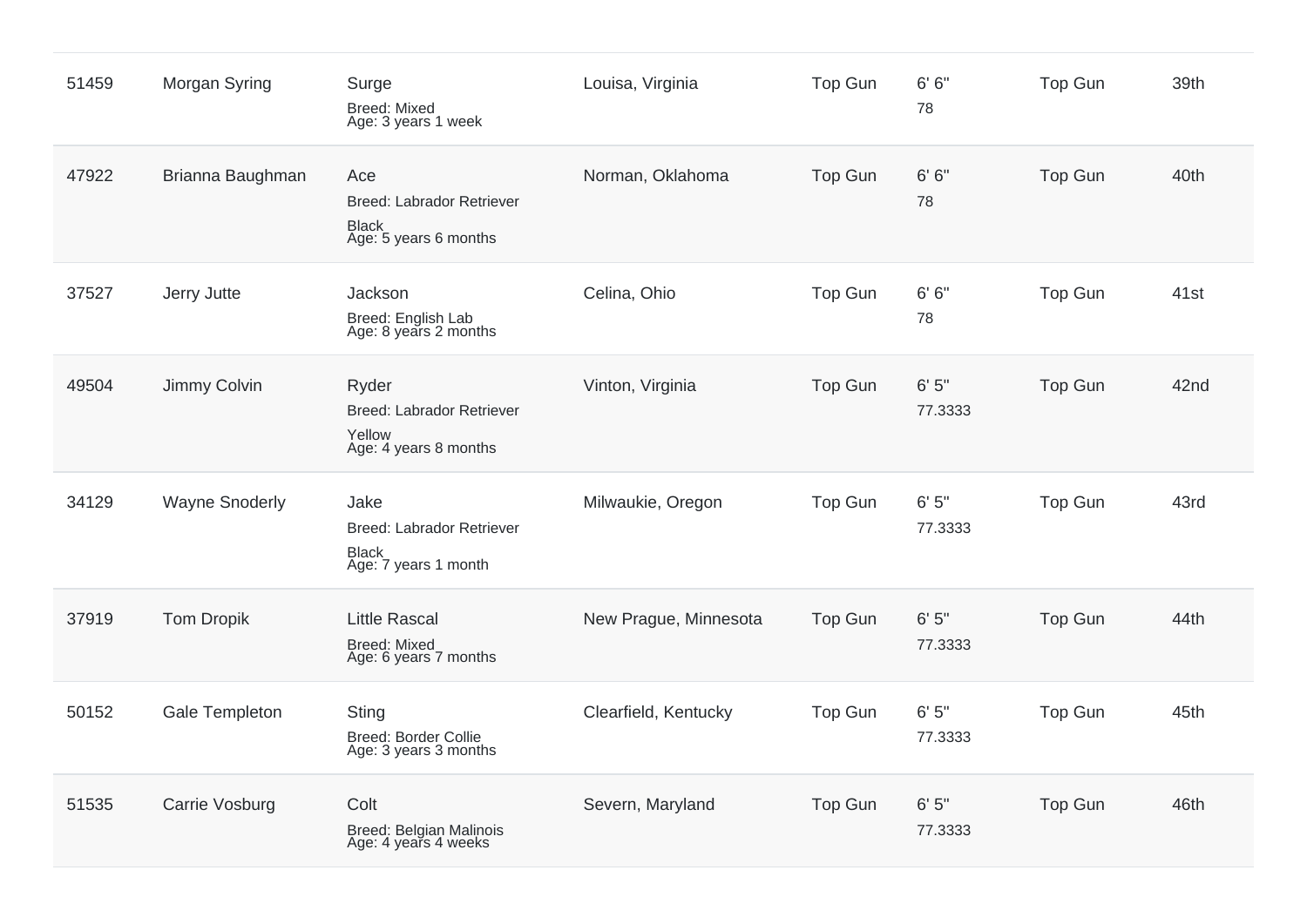| 51459 | Morgan Syring         | Surge<br><b>Breed: Mixed</b><br>Age: 3 years 1 week                              | Louisa, Virginia      | <b>Top Gun</b> | 6' 6''<br>78     | <b>Top Gun</b> | 39th |
|-------|-----------------------|----------------------------------------------------------------------------------|-----------------------|----------------|------------------|----------------|------|
| 47922 | Brianna Baughman      | Ace<br><b>Breed: Labrador Retriever</b><br><b>Black</b><br>Age: 5 years 6 months | Norman, Oklahoma      | <b>Top Gun</b> | 6' 6''<br>78     | <b>Top Gun</b> | 40th |
| 37527 | Jerry Jutte           | Jackson<br>Breed: English Lab<br>Age: 8 years 2 months                           | Celina, Ohio          | Top Gun        | 6' 6''<br>78     | <b>Top Gun</b> | 41st |
| 49504 | Jimmy Colvin          | Ryder<br><b>Breed: Labrador Retriever</b><br>Yellow<br>Age: 4 years 8 months     | Vinton, Virginia      | Top Gun        | 6'5''<br>77.3333 | <b>Top Gun</b> | 42nd |
| 34129 | <b>Wayne Snoderly</b> | Jake<br>Breed: Labrador Retriever<br><b>Black</b><br>Age: 7 years 1 month        | Milwaukie, Oregon     | Top Gun        | 6'5''<br>77.3333 | <b>Top Gun</b> | 43rd |
| 37919 | <b>Tom Dropik</b>     | <b>Little Rascal</b><br>Breed: Mixed<br>Age: 6 years 7 months                    | New Prague, Minnesota | <b>Top Gun</b> | 6'5''<br>77.3333 | <b>Top Gun</b> | 44th |
| 50152 | Gale Templeton        | <b>Sting</b><br><b>Breed: Border Collie</b><br>Age: 3 years 3 months             | Clearfield, Kentucky  | Top Gun        | 6'5''<br>77.3333 | <b>Top Gun</b> | 45th |
| 51535 | Carrie Vosburg        | Colt<br>Breed: Belgian Malinois<br>Age: 4 years 4 weeks                          | Severn, Maryland      | Top Gun        | 6'5''<br>77.3333 | <b>Top Gun</b> | 46th |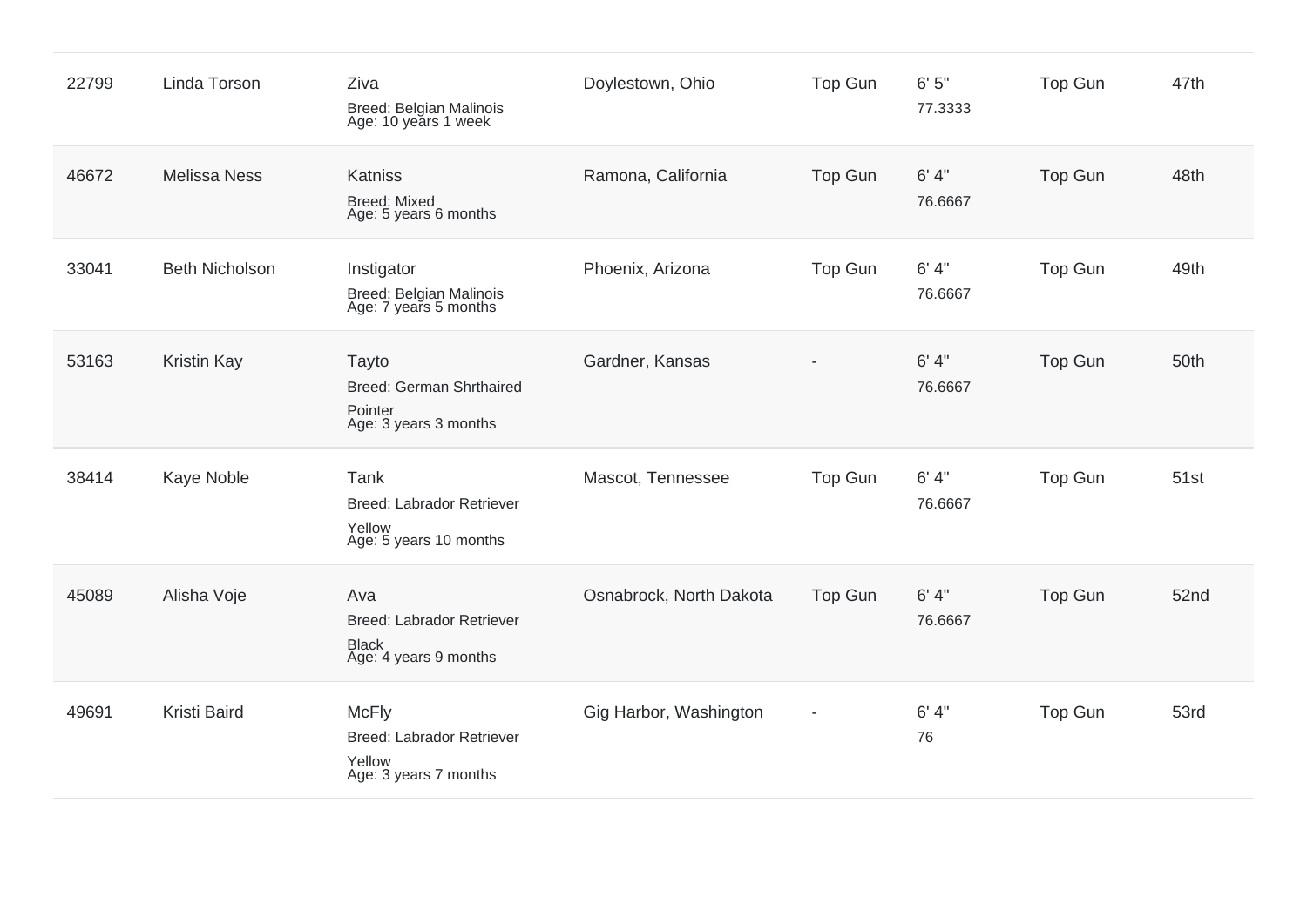| 22799 | Linda Torson          | Ziva<br>Breed: Belgian Malinois<br>Age: 10 years 1 week                             | Doylestown, Ohio        | <b>Top Gun</b> | 6'5''<br>77.3333  | <b>Top Gun</b> | 47th |
|-------|-----------------------|-------------------------------------------------------------------------------------|-------------------------|----------------|-------------------|----------------|------|
| 46672 | <b>Melissa Ness</b>   | Katniss<br><b>Breed: Mixed</b><br>Age: 5 years 6 months                             | Ramona, California      | Top Gun        | 6' 4''<br>76.6667 | <b>Top Gun</b> | 48th |
| 33041 | <b>Beth Nicholson</b> | Instigator<br>Breed: Belgian Malinois<br>Age: 7 years 5 months                      | Phoenix, Arizona        | Top Gun        | 6' 4''<br>76.6667 | <b>Top Gun</b> | 49th |
| 53163 | <b>Kristin Kay</b>    | Tayto<br>Breed: German Shrthaired<br>Pointer<br>Age: 3 years 3 months               | Gardner, Kansas         |                | 6' 4''<br>76.6667 | <b>Top Gun</b> | 50th |
| 38414 | Kaye Noble            | Tank<br><b>Breed: Labrador Retriever</b><br>Yellow<br>Age: 5 years 10 months        | Mascot, Tennessee       | Top Gun        | 6' 4''<br>76.6667 | <b>Top Gun</b> | 51st |
| 45089 | Alisha Voje           | Ava<br><b>Breed: Labrador Retriever</b><br><b>Black</b><br>Age: 4 years 9 months    | Osnabrock, North Dakota | Top Gun        | 6' 4''<br>76.6667 | Top Gun        | 52nd |
| 49691 | Kristi Baird          | <b>McFly</b><br><b>Breed: Labrador Retriever</b><br>Yellow<br>Age: 3 years 7 months | Gig Harbor, Washington  |                | 6' 4''<br>76      | <b>Top Gun</b> | 53rd |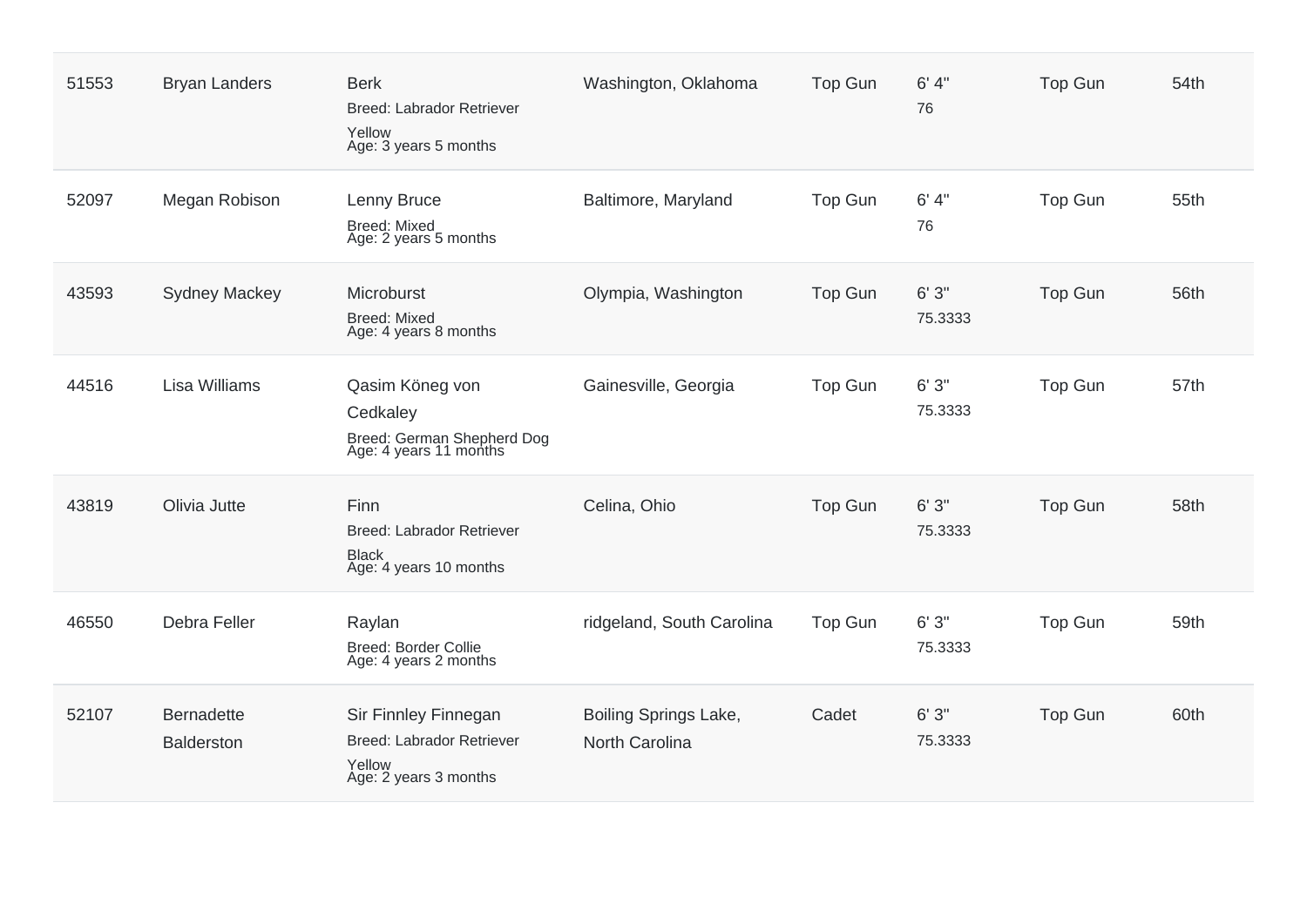| 51553 | <b>Bryan Landers</b>                   | <b>Berk</b><br>Breed: Labrador Retriever<br>Yellow<br>Age: 3 years 5 months          | Washington, Oklahoma                    | <b>Top Gun</b> | 6' 4''<br>76     | <b>Top Gun</b> | 54th |
|-------|----------------------------------------|--------------------------------------------------------------------------------------|-----------------------------------------|----------------|------------------|----------------|------|
| 52097 | Megan Robison                          | Lenny Bruce<br><b>Breed: Mixed</b><br>Age: 2 years 5 months                          | Baltimore, Maryland                     | <b>Top Gun</b> | 6' 4''<br>76     | Top Gun        | 55th |
| 43593 | <b>Sydney Mackey</b>                   | Microburst<br><b>Breed: Mixed</b><br>Age: 4 years 8 months                           | Olympia, Washington                     | <b>Top Gun</b> | 6'3''<br>75.3333 | <b>Top Gun</b> | 56th |
| 44516 | <b>Lisa Williams</b>                   | Qasim Köneg von<br>Cedkaley<br>Breed: German Shepherd Dog<br>Age: 4 years 11 months  | Gainesville, Georgia                    | Top Gun        | 6'3''<br>75.3333 | <b>Top Gun</b> | 57th |
| 43819 | Olivia Jutte                           | Finn<br>Breed: Labrador Retriever<br><b>Black</b><br>Age: 4 years 10 months          | Celina, Ohio                            | Top Gun        | 6'3''<br>75.3333 | <b>Top Gun</b> | 58th |
| 46550 | Debra Feller                           | Raylan<br>Breed: Border Collie<br>Age: 4 years 2 months                              | ridgeland, South Carolina               | <b>Top Gun</b> | 6'3''<br>75.3333 | <b>Top Gun</b> | 59th |
| 52107 | <b>Bernadette</b><br><b>Balderston</b> | Sir Finnley Finnegan<br>Breed: Labrador Retriever<br>Yellow<br>Age: 2 years 3 months | Boiling Springs Lake,<br>North Carolina | Cadet          | 6'3''<br>75.3333 | <b>Top Gun</b> | 60th |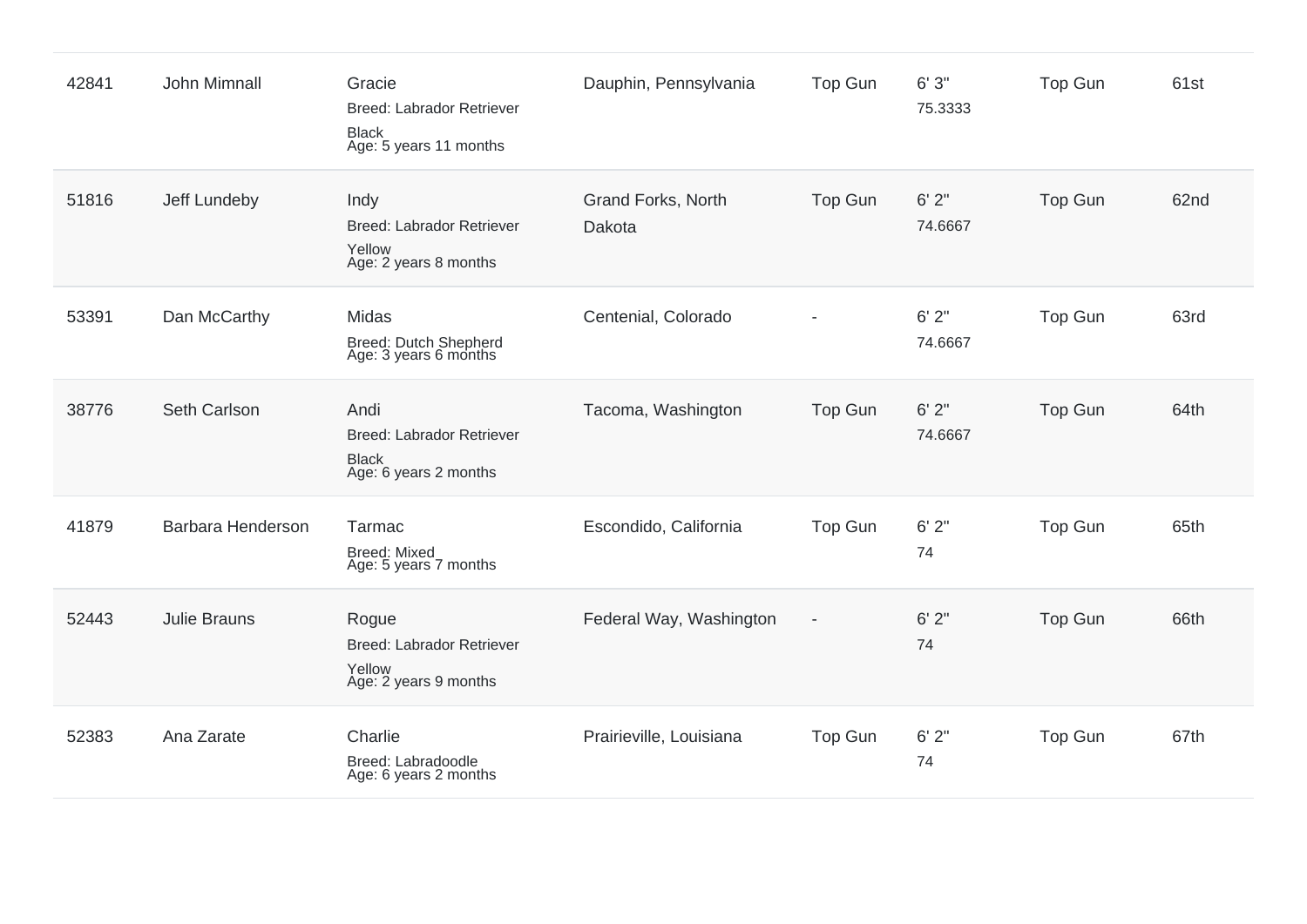| 42841 | John Mimnall        | Gracie<br>Breed: Labrador Retriever<br><b>Black</b><br>Age: 5 years 11 months     | Dauphin, Pennsylvania        | Top Gun        | 6'3''<br>75.3333 | Top Gun        | 61st |
|-------|---------------------|-----------------------------------------------------------------------------------|------------------------------|----------------|------------------|----------------|------|
| 51816 | Jeff Lundeby        | Indy<br>Breed: Labrador Retriever<br>Yellow<br>Age: 2 years 8 months              | Grand Forks, North<br>Dakota | Top Gun        | 6'2''<br>74.6667 | Top Gun        | 62nd |
| 53391 | Dan McCarthy        | Midas<br>Breed: Dutch Shepherd<br>Age: 3 years 6 months                           | Centenial, Colorado          |                | 6'2''<br>74.6667 | <b>Top Gun</b> | 63rd |
| 38776 | Seth Carlson        | Andi<br><b>Breed: Labrador Retriever</b><br><b>Black</b><br>Age: 6 years 2 months | Tacoma, Washington           | Top Gun        | 6'2''<br>74.6667 | <b>Top Gun</b> | 64th |
| 41879 | Barbara Henderson   | Tarmac<br><b>Breed: Mixed</b><br>Age: 5 years 7 months                            | Escondido, California        | <b>Top Gun</b> | 6'2''<br>74      | <b>Top Gun</b> | 65th |
| 52443 | <b>Julie Brauns</b> | Rogue<br><b>Breed: Labrador Retriever</b><br>Yellow<br>Age: 2 years 9 months      | Federal Way, Washington      | $\overline{a}$ | 6'2''<br>74      | <b>Top Gun</b> | 66th |
| 52383 | Ana Zarate          | Charlie<br>Breed: Labradoodle<br>Age: 6 years 2 months                            | Prairieville, Louisiana      | Top Gun        | 6'2''<br>74      | <b>Top Gun</b> | 67th |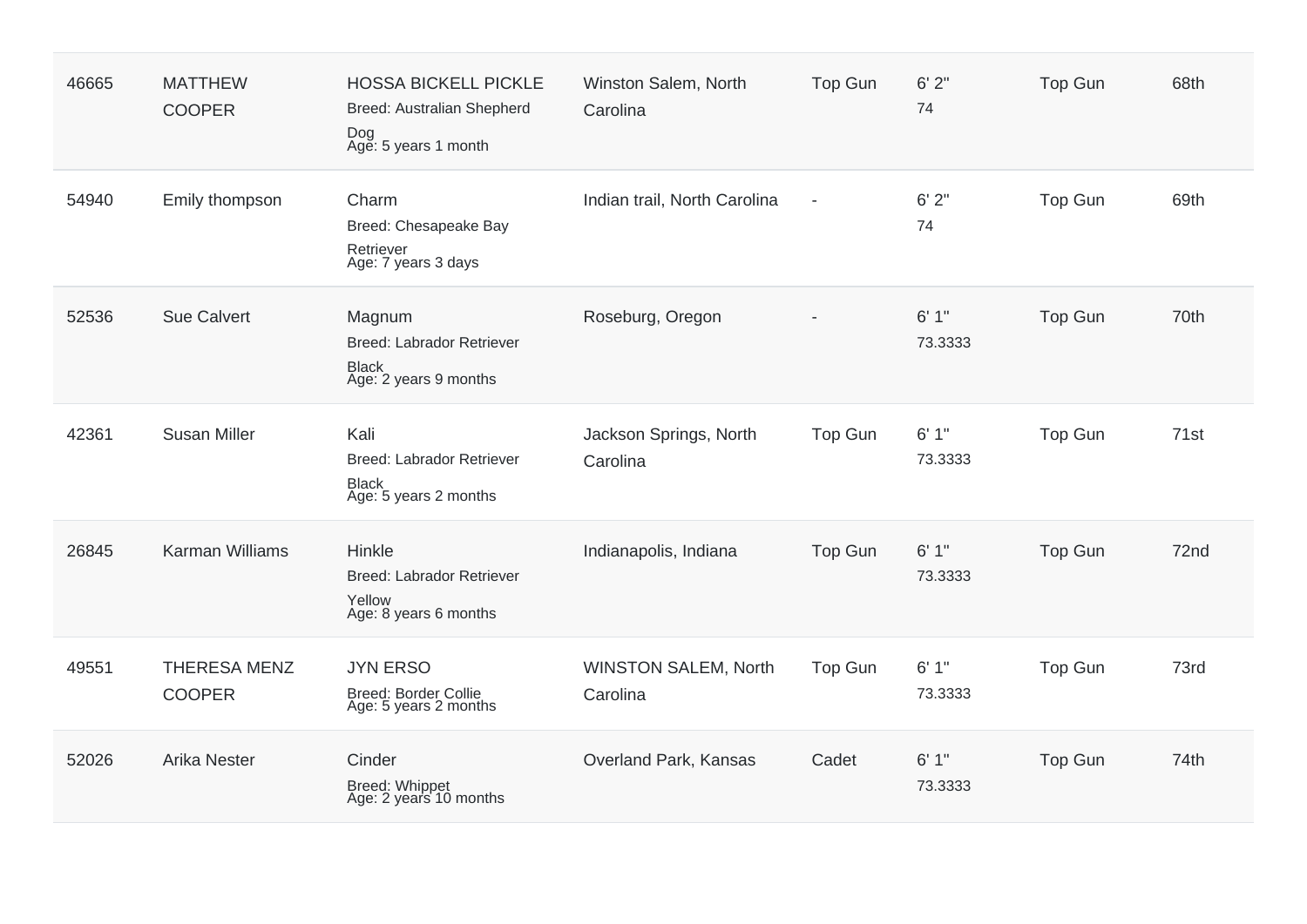| 46665 | <b>MATTHEW</b><br><b>COOPER</b>      | <b>HOSSA BICKELL PICKLE</b><br>Breed: Australian Shepherd<br>Dog<br>Age: 5 years 1 month | Winston Salem, North<br>Carolina        | <b>Top Gun</b> | 6'2''<br>74      | <b>Top Gun</b> | 68th |
|-------|--------------------------------------|------------------------------------------------------------------------------------------|-----------------------------------------|----------------|------------------|----------------|------|
| 54940 | Emily thompson                       | Charm<br>Breed: Chesapeake Bay<br>Retriever<br>Age: 7 years 3 days                       | Indian trail, North Carolina            | $\overline{a}$ | 6'2''<br>74      | Top Gun        | 69th |
| 52536 | <b>Sue Calvert</b>                   | Magnum<br>Breed: Labrador Retriever<br><b>Black</b><br>Age: 2 years 9 months             | Roseburg, Oregon                        |                | 6'1''<br>73.3333 | Top Gun        | 70th |
| 42361 | <b>Susan Miller</b>                  | Kali<br>Breed: Labrador Retriever<br><b>Black</b><br>Age: 5 years 2 months               | Jackson Springs, North<br>Carolina      | <b>Top Gun</b> | 6'1''<br>73.3333 | Top Gun        | 71st |
| 26845 | <b>Karman Williams</b>               | Hinkle<br>Breed: Labrador Retriever<br>Yellow<br>Age: 8 years 6 months                   | Indianapolis, Indiana                   | <b>Top Gun</b> | 6'1''<br>73.3333 | Top Gun        | 72nd |
| 49551 | <b>THERESA MENZ</b><br><b>COOPER</b> | <b>JYN ERSO</b><br>Breed: Border Collie<br>Age: 5 years 2 months                         | <b>WINSTON SALEM, North</b><br>Carolina | Top Gun        | 6'1''<br>73.3333 | Top Gun        | 73rd |
| 52026 | <b>Arika Nester</b>                  | Cinder<br>Breed: Whippet<br>Age: 2 years 10 months                                       | Overland Park, Kansas                   | Cadet          | 6'1''<br>73.3333 | <b>Top Gun</b> | 74th |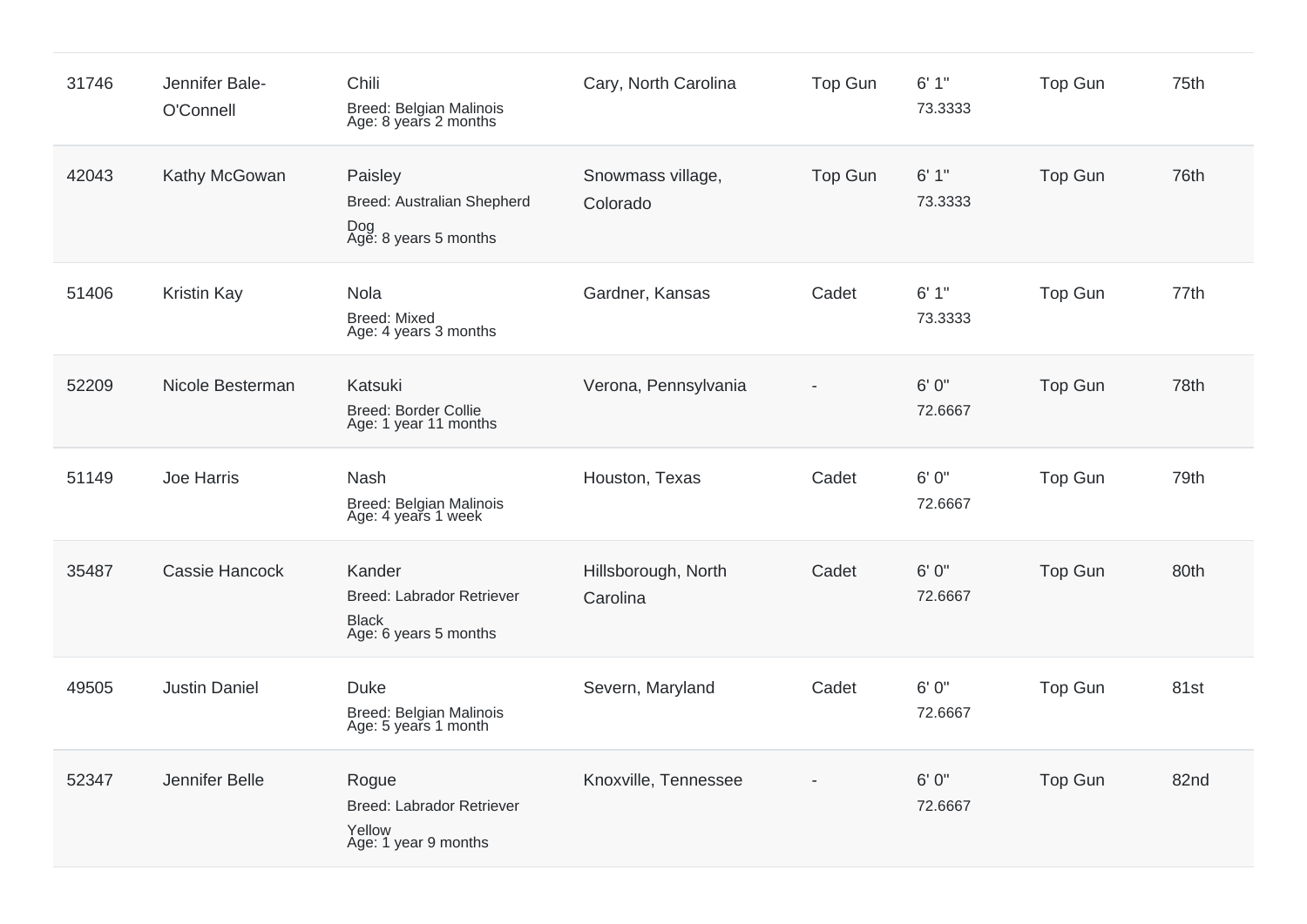| 31746 | Jennifer Bale-<br>O'Connell | Chili<br>Breed: Belgian Malinois<br>Age: 8 years 2 months                    | Cary, North Carolina            | <b>Top Gun</b> | 6'1''<br>73.3333 | Top Gun        | 75th |
|-------|-----------------------------|------------------------------------------------------------------------------|---------------------------------|----------------|------------------|----------------|------|
| 42043 | Kathy McGowan               | Paisley<br>Breed: Australian Shepherd<br>Dog<br>Age: 8 years 5 months        | Snowmass village,<br>Colorado   | <b>Top Gun</b> | 6'1''<br>73.3333 | <b>Top Gun</b> | 76th |
| 51406 | <b>Kristin Kay</b>          | Nola<br><b>Breed: Mixed</b><br>Age: 4 years 3 months                         | Gardner, Kansas                 | Cadet          | 6'1''<br>73.3333 | Top Gun        | 77th |
| 52209 | Nicole Besterman            | Katsuki<br>Breed: Border Collie<br>Age: 1 year 11 months                     | Verona, Pennsylvania            |                | 6'0''<br>72.6667 | Top Gun        | 78th |
| 51149 | Joe Harris                  | Nash<br>Breed: Belgian Malinois<br>Age: 4 years 1 week                       | Houston, Texas                  | Cadet          | 6'0''<br>72.6667 | Top Gun        | 79th |
| 35487 | <b>Cassie Hancock</b>       | Kander<br>Breed: Labrador Retriever<br><b>Black</b><br>Age: 6 years 5 months | Hillsborough, North<br>Carolina | Cadet          | 6' 0"<br>72.6667 | Top Gun        | 80th |
| 49505 | <b>Justin Daniel</b>        | <b>Duke</b><br>Breed: Belgian Malinois<br>Age: 5 years 1 month               | Severn, Maryland                | Cadet          | 6' 0"<br>72.6667 | Top Gun        | 81st |
| 52347 | Jennifer Belle              | Rogue<br><b>Breed: Labrador Retriever</b><br>Yellow<br>Age: 1 year 9 months  | Knoxville, Tennessee            |                | 6' 0"<br>72.6667 | <b>Top Gun</b> | 82nd |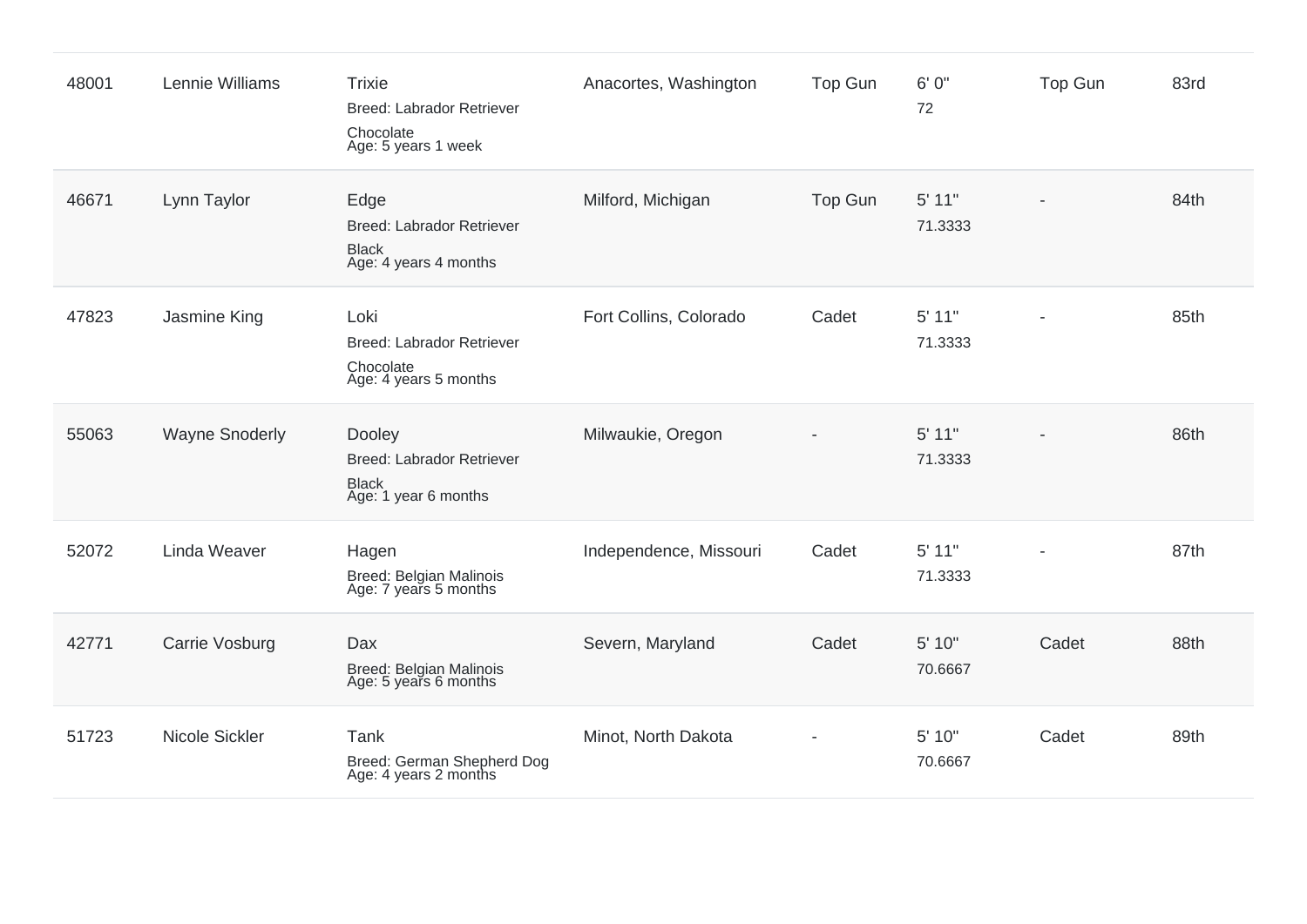| 48001 | Lennie Williams       | <b>Trixie</b><br>Breed: Labrador Retriever<br>Chocolate<br>Age: 5 years 1 week | Anacortes, Washington  | <b>Top Gun</b> | 6'0''<br>72       | Top Gun | 83rd |
|-------|-----------------------|--------------------------------------------------------------------------------|------------------------|----------------|-------------------|---------|------|
| 46671 | Lynn Taylor           | Edge<br>Breed: Labrador Retriever<br><b>Black</b><br>Age: 4 years 4 months     | Milford, Michigan      | Top Gun        | 5' 11"<br>71.3333 |         | 84th |
| 47823 | Jasmine King          | Loki<br>Breed: Labrador Retriever<br>Chocolate<br>Age: 4 years 5 months        | Fort Collins, Colorado | Cadet          | 5' 11"<br>71.3333 |         | 85th |
| 55063 | <b>Wayne Snoderly</b> | Dooley<br>Breed: Labrador Retriever<br><b>Black</b><br>Age: 1 year 6 months    | Milwaukie, Oregon      |                | 5' 11"<br>71.3333 |         | 86th |
| 52072 | <b>Linda Weaver</b>   | Hagen<br>Breed: Belgian Malinois<br>Age: 7 years 5 months                      | Independence, Missouri | Cadet          | 5' 11"<br>71.3333 |         | 87th |
| 42771 | Carrie Vosburg        | Dax<br>Breed: Belgian Malinois<br>Age: 5 years 6 months                        | Severn, Maryland       | Cadet          | 5' 10"<br>70.6667 | Cadet   | 88th |
| 51723 | Nicole Sickler        | Tank<br>Breed: German Shepherd Dog<br>Age: 4 years 2 months                    | Minot, North Dakota    |                | 5' 10"<br>70.6667 | Cadet   | 89th |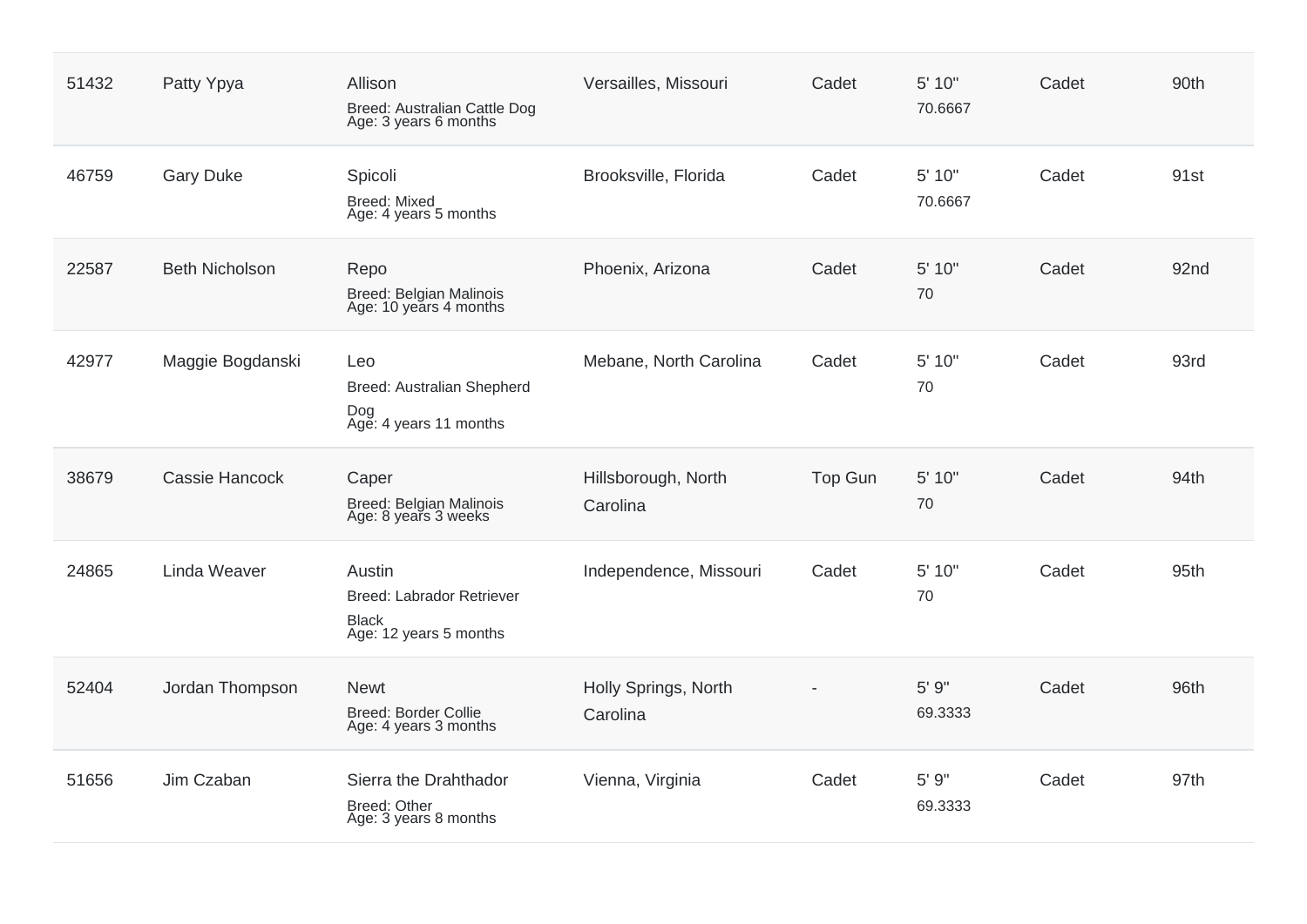| 51432 | Patty Ypya            | Allison<br>Breed: Australian Cattle Dog<br>Age: 3 years 6 months                     | Versailles, Missouri             | Cadet          | 5' 10"<br>70.6667 | Cadet | 90th |
|-------|-----------------------|--------------------------------------------------------------------------------------|----------------------------------|----------------|-------------------|-------|------|
| 46759 | <b>Gary Duke</b>      | Spicoli<br><b>Breed: Mixed</b><br>Age: 4 years 5 months                              | Brooksville, Florida             | Cadet          | 5' 10"<br>70.6667 | Cadet | 91st |
| 22587 | <b>Beth Nicholson</b> | Repo<br>Breed: Belgian Malinois<br>Age: 10 years 4 months                            | Phoenix, Arizona                 | Cadet          | 5' 10"<br>70      | Cadet | 92nd |
| 42977 | Maggie Bogdanski      | Leo<br>Breed: Australian Shepherd<br>Dog<br>Age: 4 years 11 months                   | Mebane, North Carolina           | Cadet          | 5' 10"<br>70      | Cadet | 93rd |
| 38679 | <b>Cassie Hancock</b> | Caper<br>Breed: Belgian Malinois<br>Age: 8 years 3 weeks                             | Hillsborough, North<br>Carolina  | <b>Top Gun</b> | 5' 10"<br>70      | Cadet | 94th |
| 24865 | Linda Weaver          | Austin<br><b>Breed: Labrador Retriever</b><br><b>Black</b><br>Age: 12 years 5 months | Independence, Missouri           | Cadet          | 5' 10"<br>70      | Cadet | 95th |
| 52404 | Jordan Thompson       | <b>Newt</b><br><b>Breed: Border Collie</b><br>Age: 4 years 3 months                  | Holly Springs, North<br>Carolina |                | 5' 9"<br>69.3333  | Cadet | 96th |
| 51656 | Jim Czaban            | Sierra the Drahthador<br><b>Breed: Other</b><br>Age: 3 years 8 months                | Vienna, Virginia                 | Cadet          | 5' 9"<br>69.3333  | Cadet | 97th |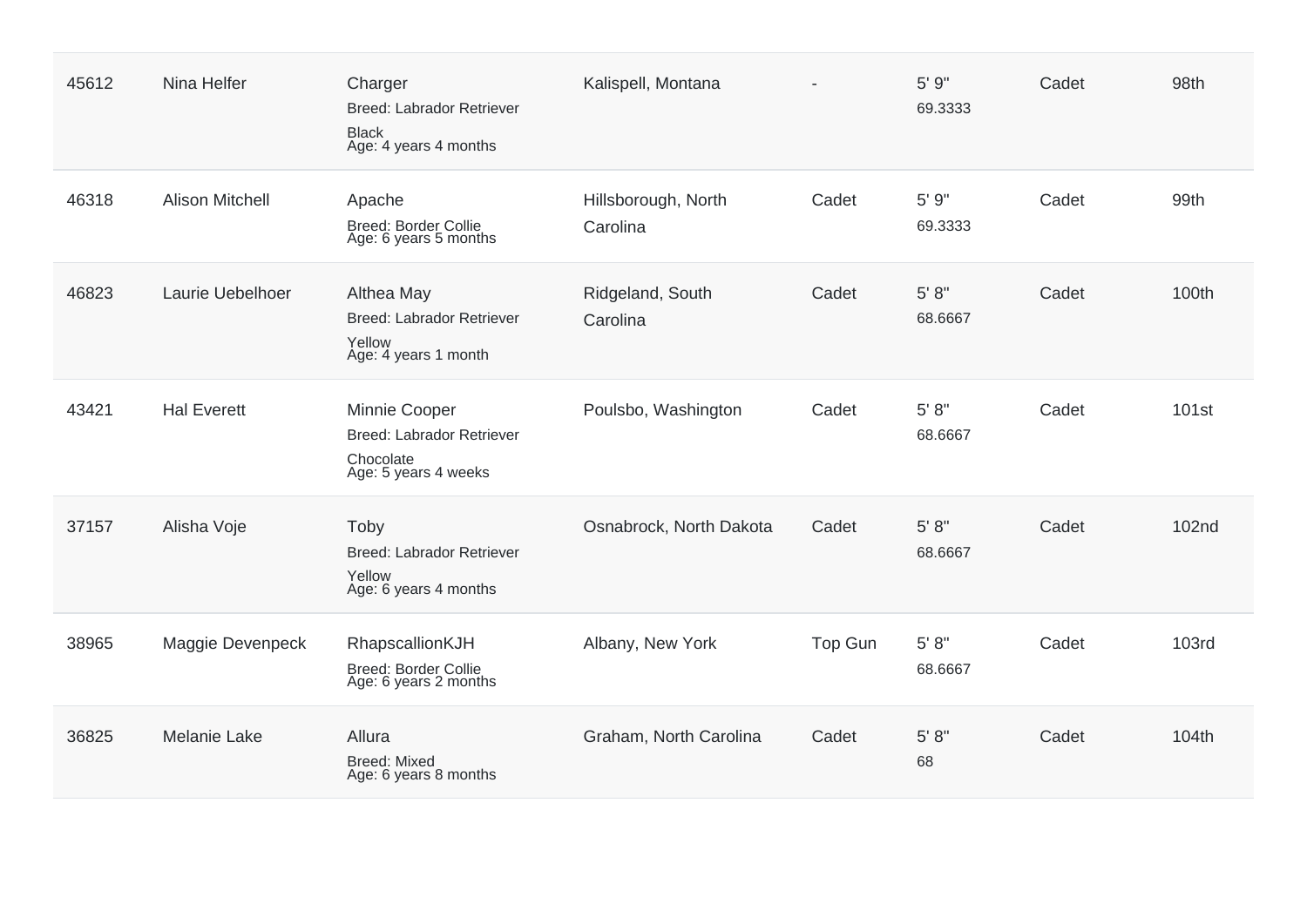| 45612 | Nina Helfer            | Charger<br><b>Breed: Labrador Retriever</b><br><b>Black</b><br>Age: 4 years 4 months   | Kalispell, Montana              |         | 5' 9"<br>69.3333    | Cadet | 98th         |
|-------|------------------------|----------------------------------------------------------------------------------------|---------------------------------|---------|---------------------|-------|--------------|
| 46318 | <b>Alison Mitchell</b> | Apache<br><b>Breed: Border Collie</b><br>Age: 6 years 5 months                         | Hillsborough, North<br>Carolina | Cadet   | 5' 9"<br>69.3333    | Cadet | 99th         |
| 46823 | Laurie Uebelhoer       | Althea May<br>Breed: Labrador Retriever<br>Yellow<br>Age: 4 years 1 month              | Ridgeland, South<br>Carolina    | Cadet   | $5' 8''$<br>68.6667 | Cadet | 100th        |
| 43421 | <b>Hal Everett</b>     | Minnie Cooper<br><b>Breed: Labrador Retriever</b><br>Chocolate<br>Age: 5 years 4 weeks | Poulsbo, Washington             | Cadet   | 5' 8''<br>68.6667   | Cadet | 101st        |
| 37157 | Alisha Voje            | Toby<br><b>Breed: Labrador Retriever</b><br>Yellow<br>Age: 6 years 4 months            | Osnabrock, North Dakota         | Cadet   | 5' 8''<br>68.6667   | Cadet | <b>102nd</b> |
| 38965 | Maggie Devenpeck       | RhapscallionKJH<br><b>Breed: Border Collie</b><br>Age: 6 years 2 months                | Albany, New York                | Top Gun | 5' 8"<br>68.6667    | Cadet | <b>103rd</b> |
| 36825 | <b>Melanie Lake</b>    | Allura<br><b>Breed: Mixed</b><br>Age: 6 years 8 months                                 | Graham, North Carolina          | Cadet   | 5' 8''<br>68        | Cadet | 104th        |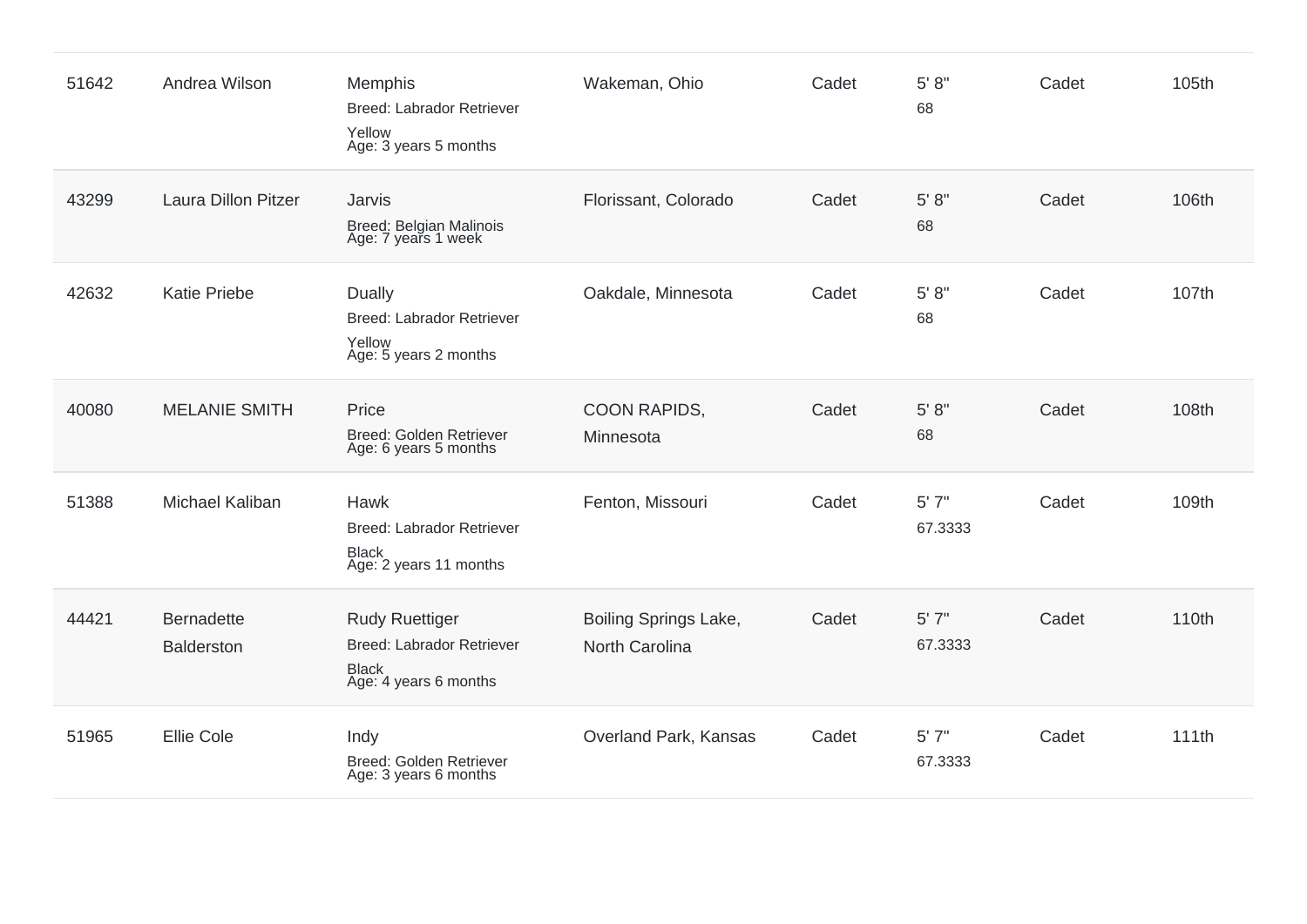| 51642 | Andrea Wilson                          | Memphis<br><b>Breed: Labrador Retriever</b><br>Yellow<br>Age: 3 years 5 months                     | Wakeman, Ohio                           | Cadet | 5' 8''<br>68     | Cadet | 105th |
|-------|----------------------------------------|----------------------------------------------------------------------------------------------------|-----------------------------------------|-------|------------------|-------|-------|
| 43299 | <b>Laura Dillon Pitzer</b>             | Jarvis<br>Breed: Belgian Malinois<br>Age: 7 years 1 week                                           | Florissant, Colorado                    | Cadet | 5' 8''<br>68     | Cadet | 106th |
| 42632 | <b>Katie Priebe</b>                    | <b>Dually</b><br>Breed: Labrador Retriever<br>Yellow<br>Age: 5 years 2 months                      | Oakdale, Minnesota                      | Cadet | 5' 8"<br>68      | Cadet | 107th |
| 40080 | <b>MELANIE SMITH</b>                   | Price<br>Breed: Golden Retriever<br>Age: 6 years 5 months                                          | COON RAPIDS,<br>Minnesota               | Cadet | 5' 8''<br>68     | Cadet | 108th |
| 51388 | Michael Kaliban                        | <b>Hawk</b><br><b>Breed: Labrador Retriever</b><br><b>Black</b><br>Age: 2 years 11 months          | Fenton, Missouri                        | Cadet | 5'7''<br>67.3333 | Cadet | 109th |
| 44421 | <b>Bernadette</b><br><b>Balderston</b> | <b>Rudy Ruettiger</b><br><b>Breed: Labrador Retriever</b><br><b>Black</b><br>Age: 4 years 6 months | Boiling Springs Lake,<br>North Carolina | Cadet | 5'7''<br>67.3333 | Cadet | 110th |
| 51965 | <b>Ellie Cole</b>                      | Indy<br>Breed: Golden Retriever<br>Age: 3 years 6 months                                           | Overland Park, Kansas                   | Cadet | 5'7''<br>67.3333 | Cadet | 111th |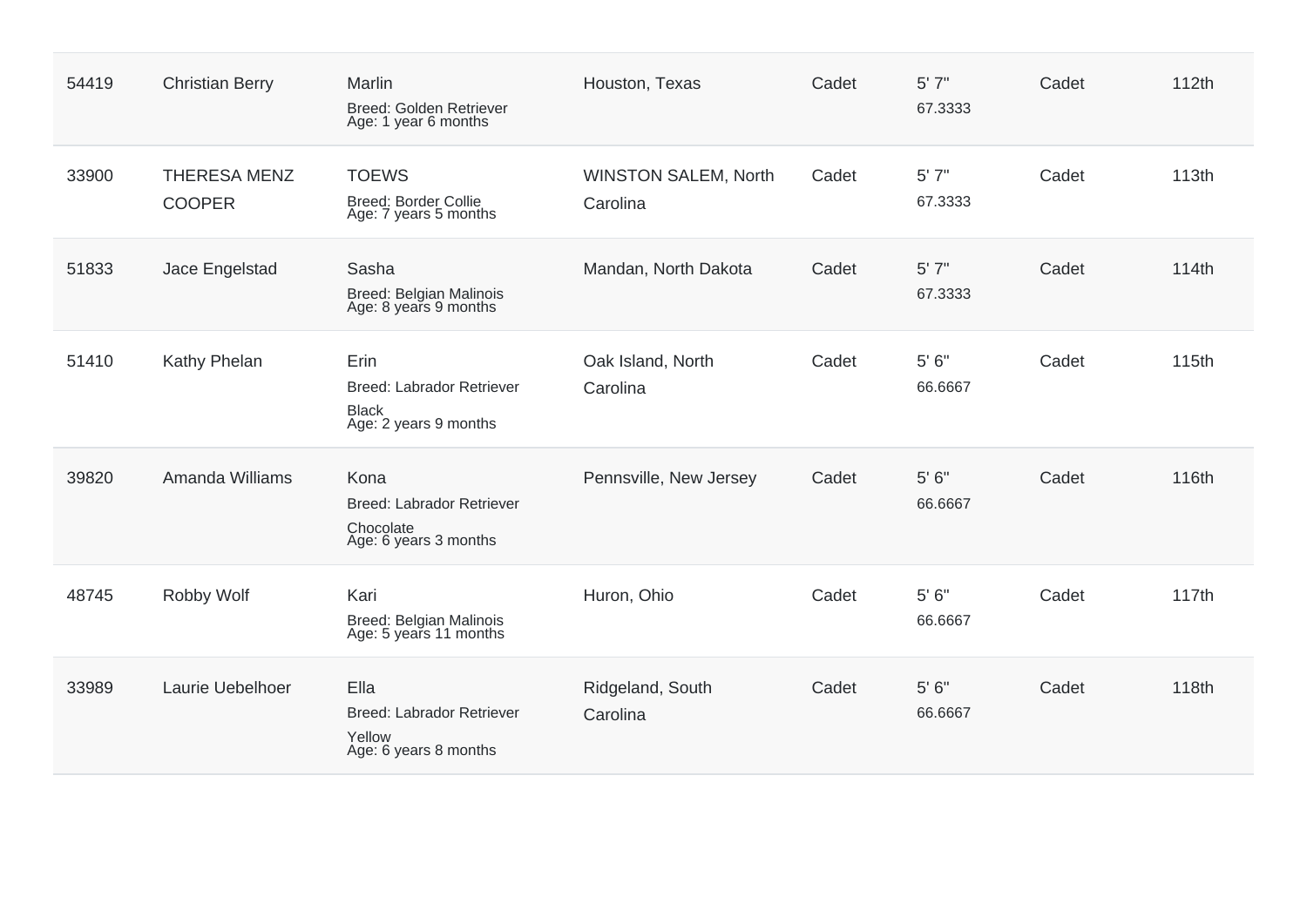| 54419 | <b>Christian Berry</b>               | Marlin<br>Breed: Golden Retriever<br>Age: 1 year 6 months                  | Houston, Texas                          | Cadet | 5'7''<br>67.3333      | Cadet | 112th |
|-------|--------------------------------------|----------------------------------------------------------------------------|-----------------------------------------|-------|-----------------------|-------|-------|
| 33900 | <b>THERESA MENZ</b><br><b>COOPER</b> | <b>TOEWS</b><br><b>Breed: Border Collie</b><br>Age: 7 years 5 months       | <b>WINSTON SALEM, North</b><br>Carolina | Cadet | 5'7''<br>67.3333      | Cadet | 113th |
| 51833 | Jace Engelstad                       | Sasha<br>Breed: Belgian Malinois<br>Age: 8 years 9 months                  | Mandan, North Dakota                    | Cadet | 5'7''<br>67.3333      | Cadet | 114th |
| 51410 | Kathy Phelan                         | Erin<br>Breed: Labrador Retriever<br><b>Black</b><br>Age: 2 years 9 months | Oak Island, North<br>Carolina           | Cadet | 5'6''<br>66.6667      | Cadet | 115th |
| 39820 | Amanda Williams                      | Kona<br>Breed: Labrador Retriever<br>Chocolate<br>Age: 6 years 3 months    | Pennsville, New Jersey                  | Cadet | 5' 6''<br>66.6667     | Cadet | 116th |
| 48745 | Robby Wolf                           | Kari<br>Breed: Belgian Malinois<br>Age: 5 years 11 months                  | Huron, Ohio                             | Cadet | $5'$ $6''$<br>66.6667 | Cadet | 117th |
| 33989 | Laurie Uebelhoer                     | Ella<br>Breed: Labrador Retriever<br>Yellow<br>Age: 6 years 8 months       | Ridgeland, South<br>Carolina            | Cadet | 5'6''<br>66.6667      | Cadet | 118th |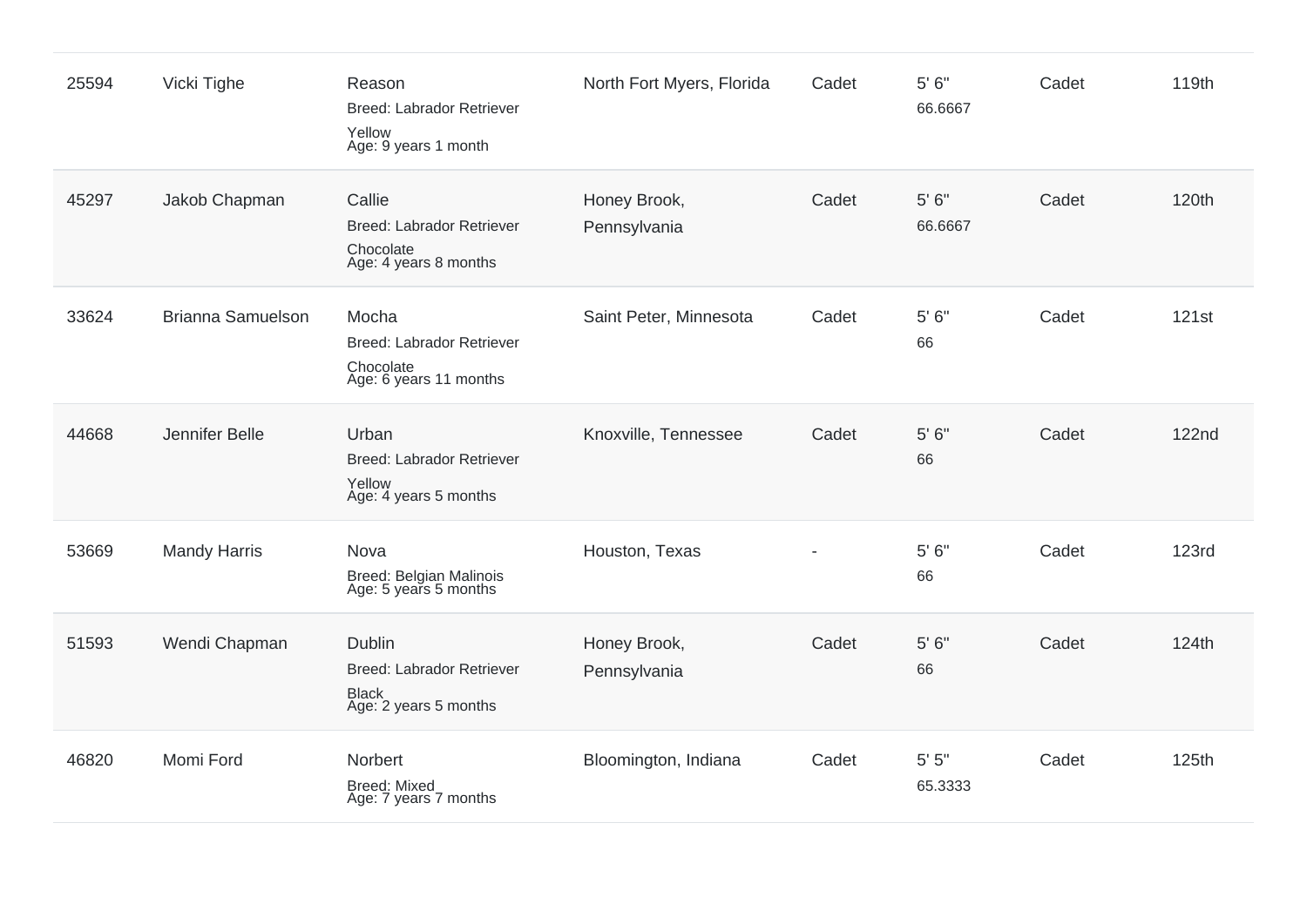| 25594 | Vicki Tighe              | Reason<br><b>Breed: Labrador Retriever</b><br>Yellow<br>Age: 9 years 1 month               | North Fort Myers, Florida    | Cadet | $5'$ $6''$<br>66.6667 | Cadet | 119th        |
|-------|--------------------------|--------------------------------------------------------------------------------------------|------------------------------|-------|-----------------------|-------|--------------|
| 45297 | Jakob Chapman            | Callie<br>Breed: Labrador Retriever<br>Chocolate<br>Age: 4 years 8 months                  | Honey Brook,<br>Pennsylvania | Cadet | $5'$ $6''$<br>66.6667 | Cadet | 120th        |
| 33624 | <b>Brianna Samuelson</b> | Mocha<br>Breed: Labrador Retriever<br>Chocolate<br>Age: 6 years 11 months                  | Saint Peter, Minnesota       | Cadet | 5'6''<br>66           | Cadet | 121st        |
| 44668 | Jennifer Belle           | Urban<br><b>Breed: Labrador Retriever</b><br>Yellow<br>Age: 4 years 5 months               | Knoxville, Tennessee         | Cadet | $5'$ $6''$<br>66      | Cadet | <b>122nd</b> |
| 53669 | <b>Mandy Harris</b>      | Nova<br><b>Breed: Belgian Malinois</b><br>Age: 5 years 5 months                            | Houston, Texas               |       | 5'6''<br>66           | Cadet | <b>123rd</b> |
| 51593 | Wendi Chapman            | <b>Dublin</b><br><b>Breed: Labrador Retriever</b><br><b>Black</b><br>Age: 2 years 5 months | Honey Brook,<br>Pennsylvania | Cadet | $5'$ $6''$<br>66      | Cadet | 124th        |
| 46820 | Momi Ford                | Norbert<br><b>Breed: Mixed</b><br>Age: 7 years 7 months                                    | Bloomington, Indiana         | Cadet | 5'5''<br>65.3333      | Cadet | 125th        |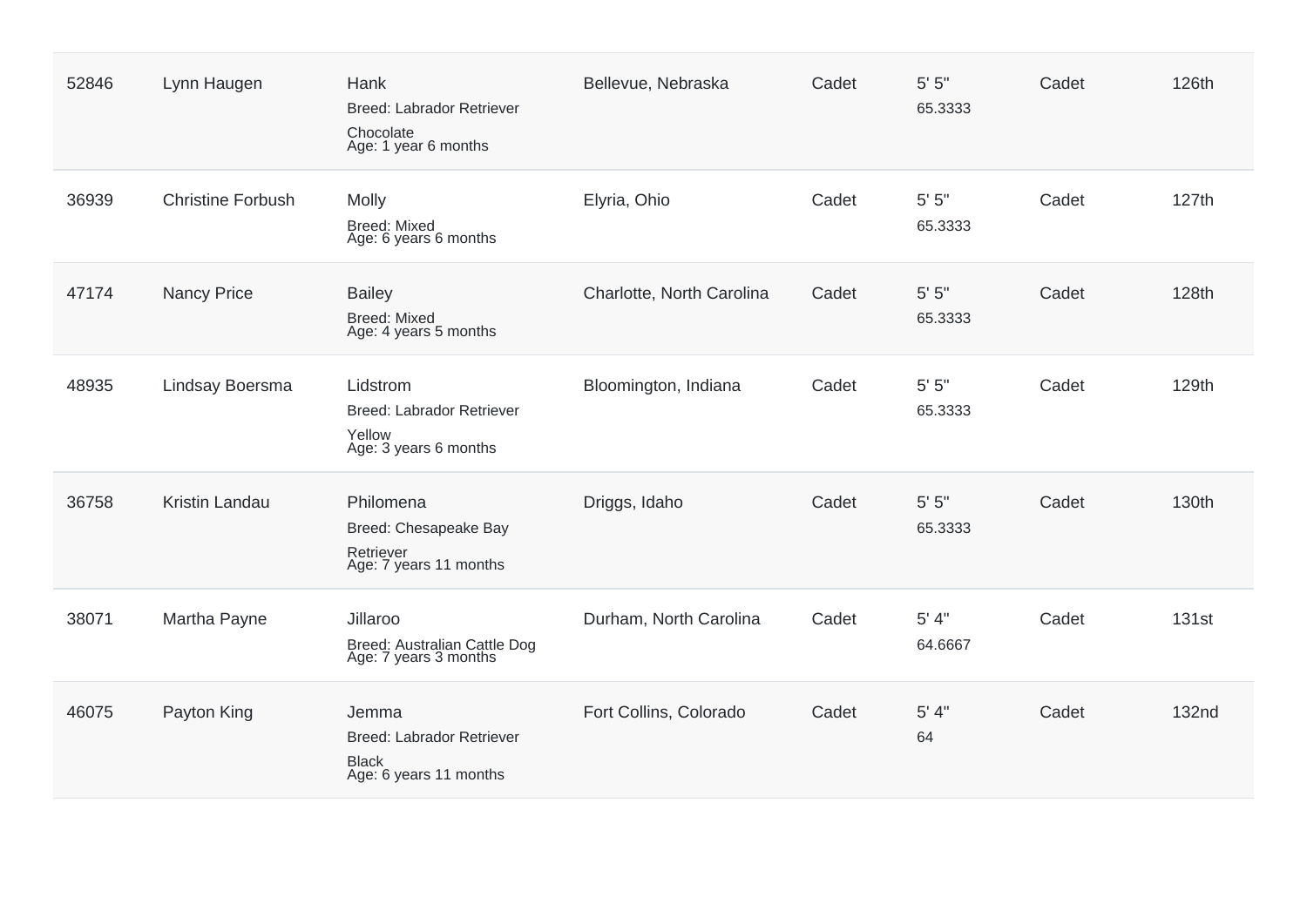| 52846 | Lynn Haugen              | Hank<br>Breed: Labrador Retriever<br>Chocolate<br>Age: 1 year 6 months              | Bellevue, Nebraska        | Cadet | 5' 5''<br>65.3333    | Cadet | 126th        |
|-------|--------------------------|-------------------------------------------------------------------------------------|---------------------------|-------|----------------------|-------|--------------|
| 36939 | <b>Christine Forbush</b> | Molly<br><b>Breed: Mixed</b><br>Age: 6 years 6 months                               | Elyria, Ohio              | Cadet | $5'$ $5"$<br>65.3333 | Cadet | 127th        |
| 47174 | <b>Nancy Price</b>       | <b>Bailey</b><br><b>Breed: Mixed</b><br>Age: 4 years 5 months                       | Charlotte, North Carolina | Cadet | $5'$ $5"$<br>65.3333 | Cadet | 128th        |
| 48935 | Lindsay Boersma          | Lidstrom<br><b>Breed: Labrador Retriever</b><br>Yellow<br>Age: 3 years 6 months     | Bloomington, Indiana      | Cadet | $5'$ $5"$<br>65.3333 | Cadet | 129th        |
| 36758 | Kristin Landau           | Philomena<br>Breed: Chesapeake Bay<br>Retriever<br>Age: 7 years 11 months           | Driggs, Idaho             | Cadet | $5'$ $5"$<br>65.3333 | Cadet | 130th        |
| 38071 | Martha Payne             | Jillaroo<br>Breed: Australian Cattle Dog<br>Age: 7 years 3 months                   | Durham, North Carolina    | Cadet | 5' 4"<br>64.6667     | Cadet | 131st        |
| 46075 | Payton King              | Jemma<br><b>Breed: Labrador Retriever</b><br><b>Black</b><br>Age: 6 years 11 months | Fort Collins, Colorado    | Cadet | 5' 4"<br>64          | Cadet | <b>132nd</b> |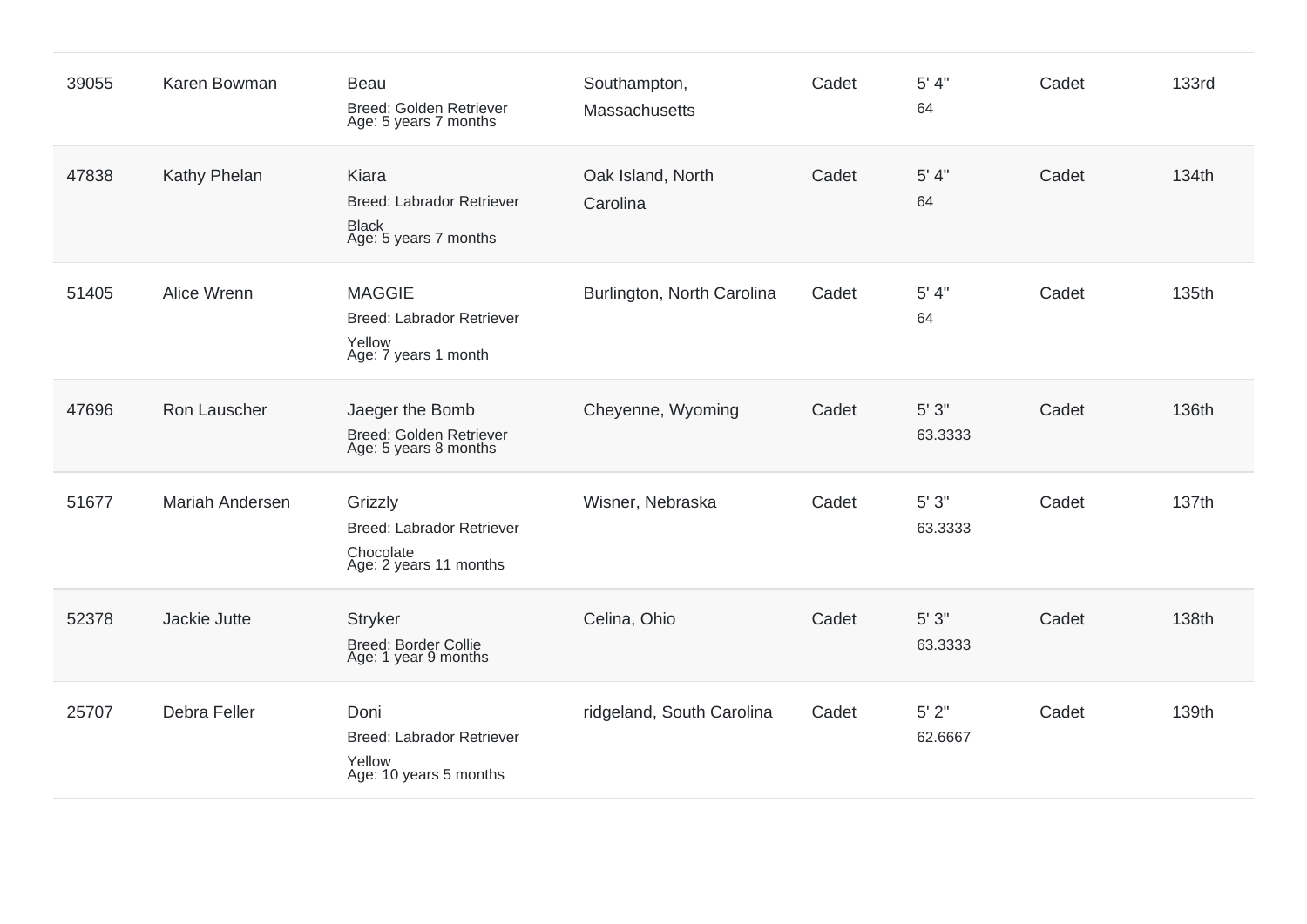| 39055 | Karen Bowman           | Beau<br>Breed: Golden Retriever<br>Age: 5 years 7 months                           | Southampton,<br>Massachusetts | Cadet | 5' 4"<br>64          | Cadet | <b>133rd</b> |
|-------|------------------------|------------------------------------------------------------------------------------|-------------------------------|-------|----------------------|-------|--------------|
| 47838 | Kathy Phelan           | Kiara<br>Breed: Labrador Retriever<br><b>Black</b><br>Age: 5 years 7 months        | Oak Island, North<br>Carolina | Cadet | 5' 4"<br>64          | Cadet | 134th        |
| 51405 | Alice Wrenn            | <b>MAGGIE</b><br>Breed: Labrador Retriever<br>Yellow<br>Age: 7 years 1 month       | Burlington, North Carolina    | Cadet | 5' 4''<br>64         | Cadet | 135th        |
| 47696 | Ron Lauscher           | Jaeger the Bomb<br>Breed: Golden Retriever<br>Age: 5 years 8 months                | Cheyenne, Wyoming             | Cadet | 5'3''<br>63.3333     | Cadet | 136th        |
| 51677 | <b>Mariah Andersen</b> | Grizzly<br><b>Breed: Labrador Retriever</b><br>Chocolate<br>Age: 2 years 11 months | Wisner, Nebraska              | Cadet | 5'3''<br>63.3333     | Cadet | 137th        |
| 52378 | Jackie Jutte           | <b>Stryker</b><br><b>Breed: Border Collie</b><br>Age: 1 year 9 months              | Celina, Ohio                  | Cadet | 5'3''<br>63.3333     | Cadet | 138th        |
| 25707 | Debra Feller           | Doni<br><b>Breed: Labrador Retriever</b><br>Yellow<br>Age: 10 years 5 months       | ridgeland, South Carolina     | Cadet | $5'$ $2"$<br>62.6667 | Cadet | 139th        |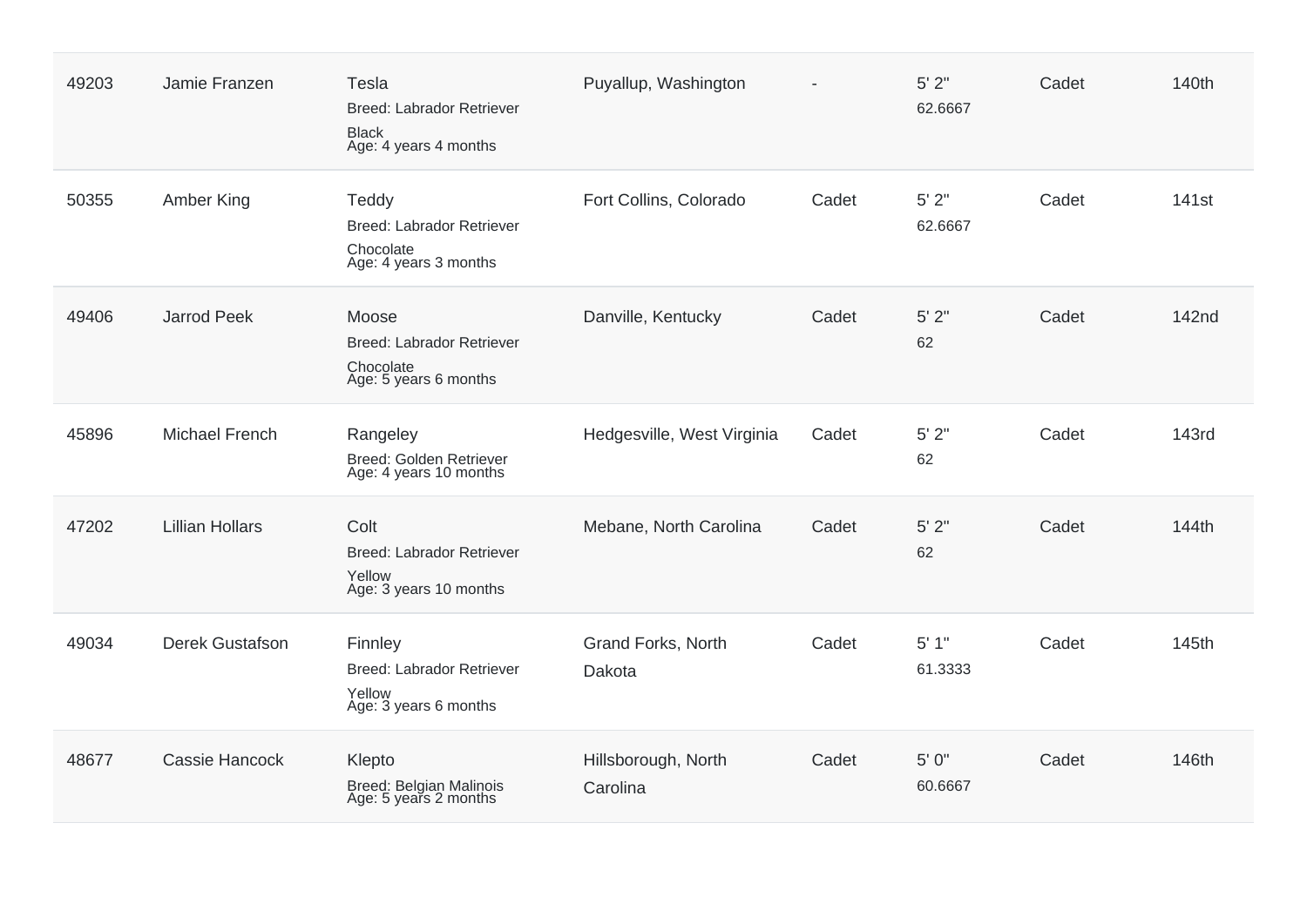| 49203 | Jamie Franzen          | Tesla<br>Breed: Labrador Retriever<br><b>Black</b><br>Age: 4 years 4 months     | Puyallup, Washington            |       | 5'2"<br>62.6667    | Cadet | 140th             |
|-------|------------------------|---------------------------------------------------------------------------------|---------------------------------|-------|--------------------|-------|-------------------|
| 50355 | Amber King             | Teddy<br><b>Breed: Labrador Retriever</b><br>Chocolate<br>Age: 4 years 3 months | Fort Collins, Colorado          | Cadet | $5'$ 2"<br>62.6667 | Cadet | 141 <sub>st</sub> |
| 49406 | <b>Jarrod Peek</b>     | Moose<br><b>Breed: Labrador Retriever</b><br>Chocolate<br>Age: 5 years 6 months | Danville, Kentucky              | Cadet | $5'$ $2"$<br>62    | Cadet | <b>142nd</b>      |
| 45896 | Michael French         | Rangeley<br>Breed: Golden Retriever<br>Age: 4 years 10 months                   | Hedgesville, West Virginia      | Cadet | $5'$ 2"<br>62      | Cadet | <b>143rd</b>      |
| 47202 | <b>Lillian Hollars</b> | Colt<br>Breed: Labrador Retriever<br>Yellow<br>Age: 3 years 10 months           | Mebane, North Carolina          | Cadet | $5'$ 2"<br>62      | Cadet | 144th             |
| 49034 | Derek Gustafson        | Finnley<br>Breed: Labrador Retriever<br>Yellow<br>Age: 3 years 6 months         | Grand Forks, North<br>Dakota    | Cadet | 5'1"<br>61.3333    | Cadet | 145th             |
| 48677 | <b>Cassie Hancock</b>  | Klepto<br>Breed: Belgian Malinois<br>Age: 5 years 2 months                      | Hillsborough, North<br>Carolina | Cadet | 5' 0"<br>60.6667   | Cadet | 146th             |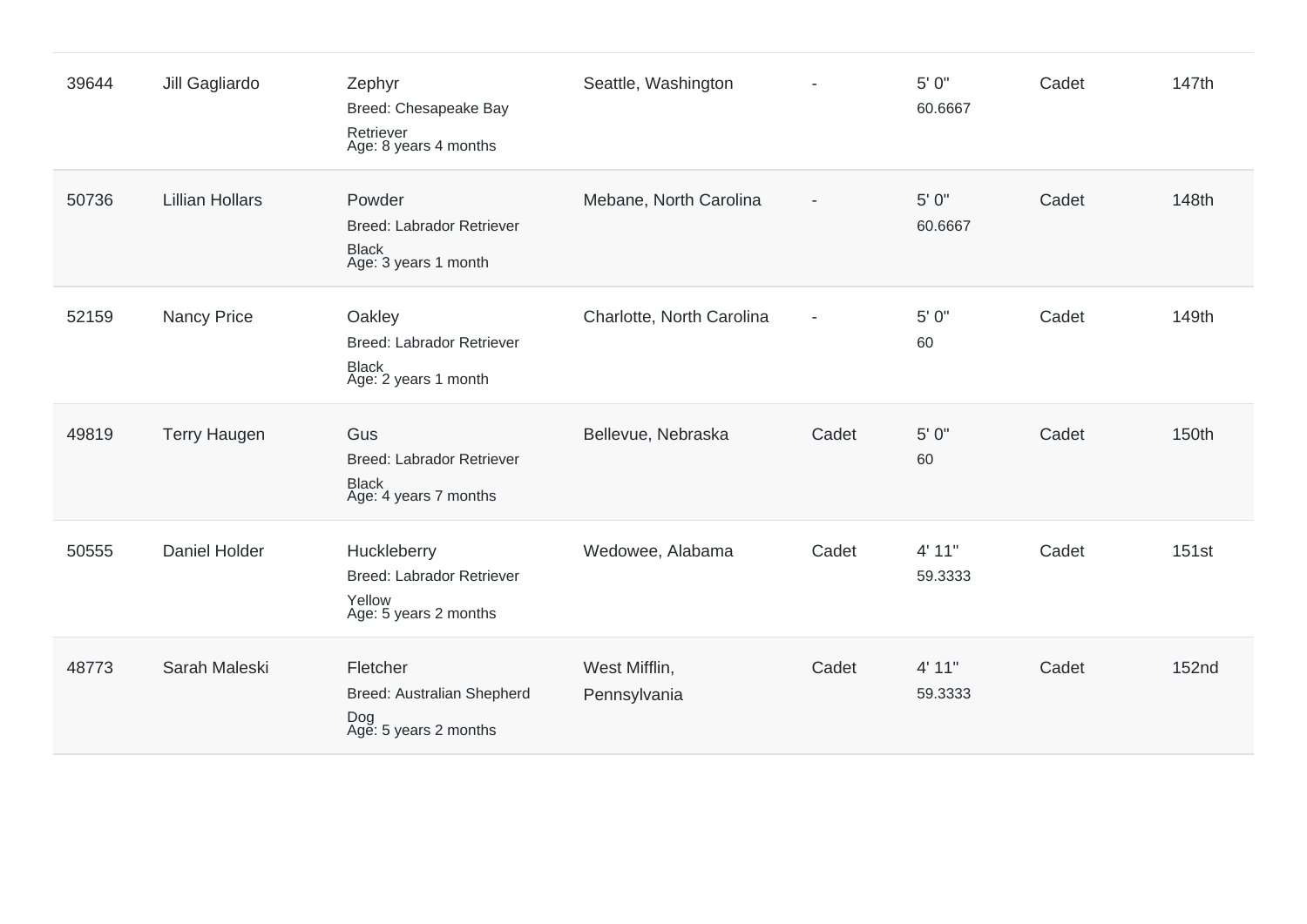| 39644 | Jill Gagliardo         | Zephyr<br>Breed: Chesapeake Bay<br>Retriever<br>Age: 8 years 4 months              | Seattle, Washington           |                          | 5' 0"<br>60.6667  | Cadet | 147th        |
|-------|------------------------|------------------------------------------------------------------------------------|-------------------------------|--------------------------|-------------------|-------|--------------|
| 50736 | <b>Lillian Hollars</b> | Powder<br>Breed: Labrador Retriever<br>Black<br>Age: 3 years 1 month               | Mebane, North Carolina        |                          | 5' 0"<br>60.6667  | Cadet | 148th        |
| 52159 | <b>Nancy Price</b>     | Oakley<br>Breed: Labrador Retriever<br>Black<br>Age: 2 years 1 month               | Charlotte, North Carolina     | $\overline{\phantom{a}}$ | 5' 0"<br>60       | Cadet | 149th        |
| 49819 | <b>Terry Haugen</b>    | Gus<br>Breed: Labrador Retriever<br><b>Black</b><br>Age: 4 years 7 months          | Bellevue, Nebraska            | Cadet                    | 5' 0"<br>60       | Cadet | 150th        |
| 50555 | Daniel Holder          | Huckleberry<br><b>Breed: Labrador Retriever</b><br>Yellow<br>Age: 5 years 2 months | Wedowee, Alabama              | Cadet                    | 4' 11"<br>59.3333 | Cadet | 151st        |
| 48773 | Sarah Maleski          | Fletcher<br>Breed: Australian Shepherd<br>Dog<br>Age: 5 years 2 months             | West Mifflin,<br>Pennsylvania | Cadet                    | 4' 11"<br>59.3333 | Cadet | <b>152nd</b> |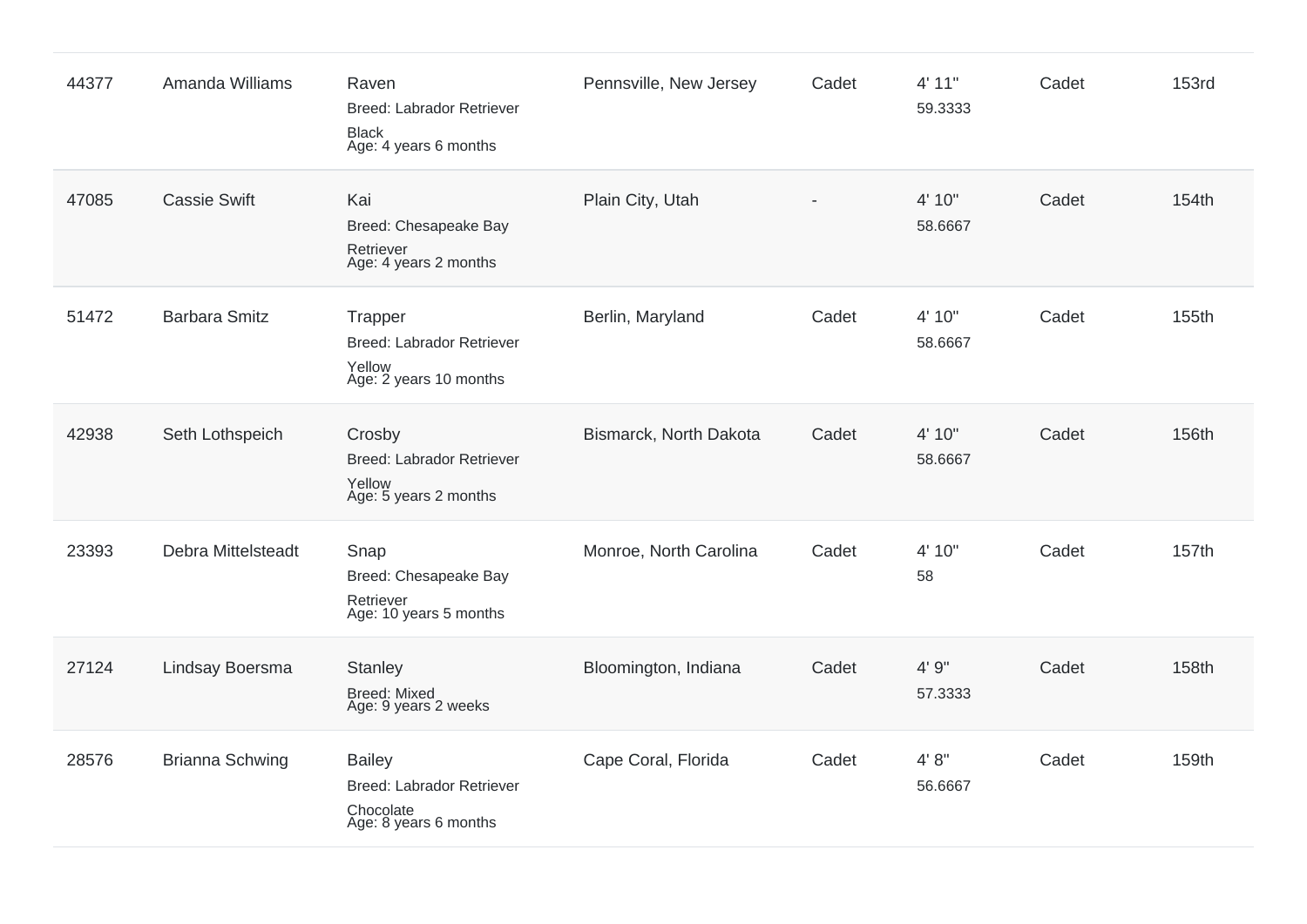| 44377 | Amanda Williams        | Raven<br>Breed: Labrador Retriever<br><b>Black</b><br>Age: 4 years 6 months      | Pennsville, New Jersey | Cadet | 4' 11"<br>59.3333 | Cadet | <b>153rd</b> |
|-------|------------------------|----------------------------------------------------------------------------------|------------------------|-------|-------------------|-------|--------------|
| 47085 | <b>Cassie Swift</b>    | Kai<br>Breed: Chesapeake Bay<br>Retriever<br>Age: 4 years 2 months               | Plain City, Utah       |       | 4' 10"<br>58.6667 | Cadet | 154th        |
| 51472 | <b>Barbara Smitz</b>   | Trapper<br><b>Breed: Labrador Retriever</b><br>Yellow<br>Age: 2 years 10 months  | Berlin, Maryland       | Cadet | 4' 10"<br>58.6667 | Cadet | 155th        |
| 42938 | Seth Lothspeich        | Crosby<br>Breed: Labrador Retriever<br>Yellow<br>Age: 5 years 2 months           | Bismarck, North Dakota | Cadet | 4' 10"<br>58.6667 | Cadet | 156th        |
| 23393 | Debra Mittelsteadt     | Snap<br>Breed: Chesapeake Bay<br>Retriever<br>Age: 10 years 5 months             | Monroe, North Carolina | Cadet | 4' 10"<br>58      | Cadet | 157th        |
| 27124 | Lindsay Boersma        | <b>Stanley</b><br><b>Breed: Mixed</b><br>Age: 9 years 2 weeks                    | Bloomington, Indiana   | Cadet | 4' 9"<br>57.3333  | Cadet | 158th        |
| 28576 | <b>Brianna Schwing</b> | <b>Bailey</b><br>Breed: Labrador Retriever<br>Chocolate<br>Age: 8 years 6 months | Cape Coral, Florida    | Cadet | 4' 8''<br>56.6667 | Cadet | 159th        |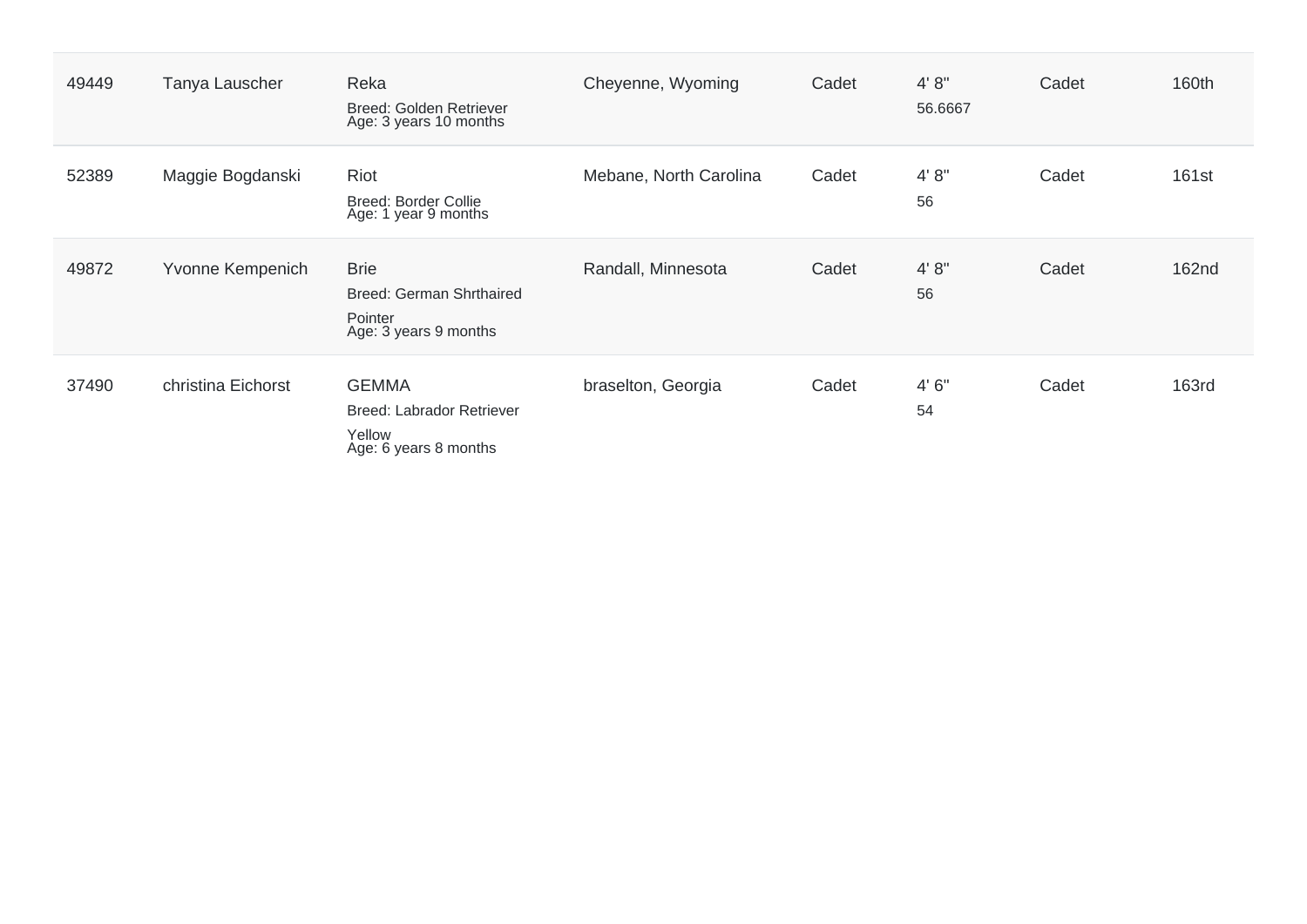| 49449 | Tanya Lauscher     | Reka<br>Breed: Golden Retriever<br>Age: 3 years 10 months                    | Cheyenne, Wyoming      | Cadet | 4' 8''<br>56.6667 | Cadet | 160th        |
|-------|--------------------|------------------------------------------------------------------------------|------------------------|-------|-------------------|-------|--------------|
| 52389 | Maggie Bogdanski   | Riot<br><b>Breed: Border Collie</b><br>Age: 1 year 9 months                  | Mebane, North Carolina | Cadet | 4' 8''<br>56      | Cadet | 161st        |
| 49872 | Yvonne Kempenich   | <b>Brie</b><br>Breed: German Shrthaired<br>Pointer<br>Age: 3 years 9 months  | Randall, Minnesota     | Cadet | 4' 8''<br>56      | Cadet | 162nd        |
| 37490 | christina Eichorst | <b>GEMMA</b><br>Breed: Labrador Retriever<br>Yellow<br>Age: 6 years 8 months | braselton, Georgia     | Cadet | 4'6''<br>54       | Cadet | <b>163rd</b> |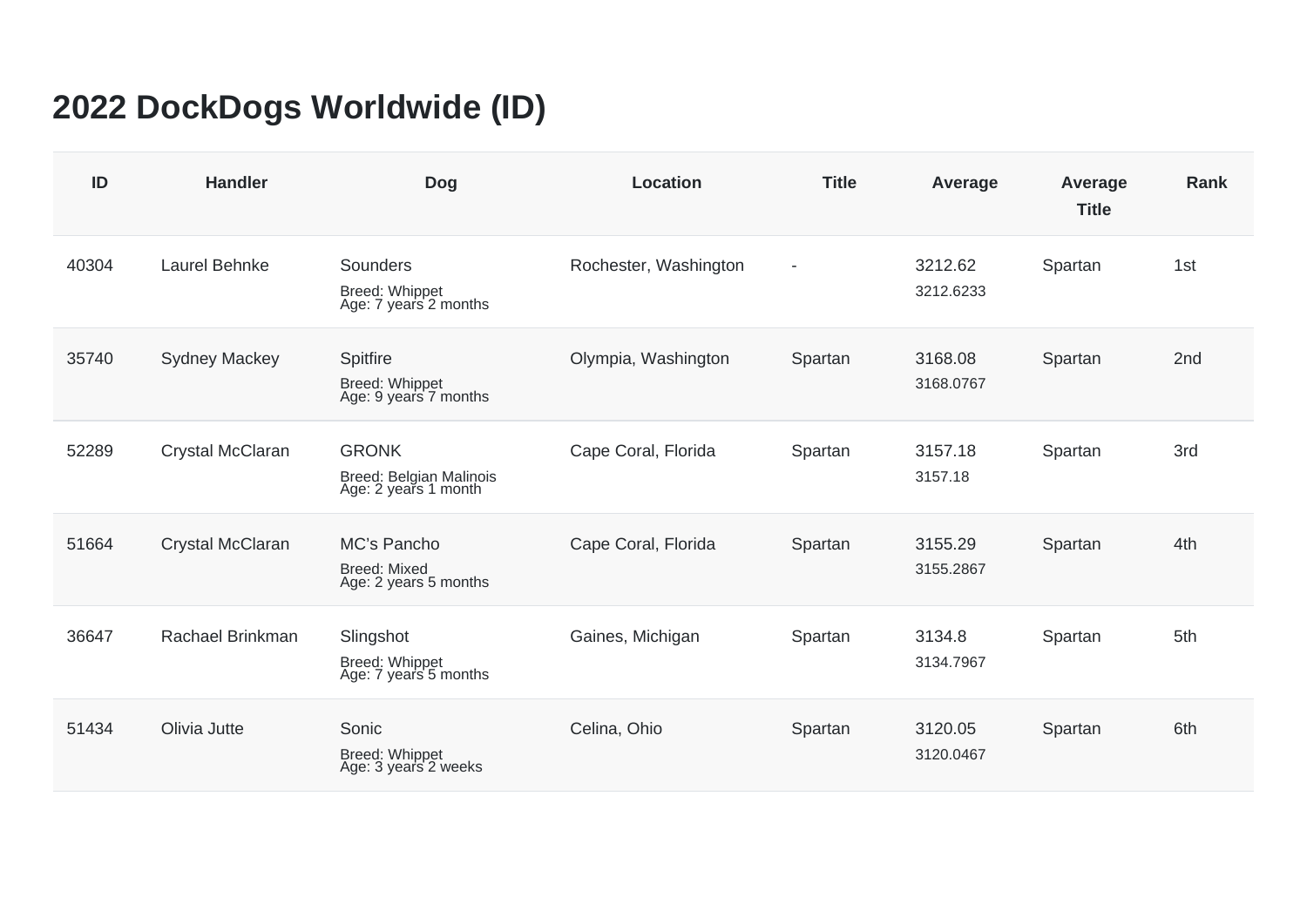## **2022 DockDogs Worldwide (ID)**

| ID    | <b>Handler</b>       | <b>Dog</b>                                                      | <b>Location</b>       | <b>Title</b>             | Average              | Average<br><b>Title</b> | <b>Rank</b>     |
|-------|----------------------|-----------------------------------------------------------------|-----------------------|--------------------------|----------------------|-------------------------|-----------------|
| 40304 | Laurel Behnke        | Sounders<br>Breed: Whippet<br>Age: 7 years 2 months             | Rochester, Washington | $\overline{\phantom{a}}$ | 3212.62<br>3212.6233 | Spartan                 | 1st             |
| 35740 | <b>Sydney Mackey</b> | Spitfire<br>Breed: Whippet<br>Age: 9 years 7 months             | Olympia, Washington   | Spartan                  | 3168.08<br>3168.0767 | Spartan                 | 2 <sub>nd</sub> |
| 52289 | Crystal McClaran     | <b>GRONK</b><br>Breed: Belgian Malinois<br>Age: 2 years 1 month | Cape Coral, Florida   | Spartan                  | 3157.18<br>3157.18   | Spartan                 | 3rd             |
| 51664 | Crystal McClaran     | MC's Pancho<br><b>Breed: Mixed</b><br>Age: 2 years 5 months     | Cape Coral, Florida   | Spartan                  | 3155.29<br>3155.2867 | Spartan                 | 4th             |
| 36647 | Rachael Brinkman     | Slingshot<br>Breed: Whippet<br>Age: 7 years 5 months            | Gaines, Michigan      | Spartan                  | 3134.8<br>3134.7967  | Spartan                 | 5th             |
| 51434 | Olivia Jutte         | Sonic<br>Breed: Whippet<br>Age: 3 years 2 weeks                 | Celina, Ohio          | Spartan                  | 3120.05<br>3120.0467 | Spartan                 | 6th             |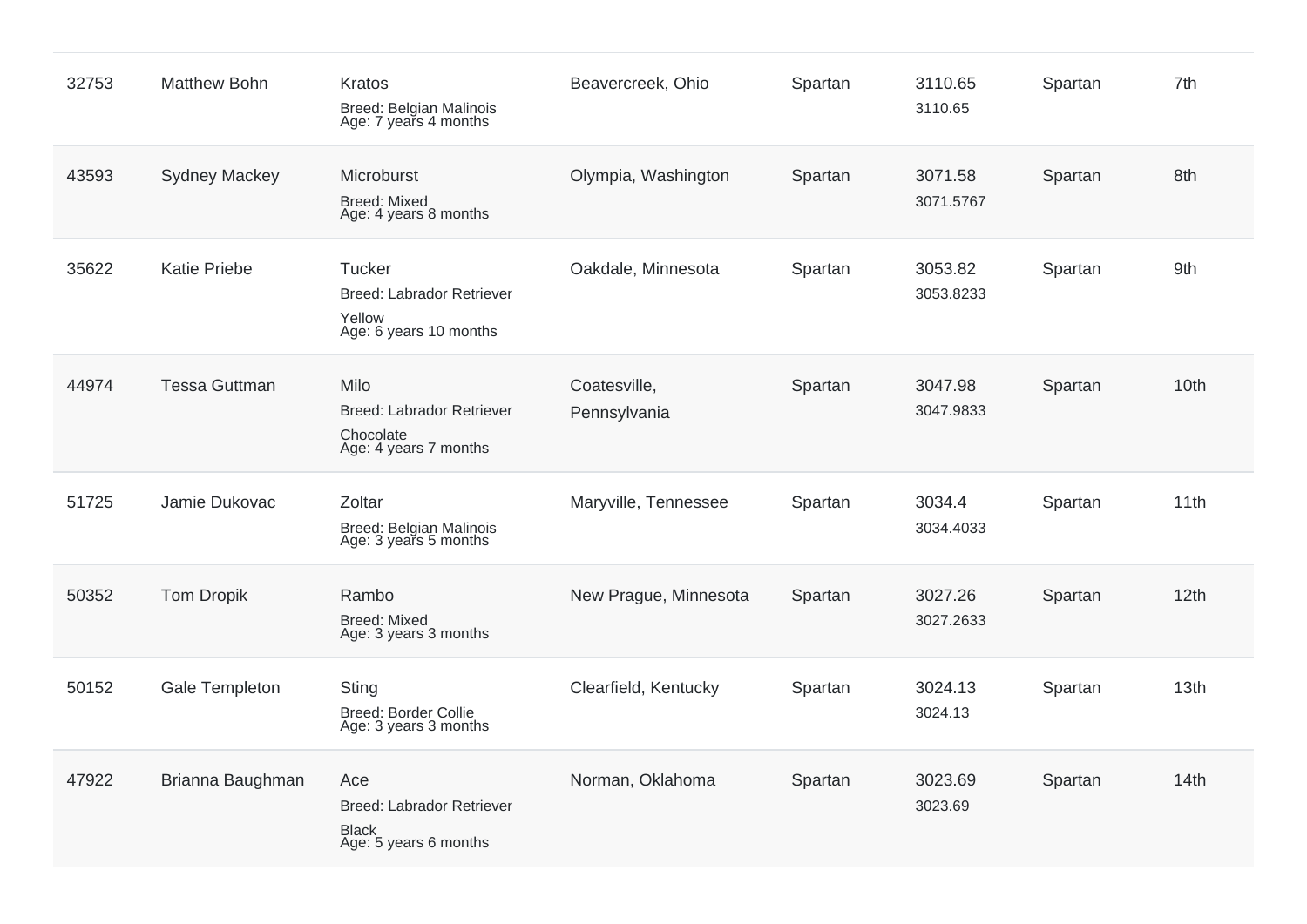| 32753 | <b>Matthew Bohn</b>  | Kratos<br>Breed: Belgian Malinois<br>Age: 7 years 4 months                       | Beavercreek, Ohio            | Spartan | 3110.65<br>3110.65   | Spartan | 7th  |
|-------|----------------------|----------------------------------------------------------------------------------|------------------------------|---------|----------------------|---------|------|
| 43593 | <b>Sydney Mackey</b> | Microburst<br><b>Breed: Mixed</b><br>Age: 4 years 8 months                       | Olympia, Washington          | Spartan | 3071.58<br>3071.5767 | Spartan | 8th  |
| 35622 | <b>Katie Priebe</b>  | Tucker<br><b>Breed: Labrador Retriever</b><br>Yellow<br>Age: 6 years 10 months   | Oakdale, Minnesota           | Spartan | 3053.82<br>3053.8233 | Spartan | 9th  |
| 44974 | <b>Tessa Guttman</b> | Milo<br>Breed: Labrador Retriever<br>Chocolate<br>Age: 4 years 7 months          | Coatesville,<br>Pennsylvania | Spartan | 3047.98<br>3047.9833 | Spartan | 10th |
| 51725 | Jamie Dukovac        | Zoltar<br>Breed: Belgian Malinois<br>Age: 3 years 5 months                       | Maryville, Tennessee         | Spartan | 3034.4<br>3034.4033  | Spartan | 11th |
| 50352 | <b>Tom Dropik</b>    | Rambo<br><b>Breed: Mixed</b><br>Age: 3 years 3 months                            | New Prague, Minnesota        | Spartan | 3027.26<br>3027.2633 | Spartan | 12th |
| 50152 | Gale Templeton       | Sting<br><b>Breed: Border Collie</b><br>Age: 3 years 3 months                    | Clearfield, Kentucky         | Spartan | 3024.13<br>3024.13   | Spartan | 13th |
| 47922 | Brianna Baughman     | Ace<br><b>Breed: Labrador Retriever</b><br><b>Black</b><br>Age: 5 years 6 months | Norman, Oklahoma             | Spartan | 3023.69<br>3023.69   | Spartan | 14th |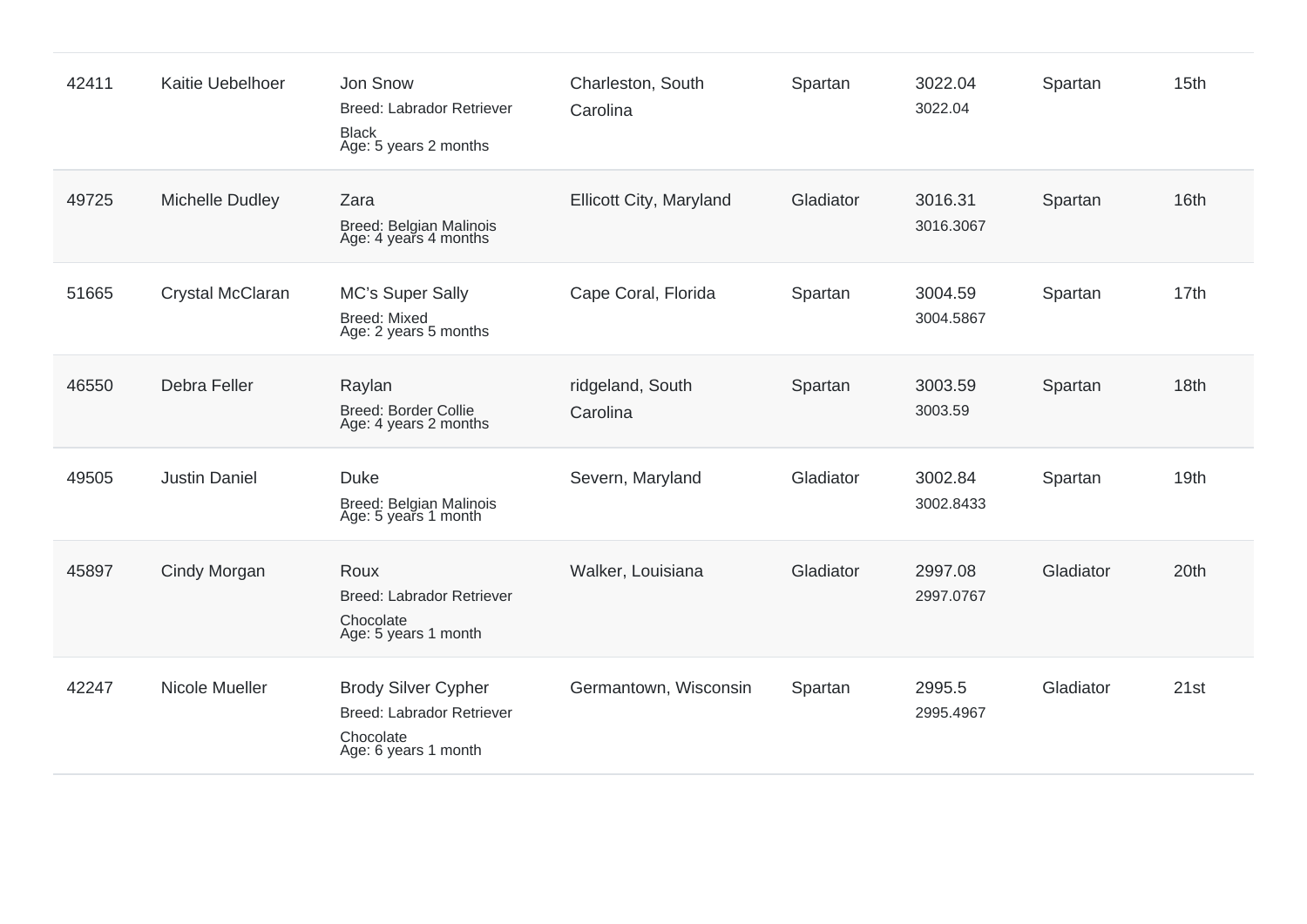| 42411 | Kaitie Uebelhoer     | Jon Snow<br>Breed: Labrador Retriever<br><b>Black</b><br>Age: 5 years 2 months               | Charleston, South<br>Carolina | Spartan   | 3022.04<br>3022.04   | Spartan   | 15 <sub>th</sub> |
|-------|----------------------|----------------------------------------------------------------------------------------------|-------------------------------|-----------|----------------------|-----------|------------------|
| 49725 | Michelle Dudley      | Zara<br>Breed: Belgian Malinois<br>Age: 4 years 4 months                                     | Ellicott City, Maryland       | Gladiator | 3016.31<br>3016.3067 | Spartan   | 16th             |
| 51665 | Crystal McClaran     | <b>MC's Super Sally</b><br><b>Breed: Mixed</b><br>Age: 2 years 5 months                      | Cape Coral, Florida           | Spartan   | 3004.59<br>3004.5867 | Spartan   | 17th             |
| 46550 | Debra Feller         | Raylan<br>Breed: Border Collie<br>Age: 4 years 2 months                                      | ridgeland, South<br>Carolina  | Spartan   | 3003.59<br>3003.59   | Spartan   | 18th             |
| 49505 | <b>Justin Daniel</b> | <b>Duke</b><br>Breed: Belgian Malinois<br>Age: 5 years 1 month                               | Severn, Maryland              | Gladiator | 3002.84<br>3002.8433 | Spartan   | 19th             |
| 45897 | Cindy Morgan         | Roux<br><b>Breed: Labrador Retriever</b><br>Chocolate<br>Age: 5 years 1 month                | Walker, Louisiana             | Gladiator | 2997.08<br>2997.0767 | Gladiator | 20th             |
| 42247 | Nicole Mueller       | <b>Brody Silver Cypher</b><br>Breed: Labrador Retriever<br>Chocolate<br>Age: 6 years 1 month | Germantown, Wisconsin         | Spartan   | 2995.5<br>2995.4967  | Gladiator | 21st             |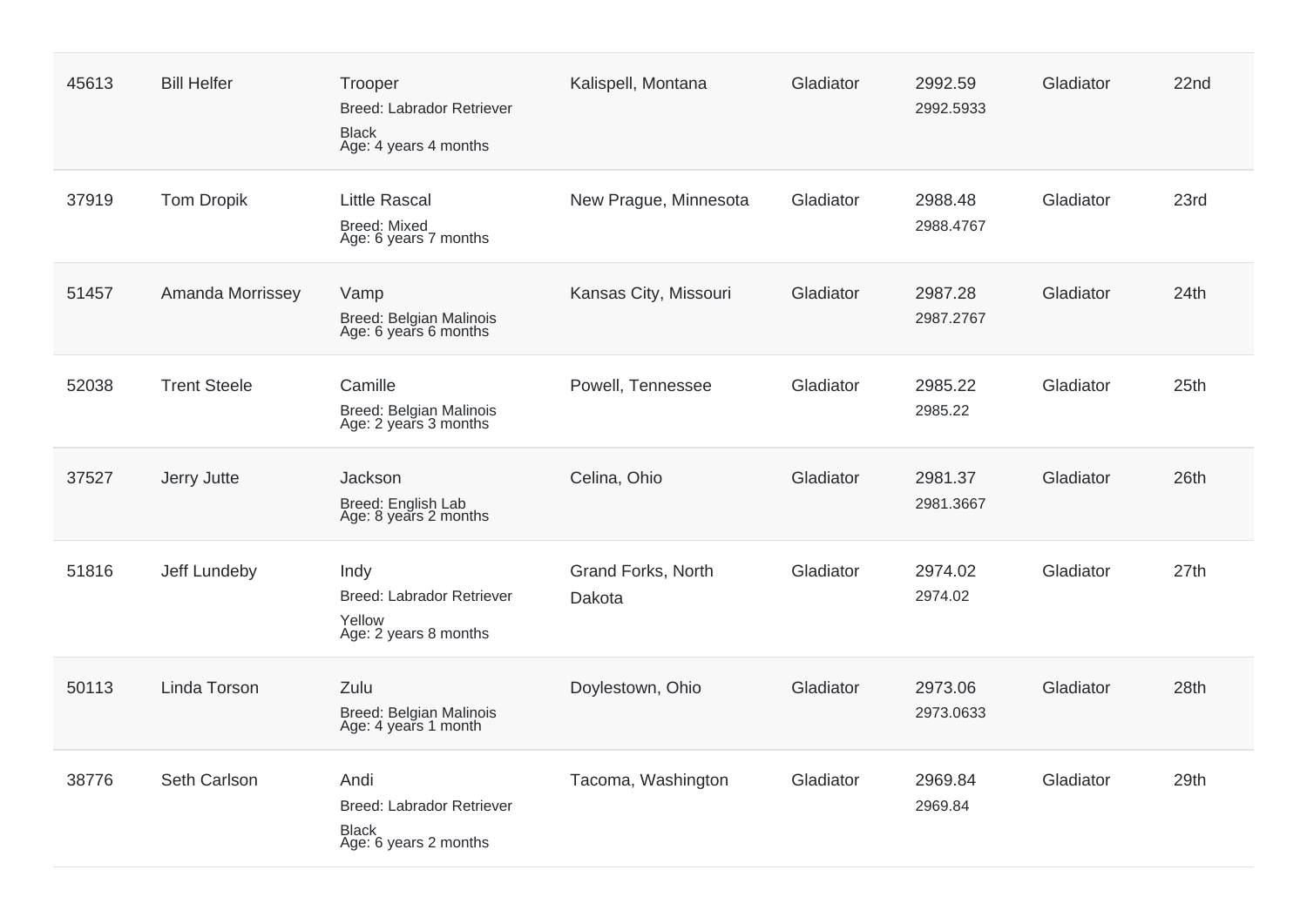| 45613 | <b>Bill Helfer</b>  | Trooper<br>Breed: Labrador Retriever<br><b>Black</b><br>Age: 4 years 4 months | Kalispell, Montana           | Gladiator | 2992.59<br>2992.5933 | Gladiator | 22nd |
|-------|---------------------|-------------------------------------------------------------------------------|------------------------------|-----------|----------------------|-----------|------|
| 37919 | <b>Tom Dropik</b>   | <b>Little Rascal</b><br>Breed: Mixed<br>Age: 6 years 7 months                 | New Prague, Minnesota        | Gladiator | 2988.48<br>2988.4767 | Gladiator | 23rd |
| 51457 | Amanda Morrissey    | Vamp<br>Breed: Belgian Malinois<br>Age: 6 years 6 months                      | Kansas City, Missouri        | Gladiator | 2987.28<br>2987.2767 | Gladiator | 24th |
| 52038 | <b>Trent Steele</b> | Camille<br><b>Breed: Belgian Malinois</b><br>Age: 2 years 3 months            | Powell, Tennessee            | Gladiator | 2985.22<br>2985.22   | Gladiator | 25th |
| 37527 | Jerry Jutte         | Jackson<br>Breed: English Lab<br>Age: 8 years 2 months                        | Celina, Ohio                 | Gladiator | 2981.37<br>2981.3667 | Gladiator | 26th |
| 51816 | Jeff Lundeby        | Indy<br><b>Breed: Labrador Retriever</b><br>Yellow<br>Age: 2 years 8 months   | Grand Forks, North<br>Dakota | Gladiator | 2974.02<br>2974.02   | Gladiator | 27th |
| 50113 | Linda Torson        | Zulu<br>Breed: Belgian Malinois<br>Age: 4 years 1 month                       | Doylestown, Ohio             | Gladiator | 2973.06<br>2973.0633 | Gladiator | 28th |
| 38776 | Seth Carlson        | Andi<br>Breed: Labrador Retriever<br><b>Black</b><br>Age: 6 years 2 months    | Tacoma, Washington           | Gladiator | 2969.84<br>2969.84   | Gladiator | 29th |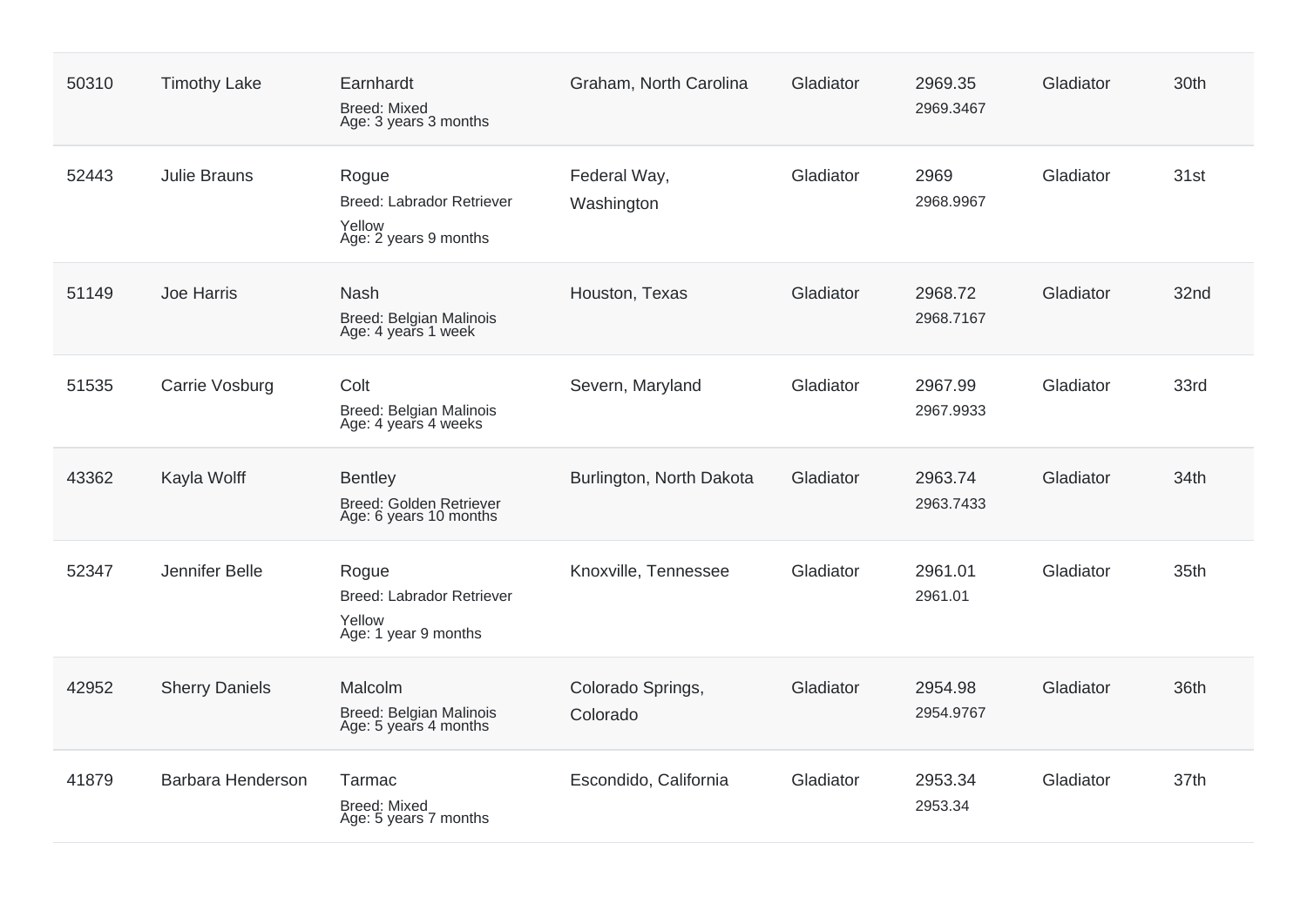| 50310 | <b>Timothy Lake</b>   | Earnhardt<br><b>Breed: Mixed</b><br>Age: 3 years 3 months                    | Graham, North Carolina        | Gladiator | 2969.35<br>2969.3467 | Gladiator | 30th |
|-------|-----------------------|------------------------------------------------------------------------------|-------------------------------|-----------|----------------------|-----------|------|
| 52443 | <b>Julie Brauns</b>   | Rogue<br><b>Breed: Labrador Retriever</b><br>Yellow<br>Age: 2 years 9 months | Federal Way,<br>Washington    | Gladiator | 2969<br>2968.9967    | Gladiator | 31st |
| 51149 | Joe Harris            | <b>Nash</b><br>Breed: Belgian Malinois<br>Age: 4 years 1 week                | Houston, Texas                | Gladiator | 2968.72<br>2968.7167 | Gladiator | 32nd |
| 51535 | Carrie Vosburg        | Colt<br>Breed: Belgian Malinois<br>Age: 4 years 4 weeks                      | Severn, Maryland              | Gladiator | 2967.99<br>2967.9933 | Gladiator | 33rd |
| 43362 | Kayla Wolff           | <b>Bentley</b><br><b>Breed: Golden Retriever</b><br>Age: 6 years 10 months   | Burlington, North Dakota      | Gladiator | 2963.74<br>2963.7433 | Gladiator | 34th |
| 52347 | Jennifer Belle        | Rogue<br><b>Breed: Labrador Retriever</b><br>Yellow<br>Age: 1 year 9 months  | Knoxville, Tennessee          | Gladiator | 2961.01<br>2961.01   | Gladiator | 35th |
| 42952 | <b>Sherry Daniels</b> | Malcolm<br>Breed: Belgian Malinois<br>Age: 5 years 4 months                  | Colorado Springs,<br>Colorado | Gladiator | 2954.98<br>2954.9767 | Gladiator | 36th |
| 41879 | Barbara Henderson     | Tarmac<br>Breed: Mixed<br>Age: 5 years 7 months                              | Escondido, California         | Gladiator | 2953.34<br>2953.34   | Gladiator | 37th |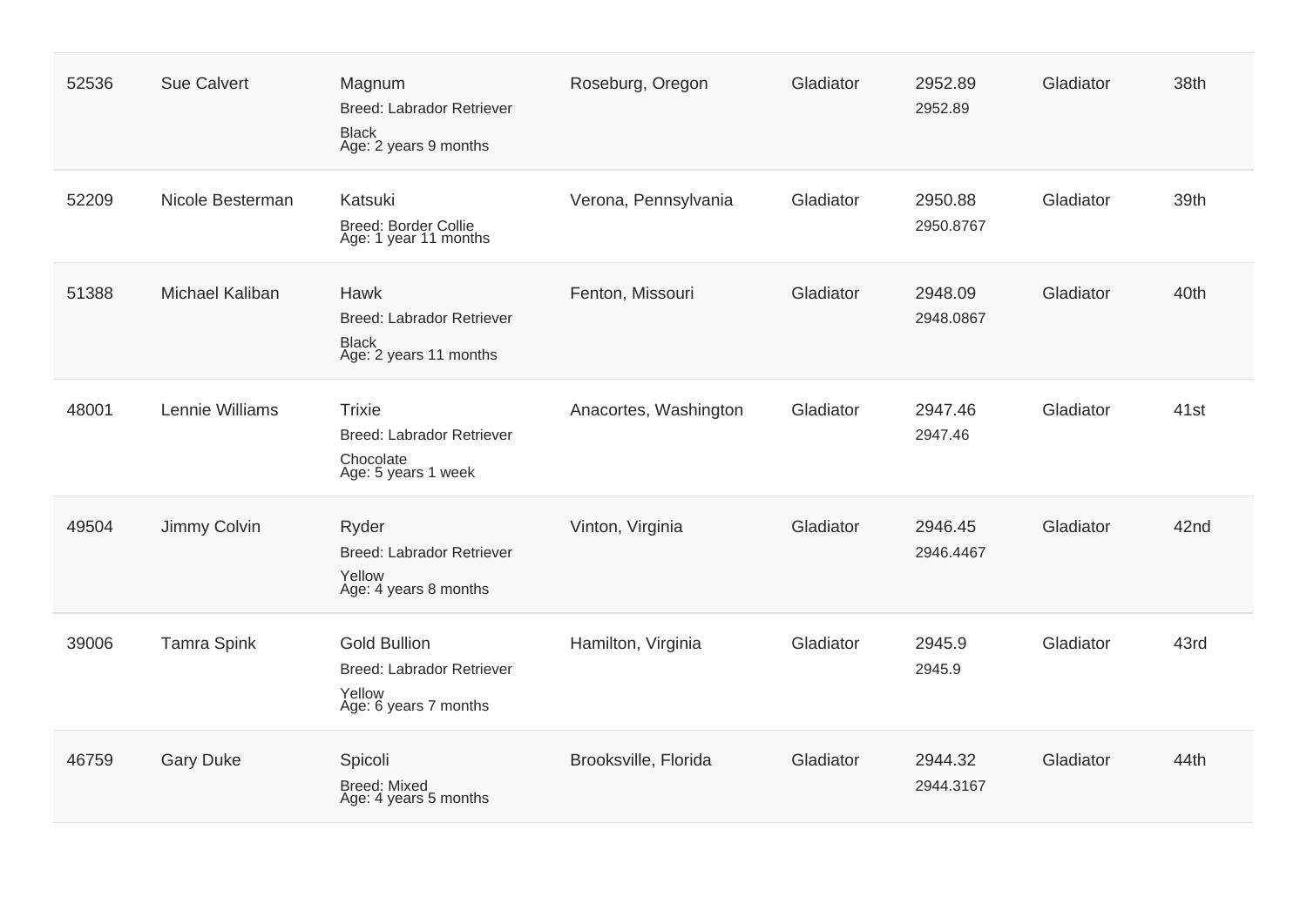| 52536 | <b>Sue Calvert</b> | Magnum<br>Breed: Labrador Retriever<br><b>Black</b><br>Age: 2 years 9 months               | Roseburg, Oregon      | Gladiator | 2952.89<br>2952.89   | Gladiator | 38th             |
|-------|--------------------|--------------------------------------------------------------------------------------------|-----------------------|-----------|----------------------|-----------|------------------|
| 52209 | Nicole Besterman   | Katsuki<br>Breed: Border Collie<br>Age: 1 year 11 months                                   | Verona, Pennsylvania  | Gladiator | 2950.88<br>2950.8767 | Gladiator | 39th             |
| 51388 | Michael Kaliban    | Hawk<br><b>Breed: Labrador Retriever</b><br><b>Black</b><br>Age: 2 years 11 months         | Fenton, Missouri      | Gladiator | 2948.09<br>2948.0867 | Gladiator | 40th             |
| 48001 | Lennie Williams    | <b>Trixie</b><br><b>Breed: Labrador Retriever</b><br>Chocolate<br>Age: 5 years 1 week      | Anacortes, Washington | Gladiator | 2947.46<br>2947.46   | Gladiator | 41 <sub>st</sub> |
| 49504 | Jimmy Colvin       | Ryder<br><b>Breed: Labrador Retriever</b><br>Yellow<br>Age: 4 years 8 months               | Vinton, Virginia      | Gladiator | 2946.45<br>2946.4467 | Gladiator | 42nd             |
| 39006 | <b>Tamra Spink</b> | <b>Gold Bullion</b><br><b>Breed: Labrador Retriever</b><br>Yellow<br>Age: 6 years 7 months | Hamilton, Virginia    | Gladiator | 2945.9<br>2945.9     | Gladiator | 43rd             |
| 46759 | <b>Gary Duke</b>   | Spicoli<br><b>Breed: Mixed</b><br>Age: 4 years 5 months                                    | Brooksville, Florida  | Gladiator | 2944.32<br>2944.3167 | Gladiator | 44th             |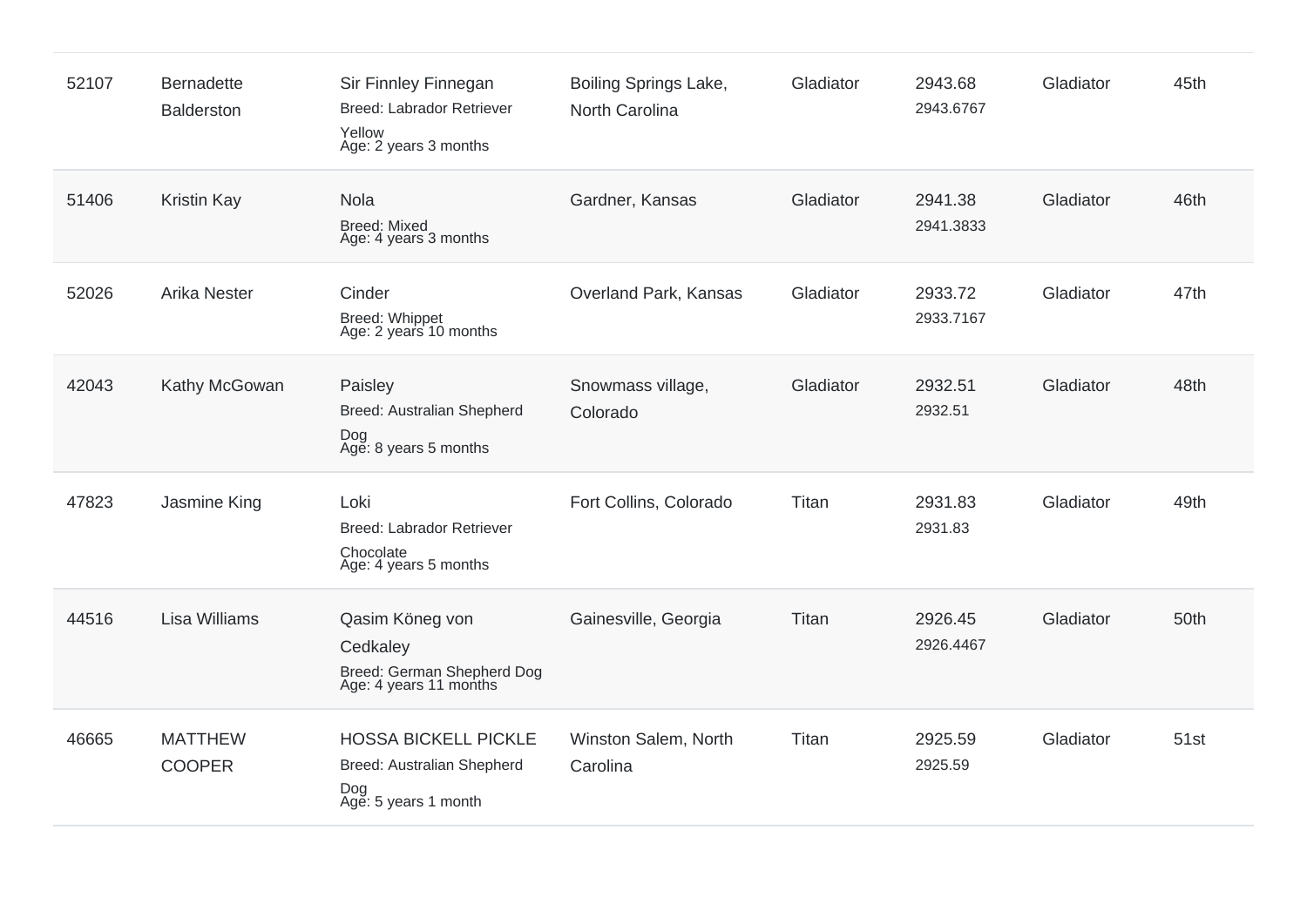| 52107 | <b>Bernadette</b><br><b>Balderston</b> | Sir Finnley Finnegan<br>Breed: Labrador Retriever<br>Yellow<br>Age: 2 years 3 months     | Boiling Springs Lake,<br>North Carolina | Gladiator | 2943.68<br>2943.6767 | Gladiator | 45th |
|-------|----------------------------------------|------------------------------------------------------------------------------------------|-----------------------------------------|-----------|----------------------|-----------|------|
| 51406 | <b>Kristin Kay</b>                     | Nola<br><b>Breed: Mixed</b><br>Age: 4 years 3 months                                     | Gardner, Kansas                         | Gladiator | 2941.38<br>2941.3833 | Gladiator | 46th |
| 52026 | <b>Arika Nester</b>                    | Cinder<br>Breed: Whippet<br>Age: 2 years 10 months                                       | Overland Park, Kansas                   | Gladiator | 2933.72<br>2933.7167 | Gladiator | 47th |
| 42043 | Kathy McGowan                          | Paisley<br>Breed: Australian Shepherd<br>Dog<br>Age: 8 years 5 months                    | Snowmass village,<br>Colorado           | Gladiator | 2932.51<br>2932.51   | Gladiator | 48th |
| 47823 | Jasmine King                           | Loki<br>Breed: Labrador Retriever<br>Chocolate<br>Age: 4 years 5 months                  | Fort Collins, Colorado                  | Titan     | 2931.83<br>2931.83   | Gladiator | 49th |
| 44516 | <b>Lisa Williams</b>                   | Qasim Köneg von<br>Cedkaley<br>Breed: German Shepherd Dog<br>Age: 4 years 11 months      | Gainesville, Georgia                    | Titan     | 2926.45<br>2926.4467 | Gladiator | 50th |
| 46665 | <b>MATTHEW</b><br><b>COOPER</b>        | <b>HOSSA BICKELL PICKLE</b><br>Breed: Australian Shepherd<br>Dog<br>Age: 5 years 1 month | Winston Salem, North<br>Carolina        | Titan     | 2925.59<br>2925.59   | Gladiator | 51st |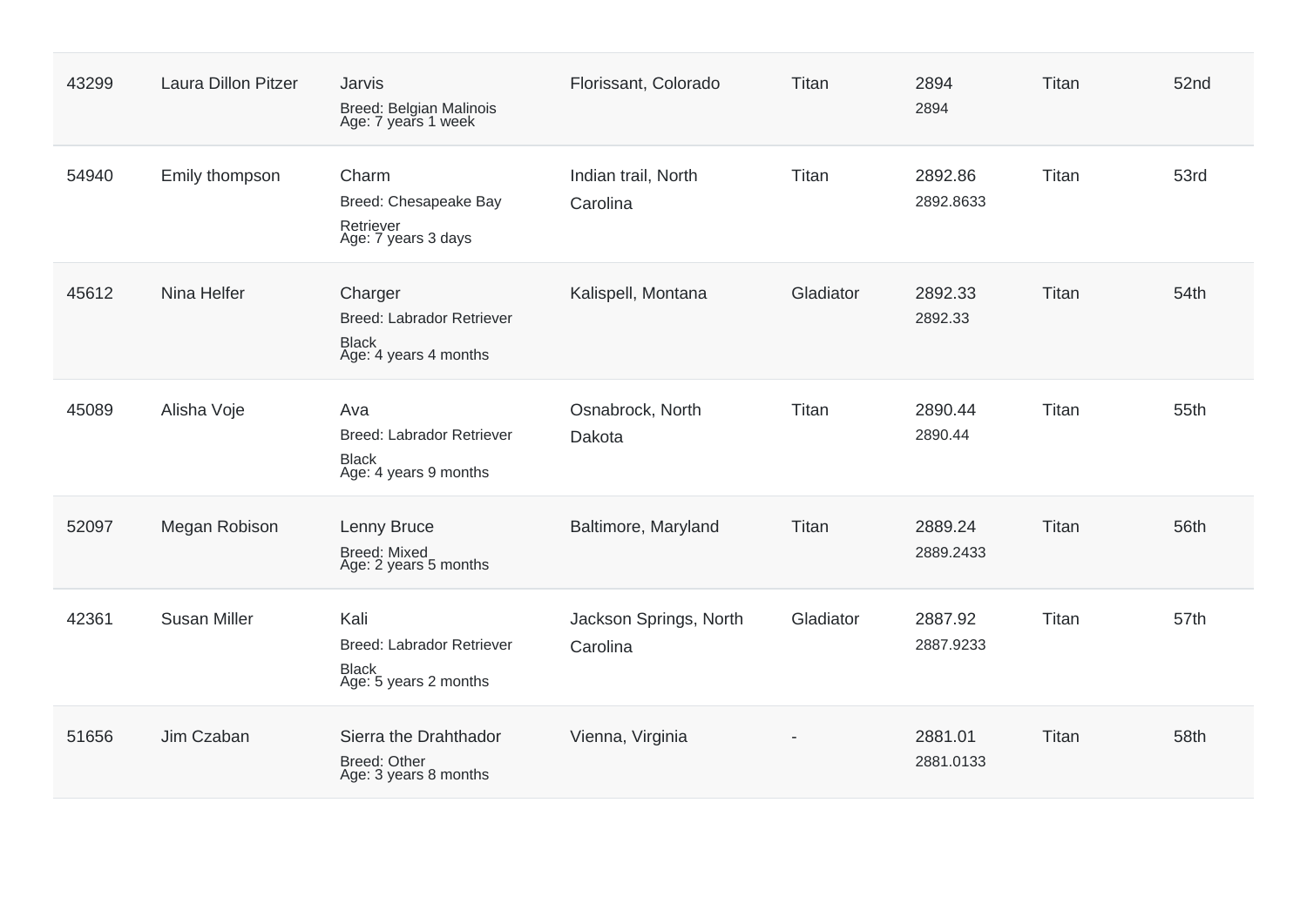| 43299 | <b>Laura Dillon Pitzer</b> | <b>Jarvis</b><br>Breed: Belgian Malinois<br>Age: 7 years 1 week                      | Florissant, Colorado               | Titan     | 2894<br>2894         | Titan | 52nd |
|-------|----------------------------|--------------------------------------------------------------------------------------|------------------------------------|-----------|----------------------|-------|------|
| 54940 | Emily thompson             | Charm<br>Breed: Chesapeake Bay<br>Retriever<br>Age: 7 years 3 days                   | Indian trail, North<br>Carolina    | Titan     | 2892.86<br>2892.8633 | Titan | 53rd |
| 45612 | Nina Helfer                | Charger<br><b>Breed: Labrador Retriever</b><br><b>Black</b><br>Age: 4 years 4 months | Kalispell, Montana                 | Gladiator | 2892.33<br>2892.33   | Titan | 54th |
| 45089 | Alisha Voje                | Ava<br><b>Breed: Labrador Retriever</b><br><b>Black</b><br>Age: 4 years 9 months     | Osnabrock, North<br>Dakota         | Titan     | 2890.44<br>2890.44   | Titan | 55th |
| 52097 | Megan Robison              | Lenny Bruce<br><b>Breed: Mixed</b><br>Age: 2 years 5 months                          | Baltimore, Maryland                | Titan     | 2889.24<br>2889.2433 | Titan | 56th |
| 42361 | <b>Susan Miller</b>        | Kali<br><b>Breed: Labrador Retriever</b><br><b>Black</b><br>Age: 5 years 2 months    | Jackson Springs, North<br>Carolina | Gladiator | 2887.92<br>2887.9233 | Titan | 57th |
| 51656 | Jim Czaban                 | Sierra the Drahthador<br>Breed: Other<br>Age: 3 years 8 months                       | Vienna, Virginia                   |           | 2881.01<br>2881.0133 | Titan | 58th |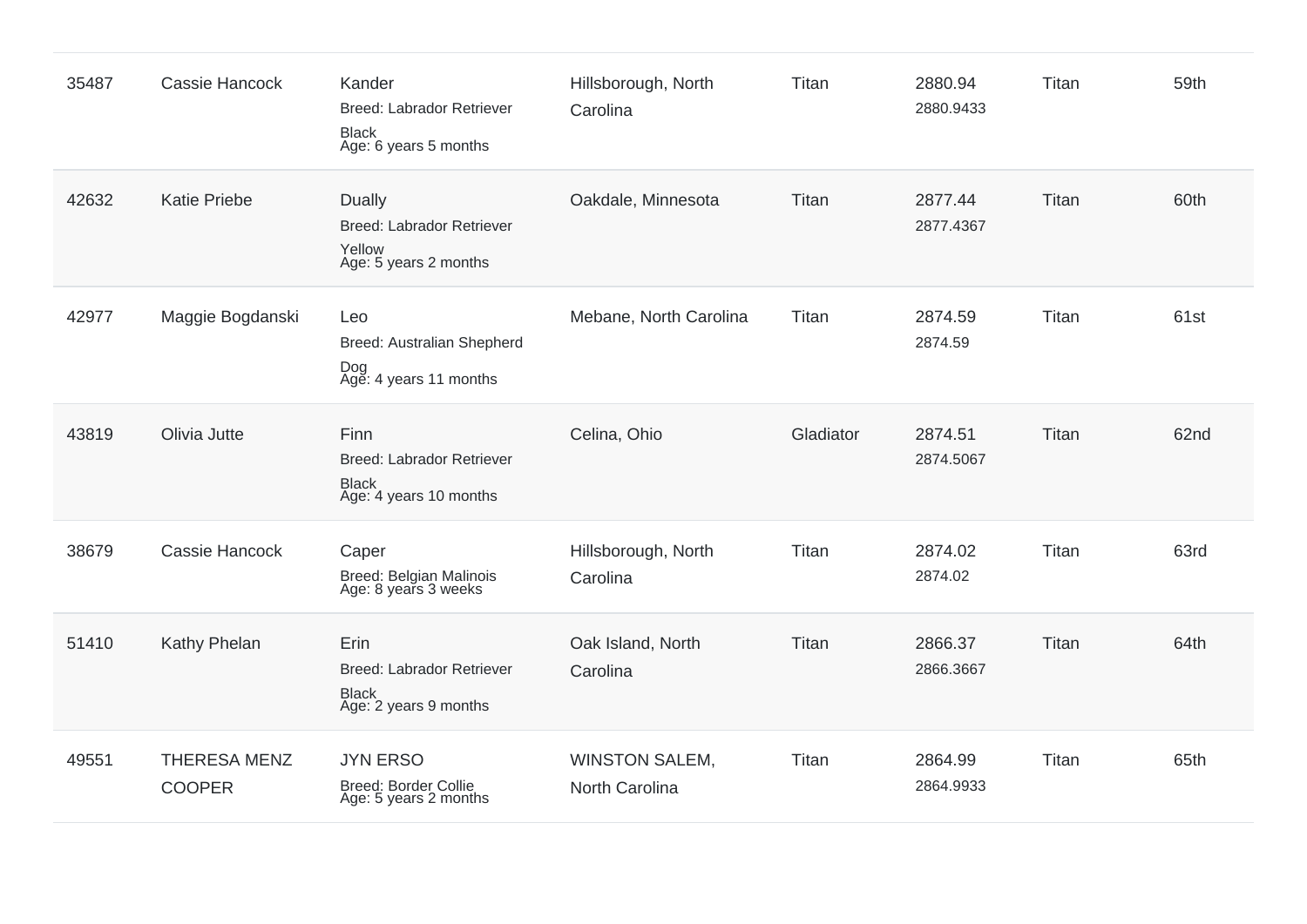| 35487 | Cassie Hancock                       | Kander<br><b>Breed: Labrador Retriever</b><br><b>Black</b><br>Age: 6 years 5 months | Hillsborough, North<br>Carolina         | Titan     | 2880.94<br>2880.9433 | Titan | 59th |
|-------|--------------------------------------|-------------------------------------------------------------------------------------|-----------------------------------------|-----------|----------------------|-------|------|
| 42632 | <b>Katie Priebe</b>                  | Dually<br><b>Breed: Labrador Retriever</b><br>Yellow<br>Age: 5 years 2 months       | Oakdale, Minnesota                      | Titan     | 2877.44<br>2877.4367 | Titan | 60th |
| 42977 | Maggie Bogdanski                     | Leo<br>Breed: Australian Shepherd<br>Dog<br>Age: 4 years 11 months                  | Mebane, North Carolina                  | Titan     | 2874.59<br>2874.59   | Titan | 61st |
| 43819 | Olivia Jutte                         | Finn<br><b>Breed: Labrador Retriever</b><br><b>Black</b><br>Age: 4 years 10 months  | Celina, Ohio                            | Gladiator | 2874.51<br>2874.5067 | Titan | 62nd |
| 38679 | Cassie Hancock                       | Caper<br>Breed: Belgian Malinois<br>Age: 8 years 3 weeks                            | Hillsborough, North<br>Carolina         | Titan     | 2874.02<br>2874.02   | Titan | 63rd |
| 51410 | Kathy Phelan                         | Erin<br><b>Breed: Labrador Retriever</b><br><b>Black</b><br>Age: 2 years 9 months   | Oak Island, North<br>Carolina           | Titan     | 2866.37<br>2866.3667 | Titan | 64th |
| 49551 | <b>THERESA MENZ</b><br><b>COOPER</b> | <b>JYN ERSO</b><br>Breed: Border Collie<br>Age: 5 years 2 months                    | <b>WINSTON SALEM,</b><br>North Carolina | Titan     | 2864.99<br>2864.9933 | Titan | 65th |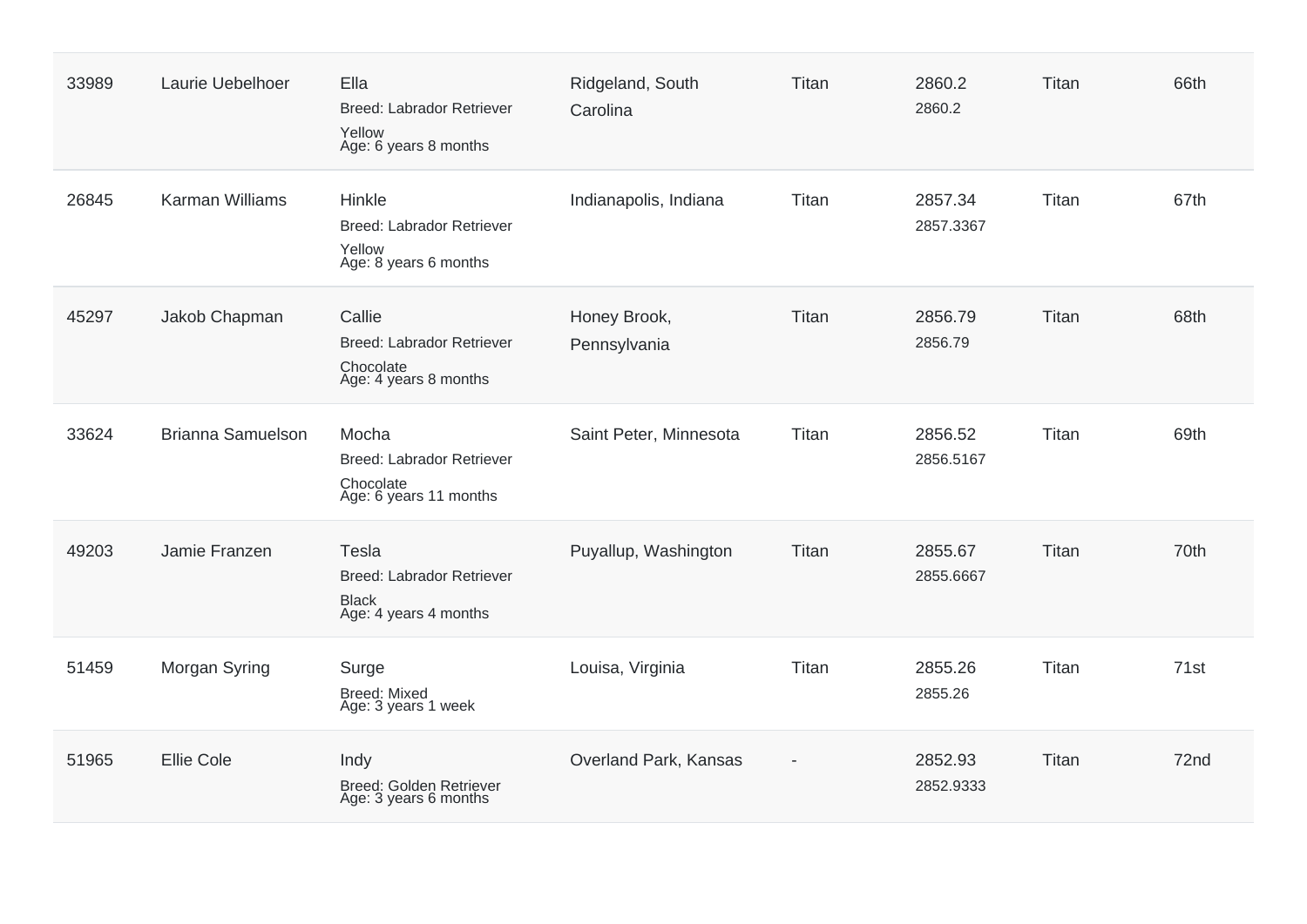| 33989 | Laurie Uebelhoer         | Ella<br><b>Breed: Labrador Retriever</b><br>Yellow<br>Age: 6 years 8 months        | Ridgeland, South<br>Carolina | Titan | 2860.2<br>2860.2     | Titan | 66th |
|-------|--------------------------|------------------------------------------------------------------------------------|------------------------------|-------|----------------------|-------|------|
| 26845 | <b>Karman Williams</b>   | Hinkle<br>Breed: Labrador Retriever<br>Yellow<br>Age: 8 years 6 months             | Indianapolis, Indiana        | Titan | 2857.34<br>2857.3367 | Titan | 67th |
| 45297 | Jakob Chapman            | Callie<br>Breed: Labrador Retriever<br>Chocolate<br>Age: 4 years 8 months          | Honey Brook,<br>Pennsylvania | Titan | 2856.79<br>2856.79   | Titan | 68th |
| 33624 | <b>Brianna Samuelson</b> | Mocha<br><b>Breed: Labrador Retriever</b><br>Chocolate<br>Age: 6 years 11 months   | Saint Peter, Minnesota       | Titan | 2856.52<br>2856.5167 | Titan | 69th |
| 49203 | Jamie Franzen            | Tesla<br><b>Breed: Labrador Retriever</b><br><b>Black</b><br>Age: 4 years 4 months | Puyallup, Washington         | Titan | 2855.67<br>2855.6667 | Titan | 70th |
| 51459 | Morgan Syring            | Surge<br><b>Breed: Mixed</b><br>Age: 3 years 1 week                                | Louisa, Virginia             | Titan | 2855.26<br>2855.26   | Titan | 71st |
| 51965 | <b>Ellie Cole</b>        | Indy<br>Breed: Golden Retriever<br>Age: 3 years 6 months                           | Overland Park, Kansas        |       | 2852.93<br>2852.9333 | Titan | 72nd |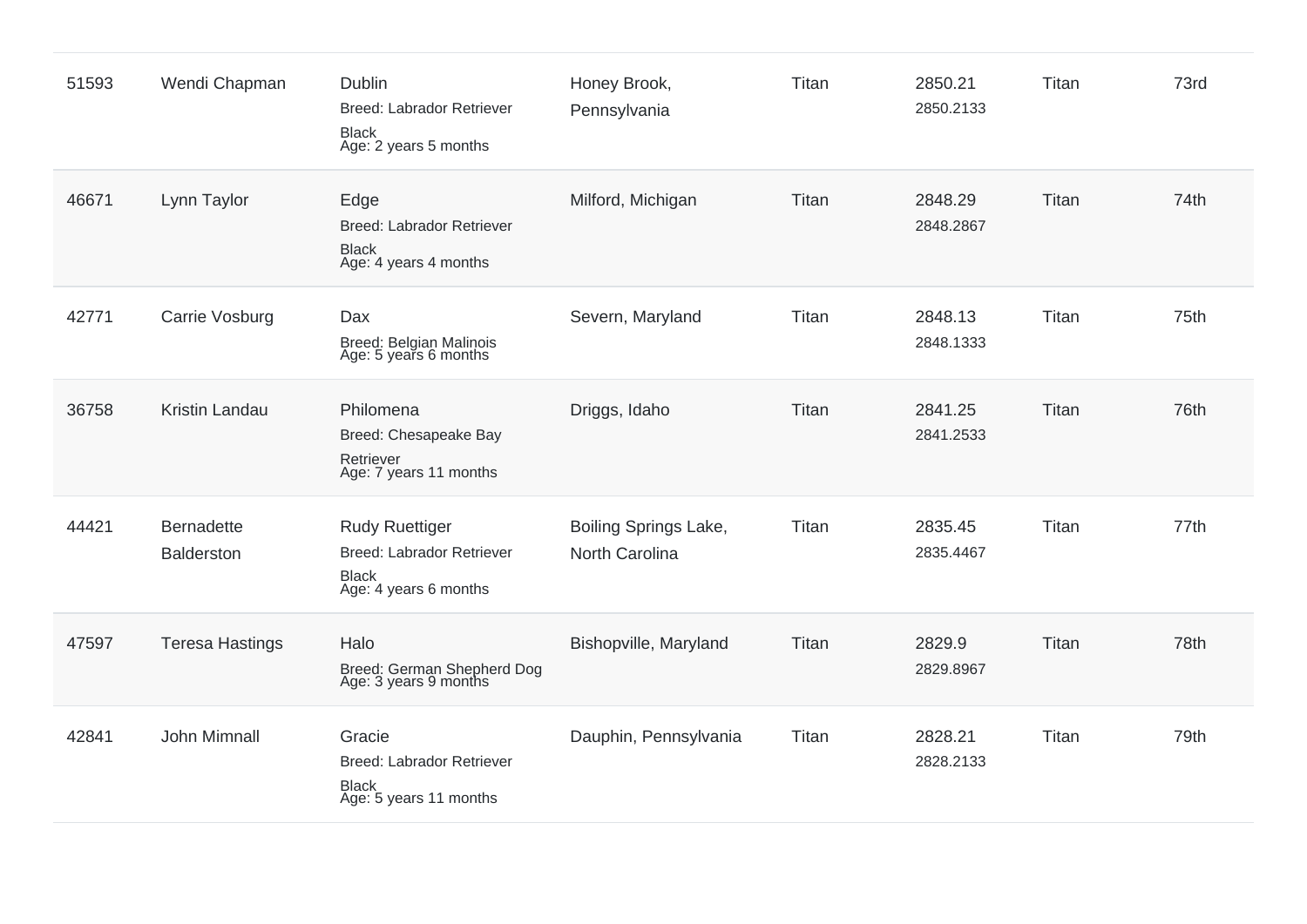| 51593 | Wendi Chapman                          | <b>Dublin</b><br><b>Breed: Labrador Retriever</b><br><b>Black</b><br>Age: 2 years 5 months         | Honey Brook,<br>Pennsylvania            | Titan | 2850.21<br>2850.2133 | Titan | 73rd |
|-------|----------------------------------------|----------------------------------------------------------------------------------------------------|-----------------------------------------|-------|----------------------|-------|------|
| 46671 | Lynn Taylor                            | Edge<br><b>Breed: Labrador Retriever</b><br><b>Black</b><br>Age: 4 years 4 months                  | Milford, Michigan                       | Titan | 2848.29<br>2848.2867 | Titan | 74th |
| 42771 | Carrie Vosburg                         | Dax<br>Breed: Belgian Malinois<br>Age: 5 years 6 months                                            | Severn, Maryland                        | Titan | 2848.13<br>2848.1333 | Titan | 75th |
| 36758 | Kristin Landau                         | Philomena<br>Breed: Chesapeake Bay<br>Retriever<br>Age: 7 years 11 months                          | Driggs, Idaho                           | Titan | 2841.25<br>2841.2533 | Titan | 76th |
| 44421 | <b>Bernadette</b><br><b>Balderston</b> | <b>Rudy Ruettiger</b><br><b>Breed: Labrador Retriever</b><br><b>Black</b><br>Age: 4 years 6 months | Boiling Springs Lake,<br>North Carolina | Titan | 2835.45<br>2835.4467 | Titan | 77th |
| 47597 | <b>Teresa Hastings</b>                 | Halo<br>Breed: German Shepherd Dog<br>Age: 3 years 9 months                                        | Bishopville, Maryland                   | Titan | 2829.9<br>2829.8967  | Titan | 78th |
| 42841 | John Mimnall                           | Gracie<br><b>Breed: Labrador Retriever</b><br><b>Black</b><br>Age: 5 years 11 months               | Dauphin, Pennsylvania                   | Titan | 2828.21<br>2828.2133 | Titan | 79th |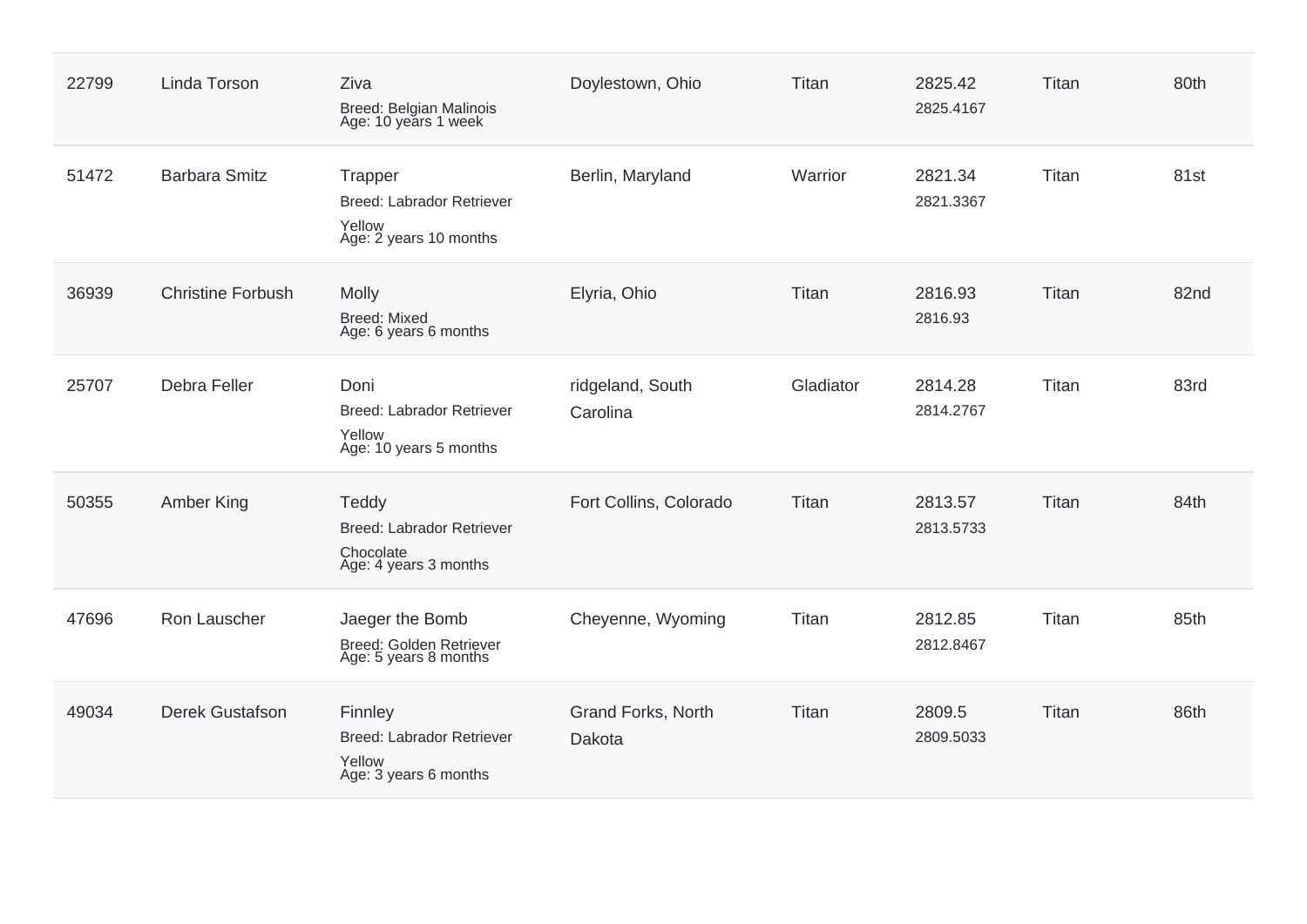| 22799 | Linda Torson             | Ziva<br><b>Breed: Belgian Malinois</b><br>Age: 10 years 1 week                  | Doylestown, Ohio             | Titan     | 2825.42<br>2825.4167 | Titan | 80th |
|-------|--------------------------|---------------------------------------------------------------------------------|------------------------------|-----------|----------------------|-------|------|
| 51472 | <b>Barbara Smitz</b>     | Trapper<br>Breed: Labrador Retriever<br>Yellow<br>Age: 2 years 10 months        | Berlin, Maryland             | Warrior   | 2821.34<br>2821.3367 | Titan | 81st |
| 36939 | <b>Christine Forbush</b> | Molly<br><b>Breed: Mixed</b><br>Age: 6 years 6 months                           | Elyria, Ohio                 | Titan     | 2816.93<br>2816.93   | Titan | 82nd |
| 25707 | Debra Feller             | Doni<br><b>Breed: Labrador Retriever</b><br>Yellow<br>Age: 10 years 5 months    | ridgeland, South<br>Carolina | Gladiator | 2814.28<br>2814.2767 | Titan | 83rd |
| 50355 | Amber King               | Teddy<br><b>Breed: Labrador Retriever</b><br>Chocolate<br>Age: 4 years 3 months | Fort Collins, Colorado       | Titan     | 2813.57<br>2813.5733 | Titan | 84th |
| 47696 | Ron Lauscher             | Jaeger the Bomb<br>Breed: Golden Retriever<br>Age: 5 years 8 months             | Cheyenne, Wyoming            | Titan     | 2812.85<br>2812.8467 | Titan | 85th |
| 49034 | <b>Derek Gustafson</b>   | Finnley<br><b>Breed: Labrador Retriever</b><br>Yellow<br>Age: 3 years 6 months  | Grand Forks, North<br>Dakota | Titan     | 2809.5<br>2809.5033  | Titan | 86th |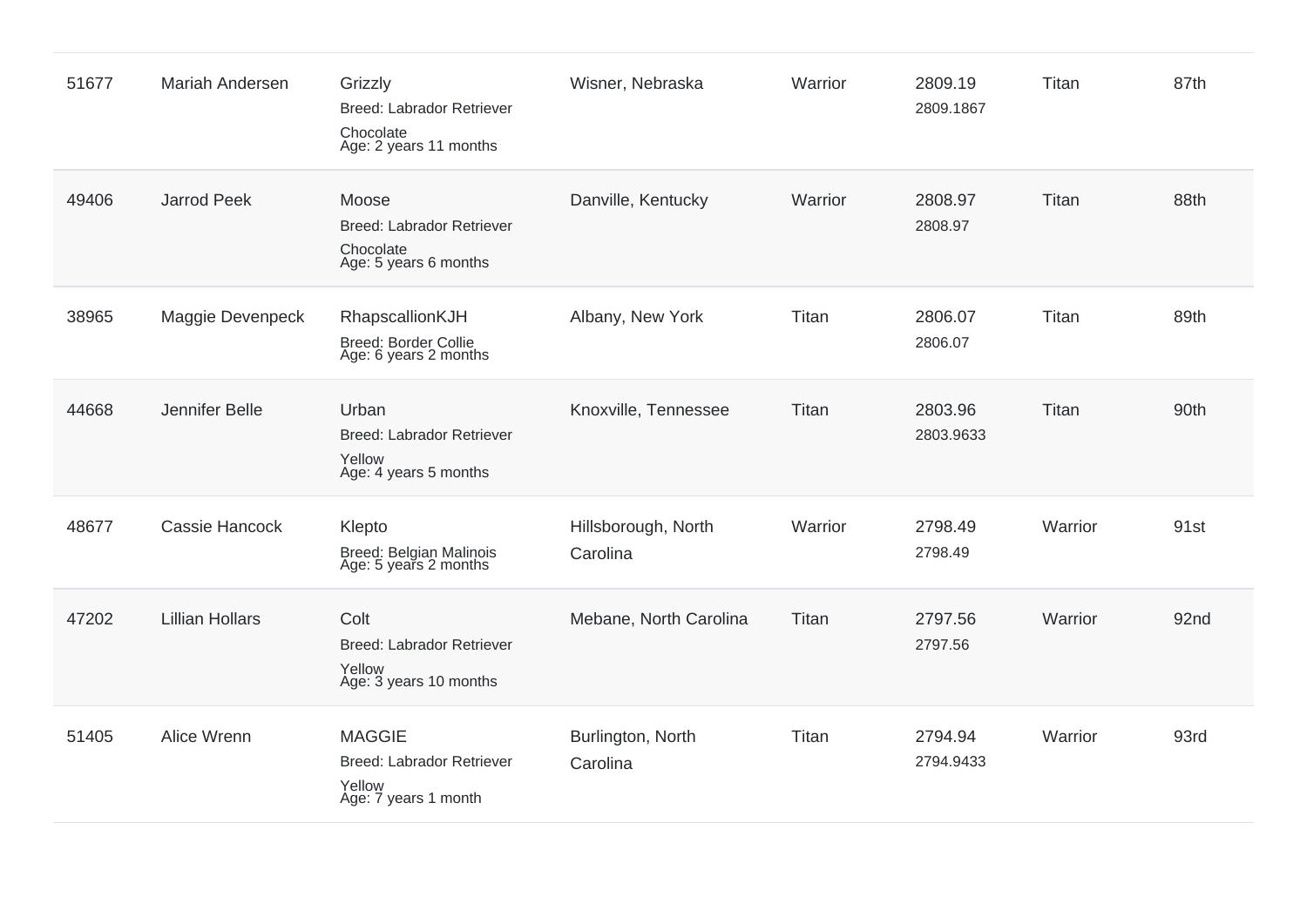| 51677 | <b>Mariah Andersen</b> | Grizzly<br><b>Breed: Labrador Retriever</b><br>Chocolate<br>Age: 2 years 11 months  | Wisner, Nebraska                | Warrior | 2809.19<br>2809.1867 | Titan   | 87th |
|-------|------------------------|-------------------------------------------------------------------------------------|---------------------------------|---------|----------------------|---------|------|
| 49406 | Jarrod Peek            | Moose<br>Breed: Labrador Retriever<br>Chocolate<br>Age: 5 years 6 months            | Danville, Kentucky              | Warrior | 2808.97<br>2808.97   | Titan   | 88th |
| 38965 | Maggie Devenpeck       | RhapscallionKJH<br>Breed: Border Collie<br>Age: 6 years 2 months                    | Albany, New York                | Titan   | 2806.07<br>2806.07   | Titan   | 89th |
| 44668 | Jennifer Belle         | Urban<br><b>Breed: Labrador Retriever</b><br>Yellow<br>Age: 4 years 5 months        | Knoxville, Tennessee            | Titan   | 2803.96<br>2803.9633 | Titan   | 90th |
| 48677 | Cassie Hancock         | Klepto<br>Breed: Belgian Malinois<br>Age: 5 years 2 months                          | Hillsborough, North<br>Carolina | Warrior | 2798.49<br>2798.49   | Warrior | 91st |
| 47202 | <b>Lillian Hollars</b> | Colt<br><b>Breed: Labrador Retriever</b><br>Yellow<br>Age: 3 years 10 months        | Mebane, North Carolina          | Titan   | 2797.56<br>2797.56   | Warrior | 92nd |
| 51405 | Alice Wrenn            | <b>MAGGIE</b><br><b>Breed: Labrador Retriever</b><br>Yellow<br>Age: 7 years 1 month | Burlington, North<br>Carolina   | Titan   | 2794.94<br>2794.9433 | Warrior | 93rd |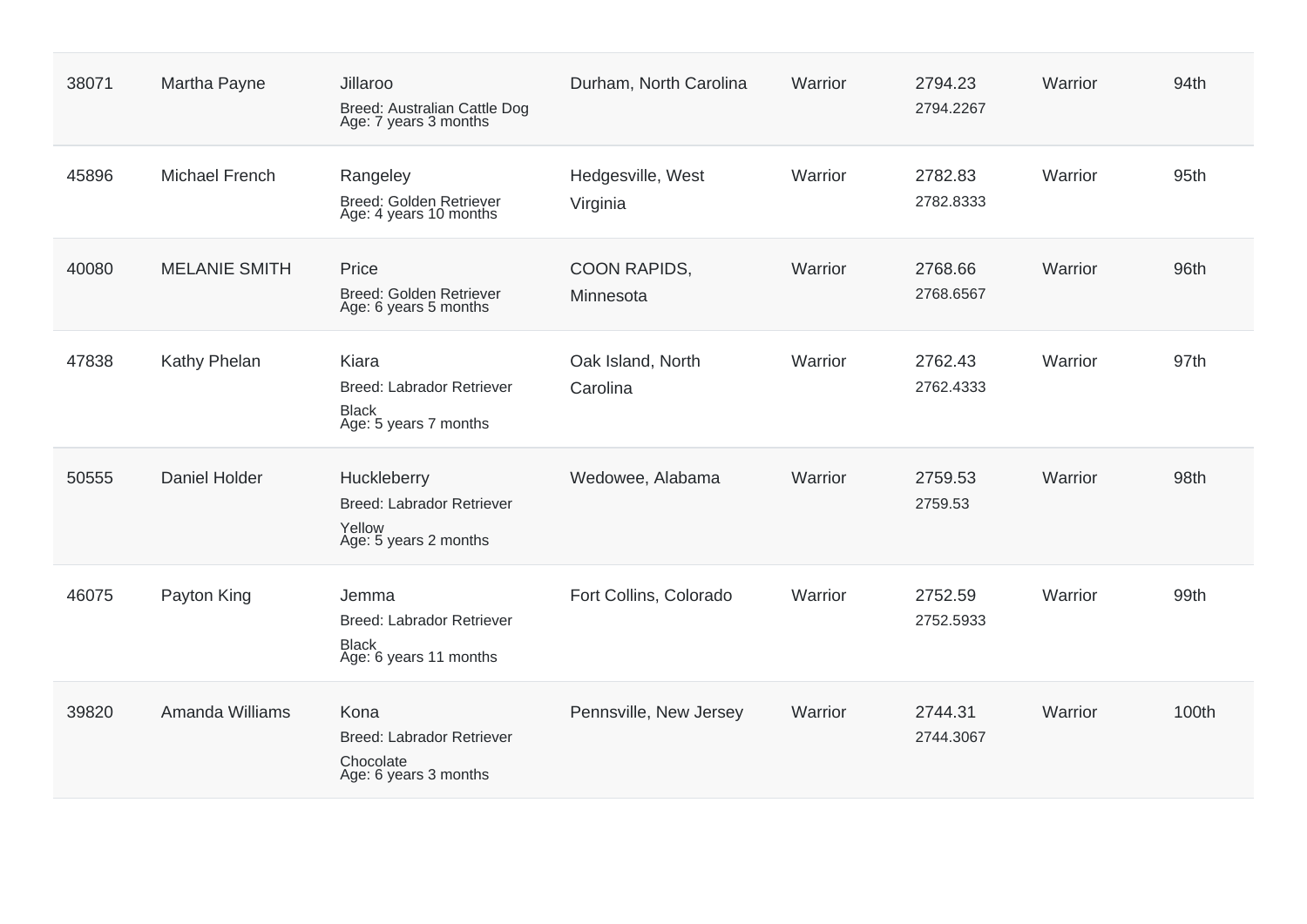| 38071 | Martha Payne          | Jillaroo<br>Breed: Australian Cattle Dog<br>Age: 7 years 3 months                   | Durham, North Carolina        | Warrior | 2794.23<br>2794.2267 | Warrior | 94th  |
|-------|-----------------------|-------------------------------------------------------------------------------------|-------------------------------|---------|----------------------|---------|-------|
| 45896 | <b>Michael French</b> | Rangeley<br><b>Breed: Golden Retriever</b><br>Age: 4 years 10 months                | Hedgesville, West<br>Virginia | Warrior | 2782.83<br>2782.8333 | Warrior | 95th  |
| 40080 | <b>MELANIE SMITH</b>  | Price<br>Breed: Golden Retriever<br>Age: 6 years 5 months                           | COON RAPIDS,<br>Minnesota     | Warrior | 2768.66<br>2768.6567 | Warrior | 96th  |
| 47838 | Kathy Phelan          | Kiara<br><b>Breed: Labrador Retriever</b><br>Black<br>Age: 5 years 7 months         | Oak Island, North<br>Carolina | Warrior | 2762.43<br>2762.4333 | Warrior | 97th  |
| 50555 | Daniel Holder         | Huckleberry<br>Breed: Labrador Retriever<br>Yellow<br>Age: 5 years 2 months         | Wedowee, Alabama              | Warrior | 2759.53<br>2759.53   | Warrior | 98th  |
| 46075 | Payton King           | Jemma<br><b>Breed: Labrador Retriever</b><br><b>Black</b><br>Age: 6 years 11 months | Fort Collins, Colorado        | Warrior | 2752.59<br>2752.5933 | Warrior | 99th  |
| 39820 | Amanda Williams       | Kona<br><b>Breed: Labrador Retriever</b><br>Chocolate<br>Age: 6 years 3 months      | Pennsville, New Jersey        | Warrior | 2744.31<br>2744.3067 | Warrior | 100th |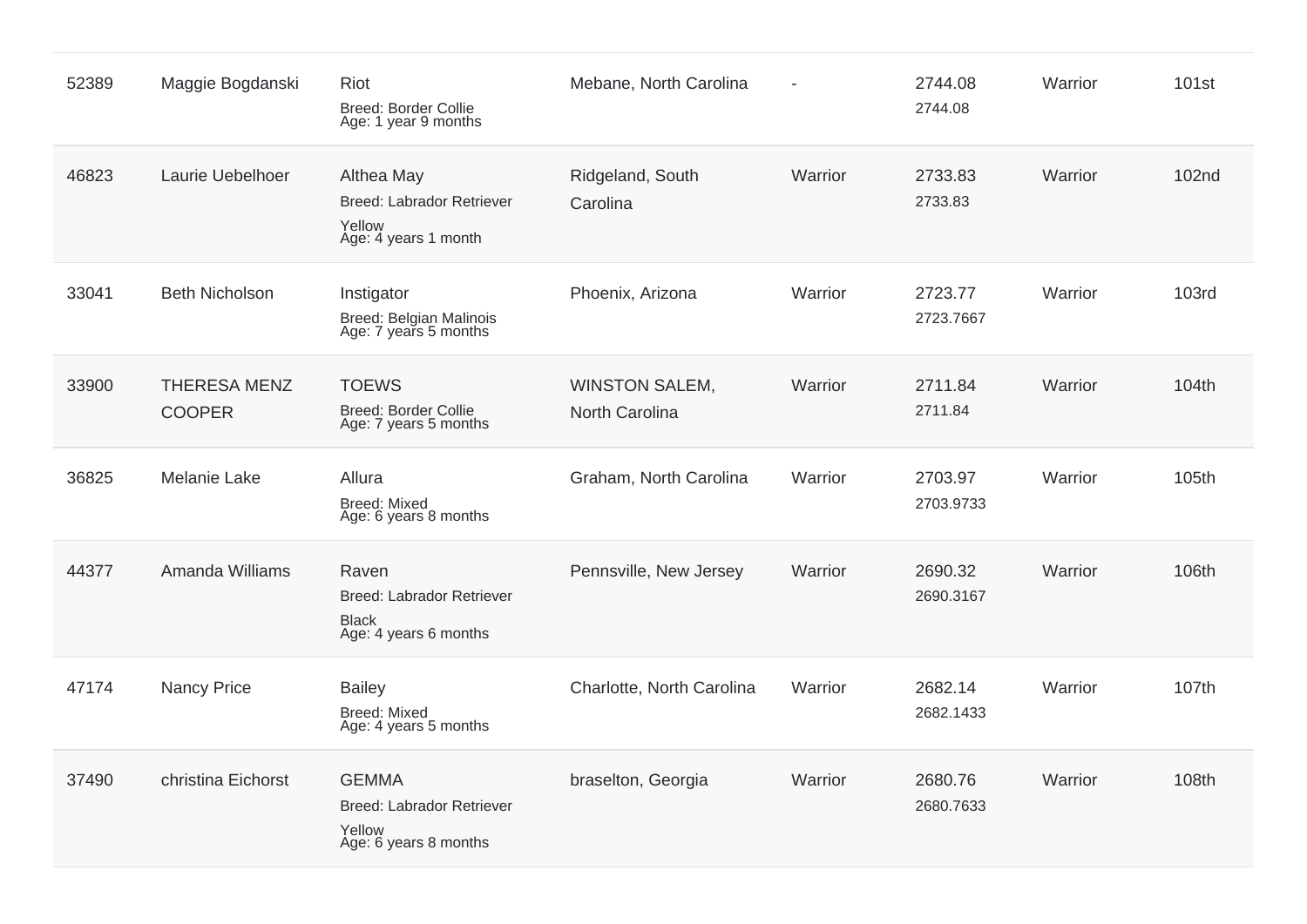| 52389 | Maggie Bogdanski                     | Riot<br>Breed: Border Collie<br>Age: 1 year 9 months                               | Mebane, North Carolina                  |         | 2744.08<br>2744.08   | Warrior | 101 <sub>st</sub> |
|-------|--------------------------------------|------------------------------------------------------------------------------------|-----------------------------------------|---------|----------------------|---------|-------------------|
| 46823 | Laurie Uebelhoer                     | Althea May<br>Breed: Labrador Retriever<br>Yellow<br>Age: 4 years 1 month          | Ridgeland, South<br>Carolina            | Warrior | 2733.83<br>2733.83   | Warrior | 102 <sub>nd</sub> |
| 33041 | <b>Beth Nicholson</b>                | Instigator<br>Breed: Belgian Malinois<br>Age: 7 years 5 months                     | Phoenix, Arizona                        | Warrior | 2723.77<br>2723.7667 | Warrior | <b>103rd</b>      |
| 33900 | <b>THERESA MENZ</b><br><b>COOPER</b> | <b>TOEWS</b><br>Breed: Border Collie<br>Age: 7 years 5 months                      | <b>WINSTON SALEM,</b><br>North Carolina | Warrior | 2711.84<br>2711.84   | Warrior | 104th             |
| 36825 | <b>Melanie Lake</b>                  | Allura<br><b>Breed: Mixed</b><br>Age: 6 years 8 months                             | Graham, North Carolina                  | Warrior | 2703.97<br>2703.9733 | Warrior | 105th             |
| 44377 | Amanda Williams                      | Raven<br><b>Breed: Labrador Retriever</b><br><b>Black</b><br>Age: 4 years 6 months | Pennsville, New Jersey                  | Warrior | 2690.32<br>2690.3167 | Warrior | 106th             |
| 47174 | <b>Nancy Price</b>                   | <b>Bailey</b><br><b>Breed: Mixed</b><br>Age: 4 years 5 months                      | Charlotte, North Carolina               | Warrior | 2682.14<br>2682.1433 | Warrior | 107th             |
| 37490 | christina Eichorst                   | <b>GEMMA</b><br>Breed: Labrador Retriever<br>Yellow<br>Age: 6 years 8 months       | braselton, Georgia                      | Warrior | 2680.76<br>2680.7633 | Warrior | 108th             |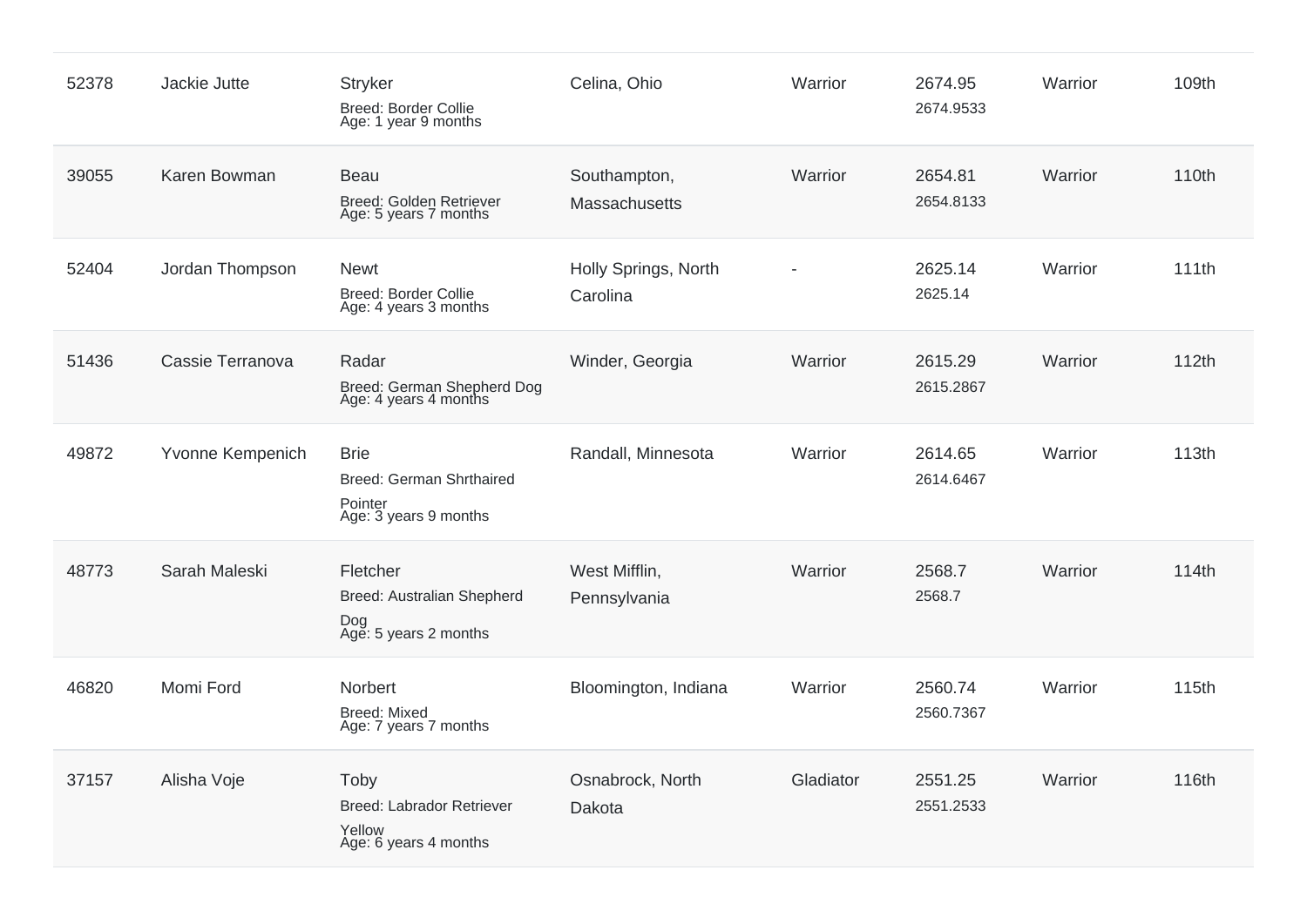| 52378 | Jackie Jutte     | <b>Stryker</b><br>Breed: Border Collie<br>Age: 1 year 9 months                     | Celina, Ohio                     | Warrior   | 2674.95<br>2674.9533 | Warrior | 109th |
|-------|------------------|------------------------------------------------------------------------------------|----------------------------------|-----------|----------------------|---------|-------|
| 39055 | Karen Bowman     | <b>Beau</b><br><b>Breed: Golden Retriever</b><br>Age: 5 years 7 months             | Southampton,<br>Massachusetts    | Warrior   | 2654.81<br>2654.8133 | Warrior | 110th |
| 52404 | Jordan Thompson  | <b>Newt</b><br><b>Breed: Border Collie</b><br>Age: 4 years 3 months                | Holly Springs, North<br>Carolina |           | 2625.14<br>2625.14   | Warrior | 111th |
| 51436 | Cassie Terranova | Radar<br>Breed: German Shepherd Dog<br>Age: 4 years 4 months                       | Winder, Georgia                  | Warrior   | 2615.29<br>2615.2867 | Warrior | 112th |
| 49872 | Yvonne Kempenich | <b>Brie</b><br><b>Breed: German Shrthaired</b><br>Pointer<br>Age: 3 years 9 months | Randall, Minnesota               | Warrior   | 2614.65<br>2614.6467 | Warrior | 113th |
| 48773 | Sarah Maleski    | Fletcher<br>Breed: Australian Shepherd<br>Dog<br>Age: 5 years 2 months             | West Mifflin,<br>Pennsylvania    | Warrior   | 2568.7<br>2568.7     | Warrior | 114th |
| 46820 | Momi Ford        | Norbert<br><b>Breed: Mixed</b><br>Age: 7 years 7 months                            | Bloomington, Indiana             | Warrior   | 2560.74<br>2560.7367 | Warrior | 115th |
| 37157 | Alisha Voje      | Toby<br>Breed: Labrador Retriever<br>Yellow<br>Age: 6 years 4 months               | Osnabrock, North<br>Dakota       | Gladiator | 2551.25<br>2551.2533 | Warrior | 116th |